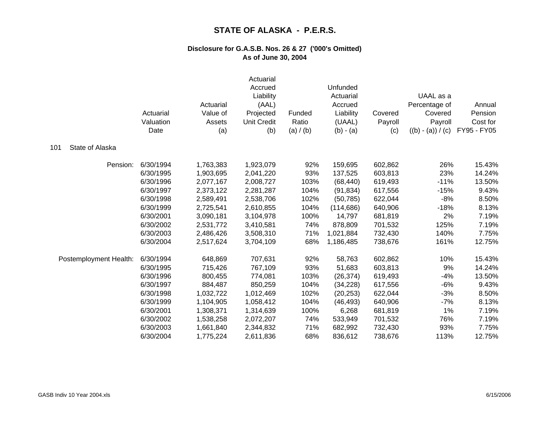|                        | Actuarial<br>Valuation<br>Date | Actuarial<br>Value of<br>Assets<br>(a) | Actuarial<br>Accrued<br>Liability<br>(AAL)<br>Projected<br><b>Unit Credit</b><br>(b) | Funded<br>Ratio<br>(a) / (b) | Unfunded<br>Actuarial<br>Accrued<br>Liability<br>(UAAL)<br>$(b) - (a)$ | Covered<br>Payroll<br>(c) | UAAL as a<br>Percentage of<br>Covered<br>Payroll<br>$((b) - (a)) / (c)$ | Annual<br>Pension<br>Cost for<br>FY95 - FY05 |
|------------------------|--------------------------------|----------------------------------------|--------------------------------------------------------------------------------------|------------------------------|------------------------------------------------------------------------|---------------------------|-------------------------------------------------------------------------|----------------------------------------------|
| State of Alaska<br>101 |                                |                                        |                                                                                      |                              |                                                                        |                           |                                                                         |                                              |
| Pension:               | 6/30/1994                      | 1,763,383                              | 1,923,079                                                                            | 92%                          | 159,695                                                                | 602,862                   | 26%                                                                     | 15.43%                                       |
|                        | 6/30/1995                      | 1,903,695                              | 2,041,220                                                                            | 93%                          | 137,525                                                                | 603,813                   | 23%                                                                     | 14.24%                                       |
|                        | 6/30/1996                      | 2,077,167                              | 2,008,727                                                                            | 103%                         | (68, 440)                                                              | 619,493                   | $-11%$                                                                  | 13.50%                                       |
|                        | 6/30/1997                      | 2,373,122                              | 2,281,287                                                                            | 104%                         | (91, 834)                                                              | 617,556                   | $-15%$                                                                  | 9.43%                                        |
|                        | 6/30/1998                      | 2,589,491                              | 2,538,706                                                                            | 102%                         | (50, 785)                                                              | 622,044                   | $-8%$                                                                   | 8.50%                                        |
|                        | 6/30/1999                      | 2,725,541                              | 2,610,855                                                                            | 104%                         | (114, 686)                                                             | 640,906                   | $-18%$                                                                  | 8.13%                                        |
|                        | 6/30/2001                      | 3,090,181                              | 3,104,978                                                                            | 100%                         | 14,797                                                                 | 681,819                   | 2%                                                                      | 7.19%                                        |
|                        | 6/30/2002                      | 2,531,772                              | 3,410,581                                                                            | 74%                          | 878,809                                                                | 701,532                   | 125%                                                                    | 7.19%                                        |
|                        | 6/30/2003                      | 2,486,426                              | 3,508,310                                                                            | 71%                          | 1,021,884                                                              | 732,430                   | 140%                                                                    | 7.75%                                        |
|                        | 6/30/2004                      | 2,517,624                              | 3,704,109                                                                            | 68%                          | 1,186,485                                                              | 738,676                   | 161%                                                                    | 12.75%                                       |
| Postemployment Health: | 6/30/1994                      | 648,869                                | 707,631                                                                              | 92%                          | 58,763                                                                 | 602,862                   | 10%                                                                     | 15.43%                                       |
|                        | 6/30/1995                      | 715,426                                | 767,109                                                                              | 93%                          | 51,683                                                                 | 603,813                   | 9%                                                                      | 14.24%                                       |
|                        | 6/30/1996                      | 800,455                                | 774,081                                                                              | 103%                         | (26, 374)                                                              | 619,493                   | $-4%$                                                                   | 13.50%                                       |
|                        | 6/30/1997                      | 884,487                                | 850,259                                                                              | 104%                         | (34, 228)                                                              | 617,556                   | $-6%$                                                                   | 9.43%                                        |
|                        | 6/30/1998                      | 1,032,722                              | 1,012,469                                                                            | 102%                         | (20, 253)                                                              | 622,044                   | $-3%$                                                                   | 8.50%                                        |
|                        | 6/30/1999                      | 1,104,905                              | 1,058,412                                                                            | 104%                         | (46, 493)                                                              | 640,906                   | $-7%$                                                                   | 8.13%                                        |
|                        | 6/30/2001                      | 1,308,371                              | 1,314,639                                                                            | 100%                         | 6,268                                                                  | 681,819                   | 1%                                                                      | 7.19%                                        |
|                        | 6/30/2002                      | 1,538,258                              | 2,072,207                                                                            | 74%                          | 533,949                                                                | 701,532                   | 76%                                                                     | 7.19%                                        |
|                        | 6/30/2003                      | 1,661,840                              | 2,344,832                                                                            | 71%                          | 682,992                                                                | 732,430                   | 93%                                                                     | 7.75%                                        |
|                        | 6/30/2004                      | 1,775,224                              | 2,611,836                                                                            | 68%                          | 836,612                                                                | 738,676                   | 113%                                                                    | 12.75%                                       |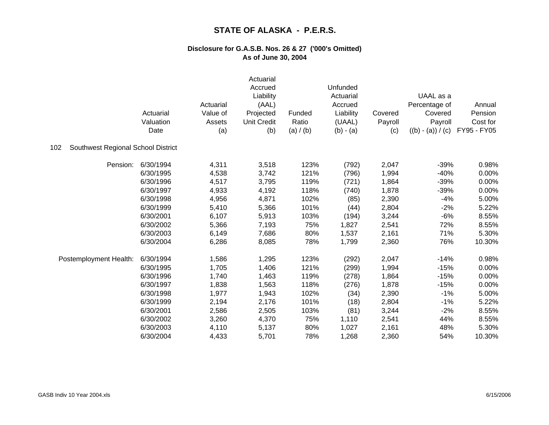|                                           | Actuarial<br>Valuation<br>Date | Actuarial<br>Value of<br>Assets<br>(a) | Actuarial<br>Accrued<br>Liability<br>(AAL)<br>Projected<br><b>Unit Credit</b><br>(b) | Funded<br>Ratio<br>(a) / (b) | Unfunded<br>Actuarial<br>Accrued<br>Liability<br>(UAAL)<br>$(b) - (a)$ | Covered<br>Payroll<br>(c) | UAAL as a<br>Percentage of<br>Covered<br>Payroll<br>$((b) - (a)) / (c)$ | Annual<br>Pension<br>Cost for<br>FY95 - FY05 |
|-------------------------------------------|--------------------------------|----------------------------------------|--------------------------------------------------------------------------------------|------------------------------|------------------------------------------------------------------------|---------------------------|-------------------------------------------------------------------------|----------------------------------------------|
| Southwest Regional School District<br>102 |                                |                                        |                                                                                      |                              |                                                                        |                           |                                                                         |                                              |
| Pension:                                  | 6/30/1994                      | 4,311                                  | 3,518                                                                                | 123%                         | (792)                                                                  | 2,047                     | $-39%$                                                                  | 0.98%                                        |
|                                           | 6/30/1995                      | 4,538                                  | 3,742                                                                                | 121%                         | (796)                                                                  | 1,994                     | $-40%$                                                                  | 0.00%                                        |
|                                           | 6/30/1996                      | 4,517                                  | 3,795                                                                                | 119%                         | (721)                                                                  | 1,864                     | $-39%$                                                                  | 0.00%                                        |
|                                           | 6/30/1997                      | 4,933                                  | 4,192                                                                                | 118%                         | (740)                                                                  | 1,878                     | $-39%$                                                                  | 0.00%                                        |
|                                           | 6/30/1998                      | 4,956                                  | 4,871                                                                                | 102%                         | (85)                                                                   | 2,390                     | $-4%$                                                                   | 5.00%                                        |
|                                           | 6/30/1999                      | 5,410                                  | 5,366                                                                                | 101%                         | (44)                                                                   | 2,804                     | $-2%$                                                                   | 5.22%                                        |
|                                           | 6/30/2001                      | 6,107                                  | 5,913                                                                                | 103%                         | (194)                                                                  | 3,244                     | $-6%$                                                                   | 8.55%                                        |
|                                           | 6/30/2002                      | 5,366                                  | 7,193                                                                                | 75%                          | 1,827                                                                  | 2,541                     | 72%                                                                     | 8.55%                                        |
|                                           | 6/30/2003                      | 6,149                                  | 7,686                                                                                | 80%                          | 1,537                                                                  | 2,161                     | 71%                                                                     | 5.30%                                        |
|                                           | 6/30/2004                      | 6,286                                  | 8,085                                                                                | 78%                          | 1,799                                                                  | 2,360                     | 76%                                                                     | 10.30%                                       |
| Postemployment Health:                    | 6/30/1994                      | 1,586                                  | 1,295                                                                                | 123%                         | (292)                                                                  | 2,047                     | $-14%$                                                                  | 0.98%                                        |
|                                           | 6/30/1995                      | 1,705                                  | 1,406                                                                                | 121%                         | (299)                                                                  | 1,994                     | $-15%$                                                                  | 0.00%                                        |
|                                           | 6/30/1996                      | 1,740                                  | 1,463                                                                                | 119%                         | (278)                                                                  | 1,864                     | $-15%$                                                                  | 0.00%                                        |
|                                           | 6/30/1997                      | 1,838                                  | 1,563                                                                                | 118%                         | (276)                                                                  | 1,878                     | $-15%$                                                                  | 0.00%                                        |
|                                           | 6/30/1998                      | 1,977                                  | 1,943                                                                                | 102%                         | (34)                                                                   | 2,390                     | $-1%$                                                                   | 5.00%                                        |
|                                           | 6/30/1999                      | 2,194                                  | 2,176                                                                                | 101%                         | (18)                                                                   | 2,804                     | $-1%$                                                                   | 5.22%                                        |
|                                           | 6/30/2001                      | 2,586                                  | 2,505                                                                                | 103%                         | (81)                                                                   | 3,244                     | $-2%$                                                                   | 8.55%                                        |
|                                           | 6/30/2002                      | 3,260                                  | 4,370                                                                                | 75%                          | 1,110                                                                  | 2,541                     | 44%                                                                     | 8.55%                                        |
|                                           | 6/30/2003                      | 4,110                                  | 5,137                                                                                | 80%                          | 1,027                                                                  | 2,161                     | 48%                                                                     | 5.30%                                        |
|                                           | 6/30/2004                      | 4,433                                  | 5,701                                                                                | 78%                          | 1,268                                                                  | 2,360                     | 54%                                                                     | 10.30%                                       |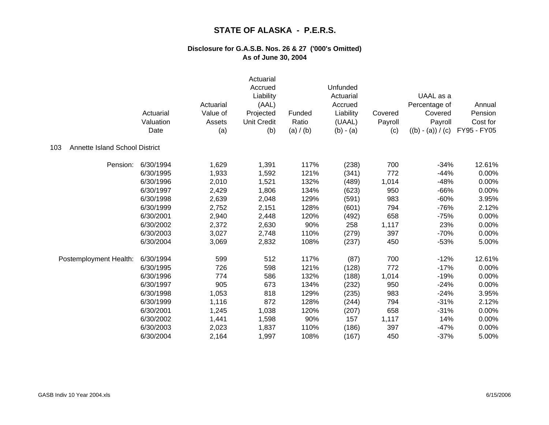|                                       | Actuarial<br>Valuation<br>Date | Actuarial<br>Value of<br>Assets<br>(a) | Actuarial<br>Accrued<br>Liability<br>(AAL)<br>Projected<br><b>Unit Credit</b><br>(b) | Funded<br>Ratio<br>(a) / (b) | Unfunded<br>Actuarial<br>Accrued<br>Liability<br>(UAAL)<br>$(b) - (a)$ | Covered<br>Payroll<br>(c) | UAAL as a<br>Percentage of<br>Covered<br>Payroll<br>$((b) - (a)) / (c)$ | Annual<br>Pension<br>Cost for<br>FY95 - FY05 |
|---------------------------------------|--------------------------------|----------------------------------------|--------------------------------------------------------------------------------------|------------------------------|------------------------------------------------------------------------|---------------------------|-------------------------------------------------------------------------|----------------------------------------------|
| Annette Island School District<br>103 |                                |                                        |                                                                                      |                              |                                                                        |                           |                                                                         |                                              |
| Pension:                              | 6/30/1994                      | 1,629                                  | 1,391                                                                                | 117%                         | (238)                                                                  | 700                       | $-34%$                                                                  | 12.61%                                       |
|                                       | 6/30/1995                      | 1,933                                  | 1,592                                                                                | 121%                         | (341)                                                                  | 772                       | $-44%$                                                                  | 0.00%                                        |
|                                       | 6/30/1996                      | 2,010                                  | 1,521                                                                                | 132%                         | (489)                                                                  | 1,014                     | $-48%$                                                                  | 0.00%                                        |
|                                       | 6/30/1997                      | 2,429                                  | 1,806                                                                                | 134%                         | (623)                                                                  | 950                       | $-66%$                                                                  | 0.00%                                        |
|                                       | 6/30/1998                      | 2,639                                  | 2,048                                                                                | 129%                         | (591)                                                                  | 983                       | $-60%$                                                                  | 3.95%                                        |
|                                       | 6/30/1999                      | 2,752                                  | 2,151                                                                                | 128%                         | (601)                                                                  | 794                       | $-76%$                                                                  | 2.12%                                        |
|                                       | 6/30/2001                      | 2,940                                  | 2,448                                                                                | 120%                         | (492)                                                                  | 658                       | $-75%$                                                                  | 0.00%                                        |
|                                       | 6/30/2002                      | 2,372                                  | 2,630                                                                                | 90%                          | 258                                                                    | 1,117                     | 23%                                                                     | 0.00%                                        |
|                                       | 6/30/2003                      | 3,027                                  | 2,748                                                                                | 110%                         | (279)                                                                  | 397                       | $-70%$                                                                  | 0.00%                                        |
|                                       | 6/30/2004                      | 3,069                                  | 2,832                                                                                | 108%                         | (237)                                                                  | 450                       | $-53%$                                                                  | 5.00%                                        |
| Postemployment Health:                | 6/30/1994                      | 599                                    | 512                                                                                  | 117%                         | (87)                                                                   | 700                       | $-12%$                                                                  | 12.61%                                       |
|                                       | 6/30/1995                      | 726                                    | 598                                                                                  | 121%                         | (128)                                                                  | 772                       | $-17%$                                                                  | 0.00%                                        |
|                                       | 6/30/1996                      | 774                                    | 586                                                                                  | 132%                         | (188)                                                                  | 1,014                     | $-19%$                                                                  | 0.00%                                        |
|                                       | 6/30/1997                      | 905                                    | 673                                                                                  | 134%                         | (232)                                                                  | 950                       | $-24%$                                                                  | 0.00%                                        |
|                                       | 6/30/1998                      | 1,053                                  | 818                                                                                  | 129%                         | (235)                                                                  | 983                       | $-24%$                                                                  | 3.95%                                        |
|                                       | 6/30/1999                      | 1,116                                  | 872                                                                                  | 128%                         | (244)                                                                  | 794                       | $-31%$                                                                  | 2.12%                                        |
|                                       | 6/30/2001                      | 1,245                                  | 1,038                                                                                | 120%                         | (207)                                                                  | 658                       | $-31%$                                                                  | 0.00%                                        |
|                                       | 6/30/2002                      | 1,441                                  | 1,598                                                                                | 90%                          | 157                                                                    | 1,117                     | 14%                                                                     | 0.00%                                        |
|                                       | 6/30/2003                      | 2,023                                  | 1,837                                                                                | 110%                         | (186)                                                                  | 397                       | $-47%$                                                                  | 0.00%                                        |
|                                       | 6/30/2004                      | 2,164                                  | 1,997                                                                                | 108%                         | (167)                                                                  | 450                       | $-37%$                                                                  | 5.00%                                        |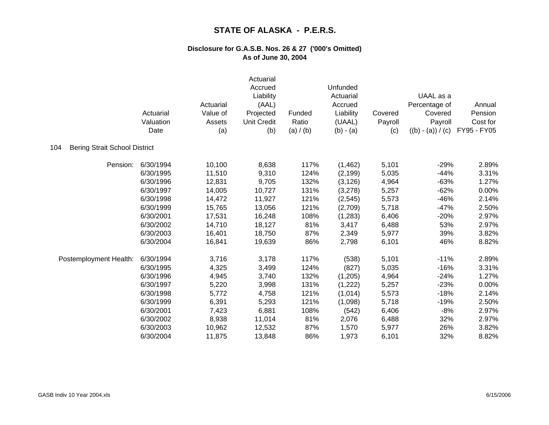|                                             | Actuarial<br>Valuation<br>Date | Actuarial<br>Value of<br>Assets<br>(a) | Actuarial<br>Accrued<br>Liability<br>(AAL)<br>Projected<br><b>Unit Credit</b><br>(b) | Funded<br>Ratio<br>(a) / (b) | Unfunded<br>Actuarial<br>Accrued<br>Liability<br>(UAAL)<br>$(b) - (a)$ | Covered<br>Payroll<br>(c) | UAAL as a<br>Percentage of<br>Covered<br>Payroll<br>$((b) - (a)) / (c)$ | Annual<br>Pension<br>Cost for<br>FY95 - FY05 |
|---------------------------------------------|--------------------------------|----------------------------------------|--------------------------------------------------------------------------------------|------------------------------|------------------------------------------------------------------------|---------------------------|-------------------------------------------------------------------------|----------------------------------------------|
| <b>Bering Strait School District</b><br>104 |                                |                                        |                                                                                      |                              |                                                                        |                           |                                                                         |                                              |
| Pension:                                    | 6/30/1994                      | 10,100                                 | 8,638                                                                                | 117%                         | (1,462)                                                                | 5,101                     | $-29%$                                                                  | 2.89%                                        |
|                                             | 6/30/1995                      | 11,510                                 | 9,310                                                                                | 124%                         | (2, 199)                                                               | 5,035                     | $-44%$                                                                  | 3.31%                                        |
|                                             | 6/30/1996                      | 12,831                                 | 9,705                                                                                | 132%                         | (3, 126)                                                               | 4,964                     | $-63%$                                                                  | 1.27%                                        |
|                                             | 6/30/1997                      | 14,005                                 | 10,727                                                                               | 131%                         | (3,278)                                                                | 5,257                     | $-62%$                                                                  | 0.00%                                        |
|                                             | 6/30/1998                      | 14,472                                 | 11,927                                                                               | 121%                         | (2, 545)                                                               | 5,573                     | $-46%$                                                                  | 2.14%                                        |
|                                             | 6/30/1999                      | 15,765                                 | 13,056                                                                               | 121%                         | (2,709)                                                                | 5,718                     | $-47%$                                                                  | 2.50%                                        |
|                                             | 6/30/2001                      | 17,531                                 | 16,248                                                                               | 108%                         | (1,283)                                                                | 6,406                     | $-20%$                                                                  | 2.97%                                        |
|                                             | 6/30/2002                      | 14,710                                 | 18,127                                                                               | 81%                          | 3,417                                                                  | 6,488                     | 53%                                                                     | 2.97%                                        |
|                                             | 6/30/2003                      | 16,401                                 | 18,750                                                                               | 87%                          | 2,349                                                                  | 5,977                     | 39%                                                                     | 3.82%                                        |
|                                             | 6/30/2004                      | 16,841                                 | 19,639                                                                               | 86%                          | 2,798                                                                  | 6,101                     | 46%                                                                     | 8.82%                                        |
| Postemployment Health:                      | 6/30/1994                      | 3,716                                  | 3,178                                                                                | 117%                         | (538)                                                                  | 5,101                     | $-11%$                                                                  | 2.89%                                        |
|                                             | 6/30/1995                      | 4,325                                  | 3,499                                                                                | 124%                         | (827)                                                                  | 5,035                     | $-16%$                                                                  | 3.31%                                        |
|                                             | 6/30/1996                      | 4,945                                  | 3,740                                                                                | 132%                         | (1,205)                                                                | 4,964                     | $-24%$                                                                  | 1.27%                                        |
|                                             | 6/30/1997                      | 5,220                                  | 3,998                                                                                | 131%                         | (1, 222)                                                               | 5,257                     | $-23%$                                                                  | 0.00%                                        |
|                                             | 6/30/1998                      | 5,772                                  | 4,758                                                                                | 121%                         | (1,014)                                                                | 5,573                     | $-18%$                                                                  | 2.14%                                        |
|                                             | 6/30/1999                      | 6,391                                  | 5,293                                                                                | 121%                         | (1,098)                                                                | 5,718                     | $-19%$                                                                  | 2.50%                                        |
|                                             | 6/30/2001                      | 7,423                                  | 6,881                                                                                | 108%                         | (542)                                                                  | 6,406                     | $-8%$                                                                   | 2.97%                                        |
|                                             | 6/30/2002                      | 8,938                                  | 11,014                                                                               | 81%                          | 2,076                                                                  | 6,488                     | 32%                                                                     | 2.97%                                        |
|                                             | 6/30/2003                      | 10,962                                 | 12,532                                                                               | 87%                          | 1,570                                                                  | 5,977                     | 26%                                                                     | 3.82%                                        |
|                                             | 6/30/2004                      | 11,875                                 | 13,848                                                                               | 86%                          | 1,973                                                                  | 6,101                     | 32%                                                                     | 8.82%                                        |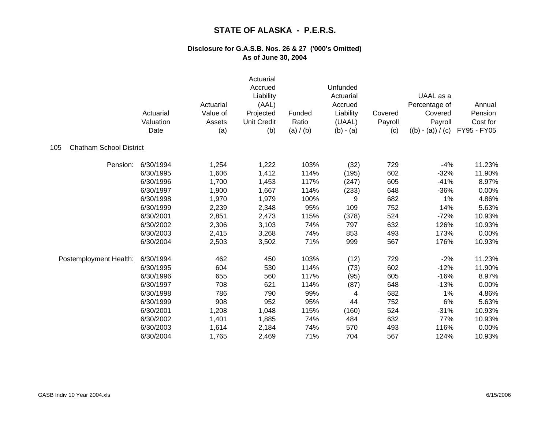|                                       | Actuarial<br>Valuation<br>Date | Actuarial<br>Value of<br>Assets<br>(a) | Actuarial<br>Accrued<br>Liability<br>(AAL)<br>Projected<br><b>Unit Credit</b><br>(b) | Funded<br>Ratio<br>(a) / (b) | Unfunded<br>Actuarial<br>Accrued<br>Liability<br>(UAAL)<br>$(b) - (a)$ | Covered<br>Payroll<br>(c) | UAAL as a<br>Percentage of<br>Covered<br>Payroll<br>$((b) - (a)) / (c)$ | Annual<br>Pension<br>Cost for<br>FY95 - FY05 |
|---------------------------------------|--------------------------------|----------------------------------------|--------------------------------------------------------------------------------------|------------------------------|------------------------------------------------------------------------|---------------------------|-------------------------------------------------------------------------|----------------------------------------------|
| <b>Chatham School District</b><br>105 |                                |                                        |                                                                                      |                              |                                                                        |                           |                                                                         |                                              |
| Pension:                              | 6/30/1994                      | 1,254                                  | 1,222                                                                                | 103%                         | (32)                                                                   | 729                       | $-4%$                                                                   | 11.23%                                       |
|                                       | 6/30/1995                      | 1,606                                  | 1,412                                                                                | 114%                         | (195)                                                                  | 602                       | $-32%$                                                                  | 11.90%                                       |
|                                       | 6/30/1996                      | 1,700                                  | 1,453                                                                                | 117%                         | (247)                                                                  | 605                       | $-41%$                                                                  | 8.97%                                        |
|                                       | 6/30/1997                      | 1,900                                  | 1,667                                                                                | 114%                         | (233)                                                                  | 648                       | $-36%$                                                                  | 0.00%                                        |
|                                       | 6/30/1998                      | 1,970                                  | 1,979                                                                                | 100%                         | 9                                                                      | 682                       | 1%                                                                      | 4.86%                                        |
|                                       | 6/30/1999                      | 2,239                                  | 2,348                                                                                | 95%                          | 109                                                                    | 752                       | 14%                                                                     | 5.63%                                        |
|                                       | 6/30/2001                      | 2,851                                  | 2,473                                                                                | 115%                         | (378)                                                                  | 524                       | $-72%$                                                                  | 10.93%                                       |
|                                       | 6/30/2002                      | 2,306                                  | 3,103                                                                                | 74%                          | 797                                                                    | 632                       | 126%                                                                    | 10.93%                                       |
|                                       | 6/30/2003                      | 2,415                                  | 3,268                                                                                | 74%                          | 853                                                                    | 493                       | 173%                                                                    | 0.00%                                        |
|                                       | 6/30/2004                      | 2,503                                  | 3,502                                                                                | 71%                          | 999                                                                    | 567                       | 176%                                                                    | 10.93%                                       |
| Postemployment Health:                | 6/30/1994                      | 462                                    | 450                                                                                  | 103%                         | (12)                                                                   | 729                       | $-2%$                                                                   | 11.23%                                       |
|                                       | 6/30/1995                      | 604                                    | 530                                                                                  | 114%                         | (73)                                                                   | 602                       | $-12%$                                                                  | 11.90%                                       |
|                                       | 6/30/1996                      | 655                                    | 560                                                                                  | 117%                         | (95)                                                                   | 605                       | $-16%$                                                                  | 8.97%                                        |
|                                       | 6/30/1997                      | 708                                    | 621                                                                                  | 114%                         | (87)                                                                   | 648                       | $-13%$                                                                  | 0.00%                                        |
|                                       | 6/30/1998                      | 786                                    | 790                                                                                  | 99%                          | 4                                                                      | 682                       | 1%                                                                      | 4.86%                                        |
|                                       | 6/30/1999                      | 908                                    | 952                                                                                  | 95%                          | 44                                                                     | 752                       | 6%                                                                      | 5.63%                                        |
|                                       | 6/30/2001                      | 1,208                                  | 1,048                                                                                | 115%                         | (160)                                                                  | 524                       | $-31%$                                                                  | 10.93%                                       |
|                                       | 6/30/2002                      | 1,401                                  | 1,885                                                                                | 74%                          | 484                                                                    | 632                       | 77%                                                                     | 10.93%                                       |
|                                       | 6/30/2003                      | 1,614                                  | 2,184                                                                                | 74%                          | 570                                                                    | 493                       | 116%                                                                    | 0.00%                                        |
|                                       | 6/30/2004                      | 1,765                                  | 2,469                                                                                | 71%                          | 704                                                                    | 567                       | 124%                                                                    | 10.93%                                       |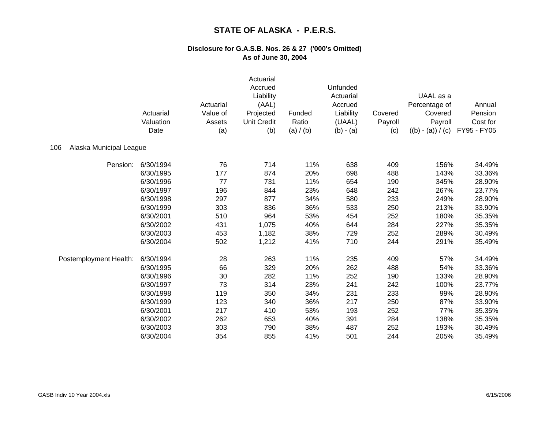|                                | Actuarial<br>Valuation<br>Date | Actuarial<br>Value of<br>Assets<br>(a) | Actuarial<br>Accrued<br>Liability<br>(AAL)<br>Projected<br><b>Unit Credit</b><br>(b) | Funded<br>Ratio<br>(a) / (b) | Unfunded<br>Actuarial<br>Accrued<br>Liability<br>(UAAL)<br>$(b) - (a)$ | Covered<br>Payroll<br>(c) | UAAL as a<br>Percentage of<br>Covered<br>Payroll<br>$((b) - (a)) / (c)$ | Annual<br>Pension<br>Cost for<br>FY95 - FY05 |
|--------------------------------|--------------------------------|----------------------------------------|--------------------------------------------------------------------------------------|------------------------------|------------------------------------------------------------------------|---------------------------|-------------------------------------------------------------------------|----------------------------------------------|
| 106<br>Alaska Municipal League |                                |                                        |                                                                                      |                              |                                                                        |                           |                                                                         |                                              |
| Pension:                       | 6/30/1994                      | 76                                     | 714                                                                                  | 11%                          | 638                                                                    | 409                       | 156%                                                                    | 34.49%                                       |
|                                | 6/30/1995                      | 177                                    | 874                                                                                  | 20%                          | 698                                                                    | 488                       | 143%                                                                    | 33.36%                                       |
|                                | 6/30/1996                      | 77                                     | 731                                                                                  | 11%                          | 654                                                                    | 190                       | 345%                                                                    | 28.90%                                       |
|                                | 6/30/1997                      | 196                                    | 844                                                                                  | 23%                          | 648                                                                    | 242                       | 267%                                                                    | 23.77%                                       |
|                                | 6/30/1998                      | 297                                    | 877                                                                                  | 34%                          | 580                                                                    | 233                       | 249%                                                                    | 28.90%                                       |
|                                | 6/30/1999                      | 303                                    | 836                                                                                  | 36%                          | 533                                                                    | 250                       | 213%                                                                    | 33.90%                                       |
|                                | 6/30/2001                      | 510                                    | 964                                                                                  | 53%                          | 454                                                                    | 252                       | 180%                                                                    | 35.35%                                       |
|                                | 6/30/2002                      | 431                                    | 1,075                                                                                | 40%                          | 644                                                                    | 284                       | 227%                                                                    | 35.35%                                       |
|                                | 6/30/2003                      | 453                                    | 1,182                                                                                | 38%                          | 729                                                                    | 252                       | 289%                                                                    | 30.49%                                       |
|                                | 6/30/2004                      | 502                                    | 1,212                                                                                | 41%                          | 710                                                                    | 244                       | 291%                                                                    | 35.49%                                       |
| Postemployment Health:         | 6/30/1994                      | 28                                     | 263                                                                                  | 11%                          | 235                                                                    | 409                       | 57%                                                                     | 34.49%                                       |
|                                | 6/30/1995                      | 66                                     | 329                                                                                  | 20%                          | 262                                                                    | 488                       | 54%                                                                     | 33.36%                                       |
|                                | 6/30/1996                      | 30                                     | 282                                                                                  | 11%                          | 252                                                                    | 190                       | 133%                                                                    | 28.90%                                       |
|                                | 6/30/1997                      | 73                                     | 314                                                                                  | 23%                          | 241                                                                    | 242                       | 100%                                                                    | 23.77%                                       |
|                                | 6/30/1998                      | 119                                    | 350                                                                                  | 34%                          | 231                                                                    | 233                       | 99%                                                                     | 28.90%                                       |
|                                | 6/30/1999                      | 123                                    | 340                                                                                  | 36%                          | 217                                                                    | 250                       | 87%                                                                     | 33.90%                                       |
|                                | 6/30/2001                      | 217                                    | 410                                                                                  | 53%                          | 193                                                                    | 252                       | 77%                                                                     | 35.35%                                       |
|                                | 6/30/2002                      | 262                                    | 653                                                                                  | 40%                          | 391                                                                    | 284                       | 138%                                                                    | 35.35%                                       |
|                                | 6/30/2003                      | 303                                    | 790                                                                                  | 38%                          | 487                                                                    | 252                       | 193%                                                                    | 30.49%                                       |
|                                | 6/30/2004                      | 354                                    | 855                                                                                  | 41%                          | 501                                                                    | 244                       | 205%                                                                    | 35.49%                                       |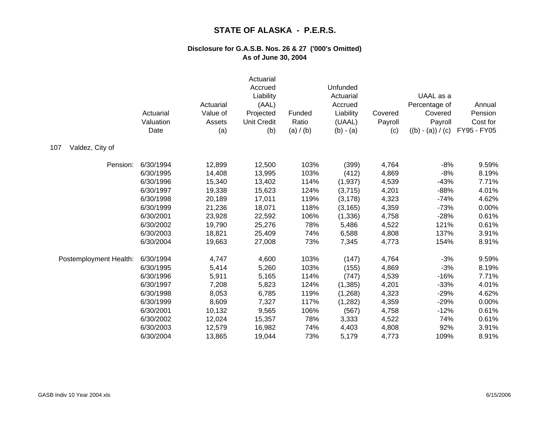|                        | Actuarial<br>Valuation<br>Date | Actuarial<br>Value of<br>Assets<br>(a) | Actuarial<br>Accrued<br>Liability<br>(AAL)<br>Projected<br><b>Unit Credit</b><br>(b) | Funded<br>Ratio<br>(a) / (b) | Unfunded<br>Actuarial<br>Accrued<br>Liability<br>(UAAL)<br>$(b) - (a)$ | Covered<br>Payroll<br>(c) | UAAL as a<br>Percentage of<br>Covered<br>Payroll<br>$((b) - (a)) / (c)$ | Annual<br>Pension<br>Cost for<br>FY95 - FY05 |
|------------------------|--------------------------------|----------------------------------------|--------------------------------------------------------------------------------------|------------------------------|------------------------------------------------------------------------|---------------------------|-------------------------------------------------------------------------|----------------------------------------------|
| Valdez, City of<br>107 |                                |                                        |                                                                                      |                              |                                                                        |                           |                                                                         |                                              |
| Pension:               | 6/30/1994                      | 12,899                                 | 12,500                                                                               | 103%                         | (399)                                                                  | 4,764                     | $-8%$                                                                   | 9.59%                                        |
|                        | 6/30/1995                      | 14,408                                 | 13,995                                                                               | 103%                         | (412)                                                                  | 4,869                     | $-8%$                                                                   | 8.19%                                        |
|                        | 6/30/1996                      | 15,340                                 | 13,402                                                                               | 114%                         | (1,937)                                                                | 4,539                     | $-43%$                                                                  | 7.71%                                        |
|                        | 6/30/1997                      | 19,338                                 | 15,623                                                                               | 124%                         | (3,715)                                                                | 4,201                     | $-88%$                                                                  | 4.01%                                        |
|                        | 6/30/1998                      | 20,189                                 | 17,011                                                                               | 119%                         | (3, 178)                                                               | 4,323                     | $-74%$                                                                  | 4.62%                                        |
|                        | 6/30/1999                      | 21,236                                 | 18,071                                                                               | 118%                         | (3, 165)                                                               | 4,359                     | $-73%$                                                                  | 0.00%                                        |
|                        | 6/30/2001                      | 23,928                                 | 22,592                                                                               | 106%                         | (1, 336)                                                               | 4,758                     | $-28%$                                                                  | 0.61%                                        |
|                        | 6/30/2002                      | 19,790                                 | 25,276                                                                               | 78%                          | 5,486                                                                  | 4,522                     | 121%                                                                    | 0.61%                                        |
|                        | 6/30/2003                      | 18,821                                 | 25,409                                                                               | 74%                          | 6,588                                                                  | 4,808                     | 137%                                                                    | 3.91%                                        |
|                        | 6/30/2004                      | 19,663                                 | 27,008                                                                               | 73%                          | 7,345                                                                  | 4,773                     | 154%                                                                    | 8.91%                                        |
| Postemployment Health: | 6/30/1994                      | 4,747                                  | 4,600                                                                                | 103%                         | (147)                                                                  | 4,764                     | $-3%$                                                                   | 9.59%                                        |
|                        | 6/30/1995                      | 5,414                                  | 5,260                                                                                | 103%                         | (155)                                                                  | 4,869                     | $-3%$                                                                   | 8.19%                                        |
|                        | 6/30/1996                      | 5,911                                  | 5,165                                                                                | 114%                         | (747)                                                                  | 4,539                     | $-16%$                                                                  | 7.71%                                        |
|                        | 6/30/1997                      | 7,208                                  | 5,823                                                                                | 124%                         | (1, 385)                                                               | 4,201                     | $-33%$                                                                  | 4.01%                                        |
|                        | 6/30/1998                      | 8,053                                  | 6,785                                                                                | 119%                         | (1,268)                                                                | 4,323                     | $-29%$                                                                  | 4.62%                                        |
|                        | 6/30/1999                      | 8,609                                  | 7,327                                                                                | 117%                         | (1,282)                                                                | 4,359                     | $-29%$                                                                  | 0.00%                                        |
|                        | 6/30/2001                      | 10,132                                 | 9,565                                                                                | 106%                         | (567)                                                                  | 4,758                     | $-12%$                                                                  | 0.61%                                        |
|                        | 6/30/2002                      | 12,024                                 | 15,357                                                                               | 78%                          | 3,333                                                                  | 4,522                     | 74%                                                                     | 0.61%                                        |
|                        | 6/30/2003                      | 12,579                                 | 16,982                                                                               | 74%                          | 4,403                                                                  | 4,808                     | 92%                                                                     | 3.91%                                        |
|                        | 6/30/2004                      | 13,865                                 | 19,044                                                                               | 73%                          | 5,179                                                                  | 4,773                     | 109%                                                                    | 8.91%                                        |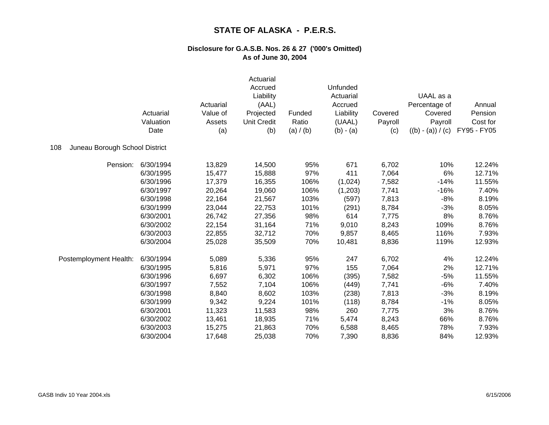|                                       | Actuarial<br>Valuation<br>Date | Actuarial<br>Value of<br>Assets<br>(a) | Actuarial<br>Accrued<br>Liability<br>(AAL)<br>Projected<br><b>Unit Credit</b><br>(b) | Funded<br>Ratio<br>(a) / (b) | Unfunded<br>Actuarial<br>Accrued<br>Liability<br>(UAAL)<br>$(b) - (a)$ | Covered<br>Payroll<br>(c) | UAAL as a<br>Percentage of<br>Covered<br>Payroll<br>$((b) - (a)) / (c)$ | Annual<br>Pension<br>Cost for<br>FY95 - FY05 |
|---------------------------------------|--------------------------------|----------------------------------------|--------------------------------------------------------------------------------------|------------------------------|------------------------------------------------------------------------|---------------------------|-------------------------------------------------------------------------|----------------------------------------------|
| Juneau Borough School District<br>108 |                                |                                        |                                                                                      |                              |                                                                        |                           |                                                                         |                                              |
| Pension:                              | 6/30/1994                      | 13,829                                 | 14,500                                                                               | 95%                          | 671                                                                    | 6,702                     | 10%                                                                     | 12.24%                                       |
|                                       | 6/30/1995                      | 15,477                                 | 15,888                                                                               | 97%                          | 411                                                                    | 7,064                     | 6%                                                                      | 12.71%                                       |
|                                       | 6/30/1996                      | 17,379                                 | 16,355                                                                               | 106%                         | (1,024)                                                                | 7,582                     | $-14%$                                                                  | 11.55%                                       |
|                                       | 6/30/1997                      | 20,264                                 | 19,060                                                                               | 106%                         | (1,203)                                                                | 7,741                     | $-16%$                                                                  | 7.40%                                        |
|                                       | 6/30/1998                      | 22,164                                 | 21,567                                                                               | 103%                         | (597)                                                                  | 7,813                     | $-8%$                                                                   | 8.19%                                        |
|                                       | 6/30/1999                      | 23,044                                 | 22,753                                                                               | 101%                         | (291)                                                                  | 8,784                     | $-3%$                                                                   | 8.05%                                        |
|                                       | 6/30/2001                      | 26,742                                 | 27,356                                                                               | 98%                          | 614                                                                    | 7,775                     | 8%                                                                      | 8.76%                                        |
|                                       | 6/30/2002                      | 22,154                                 | 31,164                                                                               | 71%                          | 9,010                                                                  | 8,243                     | 109%                                                                    | 8.76%                                        |
|                                       | 6/30/2003                      | 22,855                                 | 32,712                                                                               | 70%                          | 9,857                                                                  | 8,465                     | 116%                                                                    | 7.93%                                        |
|                                       | 6/30/2004                      | 25,028                                 | 35,509                                                                               | 70%                          | 10,481                                                                 | 8,836                     | 119%                                                                    | 12.93%                                       |
| Postemployment Health:                | 6/30/1994                      | 5,089                                  | 5,336                                                                                | 95%                          | 247                                                                    | 6,702                     | 4%                                                                      | 12.24%                                       |
|                                       | 6/30/1995                      | 5,816                                  | 5,971                                                                                | 97%                          | 155                                                                    | 7,064                     | 2%                                                                      | 12.71%                                       |
|                                       | 6/30/1996                      | 6,697                                  | 6,302                                                                                | 106%                         | (395)                                                                  | 7,582                     | $-5%$                                                                   | 11.55%                                       |
|                                       | 6/30/1997                      | 7,552                                  | 7,104                                                                                | 106%                         | (449)                                                                  | 7,741                     | $-6%$                                                                   | 7.40%                                        |
|                                       | 6/30/1998                      | 8,840                                  | 8,602                                                                                | 103%                         | (238)                                                                  | 7,813                     | $-3%$                                                                   | 8.19%                                        |
|                                       | 6/30/1999                      | 9,342                                  | 9,224                                                                                | 101%                         | (118)                                                                  | 8,784                     | $-1%$                                                                   | 8.05%                                        |
|                                       | 6/30/2001                      | 11,323                                 | 11,583                                                                               | 98%                          | 260                                                                    | 7,775                     | 3%                                                                      | 8.76%                                        |
|                                       | 6/30/2002                      | 13,461                                 | 18,935                                                                               | 71%                          | 5,474                                                                  | 8,243                     | 66%                                                                     | 8.76%                                        |
|                                       | 6/30/2003                      | 15,275                                 | 21,863                                                                               | 70%                          | 6,588                                                                  | 8,465                     | 78%                                                                     | 7.93%                                        |
|                                       | 6/30/2004                      | 17,648                                 | 25,038                                                                               | 70%                          | 7,390                                                                  | 8,836                     | 84%                                                                     | 12.93%                                       |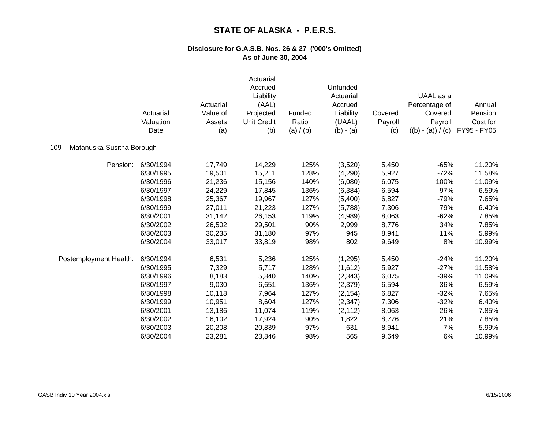|                                  | Actuarial<br>Valuation<br>Date | Actuarial<br>Value of<br>Assets<br>(a) | Actuarial<br>Accrued<br>Liability<br>(AAL)<br>Projected<br><b>Unit Credit</b><br>(b) | Funded<br>Ratio<br>(a) / (b) | Unfunded<br>Actuarial<br>Accrued<br>Liability<br>(UAAL)<br>$(b) - (a)$ | Covered<br>Payroll<br>(c) | UAAL as a<br>Percentage of<br>Covered<br>Payroll<br>$((b) - (a)) / (c)$ | Annual<br>Pension<br>Cost for<br>FY95 - FY05 |
|----------------------------------|--------------------------------|----------------------------------------|--------------------------------------------------------------------------------------|------------------------------|------------------------------------------------------------------------|---------------------------|-------------------------------------------------------------------------|----------------------------------------------|
| Matanuska-Susitna Borough<br>109 |                                |                                        |                                                                                      |                              |                                                                        |                           |                                                                         |                                              |
| Pension:                         | 6/30/1994                      | 17,749                                 | 14,229                                                                               | 125%                         | (3,520)                                                                | 5,450                     | $-65%$                                                                  | 11.20%                                       |
|                                  | 6/30/1995                      | 19,501                                 | 15,211                                                                               | 128%                         | (4,290)                                                                | 5,927                     | $-72%$                                                                  | 11.58%                                       |
|                                  | 6/30/1996                      | 21,236                                 | 15,156                                                                               | 140%                         | (6,080)                                                                | 6,075                     | $-100%$                                                                 | 11.09%                                       |
|                                  | 6/30/1997                      | 24,229                                 | 17,845                                                                               | 136%                         | (6, 384)                                                               | 6,594                     | $-97%$                                                                  | 6.59%                                        |
|                                  | 6/30/1998                      | 25,367                                 | 19,967                                                                               | 127%                         | (5,400)                                                                | 6,827                     | $-79%$                                                                  | 7.65%                                        |
|                                  | 6/30/1999                      | 27,011                                 | 21,223                                                                               | 127%                         | (5,788)                                                                | 7,306                     | $-79%$                                                                  | 6.40%                                        |
|                                  | 6/30/2001                      | 31,142                                 | 26,153                                                                               | 119%                         | (4,989)                                                                | 8,063                     | $-62%$                                                                  | 7.85%                                        |
|                                  | 6/30/2002                      | 26,502                                 | 29,501                                                                               | 90%                          | 2,999                                                                  | 8,776                     | 34%                                                                     | 7.85%                                        |
|                                  | 6/30/2003                      | 30,235                                 | 31,180                                                                               | 97%                          | 945                                                                    | 8,941                     | 11%                                                                     | 5.99%                                        |
|                                  | 6/30/2004                      | 33,017                                 | 33,819                                                                               | 98%                          | 802                                                                    | 9,649                     | 8%                                                                      | 10.99%                                       |
| Postemployment Health:           | 6/30/1994                      | 6,531                                  | 5,236                                                                                | 125%                         | (1,295)                                                                | 5,450                     | $-24%$                                                                  | 11.20%                                       |
|                                  | 6/30/1995                      | 7,329                                  | 5,717                                                                                | 128%                         | (1,612)                                                                | 5,927                     | $-27%$                                                                  | 11.58%                                       |
|                                  | 6/30/1996                      | 8,183                                  | 5,840                                                                                | 140%                         | (2, 343)                                                               | 6,075                     | $-39%$                                                                  | 11.09%                                       |
|                                  | 6/30/1997                      | 9,030                                  | 6,651                                                                                | 136%                         | (2, 379)                                                               | 6,594                     | $-36%$                                                                  | 6.59%                                        |
|                                  | 6/30/1998                      | 10,118                                 | 7,964                                                                                | 127%                         | (2, 154)                                                               | 6,827                     | $-32%$                                                                  | 7.65%                                        |
|                                  | 6/30/1999                      | 10,951                                 | 8,604                                                                                | 127%                         | (2, 347)                                                               | 7,306                     | $-32%$                                                                  | 6.40%                                        |
|                                  | 6/30/2001                      | 13,186                                 | 11,074                                                                               | 119%                         | (2, 112)                                                               | 8,063                     | $-26%$                                                                  | 7.85%                                        |
|                                  | 6/30/2002                      | 16,102                                 | 17,924                                                                               | 90%                          | 1,822                                                                  | 8,776                     | 21%                                                                     | 7.85%                                        |
|                                  | 6/30/2003                      | 20,208                                 | 20,839                                                                               | 97%                          | 631                                                                    | 8,941                     | 7%                                                                      | 5.99%                                        |
|                                  | 6/30/2004                      | 23,281                                 | 23,846                                                                               | 98%                          | 565                                                                    | 9,649                     | 6%                                                                      | 10.99%                                       |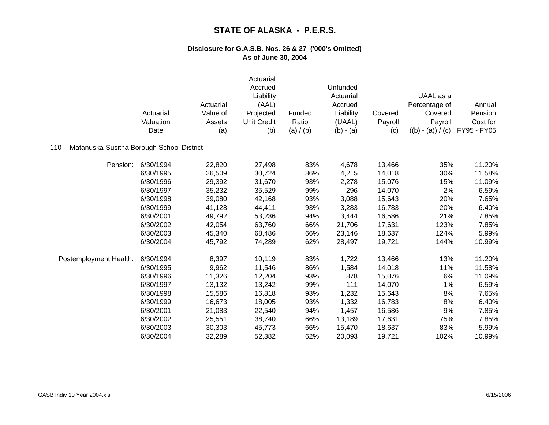|                                                  | Actuarial<br>Valuation<br>Date | Actuarial<br>Value of<br>Assets<br>(a) | Actuarial<br>Accrued<br>Liability<br>(AAL)<br>Projected<br><b>Unit Credit</b><br>(b) | Funded<br>Ratio<br>(a) / (b) | Unfunded<br>Actuarial<br>Accrued<br>Liability<br>(UAAL)<br>$(b) - (a)$ | Covered<br>Payroll<br>(c) | UAAL as a<br>Percentage of<br>Covered<br>Payroll<br>$((b) - (a)) / (c)$ | Annual<br>Pension<br>Cost for<br>FY95 - FY05 |
|--------------------------------------------------|--------------------------------|----------------------------------------|--------------------------------------------------------------------------------------|------------------------------|------------------------------------------------------------------------|---------------------------|-------------------------------------------------------------------------|----------------------------------------------|
| Matanuska-Susitna Borough School District<br>110 |                                |                                        |                                                                                      |                              |                                                                        |                           |                                                                         |                                              |
| Pension:                                         | 6/30/1994                      | 22,820                                 | 27,498                                                                               | 83%                          | 4,678                                                                  | 13,466                    | 35%                                                                     | 11.20%                                       |
|                                                  | 6/30/1995                      | 26,509                                 | 30,724                                                                               | 86%                          | 4,215                                                                  | 14,018                    | 30%                                                                     | 11.58%                                       |
|                                                  | 6/30/1996                      | 29,392                                 | 31,670                                                                               | 93%                          | 2,278                                                                  | 15,076                    | 15%                                                                     | 11.09%                                       |
|                                                  | 6/30/1997                      | 35,232                                 | 35,529                                                                               | 99%                          | 296                                                                    | 14,070                    | 2%                                                                      | 6.59%                                        |
|                                                  | 6/30/1998                      | 39,080                                 | 42,168                                                                               | 93%                          | 3,088                                                                  | 15,643                    | 20%                                                                     | 7.65%                                        |
|                                                  | 6/30/1999                      | 41,128                                 | 44,411                                                                               | 93%                          | 3,283                                                                  | 16,783                    | 20%                                                                     | 6.40%                                        |
|                                                  | 6/30/2001                      | 49,792                                 | 53,236                                                                               | 94%                          | 3,444                                                                  | 16,586                    | 21%                                                                     | 7.85%                                        |
|                                                  | 6/30/2002                      | 42,054                                 | 63,760                                                                               | 66%                          | 21,706                                                                 | 17,631                    | 123%                                                                    | 7.85%                                        |
|                                                  | 6/30/2003                      | 45,340                                 | 68,486                                                                               | 66%                          | 23,146                                                                 | 18,637                    | 124%                                                                    | 5.99%                                        |
|                                                  | 6/30/2004                      | 45,792                                 | 74,289                                                                               | 62%                          | 28,497                                                                 | 19,721                    | 144%                                                                    | 10.99%                                       |
| Postemployment Health:                           | 6/30/1994                      | 8,397                                  | 10,119                                                                               | 83%                          | 1,722                                                                  | 13,466                    | 13%                                                                     | 11.20%                                       |
|                                                  | 6/30/1995                      | 9,962                                  | 11,546                                                                               | 86%                          | 1,584                                                                  | 14,018                    | 11%                                                                     | 11.58%                                       |
|                                                  | 6/30/1996                      | 11,326                                 | 12,204                                                                               | 93%                          | 878                                                                    | 15,076                    | 6%                                                                      | 11.09%                                       |
|                                                  | 6/30/1997                      | 13,132                                 | 13,242                                                                               | 99%                          | 111                                                                    | 14,070                    | 1%                                                                      | 6.59%                                        |
|                                                  | 6/30/1998                      | 15,586                                 | 16,818                                                                               | 93%                          | 1,232                                                                  | 15,643                    | 8%                                                                      | 7.65%                                        |
|                                                  | 6/30/1999                      | 16,673                                 | 18,005                                                                               | 93%                          | 1,332                                                                  | 16,783                    | 8%                                                                      | 6.40%                                        |
|                                                  | 6/30/2001                      | 21,083                                 | 22,540                                                                               | 94%                          | 1,457                                                                  | 16,586                    | 9%                                                                      | 7.85%                                        |
|                                                  | 6/30/2002                      | 25,551                                 | 38,740                                                                               | 66%                          | 13,189                                                                 | 17,631                    | 75%                                                                     | 7.85%                                        |
|                                                  | 6/30/2003                      | 30,303                                 | 45,773                                                                               | 66%                          | 15,470                                                                 | 18,637                    | 83%                                                                     | 5.99%                                        |
|                                                  | 6/30/2004                      | 32,289                                 | 52,382                                                                               | 62%                          | 20,093                                                                 | 19,721                    | 102%                                                                    | 10.99%                                       |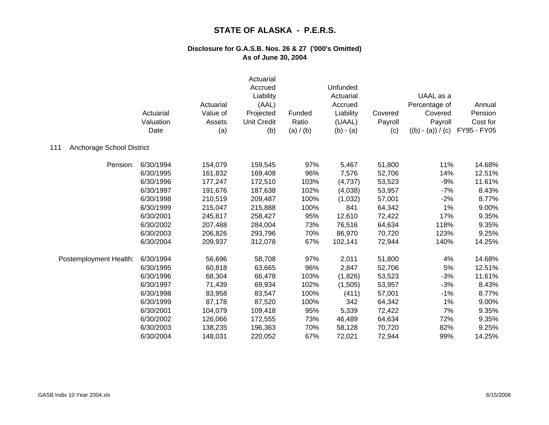|                                  | Actuarial<br>Valuation<br>Date | Actuarial<br>Value of<br>Assets<br>(a) | Actuarial<br>Accrued<br>Liability<br>(AAL)<br>Projected<br><b>Unit Credit</b><br>(b) | Funded<br>Ratio<br>(a) / (b) | Unfunded<br>Actuarial<br>Accrued<br>Liability<br>(UAAL)<br>$(b) - (a)$ | Covered<br>Payroll<br>(c) | UAAL as a<br>Percentage of<br>Covered<br>Payroll<br>$((b) - (a)) / (c)$ | Annual<br>Pension<br>Cost for<br>FY95 - FY05 |
|----------------------------------|--------------------------------|----------------------------------------|--------------------------------------------------------------------------------------|------------------------------|------------------------------------------------------------------------|---------------------------|-------------------------------------------------------------------------|----------------------------------------------|
| Anchorage School District<br>111 |                                |                                        |                                                                                      |                              |                                                                        |                           |                                                                         |                                              |
| Pension:                         | 6/30/1994                      | 154,079                                | 159,545                                                                              | 97%                          | 5,467                                                                  | 51,800                    | 11%                                                                     | 14.68%                                       |
|                                  | 6/30/1995                      | 161,832                                | 169,408                                                                              | 96%                          | 7,576                                                                  | 52,706                    | 14%                                                                     | 12.51%                                       |
|                                  | 6/30/1996                      | 177,247                                | 172,510                                                                              | 103%                         | (4,737)                                                                | 53,523                    | $-9%$                                                                   | 11.61%                                       |
|                                  | 6/30/1997                      | 191,676                                | 187,638                                                                              | 102%                         | (4,038)                                                                | 53,957                    | $-7%$                                                                   | 8.43%                                        |
|                                  | 6/30/1998                      | 210,519                                | 209,487                                                                              | 100%                         | (1,032)                                                                | 57,001                    | $-2%$                                                                   | 8.77%                                        |
|                                  | 6/30/1999                      | 215,047                                | 215,888                                                                              | 100%                         | 841                                                                    | 64,342                    | 1%                                                                      | 9.00%                                        |
|                                  | 6/30/2001                      | 245,817                                | 258,427                                                                              | 95%                          | 12,610                                                                 | 72,422                    | 17%                                                                     | 9.35%                                        |
|                                  | 6/30/2002                      | 207,488                                | 284,004                                                                              | 73%                          | 76,516                                                                 | 64,634                    | 118%                                                                    | 9.35%                                        |
|                                  | 6/30/2003                      | 206,826                                | 293,796                                                                              | 70%                          | 86,970                                                                 | 70,720                    | 123%                                                                    | 9.25%                                        |
|                                  | 6/30/2004                      | 209,937                                | 312,078                                                                              | 67%                          | 102,141                                                                | 72,944                    | 140%                                                                    | 14.25%                                       |
| Postemployment Health:           | 6/30/1994                      | 56,696                                 | 58,708                                                                               | 97%                          | 2,011                                                                  | 51,800                    | 4%                                                                      | 14.68%                                       |
|                                  | 6/30/1995                      | 60,818                                 | 63,665                                                                               | 96%                          | 2,847                                                                  | 52,706                    | 5%                                                                      | 12.51%                                       |
|                                  | 6/30/1996                      | 68,304                                 | 66,478                                                                               | 103%                         | (1,826)                                                                | 53,523                    | $-3%$                                                                   | 11.61%                                       |
|                                  | 6/30/1997                      | 71,439                                 | 69,934                                                                               | 102%                         | (1,505)                                                                | 53,957                    | $-3%$                                                                   | 8.43%                                        |
|                                  | 6/30/1998                      | 83,958                                 | 83,547                                                                               | 100%                         | (411)                                                                  | 57,001                    | $-1%$                                                                   | 8.77%                                        |
|                                  | 6/30/1999                      | 87,178                                 | 87,520                                                                               | 100%                         | 342                                                                    | 64,342                    | 1%                                                                      | 9.00%                                        |
|                                  | 6/30/2001                      | 104,079                                | 109,418                                                                              | 95%                          | 5,339                                                                  | 72,422                    | 7%                                                                      | 9.35%                                        |
|                                  | 6/30/2002                      | 126,066                                | 172,555                                                                              | 73%                          | 46,489                                                                 | 64,634                    | 72%                                                                     | 9.35%                                        |
|                                  | 6/30/2003                      | 138,235                                | 196,363                                                                              | 70%                          | 58,128                                                                 | 70,720                    | 82%                                                                     | 9.25%                                        |
|                                  | 6/30/2004                      | 148,031                                | 220,052                                                                              | 67%                          | 72,021                                                                 | 72,944                    | 99%                                                                     | 14.25%                                       |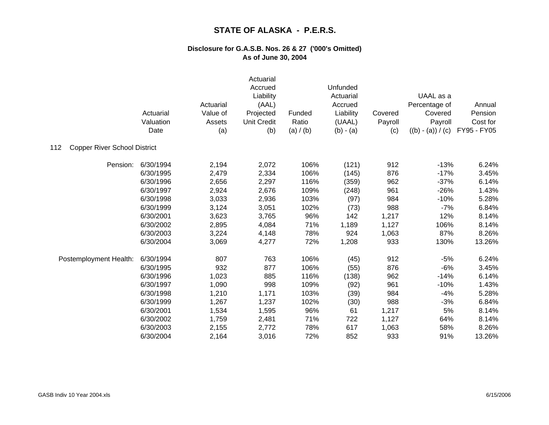|                                            | Actuarial<br>Valuation<br>Date | Actuarial<br>Value of<br>Assets<br>(a) | Actuarial<br>Accrued<br>Liability<br>(AAL)<br>Projected<br><b>Unit Credit</b><br>(b) | Funded<br>Ratio<br>(a) / (b) | Unfunded<br>Actuarial<br>Accrued<br>Liability<br>(UAAL)<br>$(b) - (a)$ | Covered<br>Payroll<br>(c) | UAAL as a<br>Percentage of<br>Covered<br>Payroll<br>$((b) - (a)) / (c)$ | Annual<br>Pension<br>Cost for<br>FY95 - FY05 |
|--------------------------------------------|--------------------------------|----------------------------------------|--------------------------------------------------------------------------------------|------------------------------|------------------------------------------------------------------------|---------------------------|-------------------------------------------------------------------------|----------------------------------------------|
| <b>Copper River School District</b><br>112 |                                |                                        |                                                                                      |                              |                                                                        |                           |                                                                         |                                              |
| Pension:                                   | 6/30/1994                      | 2,194                                  | 2,072                                                                                | 106%                         | (121)                                                                  | 912                       | $-13%$                                                                  | 6.24%                                        |
|                                            | 6/30/1995                      | 2,479                                  | 2,334                                                                                | 106%                         | (145)                                                                  | 876                       | $-17%$                                                                  | 3.45%                                        |
|                                            | 6/30/1996                      | 2,656                                  | 2,297                                                                                | 116%                         | (359)                                                                  | 962                       | $-37%$                                                                  | 6.14%                                        |
|                                            | 6/30/1997                      | 2,924                                  | 2,676                                                                                | 109%                         | (248)                                                                  | 961                       | $-26%$                                                                  | 1.43%                                        |
|                                            | 6/30/1998                      | 3,033                                  | 2,936                                                                                | 103%                         | (97)                                                                   | 984                       | $-10%$                                                                  | 5.28%                                        |
|                                            | 6/30/1999                      | 3,124                                  | 3,051                                                                                | 102%                         | (73)                                                                   | 988                       | $-7%$                                                                   | 6.84%                                        |
|                                            | 6/30/2001                      | 3,623                                  | 3,765                                                                                | 96%                          | 142                                                                    | 1,217                     | 12%                                                                     | 8.14%                                        |
|                                            | 6/30/2002                      | 2,895                                  | 4,084                                                                                | 71%                          | 1,189                                                                  | 1,127                     | 106%                                                                    | 8.14%                                        |
|                                            | 6/30/2003                      | 3,224                                  | 4,148                                                                                | 78%                          | 924                                                                    | 1,063                     | 87%                                                                     | 8.26%                                        |
|                                            | 6/30/2004                      | 3,069                                  | 4,277                                                                                | 72%                          | 1,208                                                                  | 933                       | 130%                                                                    | 13.26%                                       |
| Postemployment Health:                     | 6/30/1994                      | 807                                    | 763                                                                                  | 106%                         | (45)                                                                   | 912                       | $-5%$                                                                   | 6.24%                                        |
|                                            | 6/30/1995                      | 932                                    | 877                                                                                  | 106%                         | (55)                                                                   | 876                       | $-6%$                                                                   | 3.45%                                        |
|                                            | 6/30/1996                      | 1,023                                  | 885                                                                                  | 116%                         | (138)                                                                  | 962                       | $-14%$                                                                  | 6.14%                                        |
|                                            | 6/30/1997                      | 1,090                                  | 998                                                                                  | 109%                         | (92)                                                                   | 961                       | $-10%$                                                                  | 1.43%                                        |
|                                            | 6/30/1998                      | 1,210                                  | 1,171                                                                                | 103%                         | (39)                                                                   | 984                       | $-4%$                                                                   | 5.28%                                        |
|                                            | 6/30/1999                      | 1,267                                  | 1,237                                                                                | 102%                         | (30)                                                                   | 988                       | $-3%$                                                                   | 6.84%                                        |
|                                            | 6/30/2001                      | 1,534                                  | 1,595                                                                                | 96%                          | 61                                                                     | 1,217                     | 5%                                                                      | 8.14%                                        |
|                                            | 6/30/2002                      | 1,759                                  | 2,481                                                                                | 71%                          | 722                                                                    | 1,127                     | 64%                                                                     | 8.14%                                        |
|                                            | 6/30/2003                      | 2,155                                  | 2,772                                                                                | 78%                          | 617                                                                    | 1,063                     | 58%                                                                     | 8.26%                                        |
|                                            | 6/30/2004                      | 2,164                                  | 3,016                                                                                | 72%                          | 852                                                                    | 933                       | 91%                                                                     | 13.26%                                       |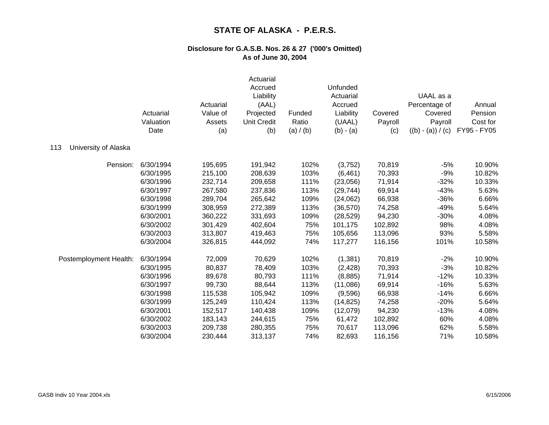|                             | Actuarial<br>Valuation<br>Date | Actuarial<br>Value of<br>Assets<br>(a) | Actuarial<br>Accrued<br>Liability<br>(AAL)<br>Projected<br><b>Unit Credit</b><br>(b) | Funded<br>Ratio<br>(a) / (b) | Unfunded<br>Actuarial<br>Accrued<br>Liability<br>(UAAL)<br>$(b) - (a)$ | Covered<br>Payroll<br>(c) | UAAL as a<br>Percentage of<br>Covered<br>Payroll<br>$((b) - (a)) / (c)$ | Annual<br>Pension<br>Cost for<br>FY95 - FY05 |
|-----------------------------|--------------------------------|----------------------------------------|--------------------------------------------------------------------------------------|------------------------------|------------------------------------------------------------------------|---------------------------|-------------------------------------------------------------------------|----------------------------------------------|
| 113<br>University of Alaska |                                |                                        |                                                                                      |                              |                                                                        |                           |                                                                         |                                              |
| Pension:                    | 6/30/1994                      | 195,695                                | 191,942                                                                              | 102%                         | (3,752)                                                                | 70,819                    | $-5%$                                                                   | 10.90%                                       |
|                             | 6/30/1995                      | 215,100                                | 208,639                                                                              | 103%                         | (6, 461)                                                               | 70,393                    | $-9%$                                                                   | 10.82%                                       |
|                             | 6/30/1996                      | 232,714                                | 209,658                                                                              | 111%                         | (23,056)                                                               | 71,914                    | $-32%$                                                                  | 10.33%                                       |
|                             | 6/30/1997                      | 267,580                                | 237,836                                                                              | 113%                         | (29, 744)                                                              | 69,914                    | $-43%$                                                                  | 5.63%                                        |
|                             | 6/30/1998                      | 289,704                                | 265,642                                                                              | 109%                         | (24,062)                                                               | 66,938                    | $-36%$                                                                  | 6.66%                                        |
|                             | 6/30/1999                      | 308,959                                | 272,389                                                                              | 113%                         | (36, 570)                                                              | 74,258                    | $-49%$                                                                  | 5.64%                                        |
|                             | 6/30/2001                      | 360,222                                | 331,693                                                                              | 109%                         | (28, 529)                                                              | 94,230                    | $-30%$                                                                  | 4.08%                                        |
|                             | 6/30/2002                      | 301,429                                | 402,604                                                                              | 75%                          | 101,175                                                                | 102,892                   | 98%                                                                     | 4.08%                                        |
|                             | 6/30/2003                      | 313,807                                | 419,463                                                                              | 75%                          | 105,656                                                                | 113,096                   | 93%                                                                     | 5.58%                                        |
|                             | 6/30/2004                      | 326,815                                | 444,092                                                                              | 74%                          | 117,277                                                                | 116,156                   | 101%                                                                    | 10.58%                                       |
| Postemployment Health:      | 6/30/1994                      | 72,009                                 | 70,629                                                                               | 102%                         | (1,381)                                                                | 70,819                    | $-2%$                                                                   | 10.90%                                       |
|                             | 6/30/1995                      | 80,837                                 | 78,409                                                                               | 103%                         | (2, 428)                                                               | 70,393                    | $-3%$                                                                   | 10.82%                                       |
|                             | 6/30/1996                      | 89,678                                 | 80,793                                                                               | 111%                         | (8,885)                                                                | 71,914                    | $-12%$                                                                  | 10.33%                                       |
|                             | 6/30/1997                      | 99,730                                 | 88,644                                                                               | 113%                         | (11,086)                                                               | 69,914                    | $-16%$                                                                  | 5.63%                                        |
|                             | 6/30/1998                      | 115,538                                | 105,942                                                                              | 109%                         | (9,596)                                                                | 66,938                    | $-14%$                                                                  | 6.66%                                        |
|                             | 6/30/1999                      | 125,249                                | 110,424                                                                              | 113%                         | (14, 825)                                                              | 74,258                    | $-20%$                                                                  | 5.64%                                        |
|                             | 6/30/2001                      | 152,517                                | 140,438                                                                              | 109%                         | (12,079)                                                               | 94,230                    | $-13%$                                                                  | 4.08%                                        |
|                             | 6/30/2002                      | 183,143                                | 244,615                                                                              | 75%                          | 61,472                                                                 | 102,892                   | 60%                                                                     | 4.08%                                        |
|                             | 6/30/2003                      | 209,738                                | 280,355                                                                              | 75%                          | 70,617                                                                 | 113,096                   | 62%                                                                     | 5.58%                                        |
|                             | 6/30/2004                      | 230,444                                | 313,137                                                                              | 74%                          | 82,693                                                                 | 116,156                   | 71%                                                                     | 10.58%                                       |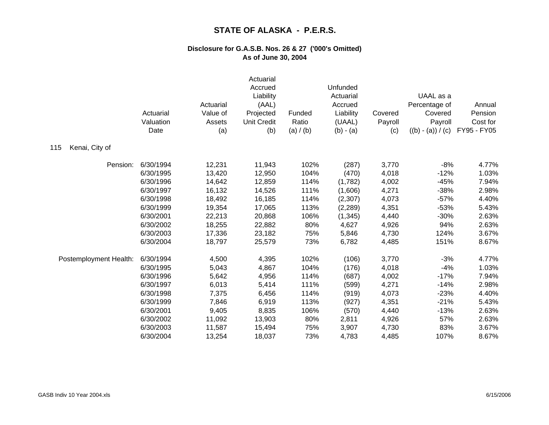|                        | Actuarial<br>Valuation<br>Date | Actuarial<br>Value of<br>Assets<br>(a) | Actuarial<br>Accrued<br>Liability<br>(AAL)<br>Projected<br><b>Unit Credit</b><br>(b) | Funded<br>Ratio<br>(a) / (b) | Unfunded<br>Actuarial<br>Accrued<br>Liability<br>(UAAL)<br>$(b) - (a)$ | Covered<br>Payroll<br>(c) | UAAL as a<br>Percentage of<br>Covered<br>Payroll<br>$((b) - (a)) / (c)$ | Annual<br>Pension<br>Cost for<br>FY95 - FY05 |
|------------------------|--------------------------------|----------------------------------------|--------------------------------------------------------------------------------------|------------------------------|------------------------------------------------------------------------|---------------------------|-------------------------------------------------------------------------|----------------------------------------------|
| Kenai, City of<br>115  |                                |                                        |                                                                                      |                              |                                                                        |                           |                                                                         |                                              |
| Pension:               | 6/30/1994                      | 12,231                                 | 11,943                                                                               | 102%                         | (287)                                                                  | 3,770                     | $-8%$                                                                   | 4.77%                                        |
|                        | 6/30/1995                      | 13,420                                 | 12,950                                                                               | 104%                         | (470)                                                                  | 4,018                     | $-12%$                                                                  | 1.03%                                        |
|                        | 6/30/1996                      | 14,642                                 | 12,859                                                                               | 114%                         | (1,782)                                                                | 4,002                     | $-45%$                                                                  | 7.94%                                        |
|                        | 6/30/1997                      | 16,132                                 | 14,526                                                                               | 111%                         | (1,606)                                                                | 4,271                     | $-38%$                                                                  | 2.98%                                        |
|                        | 6/30/1998                      | 18,492                                 | 16,185                                                                               | 114%                         | (2,307)                                                                | 4,073                     | $-57%$                                                                  | 4.40%                                        |
|                        | 6/30/1999                      | 19,354                                 | 17,065                                                                               | 113%                         | (2, 289)                                                               | 4,351                     | $-53%$                                                                  | 5.43%                                        |
|                        | 6/30/2001                      | 22,213                                 | 20,868                                                                               | 106%                         | (1, 345)                                                               | 4,440                     | $-30%$                                                                  | 2.63%                                        |
|                        | 6/30/2002                      | 18,255                                 | 22,882                                                                               | 80%                          | 4,627                                                                  | 4,926                     | 94%                                                                     | 2.63%                                        |
|                        | 6/30/2003                      | 17,336                                 | 23,182                                                                               | 75%                          | 5,846                                                                  | 4,730                     | 124%                                                                    | 3.67%                                        |
|                        | 6/30/2004                      | 18,797                                 | 25,579                                                                               | 73%                          | 6,782                                                                  | 4,485                     | 151%                                                                    | 8.67%                                        |
| Postemployment Health: | 6/30/1994                      | 4,500                                  | 4,395                                                                                | 102%                         | (106)                                                                  | 3,770                     | $-3%$                                                                   | 4.77%                                        |
|                        | 6/30/1995                      | 5,043                                  | 4,867                                                                                | 104%                         | (176)                                                                  | 4,018                     | $-4%$                                                                   | 1.03%                                        |
|                        | 6/30/1996                      | 5,642                                  | 4,956                                                                                | 114%                         | (687)                                                                  | 4,002                     | $-17%$                                                                  | 7.94%                                        |
|                        | 6/30/1997                      | 6,013                                  | 5,414                                                                                | 111%                         | (599)                                                                  | 4,271                     | $-14%$                                                                  | 2.98%                                        |
|                        | 6/30/1998                      | 7,375                                  | 6,456                                                                                | 114%                         | (919)                                                                  | 4,073                     | $-23%$                                                                  | 4.40%                                        |
|                        | 6/30/1999                      | 7,846                                  | 6,919                                                                                | 113%                         | (927)                                                                  | 4,351                     | $-21%$                                                                  | 5.43%                                        |
|                        | 6/30/2001                      | 9,405                                  | 8,835                                                                                | 106%                         | (570)                                                                  | 4,440                     | $-13%$                                                                  | 2.63%                                        |
|                        | 6/30/2002                      | 11,092                                 | 13,903                                                                               | 80%                          | 2,811                                                                  | 4,926                     | 57%                                                                     | 2.63%                                        |
|                        | 6/30/2003                      | 11,587                                 | 15,494                                                                               | 75%                          | 3,907                                                                  | 4,730                     | 83%                                                                     | 3.67%                                        |
|                        | 6/30/2004                      | 13,254                                 | 18,037                                                                               | 73%                          | 4,783                                                                  | 4,485                     | 107%                                                                    | 8.67%                                        |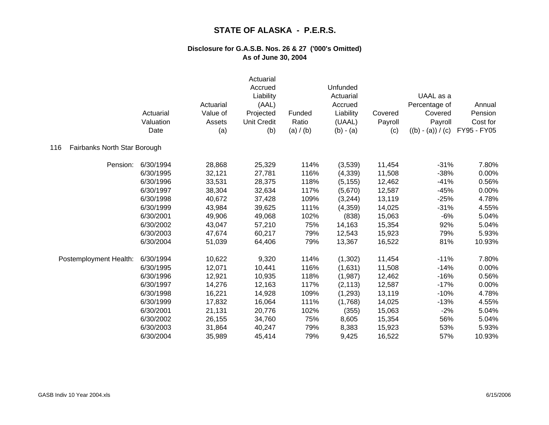|                                     | Actuarial<br>Valuation<br>Date | Actuarial<br>Value of<br>Assets<br>(a) | Actuarial<br>Accrued<br>Liability<br>(AAL)<br>Projected<br><b>Unit Credit</b><br>(b) | Funded<br>Ratio<br>(a) $/$ (b) | Unfunded<br>Actuarial<br>Accrued<br>Liability<br>(UAAL)<br>$(b) - (a)$ | Covered<br>Payroll<br>(c) | UAAL as a<br>Percentage of<br>Covered<br>Payroll<br>$((b) - (a)) / (c)$ | Annual<br>Pension<br>Cost for<br>FY95 - FY05 |
|-------------------------------------|--------------------------------|----------------------------------------|--------------------------------------------------------------------------------------|--------------------------------|------------------------------------------------------------------------|---------------------------|-------------------------------------------------------------------------|----------------------------------------------|
| Fairbanks North Star Borough<br>116 |                                |                                        |                                                                                      |                                |                                                                        |                           |                                                                         |                                              |
| Pension:                            | 6/30/1994                      | 28,868                                 | 25,329                                                                               | 114%                           | (3,539)                                                                | 11,454                    | $-31%$                                                                  | 7.80%                                        |
|                                     | 6/30/1995                      | 32,121                                 | 27,781                                                                               | 116%                           | (4,339)                                                                | 11,508                    | $-38%$                                                                  | 0.00%                                        |
|                                     | 6/30/1996                      | 33,531                                 | 28,375                                                                               | 118%                           | (5, 155)                                                               | 12,462                    | $-41%$                                                                  | 0.56%                                        |
|                                     | 6/30/1997                      | 38,304                                 | 32,634                                                                               | 117%                           | (5,670)                                                                | 12,587                    | $-45%$                                                                  | 0.00%                                        |
|                                     | 6/30/1998                      | 40,672                                 | 37,428                                                                               | 109%                           | (3,244)                                                                | 13,119                    | $-25%$                                                                  | 4.78%                                        |
|                                     | 6/30/1999                      | 43,984                                 | 39,625                                                                               | 111%                           | (4,359)                                                                | 14,025                    | $-31%$                                                                  | 4.55%                                        |
|                                     | 6/30/2001                      | 49,906                                 | 49,068                                                                               | 102%                           | (838)                                                                  | 15,063                    | $-6%$                                                                   | 5.04%                                        |
|                                     | 6/30/2002                      | 43,047                                 | 57,210                                                                               | 75%                            | 14,163                                                                 | 15,354                    | 92%                                                                     | 5.04%                                        |
|                                     | 6/30/2003                      | 47,674                                 | 60,217                                                                               | 79%                            | 12,543                                                                 | 15,923                    | 79%                                                                     | 5.93%                                        |
|                                     | 6/30/2004                      | 51,039                                 | 64,406                                                                               | 79%                            | 13,367                                                                 | 16,522                    | 81%                                                                     | 10.93%                                       |
| Postemployment Health:              | 6/30/1994                      | 10,622                                 | 9,320                                                                                | 114%                           | (1,302)                                                                | 11,454                    | $-11%$                                                                  | 7.80%                                        |
|                                     | 6/30/1995                      | 12,071                                 | 10,441                                                                               | 116%                           | (1,631)                                                                | 11,508                    | $-14%$                                                                  | 0.00%                                        |
|                                     | 6/30/1996                      | 12,921                                 | 10,935                                                                               | 118%                           | (1,987)                                                                | 12,462                    | $-16%$                                                                  | 0.56%                                        |
|                                     | 6/30/1997                      | 14,276                                 | 12,163                                                                               | 117%                           | (2, 113)                                                               | 12,587                    | $-17%$                                                                  | 0.00%                                        |
|                                     | 6/30/1998                      | 16,221                                 | 14,928                                                                               | 109%                           | (1,293)                                                                | 13,119                    | $-10%$                                                                  | 4.78%                                        |
|                                     | 6/30/1999                      | 17,832                                 | 16,064                                                                               | 111%                           | (1,768)                                                                | 14,025                    | $-13%$                                                                  | 4.55%                                        |
|                                     | 6/30/2001                      | 21,131                                 | 20,776                                                                               | 102%                           | (355)                                                                  | 15,063                    | $-2%$                                                                   | 5.04%                                        |
|                                     | 6/30/2002                      | 26,155                                 | 34,760                                                                               | 75%                            | 8,605                                                                  | 15,354                    | 56%                                                                     | 5.04%                                        |
|                                     | 6/30/2003                      | 31,864                                 | 40,247                                                                               | 79%                            | 8,383                                                                  | 15,923                    | 53%                                                                     | 5.93%                                        |
|                                     | 6/30/2004                      | 35,989                                 | 45,414                                                                               | 79%                            | 9,425                                                                  | 16,522                    | 57%                                                                     | 10.93%                                       |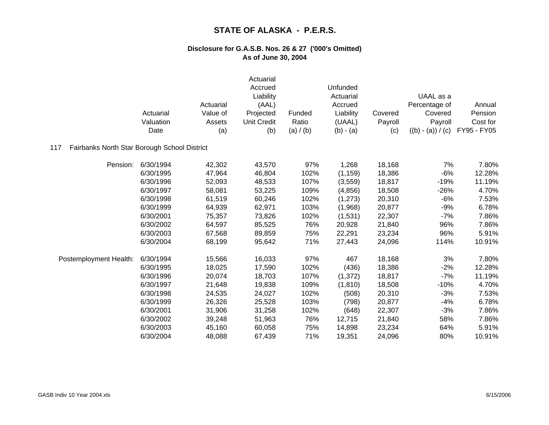|                                                     | Actuarial<br>Valuation<br>Date | Actuarial<br>Value of<br>Assets<br>(a) | Actuarial<br>Accrued<br>Liability<br>(AAL)<br>Projected<br><b>Unit Credit</b><br>(b) | Funded<br>Ratio<br>(a) / (b) | Unfunded<br>Actuarial<br>Accrued<br>Liability<br>(UAAL)<br>$(b) - (a)$ | Covered<br>Payroll<br>(c) | UAAL as a<br>Percentage of<br>Covered<br>Payroll<br>$((b) - (a)) / (c)$ | Annual<br>Pension<br>Cost for<br>FY95 - FY05 |
|-----------------------------------------------------|--------------------------------|----------------------------------------|--------------------------------------------------------------------------------------|------------------------------|------------------------------------------------------------------------|---------------------------|-------------------------------------------------------------------------|----------------------------------------------|
| Fairbanks North Star Borough School District<br>117 |                                |                                        |                                                                                      |                              |                                                                        |                           |                                                                         |                                              |
| Pension:                                            | 6/30/1994                      | 42,302                                 | 43,570                                                                               | 97%                          | 1,268                                                                  | 18,168                    | 7%                                                                      | 7.80%                                        |
|                                                     | 6/30/1995                      | 47,964                                 | 46,804                                                                               | 102%                         | (1, 159)                                                               | 18,386                    | $-6%$                                                                   | 12.28%                                       |
|                                                     | 6/30/1996                      | 52,093                                 | 48,533                                                                               | 107%                         | (3,559)                                                                | 18,817                    | $-19%$                                                                  | 11.19%                                       |
|                                                     | 6/30/1997                      | 58,081                                 | 53,225                                                                               | 109%                         | (4, 856)                                                               | 18,508                    | $-26%$                                                                  | 4.70%                                        |
|                                                     | 6/30/1998                      | 61,519                                 | 60,246                                                                               | 102%                         | (1,273)                                                                | 20,310                    | $-6%$                                                                   | 7.53%                                        |
|                                                     | 6/30/1999                      | 64,939                                 | 62,971                                                                               | 103%                         | (1,968)                                                                | 20,877                    | $-9%$                                                                   | 6.78%                                        |
|                                                     | 6/30/2001                      | 75,357                                 | 73,826                                                                               | 102%                         | (1,531)                                                                | 22,307                    | $-7%$                                                                   | 7.86%                                        |
|                                                     | 6/30/2002                      | 64,597                                 | 85,525                                                                               | 76%                          | 20,928                                                                 | 21,840                    | 96%                                                                     | 7.86%                                        |
|                                                     | 6/30/2003                      | 67,568                                 | 89,859                                                                               | 75%                          | 22,291                                                                 | 23,234                    | 96%                                                                     | 5.91%                                        |
|                                                     | 6/30/2004                      | 68,199                                 | 95,642                                                                               | 71%                          | 27,443                                                                 | 24,096                    | 114%                                                                    | 10.91%                                       |
| Postemployment Health:                              | 6/30/1994                      | 15,566                                 | 16,033                                                                               | 97%                          | 467                                                                    | 18,168                    | 3%                                                                      | 7.80%                                        |
|                                                     | 6/30/1995                      | 18,025                                 | 17,590                                                                               | 102%                         | (436)                                                                  | 18,386                    | $-2%$                                                                   | 12.28%                                       |
|                                                     | 6/30/1996                      | 20,074                                 | 18,703                                                                               | 107%                         | (1, 372)                                                               | 18,817                    | $-7%$                                                                   | 11.19%                                       |
|                                                     | 6/30/1997                      | 21,648                                 | 19,838                                                                               | 109%                         | (1, 810)                                                               | 18,508                    | $-10%$                                                                  | 4.70%                                        |
|                                                     | 6/30/1998                      | 24,535                                 | 24,027                                                                               | 102%                         | (508)                                                                  | 20,310                    | $-3%$                                                                   | 7.53%                                        |
|                                                     | 6/30/1999                      | 26,326                                 | 25,528                                                                               | 103%                         | (798)                                                                  | 20,877                    | $-4%$                                                                   | 6.78%                                        |
|                                                     | 6/30/2001                      | 31,906                                 | 31,258                                                                               | 102%                         | (648)                                                                  | 22,307                    | $-3%$                                                                   | 7.86%                                        |
|                                                     | 6/30/2002                      | 39,248                                 | 51,963                                                                               | 76%                          | 12,715                                                                 | 21,840                    | 58%                                                                     | 7.86%                                        |
|                                                     | 6/30/2003                      | 45,160                                 | 60,058                                                                               | 75%                          | 14,898                                                                 | 23,234                    | 64%                                                                     | 5.91%                                        |
|                                                     | 6/30/2004                      | 48,088                                 | 67,439                                                                               | 71%                          | 19,351                                                                 | 24,096                    | 80%                                                                     | 10.91%                                       |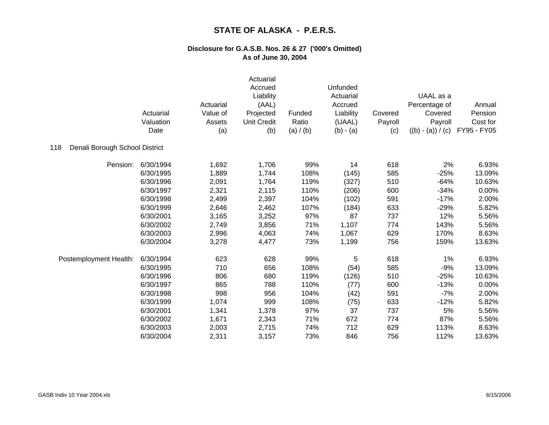|                                       | Actuarial<br>Valuation<br>Date | Actuarial<br>Value of<br>Assets<br>(a) | Actuarial<br>Accrued<br>Liability<br>(AAL)<br>Projected<br><b>Unit Credit</b><br>(b) | Funded<br>Ratio<br>(a) / (b) | Unfunded<br>Actuarial<br>Accrued<br>Liability<br>(UAAL)<br>$(b) - (a)$ | Covered<br>Payroll<br>(c) | UAAL as a<br>Percentage of<br>Covered<br>Payroll<br>$((b) - (a)) / (c)$ | Annual<br>Pension<br>Cost for<br>FY95 - FY05 |
|---------------------------------------|--------------------------------|----------------------------------------|--------------------------------------------------------------------------------------|------------------------------|------------------------------------------------------------------------|---------------------------|-------------------------------------------------------------------------|----------------------------------------------|
| Denali Borough School District<br>118 |                                |                                        |                                                                                      |                              |                                                                        |                           |                                                                         |                                              |
| Pension:                              | 6/30/1994                      | 1,692                                  | 1,706                                                                                | 99%                          | 14                                                                     | 618                       | 2%                                                                      | 6.93%                                        |
|                                       | 6/30/1995                      | 1,889                                  | 1,744                                                                                | 108%                         | (145)                                                                  | 585                       | $-25%$                                                                  | 13.09%                                       |
|                                       | 6/30/1996                      | 2,091                                  | 1,764                                                                                | 119%                         | (327)                                                                  | 510                       | $-64%$                                                                  | 10.63%                                       |
|                                       | 6/30/1997                      | 2,321                                  | 2,115                                                                                | 110%                         | (206)                                                                  | 600                       | $-34%$                                                                  | 0.00%                                        |
|                                       | 6/30/1998                      | 2,499                                  | 2,397                                                                                | 104%                         | (102)                                                                  | 591                       | $-17%$                                                                  | 2.00%                                        |
|                                       | 6/30/1999                      | 2,646                                  | 2,462                                                                                | 107%                         | (184)                                                                  | 633                       | $-29%$                                                                  | 5.82%                                        |
|                                       | 6/30/2001                      | 3,165                                  | 3,252                                                                                | 97%                          | 87                                                                     | 737                       | 12%                                                                     | 5.56%                                        |
|                                       | 6/30/2002                      | 2,749                                  | 3,856                                                                                | 71%                          | 1,107                                                                  | 774                       | 143%                                                                    | 5.56%                                        |
|                                       | 6/30/2003                      | 2,996                                  | 4,063                                                                                | 74%                          | 1,067                                                                  | 629                       | 170%                                                                    | 8.63%                                        |
|                                       | 6/30/2004                      | 3,278                                  | 4,477                                                                                | 73%                          | 1,199                                                                  | 756                       | 159%                                                                    | 13.63%                                       |
| Postemployment Health:                | 6/30/1994                      | 623                                    | 628                                                                                  | 99%                          | 5                                                                      | 618                       | 1%                                                                      | 6.93%                                        |
|                                       | 6/30/1995                      | 710                                    | 656                                                                                  | 108%                         | (54)                                                                   | 585                       | $-9%$                                                                   | 13.09%                                       |
|                                       | 6/30/1996                      | 806                                    | 680                                                                                  | 119%                         | (126)                                                                  | 510                       | $-25%$                                                                  | 10.63%                                       |
|                                       | 6/30/1997                      | 865                                    | 788                                                                                  | 110%                         | (77)                                                                   | 600                       | $-13%$                                                                  | 0.00%                                        |
|                                       | 6/30/1998                      | 998                                    | 956                                                                                  | 104%                         | (42)                                                                   | 591                       | $-7%$                                                                   | 2.00%                                        |
|                                       | 6/30/1999                      | 1,074                                  | 999                                                                                  | 108%                         | (75)                                                                   | 633                       | $-12%$                                                                  | 5.82%                                        |
|                                       | 6/30/2001                      | 1,341                                  | 1,378                                                                                | 97%                          | 37                                                                     | 737                       | 5%                                                                      | 5.56%                                        |
|                                       | 6/30/2002                      | 1,671                                  | 2,343                                                                                | 71%                          | 672                                                                    | 774                       | 87%                                                                     | 5.56%                                        |
|                                       | 6/30/2003                      | 2,003                                  | 2,715                                                                                | 74%                          | 712                                                                    | 629                       | 113%                                                                    | 8.63%                                        |
|                                       | 6/30/2004                      | 2,311                                  | 3,157                                                                                | 73%                          | 846                                                                    | 756                       | 112%                                                                    | 13.63%                                       |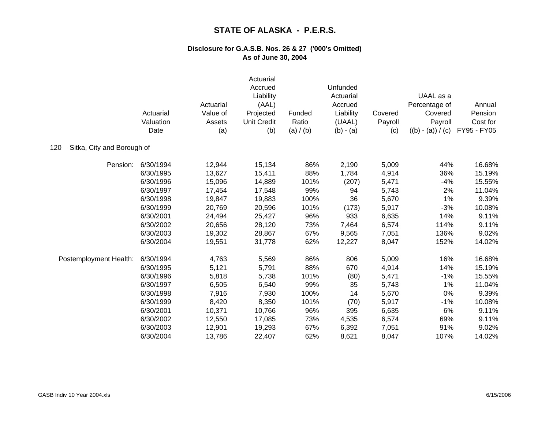|                                   | Actuarial<br>Valuation<br>Date | Actuarial<br>Value of<br>Assets<br>(a) | Actuarial<br>Accrued<br>Liability<br>(AAL)<br>Projected<br><b>Unit Credit</b><br>(b) | Funded<br>Ratio<br>(a) / (b) | Unfunded<br>Actuarial<br>Accrued<br>Liability<br>(UAAL)<br>$(b) - (a)$ | Covered<br>Payroll<br>(c) | UAAL as a<br>Percentage of<br>Covered<br>Payroll<br>$((b) - (a)) / (c)$ | Annual<br>Pension<br>Cost for<br>FY95 - FY05 |
|-----------------------------------|--------------------------------|----------------------------------------|--------------------------------------------------------------------------------------|------------------------------|------------------------------------------------------------------------|---------------------------|-------------------------------------------------------------------------|----------------------------------------------|
| Sitka, City and Borough of<br>120 |                                |                                        |                                                                                      |                              |                                                                        |                           |                                                                         |                                              |
| Pension:                          | 6/30/1994                      | 12,944                                 | 15,134                                                                               | 86%                          | 2,190                                                                  | 5,009                     | 44%                                                                     | 16.68%                                       |
|                                   | 6/30/1995                      | 13,627                                 | 15,411                                                                               | 88%                          | 1,784                                                                  | 4,914                     | 36%                                                                     | 15.19%                                       |
|                                   | 6/30/1996                      | 15,096                                 | 14,889                                                                               | 101%                         | (207)                                                                  | 5,471                     | $-4%$                                                                   | 15.55%                                       |
|                                   | 6/30/1997                      | 17,454                                 | 17,548                                                                               | 99%                          | 94                                                                     | 5,743                     | 2%                                                                      | 11.04%                                       |
|                                   | 6/30/1998                      | 19,847                                 | 19,883                                                                               | 100%                         | 36                                                                     | 5,670                     | 1%                                                                      | 9.39%                                        |
|                                   | 6/30/1999                      | 20,769                                 | 20,596                                                                               | 101%                         | (173)                                                                  | 5,917                     | $-3%$                                                                   | 10.08%                                       |
|                                   | 6/30/2001                      | 24,494                                 | 25,427                                                                               | 96%                          | 933                                                                    | 6,635                     | 14%                                                                     | 9.11%                                        |
|                                   | 6/30/2002                      | 20,656                                 | 28,120                                                                               | 73%                          | 7,464                                                                  | 6,574                     | 114%                                                                    | 9.11%                                        |
|                                   | 6/30/2003                      | 19,302                                 | 28,867                                                                               | 67%                          | 9,565                                                                  | 7,051                     | 136%                                                                    | 9.02%                                        |
|                                   | 6/30/2004                      | 19,551                                 | 31,778                                                                               | 62%                          | 12,227                                                                 | 8,047                     | 152%                                                                    | 14.02%                                       |
| Postemployment Health:            | 6/30/1994                      | 4,763                                  | 5,569                                                                                | 86%                          | 806                                                                    | 5,009                     | 16%                                                                     | 16.68%                                       |
|                                   | 6/30/1995                      | 5,121                                  | 5,791                                                                                | 88%                          | 670                                                                    | 4,914                     | 14%                                                                     | 15.19%                                       |
|                                   | 6/30/1996                      | 5,818                                  | 5,738                                                                                | 101%                         | (80)                                                                   | 5,471                     | $-1%$                                                                   | 15.55%                                       |
|                                   | 6/30/1997                      | 6,505                                  | 6,540                                                                                | 99%                          | 35                                                                     | 5,743                     | 1%                                                                      | 11.04%                                       |
|                                   | 6/30/1998                      | 7,916                                  | 7,930                                                                                | 100%                         | 14                                                                     | 5,670                     | 0%                                                                      | 9.39%                                        |
|                                   | 6/30/1999                      | 8,420                                  | 8,350                                                                                | 101%                         | (70)                                                                   | 5,917                     | $-1%$                                                                   | 10.08%                                       |
|                                   | 6/30/2001                      | 10,371                                 | 10,766                                                                               | 96%                          | 395                                                                    | 6,635                     | 6%                                                                      | 9.11%                                        |
|                                   | 6/30/2002                      | 12,550                                 | 17,085                                                                               | 73%                          | 4,535                                                                  | 6,574                     | 69%                                                                     | 9.11%                                        |
|                                   | 6/30/2003                      | 12,901                                 | 19,293                                                                               | 67%                          | 6,392                                                                  | 7,051                     | 91%                                                                     | 9.02%                                        |
|                                   | 6/30/2004                      | 13,786                                 | 22,407                                                                               | 62%                          | 8,621                                                                  | 8,047                     | 107%                                                                    | 14.02%                                       |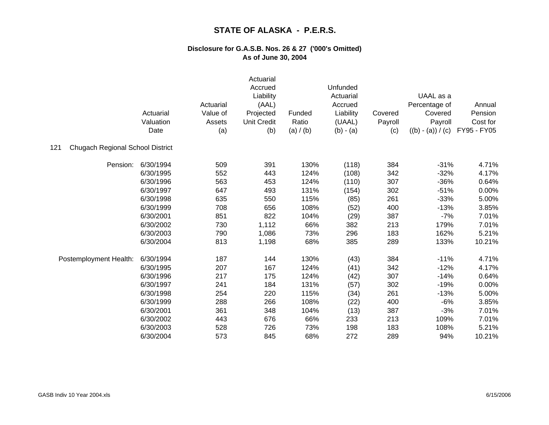|                                                | Actuarial<br>Valuation<br>Date | Actuarial<br>Value of<br>Assets<br>(a) | Actuarial<br>Accrued<br>Liability<br>(AAL)<br>Projected<br><b>Unit Credit</b><br>(b) | Funded<br>Ratio<br>(a) / (b) | Unfunded<br>Actuarial<br>Accrued<br>Liability<br>(UAAL)<br>$(b) - (a)$ | Covered<br>Payroll<br>(c) | UAAL as a<br>Percentage of<br>Covered<br>Payroll<br>$((b) - (a)) / (c)$ | Annual<br>Pension<br>Cost for<br>FY95 - FY05 |
|------------------------------------------------|--------------------------------|----------------------------------------|--------------------------------------------------------------------------------------|------------------------------|------------------------------------------------------------------------|---------------------------|-------------------------------------------------------------------------|----------------------------------------------|
| 121<br><b>Chugach Regional School District</b> |                                |                                        |                                                                                      |                              |                                                                        |                           |                                                                         |                                              |
| Pension:                                       | 6/30/1994                      | 509                                    | 391                                                                                  | 130%                         | (118)                                                                  | 384                       | $-31%$                                                                  | 4.71%                                        |
|                                                | 6/30/1995                      | 552                                    | 443                                                                                  | 124%                         | (108)                                                                  | 342                       | $-32%$                                                                  | 4.17%                                        |
|                                                | 6/30/1996                      | 563                                    | 453                                                                                  | 124%                         | (110)                                                                  | 307                       | $-36%$                                                                  | 0.64%                                        |
|                                                | 6/30/1997                      | 647                                    | 493                                                                                  | 131%                         | (154)                                                                  | 302                       | $-51%$                                                                  | 0.00%                                        |
|                                                | 6/30/1998                      | 635                                    | 550                                                                                  | 115%                         | (85)                                                                   | 261                       | $-33%$                                                                  | 5.00%                                        |
|                                                | 6/30/1999                      | 708                                    | 656                                                                                  | 108%                         | (52)                                                                   | 400                       | $-13%$                                                                  | 3.85%                                        |
|                                                | 6/30/2001                      | 851                                    | 822                                                                                  | 104%                         | (29)                                                                   | 387                       | $-7%$                                                                   | 7.01%                                        |
|                                                | 6/30/2002                      | 730                                    | 1,112                                                                                | 66%                          | 382                                                                    | 213                       | 179%                                                                    | 7.01%                                        |
|                                                | 6/30/2003                      | 790                                    | 1,086                                                                                | 73%                          | 296                                                                    | 183                       | 162%                                                                    | 5.21%                                        |
|                                                | 6/30/2004                      | 813                                    | 1,198                                                                                | 68%                          | 385                                                                    | 289                       | 133%                                                                    | 10.21%                                       |
| Postemployment Health:                         | 6/30/1994                      | 187                                    | 144                                                                                  | 130%                         | (43)                                                                   | 384                       | $-11%$                                                                  | 4.71%                                        |
|                                                | 6/30/1995                      | 207                                    | 167                                                                                  | 124%                         | (41)                                                                   | 342                       | $-12%$                                                                  | 4.17%                                        |
|                                                | 6/30/1996                      | 217                                    | 175                                                                                  | 124%                         | (42)                                                                   | 307                       | $-14%$                                                                  | 0.64%                                        |
|                                                | 6/30/1997                      | 241                                    | 184                                                                                  | 131%                         | (57)                                                                   | 302                       | $-19%$                                                                  | 0.00%                                        |
|                                                | 6/30/1998                      | 254                                    | 220                                                                                  | 115%                         | (34)                                                                   | 261                       | $-13%$                                                                  | 5.00%                                        |
|                                                | 6/30/1999                      | 288                                    | 266                                                                                  | 108%                         | (22)                                                                   | 400                       | $-6%$                                                                   | 3.85%                                        |
|                                                | 6/30/2001                      | 361                                    | 348                                                                                  | 104%                         | (13)                                                                   | 387                       | $-3%$                                                                   | 7.01%                                        |
|                                                | 6/30/2002                      | 443                                    | 676                                                                                  | 66%                          | 233                                                                    | 213                       | 109%                                                                    | 7.01%                                        |
|                                                | 6/30/2003                      | 528                                    | 726                                                                                  | 73%                          | 198                                                                    | 183                       | 108%                                                                    | 5.21%                                        |
|                                                | 6/30/2004                      | 573                                    | 845                                                                                  | 68%                          | 272                                                                    | 289                       | 94%                                                                     | 10.21%                                       |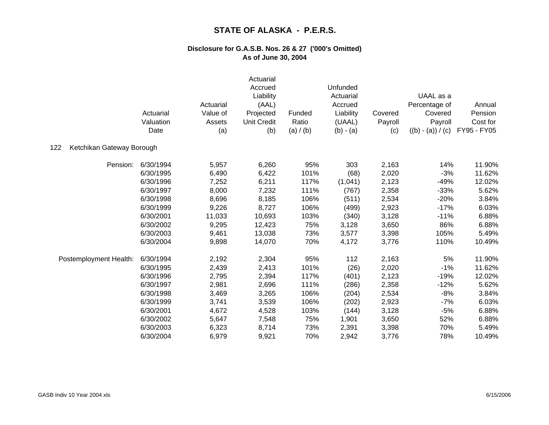|                                  | Actuarial<br>Valuation<br>Date | Actuarial<br>Value of<br>Assets<br>(a) | Actuarial<br>Accrued<br>Liability<br>(AAL)<br>Projected<br><b>Unit Credit</b><br>(b) | Funded<br>Ratio<br>(a) / (b) | Unfunded<br>Actuarial<br>Accrued<br>Liability<br>(UAAL)<br>$(b) - (a)$ | Covered<br>Payroll<br>(c) | UAAL as a<br>Percentage of<br>Covered<br>Payroll<br>$((b) - (a)) / (c)$ | Annual<br>Pension<br>Cost for<br>FY95 - FY05 |
|----------------------------------|--------------------------------|----------------------------------------|--------------------------------------------------------------------------------------|------------------------------|------------------------------------------------------------------------|---------------------------|-------------------------------------------------------------------------|----------------------------------------------|
| Ketchikan Gateway Borough<br>122 |                                |                                        |                                                                                      |                              |                                                                        |                           |                                                                         |                                              |
| Pension:                         | 6/30/1994                      | 5,957                                  | 6,260                                                                                | 95%                          | 303                                                                    | 2,163                     | 14%                                                                     | 11.90%                                       |
|                                  | 6/30/1995                      | 6,490                                  | 6,422                                                                                | 101%                         | (68)                                                                   | 2,020                     | $-3%$                                                                   | 11.62%                                       |
|                                  | 6/30/1996                      | 7,252                                  | 6,211                                                                                | 117%                         | (1,041)                                                                | 2,123                     | $-49%$                                                                  | 12.02%                                       |
|                                  | 6/30/1997                      | 8,000                                  | 7,232                                                                                | 111%                         | (767)                                                                  | 2,358                     | $-33%$                                                                  | 5.62%                                        |
|                                  | 6/30/1998                      | 8,696                                  | 8,185                                                                                | 106%                         | (511)                                                                  | 2,534                     | $-20%$                                                                  | 3.84%                                        |
|                                  | 6/30/1999                      | 9,226                                  | 8,727                                                                                | 106%                         | (499)                                                                  | 2,923                     | $-17%$                                                                  | 6.03%                                        |
|                                  | 6/30/2001                      | 11,033                                 | 10,693                                                                               | 103%                         | (340)                                                                  | 3,128                     | $-11%$                                                                  | 6.88%                                        |
|                                  | 6/30/2002                      | 9,295                                  | 12,423                                                                               | 75%                          | 3,128                                                                  | 3,650                     | 86%                                                                     | 6.88%                                        |
|                                  | 6/30/2003                      | 9,461                                  | 13,038                                                                               | 73%                          | 3,577                                                                  | 3,398                     | 105%                                                                    | 5.49%                                        |
|                                  | 6/30/2004                      | 9,898                                  | 14,070                                                                               | 70%                          | 4,172                                                                  | 3,776                     | 110%                                                                    | 10.49%                                       |
| Postemployment Health:           | 6/30/1994                      | 2,192                                  | 2,304                                                                                | 95%                          | 112                                                                    | 2,163                     | 5%                                                                      | 11.90%                                       |
|                                  | 6/30/1995                      | 2,439                                  | 2,413                                                                                | 101%                         | (26)                                                                   | 2,020                     | $-1%$                                                                   | 11.62%                                       |
|                                  | 6/30/1996                      | 2,795                                  | 2,394                                                                                | 117%                         | (401)                                                                  | 2,123                     | $-19%$                                                                  | 12.02%                                       |
|                                  | 6/30/1997                      | 2,981                                  | 2,696                                                                                | 111%                         | (286)                                                                  | 2,358                     | $-12%$                                                                  | 5.62%                                        |
|                                  | 6/30/1998                      | 3,469                                  | 3,265                                                                                | 106%                         | (204)                                                                  | 2,534                     | $-8%$                                                                   | 3.84%                                        |
|                                  | 6/30/1999                      | 3,741                                  | 3,539                                                                                | 106%                         | (202)                                                                  | 2,923                     | $-7%$                                                                   | 6.03%                                        |
|                                  | 6/30/2001                      | 4,672                                  | 4,528                                                                                | 103%                         | (144)                                                                  | 3,128                     | $-5%$                                                                   | 6.88%                                        |
|                                  | 6/30/2002                      | 5,647                                  | 7,548                                                                                | 75%                          | 1,901                                                                  | 3,650                     | 52%                                                                     | 6.88%                                        |
|                                  | 6/30/2003                      | 6,323                                  | 8,714                                                                                | 73%                          | 2,391                                                                  | 3,398                     | 70%                                                                     | 5.49%                                        |
|                                  | 6/30/2004                      | 6,979                                  | 9,921                                                                                | 70%                          | 2,942                                                                  | 3,776                     | 78%                                                                     | 10.49%                                       |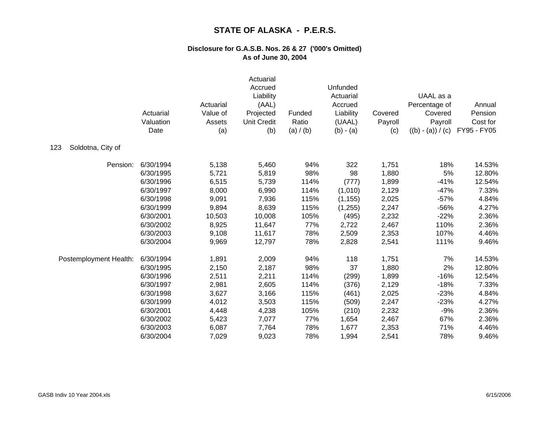|                          | Actuarial<br>Valuation<br>Date | Actuarial<br>Value of<br>Assets<br>(a) | Actuarial<br>Accrued<br>Liability<br>(AAL)<br>Projected<br><b>Unit Credit</b><br>(b) | Funded<br>Ratio<br>(a) / (b) | Unfunded<br>Actuarial<br>Accrued<br>Liability<br>(UAAL)<br>$(b) - (a)$ | Covered<br>Payroll<br>(c) | UAAL as a<br>Percentage of<br>Covered<br>Payroll<br>$((b) - (a)) / (c)$ | Annual<br>Pension<br>Cost for<br>FY95 - FY05 |
|--------------------------|--------------------------------|----------------------------------------|--------------------------------------------------------------------------------------|------------------------------|------------------------------------------------------------------------|---------------------------|-------------------------------------------------------------------------|----------------------------------------------|
| 123<br>Soldotna, City of |                                |                                        |                                                                                      |                              |                                                                        |                           |                                                                         |                                              |
| Pension:                 | 6/30/1994                      | 5,138                                  | 5,460                                                                                | 94%                          | 322                                                                    | 1,751                     | 18%                                                                     | 14.53%                                       |
|                          | 6/30/1995                      | 5,721                                  | 5,819                                                                                | 98%                          | 98                                                                     | 1,880                     | $5\%$                                                                   | 12.80%                                       |
|                          | 6/30/1996                      | 6,515                                  | 5,739                                                                                | 114%                         | (777)                                                                  | 1,899                     | $-41%$                                                                  | 12.54%                                       |
|                          | 6/30/1997                      | 8,000                                  | 6,990                                                                                | 114%                         | (1,010)                                                                | 2,129                     | $-47%$                                                                  | 7.33%                                        |
|                          | 6/30/1998                      | 9,091                                  | 7,936                                                                                | 115%                         | (1, 155)                                                               | 2,025                     | $-57%$                                                                  | 4.84%                                        |
|                          | 6/30/1999                      | 9,894                                  | 8,639                                                                                | 115%                         | (1,255)                                                                | 2,247                     | -56%                                                                    | 4.27%                                        |
|                          | 6/30/2001                      | 10,503                                 | 10,008                                                                               | 105%                         | (495)                                                                  | 2,232                     | $-22%$                                                                  | 2.36%                                        |
|                          | 6/30/2002                      | 8,925                                  | 11,647                                                                               | 77%                          | 2,722                                                                  | 2,467                     | 110%                                                                    | 2.36%                                        |
|                          | 6/30/2003                      | 9,108                                  | 11,617                                                                               | 78%                          | 2,509                                                                  | 2,353                     | 107%                                                                    | 4.46%                                        |
|                          | 6/30/2004                      | 9,969                                  | 12,797                                                                               | 78%                          | 2,828                                                                  | 2,541                     | 111%                                                                    | 9.46%                                        |
| Postemployment Health:   | 6/30/1994                      | 1,891                                  | 2,009                                                                                | 94%                          | 118                                                                    | 1,751                     | 7%                                                                      | 14.53%                                       |
|                          | 6/30/1995                      | 2,150                                  | 2,187                                                                                | 98%                          | 37                                                                     | 1,880                     | 2%                                                                      | 12.80%                                       |
|                          | 6/30/1996                      | 2,511                                  | 2,211                                                                                | 114%                         | (299)                                                                  | 1,899                     | $-16%$                                                                  | 12.54%                                       |
|                          | 6/30/1997                      | 2,981                                  | 2,605                                                                                | 114%                         | (376)                                                                  | 2,129                     | $-18%$                                                                  | 7.33%                                        |
|                          | 6/30/1998                      | 3,627                                  | 3,166                                                                                | 115%                         | (461)                                                                  | 2,025                     | $-23%$                                                                  | 4.84%                                        |
|                          | 6/30/1999                      | 4,012                                  | 3,503                                                                                | 115%                         | (509)                                                                  | 2,247                     | $-23%$                                                                  | 4.27%                                        |
|                          | 6/30/2001                      | 4,448                                  | 4,238                                                                                | 105%                         | (210)                                                                  | 2,232                     | $-9%$                                                                   | 2.36%                                        |
|                          | 6/30/2002                      | 5,423                                  | 7,077                                                                                | 77%                          | 1,654                                                                  | 2,467                     | 67%                                                                     | 2.36%                                        |
|                          | 6/30/2003                      | 6,087                                  | 7,764                                                                                | 78%                          | 1,677                                                                  | 2,353                     | 71%                                                                     | 4.46%                                        |
|                          | 6/30/2004                      | 7,029                                  | 9,023                                                                                | 78%                          | 1,994                                                                  | 2,541                     | 78%                                                                     | 9.46%                                        |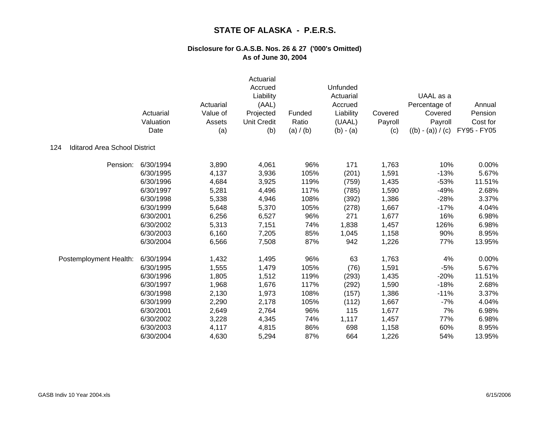|                                             | Actuarial<br>Valuation<br>Date | Actuarial<br>Value of<br>Assets<br>(a) | Actuarial<br>Accrued<br>Liability<br>(AAL)<br>Projected<br><b>Unit Credit</b><br>(b) | Funded<br>Ratio<br>(a) / (b) | Unfunded<br>Actuarial<br>Accrued<br>Liability<br>(UAAL)<br>$(b) - (a)$ | Covered<br>Payroll<br>(c) | UAAL as a<br>Percentage of<br>Covered<br>Payroll<br>$((b) - (a)) / (c)$ | Annual<br>Pension<br>Cost for<br>FY95 - FY05 |
|---------------------------------------------|--------------------------------|----------------------------------------|--------------------------------------------------------------------------------------|------------------------------|------------------------------------------------------------------------|---------------------------|-------------------------------------------------------------------------|----------------------------------------------|
| <b>Iditarod Area School District</b><br>124 |                                |                                        |                                                                                      |                              |                                                                        |                           |                                                                         |                                              |
| Pension:                                    | 6/30/1994                      | 3,890                                  | 4,061                                                                                | 96%                          | 171                                                                    | 1,763                     | 10%                                                                     | 0.00%                                        |
|                                             | 6/30/1995                      | 4,137                                  | 3,936                                                                                | 105%                         | (201)                                                                  | 1,591                     | $-13%$                                                                  | 5.67%                                        |
|                                             | 6/30/1996                      | 4,684                                  | 3,925                                                                                | 119%                         | (759)                                                                  | 1,435                     | $-53%$                                                                  | 11.51%                                       |
|                                             | 6/30/1997                      | 5,281                                  | 4,496                                                                                | 117%                         | (785)                                                                  | 1,590                     | $-49%$                                                                  | 2.68%                                        |
|                                             | 6/30/1998                      | 5,338                                  | 4,946                                                                                | 108%                         | (392)                                                                  | 1,386                     | $-28%$                                                                  | 3.37%                                        |
|                                             | 6/30/1999                      | 5,648                                  | 5,370                                                                                | 105%                         | (278)                                                                  | 1,667                     | $-17%$                                                                  | 4.04%                                        |
|                                             | 6/30/2001                      | 6,256                                  | 6,527                                                                                | 96%                          | 271                                                                    | 1,677                     | 16%                                                                     | 6.98%                                        |
|                                             | 6/30/2002                      | 5,313                                  | 7,151                                                                                | 74%                          | 1,838                                                                  | 1,457                     | 126%                                                                    | 6.98%                                        |
|                                             | 6/30/2003                      | 6,160                                  | 7,205                                                                                | 85%                          | 1,045                                                                  | 1,158                     | 90%                                                                     | 8.95%                                        |
|                                             | 6/30/2004                      | 6,566                                  | 7,508                                                                                | 87%                          | 942                                                                    | 1,226                     | 77%                                                                     | 13.95%                                       |
| Postemployment Health:                      | 6/30/1994                      | 1,432                                  | 1,495                                                                                | 96%                          | 63                                                                     | 1,763                     | 4%                                                                      | 0.00%                                        |
|                                             | 6/30/1995                      | 1,555                                  | 1,479                                                                                | 105%                         | (76)                                                                   | 1,591                     | $-5%$                                                                   | 5.67%                                        |
|                                             | 6/30/1996                      | 1,805                                  | 1,512                                                                                | 119%                         | (293)                                                                  | 1,435                     | $-20%$                                                                  | 11.51%                                       |
|                                             | 6/30/1997                      | 1,968                                  | 1,676                                                                                | 117%                         | (292)                                                                  | 1,590                     | $-18%$                                                                  | 2.68%                                        |
|                                             | 6/30/1998                      | 2,130                                  | 1,973                                                                                | 108%                         | (157)                                                                  | 1,386                     | $-11%$                                                                  | 3.37%                                        |
|                                             | 6/30/1999                      | 2,290                                  | 2,178                                                                                | 105%                         | (112)                                                                  | 1,667                     | $-7%$                                                                   | 4.04%                                        |
|                                             | 6/30/2001                      | 2,649                                  | 2,764                                                                                | 96%                          | 115                                                                    | 1,677                     | 7%                                                                      | 6.98%                                        |
|                                             | 6/30/2002                      | 3,228                                  | 4,345                                                                                | 74%                          | 1,117                                                                  | 1,457                     | 77%                                                                     | 6.98%                                        |
|                                             | 6/30/2003                      | 4,117                                  | 4,815                                                                                | 86%                          | 698                                                                    | 1,158                     | 60%                                                                     | 8.95%                                        |
|                                             | 6/30/2004                      | 4,630                                  | 5,294                                                                                | 87%                          | 664                                                                    | 1,226                     | 54%                                                                     | 13.95%                                       |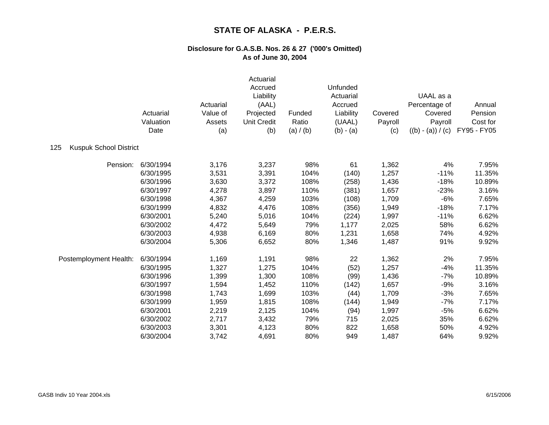|                                      | Actuarial<br>Valuation<br>Date | Actuarial<br>Value of<br>Assets<br>(a) | Actuarial<br>Accrued<br>Liability<br>(AAL)<br>Projected<br><b>Unit Credit</b><br>(b) | Funded<br>Ratio<br>(a) / (b) | Unfunded<br>Actuarial<br>Accrued<br>Liability<br>(UAAL)<br>$(b) - (a)$ | Covered<br>Payroll<br>(c) | UAAL as a<br>Percentage of<br>Covered<br>Payroll<br>$((b) - (a)) / (c)$ | Annual<br>Pension<br>Cost for<br>FY95 - FY05 |
|--------------------------------------|--------------------------------|----------------------------------------|--------------------------------------------------------------------------------------|------------------------------|------------------------------------------------------------------------|---------------------------|-------------------------------------------------------------------------|----------------------------------------------|
| 125<br><b>Kuspuk School District</b> |                                |                                        |                                                                                      |                              |                                                                        |                           |                                                                         |                                              |
| Pension:                             | 6/30/1994                      | 3,176                                  | 3,237                                                                                | 98%                          | 61                                                                     | 1,362                     | 4%                                                                      | 7.95%                                        |
|                                      | 6/30/1995                      | 3,531                                  | 3,391                                                                                | 104%                         | (140)                                                                  | 1,257                     | $-11%$                                                                  | 11.35%                                       |
|                                      | 6/30/1996                      | 3,630                                  | 3,372                                                                                | 108%                         | (258)                                                                  | 1,436                     | $-18%$                                                                  | 10.89%                                       |
|                                      | 6/30/1997                      | 4,278                                  | 3,897                                                                                | 110%                         | (381)                                                                  | 1,657                     | $-23%$                                                                  | 3.16%                                        |
|                                      | 6/30/1998                      | 4,367                                  | 4,259                                                                                | 103%                         | (108)                                                                  | 1,709                     | $-6%$                                                                   | 7.65%                                        |
|                                      | 6/30/1999                      | 4,832                                  | 4,476                                                                                | 108%                         | (356)                                                                  | 1,949                     | $-18%$                                                                  | 7.17%                                        |
|                                      | 6/30/2001                      | 5,240                                  | 5,016                                                                                | 104%                         | (224)                                                                  | 1,997                     | $-11%$                                                                  | 6.62%                                        |
|                                      | 6/30/2002                      | 4,472                                  | 5,649                                                                                | 79%                          | 1,177                                                                  | 2,025                     | 58%                                                                     | 6.62%                                        |
|                                      | 6/30/2003                      | 4,938                                  | 6,169                                                                                | 80%                          | 1,231                                                                  | 1,658                     | 74%                                                                     | 4.92%                                        |
|                                      | 6/30/2004                      | 5,306                                  | 6,652                                                                                | 80%                          | 1,346                                                                  | 1,487                     | 91%                                                                     | 9.92%                                        |
| Postemployment Health:               | 6/30/1994                      | 1,169                                  | 1,191                                                                                | 98%                          | 22                                                                     | 1,362                     | 2%                                                                      | 7.95%                                        |
|                                      | 6/30/1995                      | 1,327                                  | 1,275                                                                                | 104%                         | (52)                                                                   | 1,257                     | $-4%$                                                                   | 11.35%                                       |
|                                      | 6/30/1996                      | 1,399                                  | 1,300                                                                                | 108%                         | (99)                                                                   | 1,436                     | $-7%$                                                                   | 10.89%                                       |
|                                      | 6/30/1997                      | 1,594                                  | 1,452                                                                                | 110%                         | (142)                                                                  | 1,657                     | $-9%$                                                                   | 3.16%                                        |
|                                      | 6/30/1998                      | 1,743                                  | 1,699                                                                                | 103%                         | (44)                                                                   | 1,709                     | $-3%$                                                                   | 7.65%                                        |
|                                      | 6/30/1999                      | 1,959                                  | 1,815                                                                                | 108%                         | (144)                                                                  | 1,949                     | $-7%$                                                                   | 7.17%                                        |
|                                      | 6/30/2001                      | 2,219                                  | 2,125                                                                                | 104%                         | (94)                                                                   | 1,997                     | $-5%$                                                                   | 6.62%                                        |
|                                      | 6/30/2002                      | 2,717                                  | 3,432                                                                                | 79%                          | 715                                                                    | 2,025                     | 35%                                                                     | 6.62%                                        |
|                                      | 6/30/2003                      | 3,301                                  | 4,123                                                                                | 80%                          | 822                                                                    | 1,658                     | 50%                                                                     | 4.92%                                        |
|                                      | 6/30/2004                      | 3,742                                  | 4,691                                                                                | 80%                          | 949                                                                    | 1,487                     | 64%                                                                     | 9.92%                                        |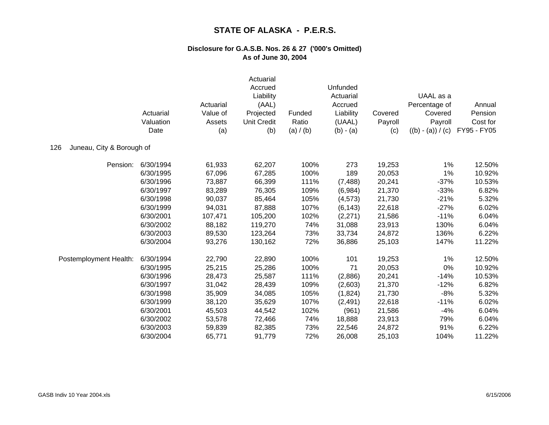|                                  | Actuarial<br>Valuation<br>Date | Actuarial<br>Value of<br>Assets<br>(a) | Actuarial<br>Accrued<br>Liability<br>(AAL)<br>Projected<br><b>Unit Credit</b><br>(b) | Funded<br>Ratio<br>(a) / (b) | Unfunded<br>Actuarial<br>Accrued<br>Liability<br>(UAAL)<br>$(b) - (a)$ | Covered<br>Payroll<br>(c) | UAAL as a<br>Percentage of<br>Covered<br>Payroll<br>$((b) - (a)) / (c)$ | Annual<br>Pension<br>Cost for<br>FY95 - FY05 |
|----------------------------------|--------------------------------|----------------------------------------|--------------------------------------------------------------------------------------|------------------------------|------------------------------------------------------------------------|---------------------------|-------------------------------------------------------------------------|----------------------------------------------|
| 126<br>Juneau, City & Borough of |                                |                                        |                                                                                      |                              |                                                                        |                           |                                                                         |                                              |
| Pension:                         | 6/30/1994                      | 61,933                                 | 62,207                                                                               | 100%                         | 273                                                                    | 19,253                    | 1%                                                                      | 12.50%                                       |
|                                  | 6/30/1995                      | 67,096                                 | 67,285                                                                               | 100%                         | 189                                                                    | 20,053                    | 1%                                                                      | 10.92%                                       |
|                                  | 6/30/1996                      | 73,887                                 | 66,399                                                                               | 111%                         | (7, 488)                                                               | 20,241                    | $-37%$                                                                  | 10.53%                                       |
|                                  | 6/30/1997                      | 83,289                                 | 76,305                                                                               | 109%                         | (6,984)                                                                | 21,370                    | $-33%$                                                                  | 6.82%                                        |
|                                  | 6/30/1998                      | 90,037                                 | 85,464                                                                               | 105%                         | (4, 573)                                                               | 21,730                    | $-21%$                                                                  | 5.32%                                        |
|                                  | 6/30/1999                      | 94,031                                 | 87,888                                                                               | 107%                         | (6, 143)                                                               | 22,618                    | $-27%$                                                                  | 6.02%                                        |
|                                  | 6/30/2001                      | 107,471                                | 105,200                                                                              | 102%                         | (2,271)                                                                | 21,586                    | $-11%$                                                                  | 6.04%                                        |
|                                  | 6/30/2002                      | 88,182                                 | 119,270                                                                              | 74%                          | 31,088                                                                 | 23,913                    | 130%                                                                    | 6.04%                                        |
|                                  | 6/30/2003                      | 89,530                                 | 123,264                                                                              | 73%                          | 33,734                                                                 | 24,872                    | 136%                                                                    | 6.22%                                        |
|                                  | 6/30/2004                      | 93,276                                 | 130,162                                                                              | 72%                          | 36,886                                                                 | 25,103                    | 147%                                                                    | 11.22%                                       |
| Postemployment Health:           | 6/30/1994                      | 22,790                                 | 22,890                                                                               | 100%                         | 101                                                                    | 19,253                    | 1%                                                                      | 12.50%                                       |
|                                  | 6/30/1995                      | 25,215                                 | 25,286                                                                               | 100%                         | 71                                                                     | 20,053                    | 0%                                                                      | 10.92%                                       |
|                                  | 6/30/1996                      | 28,473                                 | 25,587                                                                               | 111%                         | (2,886)                                                                | 20,241                    | $-14%$                                                                  | 10.53%                                       |
|                                  | 6/30/1997                      | 31,042                                 | 28,439                                                                               | 109%                         | (2,603)                                                                | 21,370                    | $-12%$                                                                  | 6.82%                                        |
|                                  | 6/30/1998                      | 35,909                                 | 34,085                                                                               | 105%                         | (1,824)                                                                | 21,730                    | $-8%$                                                                   | 5.32%                                        |
|                                  | 6/30/1999                      | 38,120                                 | 35,629                                                                               | 107%                         | (2, 491)                                                               | 22,618                    | $-11%$                                                                  | 6.02%                                        |
|                                  | 6/30/2001                      | 45,503                                 | 44,542                                                                               | 102%                         | (961)                                                                  | 21,586                    | $-4%$                                                                   | 6.04%                                        |
|                                  | 6/30/2002                      | 53,578                                 | 72,466                                                                               | 74%                          | 18,888                                                                 | 23,913                    | 79%                                                                     | 6.04%                                        |
|                                  | 6/30/2003                      | 59,839                                 | 82,385                                                                               | 73%                          | 22,546                                                                 | 24,872                    | 91%                                                                     | 6.22%                                        |
|                                  | 6/30/2004                      | 65,771                                 | 91,779                                                                               | 72%                          | 26,008                                                                 | 25,103                    | 104%                                                                    | 11.22%                                       |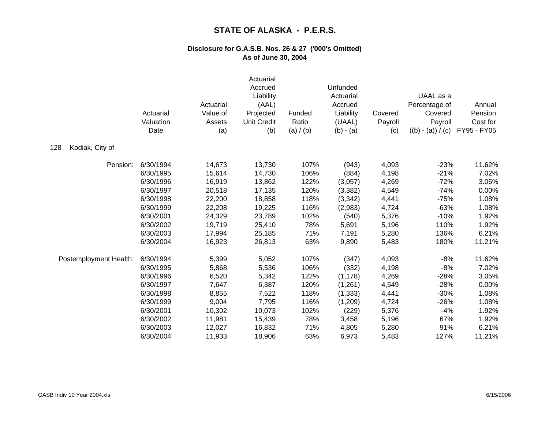|                        | Actuarial<br>Valuation<br>Date | Actuarial<br>Value of<br>Assets<br>(a) | Actuarial<br>Accrued<br>Liability<br>(AAL)<br>Projected<br><b>Unit Credit</b><br>(b) | Funded<br>Ratio<br>(a) / (b) | Unfunded<br>Actuarial<br>Accrued<br>Liability<br>(UAAL)<br>$(b) - (a)$ | Covered<br>Payroll<br>(c) | UAAL as a<br>Percentage of<br>Covered<br>Payroll<br>$((b) - (a)) / (c)$ | Annual<br>Pension<br>Cost for<br>FY95 - FY05 |
|------------------------|--------------------------------|----------------------------------------|--------------------------------------------------------------------------------------|------------------------------|------------------------------------------------------------------------|---------------------------|-------------------------------------------------------------------------|----------------------------------------------|
| Kodiak, City of<br>128 |                                |                                        |                                                                                      |                              |                                                                        |                           |                                                                         |                                              |
| Pension:               | 6/30/1994                      | 14,673                                 | 13,730                                                                               | 107%                         | (943)                                                                  | 4,093                     | $-23%$                                                                  | 11.62%                                       |
|                        | 6/30/1995                      | 15,614                                 | 14,730                                                                               | 106%                         | (884)                                                                  | 4,198                     | $-21%$                                                                  | 7.02%                                        |
|                        | 6/30/1996                      | 16,919                                 | 13,862                                                                               | 122%                         | (3,057)                                                                | 4,269                     | $-72%$                                                                  | 3.05%                                        |
|                        | 6/30/1997                      | 20,518                                 | 17,135                                                                               | 120%                         | (3, 382)                                                               | 4,549                     | $-74%$                                                                  | 0.00%                                        |
|                        | 6/30/1998                      | 22,200                                 | 18,858                                                                               | 118%                         | (3, 342)                                                               | 4,441                     | $-75%$                                                                  | 1.08%                                        |
|                        | 6/30/1999                      | 22,208                                 | 19,225                                                                               | 116%                         | (2,983)                                                                | 4,724                     | $-63%$                                                                  | 1.08%                                        |
|                        | 6/30/2001                      | 24,329                                 | 23,789                                                                               | 102%                         | (540)                                                                  | 5,376                     | $-10%$                                                                  | 1.92%                                        |
|                        | 6/30/2002                      | 19,719                                 | 25,410                                                                               | 78%                          | 5,691                                                                  | 5,196                     | 110%                                                                    | 1.92%                                        |
|                        | 6/30/2003                      | 17,994                                 | 25,185                                                                               | 71%                          | 7,191                                                                  | 5,280                     | 136%                                                                    | 6.21%                                        |
|                        | 6/30/2004                      | 16,923                                 | 26,813                                                                               | 63%                          | 9,890                                                                  | 5,483                     | 180%                                                                    | 11.21%                                       |
| Postemployment Health: | 6/30/1994                      | 5,399                                  | 5,052                                                                                | 107%                         | (347)                                                                  | 4,093                     | $-8%$                                                                   | 11.62%                                       |
|                        | 6/30/1995                      | 5,868                                  | 5,536                                                                                | 106%                         | (332)                                                                  | 4,198                     | $-8%$                                                                   | 7.02%                                        |
|                        | 6/30/1996                      | 6,520                                  | 5,342                                                                                | 122%                         | (1, 178)                                                               | 4,269                     | $-28%$                                                                  | 3.05%                                        |
|                        | 6/30/1997                      | 7,647                                  | 6,387                                                                                | 120%                         | (1,261)                                                                | 4,549                     | $-28%$                                                                  | 0.00%                                        |
|                        | 6/30/1998                      | 8,855                                  | 7,522                                                                                | 118%                         | (1, 333)                                                               | 4,441                     | $-30%$                                                                  | 1.08%                                        |
|                        | 6/30/1999                      | 9,004                                  | 7,795                                                                                | 116%                         | (1,209)                                                                | 4,724                     | $-26%$                                                                  | 1.08%                                        |
|                        | 6/30/2001                      | 10,302                                 | 10,073                                                                               | 102%                         | (229)                                                                  | 5,376                     | $-4%$                                                                   | 1.92%                                        |
|                        | 6/30/2002                      | 11,981                                 | 15,439                                                                               | 78%                          | 3,458                                                                  | 5,196                     | 67%                                                                     | 1.92%                                        |
|                        | 6/30/2003                      | 12,027                                 | 16,832                                                                               | 71%                          | 4,805                                                                  | 5,280                     | 91%                                                                     | 6.21%                                        |
|                        | 6/30/2004                      | 11,933                                 | 18,906                                                                               | 63%                          | 6,973                                                                  | 5,483                     | 127%                                                                    | 11.21%                                       |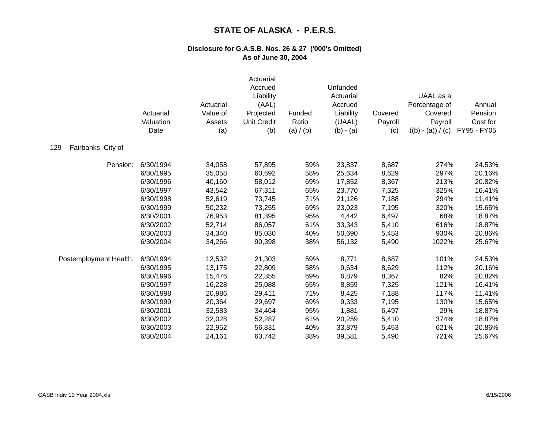|                           | Actuarial<br>Valuation<br>Date | Actuarial<br>Value of<br>Assets<br>(a) | Actuarial<br>Accrued<br>Liability<br>(AAL)<br>Projected<br><b>Unit Credit</b><br>(b) | Funded<br>Ratio<br>(a) / (b) | Unfunded<br>Actuarial<br>Accrued<br>Liability<br>(UAAL)<br>$(b) - (a)$ | Covered<br>Payroll<br>(c) | UAAL as a<br>Percentage of<br>Covered<br>Payroll<br>$((b) - (a)) / (c)$ | Annual<br>Pension<br>Cost for<br>FY95 - FY05 |
|---------------------------|--------------------------------|----------------------------------------|--------------------------------------------------------------------------------------|------------------------------|------------------------------------------------------------------------|---------------------------|-------------------------------------------------------------------------|----------------------------------------------|
| 129<br>Fairbanks, City of |                                |                                        |                                                                                      |                              |                                                                        |                           |                                                                         |                                              |
| Pension:                  | 6/30/1994                      | 34,058                                 | 57,895                                                                               | 59%                          | 23,837                                                                 | 8,687                     | 274%                                                                    | 24.53%                                       |
|                           | 6/30/1995                      | 35,058                                 | 60,692                                                                               | 58%                          | 25,634                                                                 | 8,629                     | 297%                                                                    | 20.16%                                       |
|                           | 6/30/1996                      | 40,160                                 | 58,012                                                                               | 69%                          | 17,852                                                                 | 8,367                     | 213%                                                                    | 20.82%                                       |
|                           | 6/30/1997                      | 43,542                                 | 67,311                                                                               | 65%                          | 23,770                                                                 | 7,325                     | 325%                                                                    | 16.41%                                       |
|                           | 6/30/1998                      | 52,619                                 | 73,745                                                                               | 71%                          | 21,126                                                                 | 7,188                     | 294%                                                                    | 11.41%                                       |
|                           | 6/30/1999                      | 50,232                                 | 73,255                                                                               | 69%                          | 23,023                                                                 | 7,195                     | 320%                                                                    | 15.65%                                       |
|                           | 6/30/2001                      | 76,953                                 | 81,395                                                                               | 95%                          | 4,442                                                                  | 6,497                     | 68%                                                                     | 18.87%                                       |
|                           | 6/30/2002                      | 52,714                                 | 86,057                                                                               | 61%                          | 33,343                                                                 | 5,410                     | 616%                                                                    | 18.87%                                       |
|                           | 6/30/2003                      | 34,340                                 | 85,030                                                                               | 40%                          | 50,690                                                                 | 5,453                     | 930%                                                                    | 20.86%                                       |
|                           | 6/30/2004                      | 34,266                                 | 90,398                                                                               | 38%                          | 56,132                                                                 | 5,490                     | 1022%                                                                   | 25.67%                                       |
| Postemployment Health:    | 6/30/1994                      | 12,532                                 | 21,303                                                                               | 59%                          | 8,771                                                                  | 8,687                     | 101%                                                                    | 24.53%                                       |
|                           | 6/30/1995                      | 13,175                                 | 22,809                                                                               | 58%                          | 9,634                                                                  | 8,629                     | 112%                                                                    | 20.16%                                       |
|                           | 6/30/1996                      | 15,476                                 | 22,355                                                                               | 69%                          | 6,879                                                                  | 8,367                     | 82%                                                                     | 20.82%                                       |
|                           | 6/30/1997                      | 16,228                                 | 25,088                                                                               | 65%                          | 8,859                                                                  | 7,325                     | 121%                                                                    | 16.41%                                       |
|                           | 6/30/1998                      | 20,986                                 | 29,411                                                                               | 71%                          | 8,425                                                                  | 7,188                     | 117%                                                                    | 11.41%                                       |
|                           | 6/30/1999                      | 20,364                                 | 29,697                                                                               | 69%                          | 9,333                                                                  | 7,195                     | 130%                                                                    | 15.65%                                       |
|                           | 6/30/2001                      | 32,583                                 | 34,464                                                                               | 95%                          | 1,881                                                                  | 6,497                     | 29%                                                                     | 18.87%                                       |
|                           | 6/30/2002                      | 32,028                                 | 52,287                                                                               | 61%                          | 20,259                                                                 | 5,410                     | 374%                                                                    | 18.87%                                       |
|                           | 6/30/2003                      | 22,952                                 | 56,831                                                                               | 40%                          | 33,879                                                                 | 5,453                     | 621%                                                                    | 20.86%                                       |
|                           | 6/30/2004                      | 24,161                                 | 63,742                                                                               | 38%                          | 39,581                                                                 | 5,490                     | 721%                                                                    | 25.67%                                       |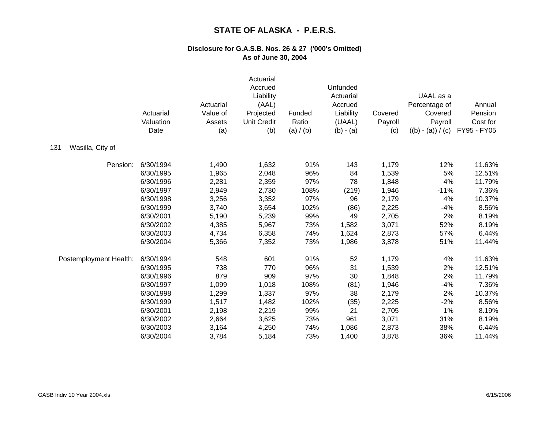|                         | Actuarial<br>Valuation<br>Date | Actuarial<br>Value of<br>Assets<br>(a) | Actuarial<br>Accrued<br>Liability<br>(AAL)<br>Projected<br><b>Unit Credit</b><br>(b) | Funded<br>Ratio<br>(a) / (b) | Unfunded<br>Actuarial<br>Accrued<br>Liability<br>(UAAL)<br>$(b) - (a)$ | Covered<br>Payroll<br>(c) | UAAL as a<br>Percentage of<br>Covered<br>Payroll<br>$((b) - (a)) / (c)$ | Annual<br>Pension<br>Cost for<br>FY95 - FY05 |
|-------------------------|--------------------------------|----------------------------------------|--------------------------------------------------------------------------------------|------------------------------|------------------------------------------------------------------------|---------------------------|-------------------------------------------------------------------------|----------------------------------------------|
| Wasilla, City of<br>131 |                                |                                        |                                                                                      |                              |                                                                        |                           |                                                                         |                                              |
| Pension:                | 6/30/1994                      | 1,490                                  | 1,632                                                                                | 91%                          | 143                                                                    | 1,179                     | 12%                                                                     | 11.63%                                       |
|                         | 6/30/1995                      | 1,965                                  | 2,048                                                                                | 96%                          | 84                                                                     | 1,539                     | 5%                                                                      | 12.51%                                       |
|                         | 6/30/1996                      | 2,281                                  | 2,359                                                                                | 97%                          | 78                                                                     | 1,848                     | 4%                                                                      | 11.79%                                       |
|                         | 6/30/1997                      | 2,949                                  | 2,730                                                                                | 108%                         | (219)                                                                  | 1,946                     | $-11%$                                                                  | 7.36%                                        |
|                         | 6/30/1998                      | 3,256                                  | 3,352                                                                                | 97%                          | 96                                                                     | 2,179                     | 4%                                                                      | 10.37%                                       |
|                         | 6/30/1999                      | 3,740                                  | 3,654                                                                                | 102%                         | (86)                                                                   | 2,225                     | $-4%$                                                                   | 8.56%                                        |
|                         | 6/30/2001                      | 5,190                                  | 5,239                                                                                | 99%                          | 49                                                                     | 2,705                     | 2%                                                                      | 8.19%                                        |
|                         | 6/30/2002                      | 4,385                                  | 5,967                                                                                | 73%                          | 1,582                                                                  | 3,071                     | 52%                                                                     | 8.19%                                        |
|                         | 6/30/2003                      | 4,734                                  | 6,358                                                                                | 74%                          | 1,624                                                                  | 2,873                     | 57%                                                                     | 6.44%                                        |
|                         | 6/30/2004                      | 5,366                                  | 7,352                                                                                | 73%                          | 1,986                                                                  | 3,878                     | 51%                                                                     | 11.44%                                       |
| Postemployment Health:  | 6/30/1994                      | 548                                    | 601                                                                                  | 91%                          | 52                                                                     | 1,179                     | 4%                                                                      | 11.63%                                       |
|                         | 6/30/1995                      | 738                                    | 770                                                                                  | 96%                          | 31                                                                     | 1,539                     | 2%                                                                      | 12.51%                                       |
|                         | 6/30/1996                      | 879                                    | 909                                                                                  | 97%                          | 30                                                                     | 1,848                     | 2%                                                                      | 11.79%                                       |
|                         | 6/30/1997                      | 1,099                                  | 1,018                                                                                | 108%                         | (81)                                                                   | 1,946                     | $-4%$                                                                   | 7.36%                                        |
|                         | 6/30/1998                      | 1,299                                  | 1,337                                                                                | 97%                          | 38                                                                     | 2,179                     | 2%                                                                      | 10.37%                                       |
|                         | 6/30/1999                      | 1,517                                  | 1,482                                                                                | 102%                         | (35)                                                                   | 2,225                     | $-2%$                                                                   | 8.56%                                        |
|                         | 6/30/2001                      | 2,198                                  | 2,219                                                                                | 99%                          | 21                                                                     | 2,705                     | 1%                                                                      | 8.19%                                        |
|                         | 6/30/2002                      | 2,664                                  | 3,625                                                                                | 73%                          | 961                                                                    | 3,071                     | 31%                                                                     | 8.19%                                        |
|                         | 6/30/2003                      | 3,164                                  | 4,250                                                                                | 74%                          | 1,086                                                                  | 2,873                     | 38%                                                                     | 6.44%                                        |
|                         | 6/30/2004                      | 3,784                                  | 5,184                                                                                | 73%                          | 1,400                                                                  | 3,878                     | 36%                                                                     | 11.44%                                       |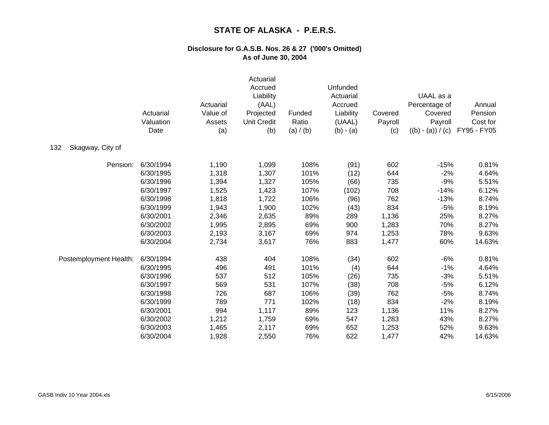|                         | Actuarial<br>Valuation<br>Date | Actuarial<br>Value of<br>Assets<br>(a) | Actuarial<br>Accrued<br>Liability<br>(AAL)<br>Projected<br><b>Unit Credit</b><br>(b) | Funded<br>Ratio<br>(a) / (b) | Unfunded<br>Actuarial<br>Accrued<br>Liability<br>(UAAL)<br>$(b) - (a)$ | Covered<br>Payroll<br>(c) | UAAL as a<br>Percentage of<br>Covered<br>Payroll<br>$((b) - (a)) / (c)$ | Annual<br>Pension<br>Cost for<br>FY95 - FY05 |
|-------------------------|--------------------------------|----------------------------------------|--------------------------------------------------------------------------------------|------------------------------|------------------------------------------------------------------------|---------------------------|-------------------------------------------------------------------------|----------------------------------------------|
| 132<br>Skagway, City of |                                |                                        |                                                                                      |                              |                                                                        |                           |                                                                         |                                              |
| Pension:                | 6/30/1994                      | 1,190                                  | 1,099                                                                                | 108%                         | (91)                                                                   | 602                       | $-15%$                                                                  | 0.81%                                        |
|                         | 6/30/1995                      | 1,318                                  | 1,307                                                                                | 101%                         | (12)                                                                   | 644                       | $-2%$                                                                   | 4.64%                                        |
|                         | 6/30/1996                      | 1,394                                  | 1,327                                                                                | 105%                         | (66)                                                                   | 735                       | $-9%$                                                                   | 5.51%                                        |
|                         | 6/30/1997                      | 1,525                                  | 1,423                                                                                | 107%                         | (102)                                                                  | 708                       | $-14%$                                                                  | 6.12%                                        |
|                         | 6/30/1998                      | 1,818                                  | 1,722                                                                                | 106%                         | (96)                                                                   | 762                       | $-13%$                                                                  | 8.74%                                        |
|                         | 6/30/1999                      | 1,943                                  | 1,900                                                                                | 102%                         | (43)                                                                   | 834                       | $-5%$                                                                   | 8.19%                                        |
|                         | 6/30/2001                      | 2,346                                  | 2,635                                                                                | 89%                          | 289                                                                    | 1,136                     | 25%                                                                     | 8.27%                                        |
|                         | 6/30/2002                      | 1,995                                  | 2,895                                                                                | 69%                          | 900                                                                    | 1,283                     | 70%                                                                     | 8.27%                                        |
|                         | 6/30/2003                      | 2,193                                  | 3,167                                                                                | 69%                          | 974                                                                    | 1,253                     | 78%                                                                     | 9.63%                                        |
|                         | 6/30/2004                      | 2,734                                  | 3,617                                                                                | 76%                          | 883                                                                    | 1,477                     | 60%                                                                     | 14.63%                                       |
| Postemployment Health:  | 6/30/1994                      | 438                                    | 404                                                                                  | 108%                         | (34)                                                                   | 602                       | $-6%$                                                                   | 0.81%                                        |
|                         | 6/30/1995                      | 496                                    | 491                                                                                  | 101%                         | (4)                                                                    | 644                       | $-1%$                                                                   | 4.64%                                        |
|                         | 6/30/1996                      | 537                                    | 512                                                                                  | 105%                         | (26)                                                                   | 735                       | $-3%$                                                                   | 5.51%                                        |
|                         | 6/30/1997                      | 569                                    | 531                                                                                  | 107%                         | (38)                                                                   | 708                       | $-5%$                                                                   | 6.12%                                        |
|                         | 6/30/1998                      | 726                                    | 687                                                                                  | 106%                         | (39)                                                                   | 762                       | $-5%$                                                                   | 8.74%                                        |
|                         | 6/30/1999                      | 789                                    | 771                                                                                  | 102%                         | (18)                                                                   | 834                       | $-2%$                                                                   | 8.19%                                        |
|                         | 6/30/2001                      | 994                                    | 1,117                                                                                | 89%                          | 123                                                                    | 1,136                     | 11%                                                                     | 8.27%                                        |
|                         | 6/30/2002                      | 1,212                                  | 1,759                                                                                | 69%                          | 547                                                                    | 1,283                     | 43%                                                                     | 8.27%                                        |
|                         | 6/30/2003                      | 1,465                                  | 2,117                                                                                | 69%                          | 652                                                                    | 1,253                     | 52%                                                                     | 9.63%                                        |
|                         | 6/30/2004                      | 1,928                                  | 2,550                                                                                | 76%                          | 622                                                                    | 1,477                     | 42%                                                                     | 14.63%                                       |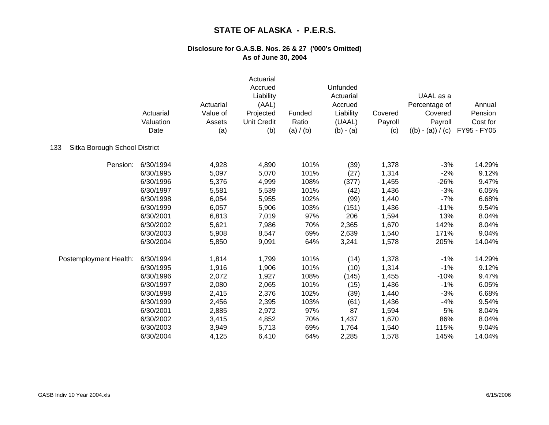|                                      | Actuarial<br>Valuation<br>Date | Actuarial<br>Value of<br>Assets<br>(a) | Actuarial<br>Accrued<br>Liability<br>(AAL)<br>Projected<br><b>Unit Credit</b><br>(b) | Funded<br>Ratio<br>(a) / (b) | Unfunded<br>Actuarial<br>Accrued<br>Liability<br>(UAAL)<br>$(b) - (a)$ | Covered<br>Payroll<br>(c) | UAAL as a<br>Percentage of<br>Covered<br>Payroll<br>$((b) - (a)) / (c)$ | Annual<br>Pension<br>Cost for<br>FY95 - FY05 |
|--------------------------------------|--------------------------------|----------------------------------------|--------------------------------------------------------------------------------------|------------------------------|------------------------------------------------------------------------|---------------------------|-------------------------------------------------------------------------|----------------------------------------------|
| 133<br>Sitka Borough School District |                                |                                        |                                                                                      |                              |                                                                        |                           |                                                                         |                                              |
| Pension:                             | 6/30/1994                      | 4,928                                  | 4,890                                                                                | 101%                         | (39)                                                                   | 1,378                     | $-3%$                                                                   | 14.29%                                       |
|                                      | 6/30/1995                      | 5,097                                  | 5,070                                                                                | 101%                         | (27)                                                                   | 1,314                     | $-2%$                                                                   | 9.12%                                        |
|                                      | 6/30/1996                      | 5,376                                  | 4,999                                                                                | 108%                         | (377)                                                                  | 1,455                     | $-26%$                                                                  | 9.47%                                        |
|                                      | 6/30/1997                      | 5,581                                  | 5,539                                                                                | 101%                         | (42)                                                                   | 1,436                     | $-3%$                                                                   | 6.05%                                        |
|                                      | 6/30/1998                      | 6,054                                  | 5,955                                                                                | 102%                         | (99)                                                                   | 1,440                     | $-7%$                                                                   | 6.68%                                        |
|                                      | 6/30/1999                      | 6,057                                  | 5,906                                                                                | 103%                         | (151)                                                                  | 1,436                     | $-11%$                                                                  | 9.54%                                        |
|                                      | 6/30/2001                      | 6,813                                  | 7,019                                                                                | 97%                          | 206                                                                    | 1,594                     | 13%                                                                     | 8.04%                                        |
|                                      | 6/30/2002                      | 5,621                                  | 7,986                                                                                | 70%                          | 2,365                                                                  | 1,670                     | 142%                                                                    | 8.04%                                        |
|                                      | 6/30/2003                      | 5,908                                  | 8,547                                                                                | 69%                          | 2,639                                                                  | 1,540                     | 171%                                                                    | 9.04%                                        |
|                                      | 6/30/2004                      | 5,850                                  | 9,091                                                                                | 64%                          | 3,241                                                                  | 1,578                     | 205%                                                                    | 14.04%                                       |
| Postemployment Health:               | 6/30/1994                      | 1,814                                  | 1,799                                                                                | 101%                         | (14)                                                                   | 1,378                     | $-1%$                                                                   | 14.29%                                       |
|                                      | 6/30/1995                      | 1,916                                  | 1,906                                                                                | 101%                         | (10)                                                                   | 1,314                     | $-1%$                                                                   | 9.12%                                        |
|                                      | 6/30/1996                      | 2,072                                  | 1,927                                                                                | 108%                         | (145)                                                                  | 1,455                     | $-10%$                                                                  | 9.47%                                        |
|                                      | 6/30/1997                      | 2,080                                  | 2,065                                                                                | 101%                         | (15)                                                                   | 1,436                     | $-1%$                                                                   | 6.05%                                        |
|                                      | 6/30/1998                      | 2,415                                  | 2,376                                                                                | 102%                         | (39)                                                                   | 1,440                     | $-3%$                                                                   | 6.68%                                        |
|                                      | 6/30/1999                      | 2,456                                  | 2,395                                                                                | 103%                         | (61)                                                                   | 1,436                     | $-4%$                                                                   | 9.54%                                        |
|                                      | 6/30/2001                      | 2,885                                  | 2,972                                                                                | 97%                          | 87                                                                     | 1,594                     | 5%                                                                      | 8.04%                                        |
|                                      | 6/30/2002                      | 3,415                                  | 4,852                                                                                | 70%                          | 1,437                                                                  | 1,670                     | 86%                                                                     | 8.04%                                        |
|                                      | 6/30/2003                      | 3,949                                  | 5,713                                                                                | 69%                          | 1,764                                                                  | 1,540                     | 115%                                                                    | 9.04%                                        |
|                                      | 6/30/2004                      | 4,125                                  | 6,410                                                                                | 64%                          | 2,285                                                                  | 1,578                     | 145%                                                                    | 14.04%                                       |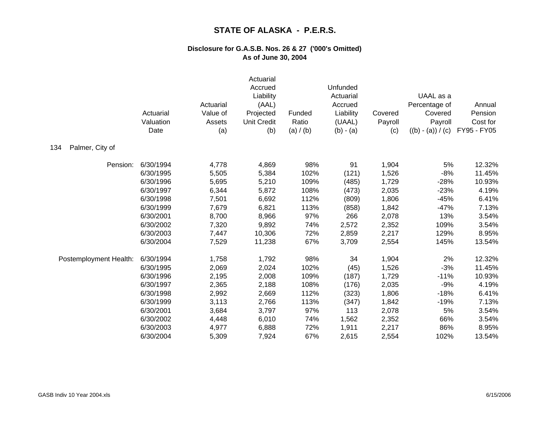|                        | Actuarial<br>Valuation<br>Date | Actuarial<br>Value of<br>Assets<br>(a) | Actuarial<br>Accrued<br>Liability<br>(AAL)<br>Projected<br><b>Unit Credit</b><br>(b) | Funded<br>Ratio<br>(a) / (b) | Unfunded<br>Actuarial<br>Accrued<br>Liability<br>(UAAL)<br>$(b) - (a)$ | Covered<br>Payroll<br>(c) | UAAL as a<br>Percentage of<br>Covered<br>Payroll<br>$((b) - (a)) / (c)$ | Annual<br>Pension<br>Cost for<br>FY95 - FY05 |
|------------------------|--------------------------------|----------------------------------------|--------------------------------------------------------------------------------------|------------------------------|------------------------------------------------------------------------|---------------------------|-------------------------------------------------------------------------|----------------------------------------------|
| Palmer, City of<br>134 |                                |                                        |                                                                                      |                              |                                                                        |                           |                                                                         |                                              |
| Pension:               | 6/30/1994                      | 4,778                                  | 4,869                                                                                | 98%                          | 91                                                                     | 1,904                     | 5%                                                                      | 12.32%                                       |
|                        | 6/30/1995                      | 5,505                                  | 5,384                                                                                | 102%                         | (121)                                                                  | 1,526                     | $-8%$                                                                   | 11.45%                                       |
|                        | 6/30/1996                      | 5,695                                  | 5,210                                                                                | 109%                         | (485)                                                                  | 1,729                     | $-28%$                                                                  | 10.93%                                       |
|                        | 6/30/1997                      | 6,344                                  | 5,872                                                                                | 108%                         | (473)                                                                  | 2,035                     | $-23%$                                                                  | 4.19%                                        |
|                        | 6/30/1998                      | 7,501                                  | 6,692                                                                                | 112%                         | (809)                                                                  | 1,806                     | $-45%$                                                                  | 6.41%                                        |
|                        | 6/30/1999                      | 7,679                                  | 6,821                                                                                | 113%                         | (858)                                                                  | 1,842                     | $-47%$                                                                  | 7.13%                                        |
|                        | 6/30/2001                      | 8,700                                  | 8,966                                                                                | 97%                          | 266                                                                    | 2,078                     | 13%                                                                     | 3.54%                                        |
|                        | 6/30/2002                      | 7,320                                  | 9,892                                                                                | 74%                          | 2,572                                                                  | 2,352                     | 109%                                                                    | 3.54%                                        |
|                        | 6/30/2003                      | 7,447                                  | 10,306                                                                               | 72%                          | 2,859                                                                  | 2,217                     | 129%                                                                    | 8.95%                                        |
|                        | 6/30/2004                      | 7,529                                  | 11,238                                                                               | 67%                          | 3,709                                                                  | 2,554                     | 145%                                                                    | 13.54%                                       |
| Postemployment Health: | 6/30/1994                      | 1,758                                  | 1,792                                                                                | 98%                          | 34                                                                     | 1,904                     | 2%                                                                      | 12.32%                                       |
|                        | 6/30/1995                      | 2,069                                  | 2,024                                                                                | 102%                         | (45)                                                                   | 1,526                     | $-3%$                                                                   | 11.45%                                       |
|                        | 6/30/1996                      | 2,195                                  | 2,008                                                                                | 109%                         | (187)                                                                  | 1,729                     | $-11%$                                                                  | 10.93%                                       |
|                        | 6/30/1997                      | 2,365                                  | 2,188                                                                                | 108%                         | (176)                                                                  | 2,035                     | $-9%$                                                                   | 4.19%                                        |
|                        | 6/30/1998                      | 2,992                                  | 2,669                                                                                | 112%                         | (323)                                                                  | 1,806                     | $-18%$                                                                  | 6.41%                                        |
|                        | 6/30/1999                      | 3,113                                  | 2,766                                                                                | 113%                         | (347)                                                                  | 1,842                     | $-19%$                                                                  | 7.13%                                        |
|                        | 6/30/2001                      | 3,684                                  | 3,797                                                                                | 97%                          | 113                                                                    | 2,078                     | 5%                                                                      | 3.54%                                        |
|                        | 6/30/2002                      | 4,448                                  | 6,010                                                                                | 74%                          | 1,562                                                                  | 2,352                     | 66%                                                                     | 3.54%                                        |
|                        | 6/30/2003                      | 4,977                                  | 6,888                                                                                | 72%                          | 1,911                                                                  | 2,217                     | 86%                                                                     | 8.95%                                        |
|                        | 6/30/2004                      | 5,309                                  | 7,924                                                                                | 67%                          | 2,615                                                                  | 2,554                     | 102%                                                                    | 13.54%                                       |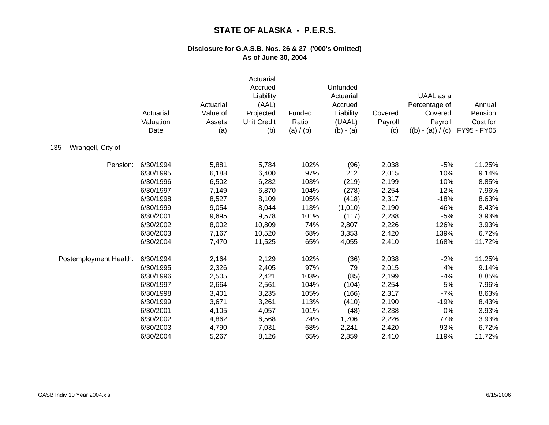|                          | Actuarial<br>Valuation<br>Date | Actuarial<br>Value of<br>Assets<br>(a) | Actuarial<br>Accrued<br>Liability<br>(AAL)<br>Projected<br><b>Unit Credit</b><br>(b) | Funded<br>Ratio<br>(a) / (b) | Unfunded<br>Actuarial<br>Accrued<br>Liability<br>(UAAL)<br>$(b) - (a)$ | Covered<br>Payroll<br>(c) | UAAL as a<br>Percentage of<br>Covered<br>Payroll<br>$((b) - (a)) / (c)$ | Annual<br>Pension<br>Cost for<br>FY95 - FY05 |
|--------------------------|--------------------------------|----------------------------------------|--------------------------------------------------------------------------------------|------------------------------|------------------------------------------------------------------------|---------------------------|-------------------------------------------------------------------------|----------------------------------------------|
| Wrangell, City of<br>135 |                                |                                        |                                                                                      |                              |                                                                        |                           |                                                                         |                                              |
| Pension:                 | 6/30/1994                      | 5,881                                  | 5,784                                                                                | 102%                         | (96)                                                                   | 2,038                     | $-5%$                                                                   | 11.25%                                       |
|                          | 6/30/1995                      | 6,188                                  | 6,400                                                                                | 97%                          | 212                                                                    | 2,015                     | 10%                                                                     | 9.14%                                        |
|                          | 6/30/1996                      | 6,502                                  | 6,282                                                                                | 103%                         | (219)                                                                  | 2,199                     | $-10%$                                                                  | 8.85%                                        |
|                          | 6/30/1997                      | 7,149                                  | 6,870                                                                                | 104%                         | (278)                                                                  | 2,254                     | $-12%$                                                                  | 7.96%                                        |
|                          | 6/30/1998                      | 8,527                                  | 8,109                                                                                | 105%                         | (418)                                                                  | 2,317                     | $-18%$                                                                  | 8.63%                                        |
|                          | 6/30/1999                      | 9,054                                  | 8,044                                                                                | 113%                         | (1,010)                                                                | 2,190                     | $-46%$                                                                  | 8.43%                                        |
|                          | 6/30/2001                      | 9,695                                  | 9,578                                                                                | 101%                         | (117)                                                                  | 2,238                     | $-5%$                                                                   | 3.93%                                        |
|                          | 6/30/2002                      | 8,002                                  | 10,809                                                                               | 74%                          | 2,807                                                                  | 2,226                     | 126%                                                                    | 3.93%                                        |
|                          | 6/30/2003                      | 7,167                                  | 10,520                                                                               | 68%                          | 3,353                                                                  | 2,420                     | 139%                                                                    | 6.72%                                        |
|                          | 6/30/2004                      | 7,470                                  | 11,525                                                                               | 65%                          | 4,055                                                                  | 2,410                     | 168%                                                                    | 11.72%                                       |
| Postemployment Health:   | 6/30/1994                      | 2,164                                  | 2,129                                                                                | 102%                         | (36)                                                                   | 2,038                     | $-2%$                                                                   | 11.25%                                       |
|                          | 6/30/1995                      | 2,326                                  | 2,405                                                                                | 97%                          | 79                                                                     | 2,015                     | 4%                                                                      | 9.14%                                        |
|                          | 6/30/1996                      | 2,505                                  | 2,421                                                                                | 103%                         | (85)                                                                   | 2,199                     | $-4%$                                                                   | 8.85%                                        |
|                          | 6/30/1997                      | 2,664                                  | 2,561                                                                                | 104%                         | (104)                                                                  | 2,254                     | $-5%$                                                                   | 7.96%                                        |
|                          | 6/30/1998                      | 3,401                                  | 3,235                                                                                | 105%                         | (166)                                                                  | 2,317                     | $-7%$                                                                   | 8.63%                                        |
|                          | 6/30/1999                      | 3,671                                  | 3,261                                                                                | 113%                         | (410)                                                                  | 2,190                     | $-19%$                                                                  | 8.43%                                        |
|                          | 6/30/2001                      | 4,105                                  | 4,057                                                                                | 101%                         | (48)                                                                   | 2,238                     | 0%                                                                      | 3.93%                                        |
|                          | 6/30/2002                      | 4,862                                  | 6,568                                                                                | 74%                          | 1,706                                                                  | 2,226                     | 77%                                                                     | 3.93%                                        |
|                          | 6/30/2003                      | 4,790                                  | 7,031                                                                                | 68%                          | 2,241                                                                  | 2,420                     | 93%                                                                     | 6.72%                                        |
|                          | 6/30/2004                      | 5,267                                  | 8,126                                                                                | 65%                          | 2,859                                                                  | 2,410                     | 119%                                                                    | 11.72%                                       |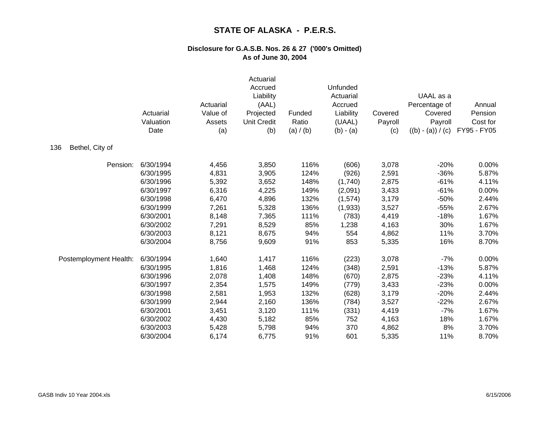|                        | Actuarial<br>Valuation<br>Date | Actuarial<br>Value of<br>Assets<br>(a) | Actuarial<br>Accrued<br>Liability<br>(AAL)<br>Projected<br><b>Unit Credit</b><br>(b) | Funded<br>Ratio<br>(a) / (b) | Unfunded<br>Actuarial<br>Accrued<br>Liability<br>(UAAL)<br>$(b) - (a)$ | Covered<br>Payroll<br>(c) | UAAL as a<br>Percentage of<br>Covered<br>Payroll<br>$((b) - (a)) / (c)$ | Annual<br>Pension<br>Cost for<br>FY95 - FY05 |
|------------------------|--------------------------------|----------------------------------------|--------------------------------------------------------------------------------------|------------------------------|------------------------------------------------------------------------|---------------------------|-------------------------------------------------------------------------|----------------------------------------------|
| Bethel, City of<br>136 |                                |                                        |                                                                                      |                              |                                                                        |                           |                                                                         |                                              |
| Pension:               | 6/30/1994                      | 4,456                                  | 3,850                                                                                | 116%                         | (606)                                                                  | 3,078                     | $-20%$                                                                  | 0.00%                                        |
|                        | 6/30/1995                      | 4,831                                  | 3,905                                                                                | 124%                         | (926)                                                                  | 2,591                     | $-36%$                                                                  | 5.87%                                        |
|                        | 6/30/1996                      | 5,392                                  | 3,652                                                                                | 148%                         | (1,740)                                                                | 2,875                     | $-61%$                                                                  | 4.11%                                        |
|                        | 6/30/1997                      | 6,316                                  | 4,225                                                                                | 149%                         | (2,091)                                                                | 3,433                     | $-61%$                                                                  | 0.00%                                        |
|                        | 6/30/1998                      | 6,470                                  | 4,896                                                                                | 132%                         | (1,574)                                                                | 3,179                     | $-50%$                                                                  | 2.44%                                        |
|                        | 6/30/1999                      | 7,261                                  | 5,328                                                                                | 136%                         | (1,933)                                                                | 3,527                     | $-55%$                                                                  | 2.67%                                        |
|                        | 6/30/2001                      | 8,148                                  | 7,365                                                                                | 111%                         | (783)                                                                  | 4,419                     | $-18%$                                                                  | 1.67%                                        |
|                        | 6/30/2002                      | 7,291                                  | 8,529                                                                                | 85%                          | 1,238                                                                  | 4,163                     | 30%                                                                     | 1.67%                                        |
|                        | 6/30/2003                      | 8,121                                  | 8,675                                                                                | 94%                          | 554                                                                    | 4,862                     | 11%                                                                     | 3.70%                                        |
|                        | 6/30/2004                      | 8,756                                  | 9,609                                                                                | 91%                          | 853                                                                    | 5,335                     | 16%                                                                     | 8.70%                                        |
| Postemployment Health: | 6/30/1994                      | 1,640                                  | 1,417                                                                                | 116%                         | (223)                                                                  | 3,078                     | $-7%$                                                                   | 0.00%                                        |
|                        | 6/30/1995                      | 1,816                                  | 1,468                                                                                | 124%                         | (348)                                                                  | 2,591                     | $-13%$                                                                  | 5.87%                                        |
|                        | 6/30/1996                      | 2,078                                  | 1,408                                                                                | 148%                         | (670)                                                                  | 2,875                     | $-23%$                                                                  | 4.11%                                        |
|                        | 6/30/1997                      | 2,354                                  | 1,575                                                                                | 149%                         | (779)                                                                  | 3,433                     | $-23%$                                                                  | 0.00%                                        |
|                        | 6/30/1998                      | 2,581                                  | 1,953                                                                                | 132%                         | (628)                                                                  | 3,179                     | $-20%$                                                                  | 2.44%                                        |
|                        | 6/30/1999                      | 2,944                                  | 2,160                                                                                | 136%                         | (784)                                                                  | 3,527                     | $-22%$                                                                  | 2.67%                                        |
|                        | 6/30/2001                      | 3,451                                  | 3,120                                                                                | 111%                         | (331)                                                                  | 4,419                     | $-7%$                                                                   | 1.67%                                        |
|                        | 6/30/2002                      | 4,430                                  | 5,182                                                                                | 85%                          | 752                                                                    | 4,163                     | 18%                                                                     | 1.67%                                        |
|                        | 6/30/2003                      | 5,428                                  | 5,798                                                                                | 94%                          | 370                                                                    | 4,862                     | 8%                                                                      | 3.70%                                        |
|                        | 6/30/2004                      | 6,174                                  | 6,775                                                                                | 91%                          | 601                                                                    | 5,335                     | 11%                                                                     | 8.70%                                        |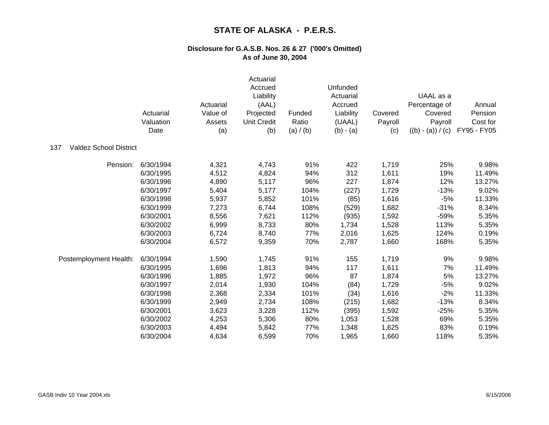|                                      | Actuarial<br>Valuation<br>Date | Actuarial<br>Value of<br>Assets<br>(a) | Actuarial<br>Accrued<br>Liability<br>(AAL)<br>Projected<br><b>Unit Credit</b><br>(b) | Funded<br>Ratio<br>(a) / (b) | Unfunded<br>Actuarial<br>Accrued<br>Liability<br>(UAAL)<br>$(b) - (a)$ | Covered<br>Payroll<br>(c) | UAAL as a<br>Percentage of<br>Covered<br>Payroll<br>$((b) - (a)) / (c)$ | Annual<br>Pension<br>Cost for<br>FY95 - FY05 |
|--------------------------------------|--------------------------------|----------------------------------------|--------------------------------------------------------------------------------------|------------------------------|------------------------------------------------------------------------|---------------------------|-------------------------------------------------------------------------|----------------------------------------------|
| <b>Valdez School District</b><br>137 |                                |                                        |                                                                                      |                              |                                                                        |                           |                                                                         |                                              |
| Pension:                             | 6/30/1994                      | 4,321                                  | 4,743                                                                                | 91%                          | 422                                                                    | 1,719                     | 25%                                                                     | 9.98%                                        |
|                                      | 6/30/1995                      | 4,512                                  | 4,824                                                                                | 94%                          | 312                                                                    | 1,611                     | 19%                                                                     | 11.49%                                       |
|                                      | 6/30/1996                      | 4,890                                  | 5,117                                                                                | 96%                          | 227                                                                    | 1,874                     | 12%                                                                     | 13.27%                                       |
|                                      | 6/30/1997                      | 5,404                                  | 5,177                                                                                | 104%                         | (227)                                                                  | 1,729                     | $-13%$                                                                  | 9.02%                                        |
|                                      | 6/30/1998                      | 5,937                                  | 5,852                                                                                | 101%                         | (85)                                                                   | 1,616                     | $-5%$                                                                   | 11.33%                                       |
|                                      | 6/30/1999                      | 7,273                                  | 6,744                                                                                | 108%                         | (529)                                                                  | 1,682                     | $-31%$                                                                  | 8.34%                                        |
|                                      | 6/30/2001                      | 8,556                                  | 7,621                                                                                | 112%                         | (935)                                                                  | 1,592                     | $-59%$                                                                  | 5.35%                                        |
|                                      | 6/30/2002                      | 6,999                                  | 8,733                                                                                | 80%                          | 1,734                                                                  | 1,528                     | 113%                                                                    | 5.35%                                        |
|                                      | 6/30/2003                      | 6,724                                  | 8,740                                                                                | 77%                          | 2,016                                                                  | 1,625                     | 124%                                                                    | 0.19%                                        |
|                                      | 6/30/2004                      | 6,572                                  | 9,359                                                                                | 70%                          | 2,787                                                                  | 1,660                     | 168%                                                                    | 5.35%                                        |
| Postemployment Health:               | 6/30/1994                      | 1,590                                  | 1,745                                                                                | 91%                          | 155                                                                    | 1,719                     | 9%                                                                      | 9.98%                                        |
|                                      | 6/30/1995                      | 1,696                                  | 1,813                                                                                | 94%                          | 117                                                                    | 1,611                     | 7%                                                                      | 11.49%                                       |
|                                      | 6/30/1996                      | 1,885                                  | 1,972                                                                                | 96%                          | 87                                                                     | 1,874                     | 5%                                                                      | 13.27%                                       |
|                                      | 6/30/1997                      | 2,014                                  | 1,930                                                                                | 104%                         | (84)                                                                   | 1,729                     | $-5%$                                                                   | 9.02%                                        |
|                                      | 6/30/1998                      | 2,368                                  | 2,334                                                                                | 101%                         | (34)                                                                   | 1,616                     | $-2%$                                                                   | 11.33%                                       |
|                                      | 6/30/1999                      | 2,949                                  | 2,734                                                                                | 108%                         | (215)                                                                  | 1,682                     | $-13%$                                                                  | 8.34%                                        |
|                                      | 6/30/2001                      | 3,623                                  | 3,228                                                                                | 112%                         | (395)                                                                  | 1,592                     | $-25%$                                                                  | 5.35%                                        |
|                                      | 6/30/2002                      | 4,253                                  | 5,306                                                                                | 80%                          | 1,053                                                                  | 1,528                     | 69%                                                                     | 5.35%                                        |
|                                      | 6/30/2003                      | 4,494                                  | 5,842                                                                                | 77%                          | 1,348                                                                  | 1,625                     | 83%                                                                     | 0.19%                                        |
|                                      | 6/30/2004                      | 4,634                                  | 6,599                                                                                | 70%                          | 1,965                                                                  | 1,660                     | 118%                                                                    | 5.35%                                        |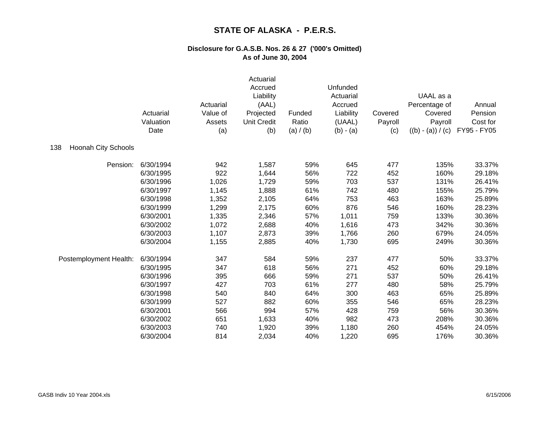|                                   | Actuarial<br>Valuation<br>Date | Actuarial<br>Value of<br>Assets<br>(a) | Actuarial<br>Accrued<br>Liability<br>(AAL)<br>Projected<br><b>Unit Credit</b><br>(b) | Funded<br>Ratio<br>(a) / (b) | Unfunded<br>Actuarial<br>Accrued<br>Liability<br>(UAAL)<br>$(b) - (a)$ | Covered<br>Payroll<br>(c) | UAAL as a<br>Percentage of<br>Covered<br>Payroll<br>$((b) - (a)) / (c)$ | Annual<br>Pension<br>Cost for<br>FY95 - FY05 |
|-----------------------------------|--------------------------------|----------------------------------------|--------------------------------------------------------------------------------------|------------------------------|------------------------------------------------------------------------|---------------------------|-------------------------------------------------------------------------|----------------------------------------------|
| <b>Hoonah City Schools</b><br>138 |                                |                                        |                                                                                      |                              |                                                                        |                           |                                                                         |                                              |
| Pension:                          | 6/30/1994                      | 942                                    | 1,587                                                                                | 59%                          | 645                                                                    | 477                       | 135%                                                                    | 33.37%                                       |
|                                   | 6/30/1995                      | 922                                    | 1,644                                                                                | 56%                          | 722                                                                    | 452                       | 160%                                                                    | 29.18%                                       |
|                                   | 6/30/1996                      | 1,026                                  | 1,729                                                                                | 59%                          | 703                                                                    | 537                       | 131%                                                                    | 26.41%                                       |
|                                   | 6/30/1997                      | 1,145                                  | 1,888                                                                                | 61%                          | 742                                                                    | 480                       | 155%                                                                    | 25.79%                                       |
|                                   | 6/30/1998                      | 1,352                                  | 2,105                                                                                | 64%                          | 753                                                                    | 463                       | 163%                                                                    | 25.89%                                       |
|                                   | 6/30/1999                      | 1,299                                  | 2,175                                                                                | 60%                          | 876                                                                    | 546                       | 160%                                                                    | 28.23%                                       |
|                                   | 6/30/2001                      | 1,335                                  | 2,346                                                                                | 57%                          | 1,011                                                                  | 759                       | 133%                                                                    | 30.36%                                       |
|                                   | 6/30/2002                      | 1,072                                  | 2,688                                                                                | 40%                          | 1,616                                                                  | 473                       | 342%                                                                    | 30.36%                                       |
|                                   | 6/30/2003                      | 1,107                                  | 2,873                                                                                | 39%                          | 1,766                                                                  | 260                       | 679%                                                                    | 24.05%                                       |
|                                   | 6/30/2004                      | 1,155                                  | 2,885                                                                                | 40%                          | 1,730                                                                  | 695                       | 249%                                                                    | 30.36%                                       |
| Postemployment Health:            | 6/30/1994                      | 347                                    | 584                                                                                  | 59%                          | 237                                                                    | 477                       | 50%                                                                     | 33.37%                                       |
|                                   | 6/30/1995                      | 347                                    | 618                                                                                  | 56%                          | 271                                                                    | 452                       | 60%                                                                     | 29.18%                                       |
|                                   | 6/30/1996                      | 395                                    | 666                                                                                  | 59%                          | 271                                                                    | 537                       | 50%                                                                     | 26.41%                                       |
|                                   | 6/30/1997                      | 427                                    | 703                                                                                  | 61%                          | 277                                                                    | 480                       | 58%                                                                     | 25.79%                                       |
|                                   | 6/30/1998                      | 540                                    | 840                                                                                  | 64%                          | 300                                                                    | 463                       | 65%                                                                     | 25.89%                                       |
|                                   | 6/30/1999                      | 527                                    | 882                                                                                  | 60%                          | 355                                                                    | 546                       | 65%                                                                     | 28.23%                                       |
|                                   | 6/30/2001                      | 566                                    | 994                                                                                  | 57%                          | 428                                                                    | 759                       | 56%                                                                     | 30.36%                                       |
|                                   | 6/30/2002                      | 651                                    | 1,633                                                                                | 40%                          | 982                                                                    | 473                       | 208%                                                                    | 30.36%                                       |
|                                   | 6/30/2003                      | 740                                    | 1,920                                                                                | 39%                          | 1,180                                                                  | 260                       | 454%                                                                    | 24.05%                                       |
|                                   | 6/30/2004                      | 814                                    | 2,034                                                                                | 40%                          | 1,220                                                                  | 695                       | 176%                                                                    | 30.36%                                       |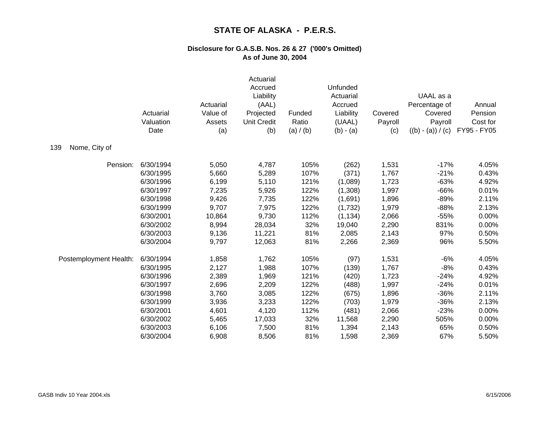|                        | Actuarial<br>Valuation<br>Date | Actuarial<br>Value of<br>Assets<br>(a) | Actuarial<br>Accrued<br>Liability<br>(AAL)<br>Projected<br><b>Unit Credit</b><br>(b) | Funded<br>Ratio<br>(a) / (b) | Unfunded<br>Actuarial<br>Accrued<br>Liability<br>(UAAL)<br>$(b) - (a)$ | Covered<br>Payroll<br>(c) | UAAL as a<br>Percentage of<br>Covered<br>Payroll<br>$((b) - (a)) / (c)$ | Annual<br>Pension<br>Cost for<br>FY95 - FY05 |
|------------------------|--------------------------------|----------------------------------------|--------------------------------------------------------------------------------------|------------------------------|------------------------------------------------------------------------|---------------------------|-------------------------------------------------------------------------|----------------------------------------------|
| Nome, City of<br>139   |                                |                                        |                                                                                      |                              |                                                                        |                           |                                                                         |                                              |
| Pension:               | 6/30/1994                      | 5,050                                  | 4,787                                                                                | 105%                         | (262)                                                                  | 1,531                     | $-17%$                                                                  | 4.05%                                        |
|                        | 6/30/1995                      | 5,660                                  | 5,289                                                                                | 107%                         | (371)                                                                  | 1,767                     | $-21%$                                                                  | 0.43%                                        |
|                        | 6/30/1996                      | 6,199                                  | 5,110                                                                                | 121%                         | (1,089)                                                                | 1,723                     | $-63%$                                                                  | 4.92%                                        |
|                        | 6/30/1997                      | 7,235                                  | 5,926                                                                                | 122%                         | (1,308)                                                                | 1,997                     | $-66%$                                                                  | 0.01%                                        |
|                        | 6/30/1998                      | 9,426                                  | 7,735                                                                                | 122%                         | (1,691)                                                                | 1,896                     | $-89%$                                                                  | 2.11%                                        |
|                        | 6/30/1999                      | 9,707                                  | 7,975                                                                                | 122%                         | (1,732)                                                                | 1,979                     | $-88%$                                                                  | 2.13%                                        |
|                        | 6/30/2001                      | 10,864                                 | 9,730                                                                                | 112%                         | (1, 134)                                                               | 2,066                     | $-55%$                                                                  | 0.00%                                        |
|                        | 6/30/2002                      | 8,994                                  | 28,034                                                                               | 32%                          | 19,040                                                                 | 2,290                     | 831%                                                                    | 0.00%                                        |
|                        | 6/30/2003                      | 9,136                                  | 11,221                                                                               | 81%                          | 2,085                                                                  | 2,143                     | 97%                                                                     | 0.50%                                        |
|                        | 6/30/2004                      | 9,797                                  | 12,063                                                                               | 81%                          | 2,266                                                                  | 2,369                     | 96%                                                                     | 5.50%                                        |
| Postemployment Health: | 6/30/1994                      | 1,858                                  | 1,762                                                                                | 105%                         | (97)                                                                   | 1,531                     | $-6%$                                                                   | 4.05%                                        |
|                        | 6/30/1995                      | 2,127                                  | 1,988                                                                                | 107%                         | (139)                                                                  | 1,767                     | $-8%$                                                                   | 0.43%                                        |
|                        | 6/30/1996                      | 2,389                                  | 1,969                                                                                | 121%                         | (420)                                                                  | 1,723                     | $-24%$                                                                  | 4.92%                                        |
|                        | 6/30/1997                      | 2,696                                  | 2,209                                                                                | 122%                         | (488)                                                                  | 1,997                     | $-24%$                                                                  | 0.01%                                        |
|                        | 6/30/1998                      | 3,760                                  | 3,085                                                                                | 122%                         | (675)                                                                  | 1,896                     | $-36%$                                                                  | 2.11%                                        |
|                        | 6/30/1999                      | 3,936                                  | 3,233                                                                                | 122%                         | (703)                                                                  | 1,979                     | $-36%$                                                                  | 2.13%                                        |
|                        | 6/30/2001                      | 4,601                                  | 4,120                                                                                | 112%                         | (481)                                                                  | 2,066                     | $-23%$                                                                  | 0.00%                                        |
|                        | 6/30/2002                      | 5,465                                  | 17,033                                                                               | 32%                          | 11,568                                                                 | 2,290                     | 505%                                                                    | 0.00%                                        |
|                        | 6/30/2003                      | 6,106                                  | 7,500                                                                                | 81%                          | 1,394                                                                  | 2,143                     | 65%                                                                     | 0.50%                                        |
|                        | 6/30/2004                      | 6,908                                  | 8,506                                                                                | 81%                          | 1,598                                                                  | 2,369                     | 67%                                                                     | 5.50%                                        |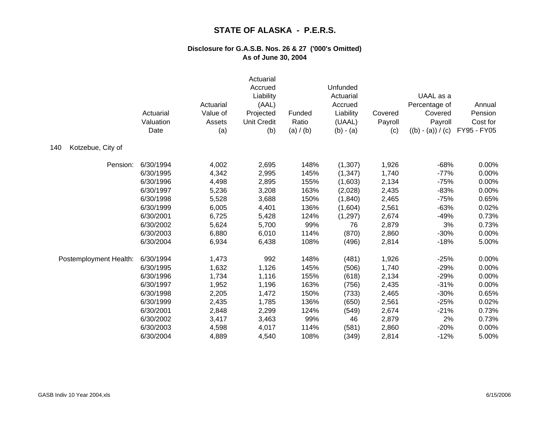|                          | Actuarial<br>Valuation<br>Date | Actuarial<br>Value of<br>Assets<br>(a) | Actuarial<br>Accrued<br>Liability<br>(AAL)<br>Projected<br><b>Unit Credit</b><br>(b) | Funded<br>Ratio<br>(a) / (b) | Unfunded<br>Actuarial<br>Accrued<br>Liability<br>(UAAL)<br>$(b) - (a)$ | Covered<br>Payroll<br>(c) | UAAL as a<br>Percentage of<br>Covered<br>Payroll<br>$((b) - (a)) / (c)$ | Annual<br>Pension<br>Cost for<br>FY95 - FY05 |
|--------------------------|--------------------------------|----------------------------------------|--------------------------------------------------------------------------------------|------------------------------|------------------------------------------------------------------------|---------------------------|-------------------------------------------------------------------------|----------------------------------------------|
| Kotzebue, City of<br>140 |                                |                                        |                                                                                      |                              |                                                                        |                           |                                                                         |                                              |
| Pension:                 | 6/30/1994                      | 4,002                                  | 2,695                                                                                | 148%                         | (1,307)                                                                | 1,926                     | $-68%$                                                                  | 0.00%                                        |
|                          | 6/30/1995                      | 4,342                                  | 2,995                                                                                | 145%                         | (1, 347)                                                               | 1,740                     | $-77%$                                                                  | 0.00%                                        |
|                          | 6/30/1996                      | 4,498                                  | 2,895                                                                                | 155%                         | (1,603)                                                                | 2,134                     | $-75%$                                                                  | 0.00%                                        |
|                          | 6/30/1997                      | 5,236                                  | 3,208                                                                                | 163%                         | (2,028)                                                                | 2,435                     | $-83%$                                                                  | 0.00%                                        |
|                          | 6/30/1998                      | 5,528                                  | 3,688                                                                                | 150%                         | (1,840)                                                                | 2,465                     | $-75%$                                                                  | 0.65%                                        |
|                          | 6/30/1999                      | 6,005                                  | 4,401                                                                                | 136%                         | (1,604)                                                                | 2,561                     | $-63%$                                                                  | 0.02%                                        |
|                          | 6/30/2001                      | 6,725                                  | 5,428                                                                                | 124%                         | (1, 297)                                                               | 2,674                     | $-49%$                                                                  | 0.73%                                        |
|                          | 6/30/2002                      | 5,624                                  | 5,700                                                                                | 99%                          | 76                                                                     | 2,879                     | 3%                                                                      | 0.73%                                        |
|                          | 6/30/2003                      | 6,880                                  | 6,010                                                                                | 114%                         | (870)                                                                  | 2,860                     | $-30%$                                                                  | 0.00%                                        |
|                          | 6/30/2004                      | 6,934                                  | 6,438                                                                                | 108%                         | (496)                                                                  | 2,814                     | $-18%$                                                                  | 5.00%                                        |
| Postemployment Health:   | 6/30/1994                      | 1,473                                  | 992                                                                                  | 148%                         | (481)                                                                  | 1,926                     | $-25%$                                                                  | 0.00%                                        |
|                          | 6/30/1995                      | 1,632                                  | 1,126                                                                                | 145%                         | (506)                                                                  | 1,740                     | $-29%$                                                                  | 0.00%                                        |
|                          | 6/30/1996                      | 1,734                                  | 1,116                                                                                | 155%                         | (618)                                                                  | 2,134                     | $-29%$                                                                  | 0.00%                                        |
|                          | 6/30/1997                      | 1,952                                  | 1,196                                                                                | 163%                         | (756)                                                                  | 2,435                     | $-31%$                                                                  | 0.00%                                        |
|                          | 6/30/1998                      | 2,205                                  | 1,472                                                                                | 150%                         | (733)                                                                  | 2,465                     | $-30%$                                                                  | 0.65%                                        |
|                          | 6/30/1999                      | 2,435                                  | 1,785                                                                                | 136%                         | (650)                                                                  | 2,561                     | $-25%$                                                                  | 0.02%                                        |
|                          | 6/30/2001                      | 2,848                                  | 2,299                                                                                | 124%                         | (549)                                                                  | 2,674                     | $-21%$                                                                  | 0.73%                                        |
|                          | 6/30/2002                      | 3,417                                  | 3,463                                                                                | 99%                          | 46                                                                     | 2,879                     | 2%                                                                      | 0.73%                                        |
|                          | 6/30/2003                      | 4,598                                  | 4,017                                                                                | 114%                         | (581)                                                                  | 2,860                     | $-20%$                                                                  | 0.00%                                        |
|                          | 6/30/2004                      | 4,889                                  | 4,540                                                                                | 108%                         | (349)                                                                  | 2,814                     | $-12%$                                                                  | 5.00%                                        |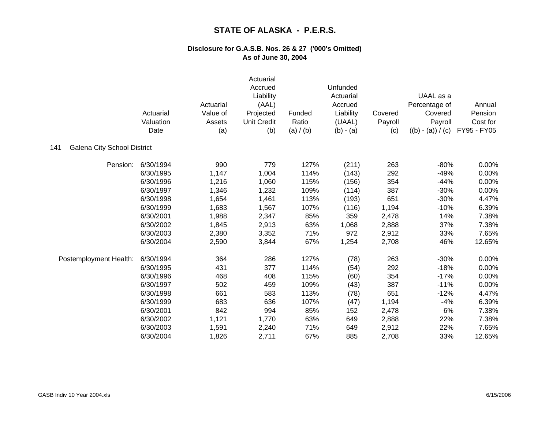|                                           | Actuarial<br>Valuation<br>Date | Actuarial<br>Value of<br>Assets<br>(a) | Actuarial<br>Accrued<br>Liability<br>(AAL)<br>Projected<br><b>Unit Credit</b><br>(b) | Funded<br>Ratio<br>(a) / (b) | Unfunded<br>Actuarial<br>Accrued<br>Liability<br>(UAAL)<br>$(b) - (a)$ | Covered<br>Payroll<br>(c) | UAAL as a<br>Percentage of<br>Covered<br>Payroll<br>$((b) - (a)) / (c)$ | Annual<br>Pension<br>Cost for<br>FY95 - FY05 |
|-------------------------------------------|--------------------------------|----------------------------------------|--------------------------------------------------------------------------------------|------------------------------|------------------------------------------------------------------------|---------------------------|-------------------------------------------------------------------------|----------------------------------------------|
| <b>Galena City School District</b><br>141 |                                |                                        |                                                                                      |                              |                                                                        |                           |                                                                         |                                              |
| Pension:                                  | 6/30/1994                      | 990                                    | 779                                                                                  | 127%                         | (211)                                                                  | 263                       | $-80%$                                                                  | 0.00%                                        |
|                                           | 6/30/1995                      | 1,147                                  | 1,004                                                                                | 114%                         | (143)                                                                  | 292                       | $-49%$                                                                  | 0.00%                                        |
|                                           | 6/30/1996                      | 1,216                                  | 1,060                                                                                | 115%                         | (156)                                                                  | 354                       | $-44%$                                                                  | 0.00%                                        |
|                                           | 6/30/1997                      | 1,346                                  | 1,232                                                                                | 109%                         | (114)                                                                  | 387                       | $-30%$                                                                  | 0.00%                                        |
|                                           | 6/30/1998                      | 1,654                                  | 1,461                                                                                | 113%                         | (193)                                                                  | 651                       | $-30%$                                                                  | 4.47%                                        |
|                                           | 6/30/1999                      | 1,683                                  | 1,567                                                                                | 107%                         | (116)                                                                  | 1,194                     | $-10%$                                                                  | 6.39%                                        |
|                                           | 6/30/2001                      | 1,988                                  | 2,347                                                                                | 85%                          | 359                                                                    | 2,478                     | 14%                                                                     | 7.38%                                        |
|                                           | 6/30/2002                      | 1,845                                  | 2,913                                                                                | 63%                          | 1,068                                                                  | 2,888                     | 37%                                                                     | 7.38%                                        |
|                                           | 6/30/2003                      | 2,380                                  | 3,352                                                                                | 71%                          | 972                                                                    | 2,912                     | 33%                                                                     | 7.65%                                        |
|                                           | 6/30/2004                      | 2,590                                  | 3,844                                                                                | 67%                          | 1,254                                                                  | 2,708                     | 46%                                                                     | 12.65%                                       |
| Postemployment Health:                    | 6/30/1994                      | 364                                    | 286                                                                                  | 127%                         | (78)                                                                   | 263                       | $-30%$                                                                  | 0.00%                                        |
|                                           | 6/30/1995                      | 431                                    | 377                                                                                  | 114%                         | (54)                                                                   | 292                       | $-18%$                                                                  | 0.00%                                        |
|                                           | 6/30/1996                      | 468                                    | 408                                                                                  | 115%                         | (60)                                                                   | 354                       | $-17%$                                                                  | 0.00%                                        |
|                                           | 6/30/1997                      | 502                                    | 459                                                                                  | 109%                         | (43)                                                                   | 387                       | $-11%$                                                                  | 0.00%                                        |
|                                           | 6/30/1998                      | 661                                    | 583                                                                                  | 113%                         | (78)                                                                   | 651                       | $-12%$                                                                  | 4.47%                                        |
|                                           | 6/30/1999                      | 683                                    | 636                                                                                  | 107%                         | (47)                                                                   | 1,194                     | $-4%$                                                                   | 6.39%                                        |
|                                           | 6/30/2001                      | 842                                    | 994                                                                                  | 85%                          | 152                                                                    | 2,478                     | 6%                                                                      | 7.38%                                        |
|                                           | 6/30/2002                      | 1,121                                  | 1,770                                                                                | 63%                          | 649                                                                    | 2,888                     | 22%                                                                     | 7.38%                                        |
|                                           | 6/30/2003                      | 1,591                                  | 2,240                                                                                | 71%                          | 649                                                                    | 2,912                     | 22%                                                                     | 7.65%                                        |
|                                           | 6/30/2004                      | 1,826                                  | 2,711                                                                                | 67%                          | 885                                                                    | 2,708                     | 33%                                                                     | 12.65%                                       |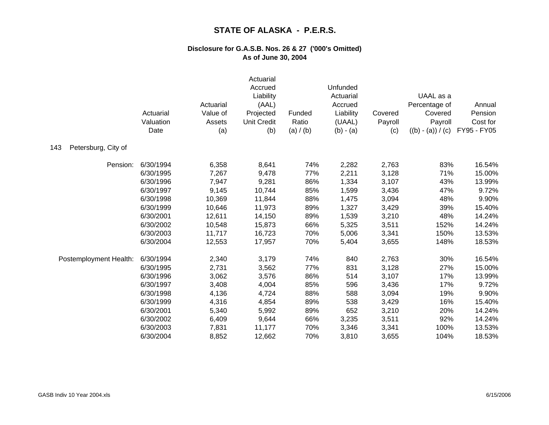|                            | Actuarial<br>Valuation<br>Date | Actuarial<br>Value of<br>Assets<br>(a) | Actuarial<br>Accrued<br>Liability<br>(AAL)<br>Projected<br><b>Unit Credit</b><br>(b) | Funded<br>Ratio<br>(a) / (b) | Unfunded<br>Actuarial<br>Accrued<br>Liability<br>(UAAL)<br>$(b) - (a)$ | Covered<br>Payroll<br>(c) | UAAL as a<br>Percentage of<br>Covered<br>Payroll<br>$((b) - (a)) / (c)$ | Annual<br>Pension<br>Cost for<br>FY95 - FY05 |
|----------------------------|--------------------------------|----------------------------------------|--------------------------------------------------------------------------------------|------------------------------|------------------------------------------------------------------------|---------------------------|-------------------------------------------------------------------------|----------------------------------------------|
| Petersburg, City of<br>143 |                                |                                        |                                                                                      |                              |                                                                        |                           |                                                                         |                                              |
| Pension:                   | 6/30/1994                      | 6,358                                  | 8,641                                                                                | 74%                          | 2,282                                                                  | 2,763                     | 83%                                                                     | 16.54%                                       |
|                            | 6/30/1995                      | 7,267                                  | 9,478                                                                                | 77%                          | 2,211                                                                  | 3,128                     | 71%                                                                     | 15.00%                                       |
|                            | 6/30/1996                      | 7,947                                  | 9,281                                                                                | 86%                          | 1,334                                                                  | 3,107                     | 43%                                                                     | 13.99%                                       |
|                            | 6/30/1997                      | 9,145                                  | 10,744                                                                               | 85%                          | 1,599                                                                  | 3,436                     | 47%                                                                     | 9.72%                                        |
|                            | 6/30/1998                      | 10,369                                 | 11,844                                                                               | 88%                          | 1,475                                                                  | 3,094                     | 48%                                                                     | 9.90%                                        |
|                            | 6/30/1999                      | 10,646                                 | 11,973                                                                               | 89%                          | 1,327                                                                  | 3,429                     | 39%                                                                     | 15.40%                                       |
|                            | 6/30/2001                      | 12,611                                 | 14,150                                                                               | 89%                          | 1,539                                                                  | 3,210                     | 48%                                                                     | 14.24%                                       |
|                            | 6/30/2002                      | 10,548                                 | 15,873                                                                               | 66%                          | 5,325                                                                  | 3,511                     | 152%                                                                    | 14.24%                                       |
|                            | 6/30/2003                      | 11,717                                 | 16,723                                                                               | 70%                          | 5,006                                                                  | 3,341                     | 150%                                                                    | 13.53%                                       |
|                            | 6/30/2004                      | 12,553                                 | 17,957                                                                               | 70%                          | 5,404                                                                  | 3,655                     | 148%                                                                    | 18.53%                                       |
| Postemployment Health:     | 6/30/1994                      | 2,340                                  | 3,179                                                                                | 74%                          | 840                                                                    | 2,763                     | 30%                                                                     | 16.54%                                       |
|                            | 6/30/1995                      | 2,731                                  | 3,562                                                                                | 77%                          | 831                                                                    | 3,128                     | 27%                                                                     | 15.00%                                       |
|                            | 6/30/1996                      | 3,062                                  | 3,576                                                                                | 86%                          | 514                                                                    | 3,107                     | 17%                                                                     | 13.99%                                       |
|                            | 6/30/1997                      | 3,408                                  | 4,004                                                                                | 85%                          | 596                                                                    | 3,436                     | 17%                                                                     | 9.72%                                        |
|                            | 6/30/1998                      | 4,136                                  | 4,724                                                                                | 88%                          | 588                                                                    | 3,094                     | 19%                                                                     | 9.90%                                        |
|                            | 6/30/1999                      | 4,316                                  | 4,854                                                                                | 89%                          | 538                                                                    | 3,429                     | 16%                                                                     | 15.40%                                       |
|                            | 6/30/2001                      | 5,340                                  | 5,992                                                                                | 89%                          | 652                                                                    | 3,210                     | 20%                                                                     | 14.24%                                       |
|                            | 6/30/2002                      | 6,409                                  | 9,644                                                                                | 66%                          | 3,235                                                                  | 3,511                     | 92%                                                                     | 14.24%                                       |
|                            | 6/30/2003                      | 7,831                                  | 11,177                                                                               | 70%                          | 3,346                                                                  | 3,341                     | 100%                                                                    | 13.53%                                       |
|                            | 6/30/2004                      | 8,852                                  | 12,662                                                                               | 70%                          | 3,810                                                                  | 3,655                     | 104%                                                                    | 18.53%                                       |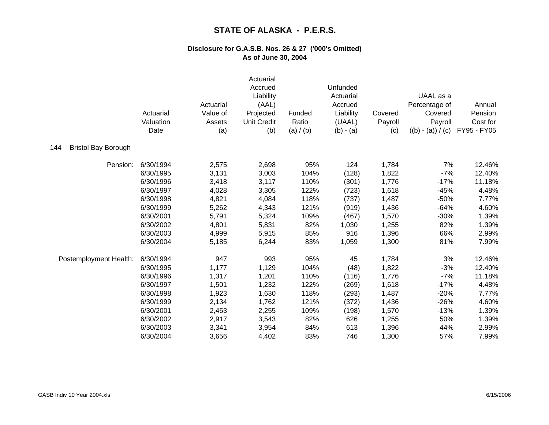|                                   | Actuarial<br>Valuation<br>Date | Actuarial<br>Value of<br>Assets<br>(a) | Actuarial<br>Accrued<br>Liability<br>(AAL)<br>Projected<br><b>Unit Credit</b><br>(b) | Funded<br>Ratio<br>(a) / (b) | Unfunded<br>Actuarial<br>Accrued<br>Liability<br>(UAAL)<br>$(b) - (a)$ | Covered<br>Payroll<br>(c) | UAAL as a<br>Percentage of<br>Covered<br>Payroll<br>$((b) - (a)) / (c)$ | Annual<br>Pension<br>Cost for<br>FY95 - FY05 |
|-----------------------------------|--------------------------------|----------------------------------------|--------------------------------------------------------------------------------------|------------------------------|------------------------------------------------------------------------|---------------------------|-------------------------------------------------------------------------|----------------------------------------------|
| <b>Bristol Bay Borough</b><br>144 |                                |                                        |                                                                                      |                              |                                                                        |                           |                                                                         |                                              |
| Pension:                          | 6/30/1994                      | 2,575                                  | 2,698                                                                                | 95%                          | 124                                                                    | 1,784                     | 7%                                                                      | 12.46%                                       |
|                                   | 6/30/1995                      | 3,131                                  | 3,003                                                                                | 104%                         | (128)                                                                  | 1,822                     | $-7%$                                                                   | 12.40%                                       |
|                                   | 6/30/1996                      | 3,418                                  | 3,117                                                                                | 110%                         | (301)                                                                  | 1,776                     | $-17%$                                                                  | 11.18%                                       |
|                                   | 6/30/1997                      | 4,028                                  | 3,305                                                                                | 122%                         | (723)                                                                  | 1,618                     | $-45%$                                                                  | 4.48%                                        |
|                                   | 6/30/1998                      | 4,821                                  | 4,084                                                                                | 118%                         | (737)                                                                  | 1,487                     | $-50%$                                                                  | 7.77%                                        |
|                                   | 6/30/1999                      | 5,262                                  | 4,343                                                                                | 121%                         | (919)                                                                  | 1,436                     | $-64%$                                                                  | 4.60%                                        |
|                                   | 6/30/2001                      | 5,791                                  | 5,324                                                                                | 109%                         | (467)                                                                  | 1,570                     | $-30%$                                                                  | 1.39%                                        |
|                                   | 6/30/2002                      | 4,801                                  | 5,831                                                                                | 82%                          | 1,030                                                                  | 1,255                     | 82%                                                                     | 1.39%                                        |
|                                   | 6/30/2003                      | 4,999                                  | 5,915                                                                                | 85%                          | 916                                                                    | 1,396                     | 66%                                                                     | 2.99%                                        |
|                                   | 6/30/2004                      | 5,185                                  | 6,244                                                                                | 83%                          | 1,059                                                                  | 1,300                     | 81%                                                                     | 7.99%                                        |
| Postemployment Health:            | 6/30/1994                      | 947                                    | 993                                                                                  | 95%                          | 45                                                                     | 1,784                     | 3%                                                                      | 12.46%                                       |
|                                   | 6/30/1995                      | 1,177                                  | 1,129                                                                                | 104%                         | (48)                                                                   | 1,822                     | $-3%$                                                                   | 12.40%                                       |
|                                   | 6/30/1996                      | 1,317                                  | 1,201                                                                                | 110%                         | (116)                                                                  | 1,776                     | $-7%$                                                                   | 11.18%                                       |
|                                   | 6/30/1997                      | 1,501                                  | 1,232                                                                                | 122%                         | (269)                                                                  | 1,618                     | $-17%$                                                                  | 4.48%                                        |
|                                   | 6/30/1998                      | 1,923                                  | 1,630                                                                                | 118%                         | (293)                                                                  | 1,487                     | $-20%$                                                                  | 7.77%                                        |
|                                   | 6/30/1999                      | 2,134                                  | 1,762                                                                                | 121%                         | (372)                                                                  | 1,436                     | $-26%$                                                                  | 4.60%                                        |
|                                   | 6/30/2001                      | 2,453                                  | 2,255                                                                                | 109%                         | (198)                                                                  | 1,570                     | $-13%$                                                                  | 1.39%                                        |
|                                   | 6/30/2002                      | 2,917                                  | 3,543                                                                                | 82%                          | 626                                                                    | 1,255                     | 50%                                                                     | 1.39%                                        |
|                                   | 6/30/2003                      | 3,341                                  | 3,954                                                                                | 84%                          | 613                                                                    | 1,396                     | 44%                                                                     | 2.99%                                        |
|                                   | 6/30/2004                      | 3,656                                  | 4,402                                                                                | 83%                          | 746                                                                    | 1,300                     | 57%                                                                     | 7.99%                                        |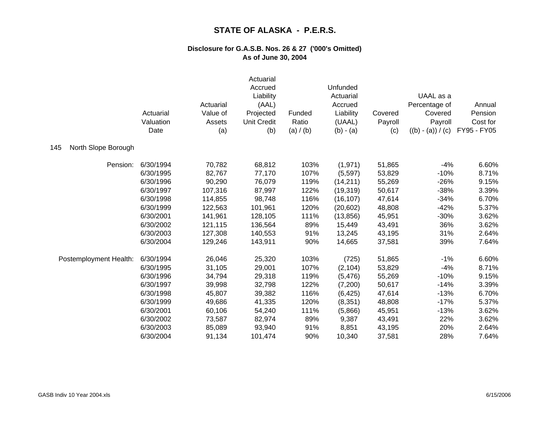|                            | Actuarial<br>Valuation<br>Date | Actuarial<br>Value of<br>Assets<br>(a) | Actuarial<br>Accrued<br>Liability<br>(AAL)<br>Projected<br><b>Unit Credit</b><br>(b) | Funded<br>Ratio<br>(a) / (b) | Unfunded<br>Actuarial<br>Accrued<br>Liability<br>(UAAL)<br>$(b) - (a)$ | Covered<br>Payroll<br>(c) | UAAL as a<br>Percentage of<br>Covered<br>Payroll<br>$((b) - (a)) / (c)$ | Annual<br>Pension<br>Cost for<br>FY95 - FY05 |
|----------------------------|--------------------------------|----------------------------------------|--------------------------------------------------------------------------------------|------------------------------|------------------------------------------------------------------------|---------------------------|-------------------------------------------------------------------------|----------------------------------------------|
| North Slope Borough<br>145 |                                |                                        |                                                                                      |                              |                                                                        |                           |                                                                         |                                              |
| Pension:                   | 6/30/1994                      | 70,782                                 | 68,812                                                                               | 103%                         | (1,971)                                                                | 51,865                    | $-4%$                                                                   | 6.60%                                        |
|                            | 6/30/1995                      | 82,767                                 | 77,170                                                                               | 107%                         | (5,597)                                                                | 53,829                    | $-10%$                                                                  | 8.71%                                        |
|                            | 6/30/1996                      | 90,290                                 | 76,079                                                                               | 119%                         | (14, 211)                                                              | 55,269                    | $-26%$                                                                  | 9.15%                                        |
|                            | 6/30/1997                      | 107,316                                | 87,997                                                                               | 122%                         | (19, 319)                                                              | 50,617                    | $-38%$                                                                  | 3.39%                                        |
|                            | 6/30/1998                      | 114,855                                | 98,748                                                                               | 116%                         | (16, 107)                                                              | 47,614                    | $-34%$                                                                  | 6.70%                                        |
|                            | 6/30/1999                      | 122,563                                | 101,961                                                                              | 120%                         | (20, 602)                                                              | 48,808                    | $-42%$                                                                  | 5.37%                                        |
|                            | 6/30/2001                      | 141,961                                | 128,105                                                                              | 111%                         | (13, 856)                                                              | 45,951                    | $-30%$                                                                  | 3.62%                                        |
|                            | 6/30/2002                      | 121,115                                | 136,564                                                                              | 89%                          | 15,449                                                                 | 43,491                    | 36%                                                                     | 3.62%                                        |
|                            | 6/30/2003                      | 127,308                                | 140,553                                                                              | 91%                          | 13,245                                                                 | 43,195                    | 31%                                                                     | 2.64%                                        |
|                            | 6/30/2004                      | 129,246                                | 143,911                                                                              | 90%                          | 14,665                                                                 | 37,581                    | 39%                                                                     | 7.64%                                        |
| Postemployment Health:     | 6/30/1994                      | 26,046                                 | 25,320                                                                               | 103%                         | (725)                                                                  | 51,865                    | $-1%$                                                                   | 6.60%                                        |
|                            | 6/30/1995                      | 31,105                                 | 29,001                                                                               | 107%                         | (2, 104)                                                               | 53,829                    | $-4%$                                                                   | 8.71%                                        |
|                            | 6/30/1996                      | 34,794                                 | 29,318                                                                               | 119%                         | (5, 476)                                                               | 55,269                    | $-10%$                                                                  | 9.15%                                        |
|                            | 6/30/1997                      | 39,998                                 | 32,798                                                                               | 122%                         | (7,200)                                                                | 50,617                    | $-14%$                                                                  | 3.39%                                        |
|                            | 6/30/1998                      | 45,807                                 | 39,382                                                                               | 116%                         | (6, 425)                                                               | 47,614                    | $-13%$                                                                  | 6.70%                                        |
|                            | 6/30/1999                      | 49,686                                 | 41,335                                                                               | 120%                         | (8, 351)                                                               | 48,808                    | $-17%$                                                                  | 5.37%                                        |
|                            | 6/30/2001                      | 60,106                                 | 54,240                                                                               | 111%                         | (5,866)                                                                | 45,951                    | $-13%$                                                                  | 3.62%                                        |
|                            | 6/30/2002                      | 73,587                                 | 82,974                                                                               | 89%                          | 9,387                                                                  | 43,491                    | 22%                                                                     | 3.62%                                        |
|                            | 6/30/2003                      | 85,089                                 | 93,940                                                                               | 91%                          | 8,851                                                                  | 43,195                    | 20%                                                                     | 2.64%                                        |
|                            | 6/30/2004                      | 91,134                                 | 101,474                                                                              | 90%                          | 10,340                                                                 | 37,581                    | 28%                                                                     | 7.64%                                        |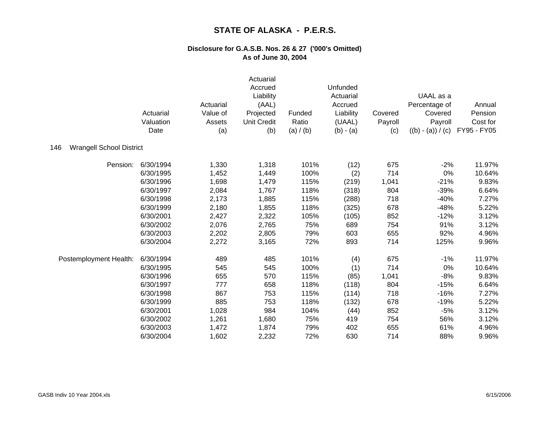|                                        | Actuarial<br>Valuation<br>Date | Actuarial<br>Value of<br>Assets<br>(a) | Actuarial<br>Accrued<br>Liability<br>(AAL)<br>Projected<br><b>Unit Credit</b><br>(b) | Funded<br>Ratio<br>(a) / (b) | Unfunded<br>Actuarial<br>Accrued<br>Liability<br>(UAAL)<br>$(b) - (a)$ | Covered<br>Payroll<br>(c) | UAAL as a<br>Percentage of<br>Covered<br>Payroll<br>$((b) - (a)) / (c)$ | Annual<br>Pension<br>Cost for<br>FY95 - FY05 |
|----------------------------------------|--------------------------------|----------------------------------------|--------------------------------------------------------------------------------------|------------------------------|------------------------------------------------------------------------|---------------------------|-------------------------------------------------------------------------|----------------------------------------------|
| <b>Wrangell School District</b><br>146 |                                |                                        |                                                                                      |                              |                                                                        |                           |                                                                         |                                              |
| Pension:                               | 6/30/1994                      | 1,330                                  | 1,318                                                                                | 101%                         | (12)                                                                   | 675                       | $-2%$                                                                   | 11.97%                                       |
|                                        | 6/30/1995                      | 1,452                                  | 1,449                                                                                | 100%                         | (2)                                                                    | 714                       | 0%                                                                      | 10.64%                                       |
|                                        | 6/30/1996                      | 1,698                                  | 1,479                                                                                | 115%                         | (219)                                                                  | 1,041                     | $-21%$                                                                  | 9.83%                                        |
|                                        | 6/30/1997                      | 2,084                                  | 1,767                                                                                | 118%                         | (318)                                                                  | 804                       | $-39%$                                                                  | 6.64%                                        |
|                                        | 6/30/1998                      | 2,173                                  | 1,885                                                                                | 115%                         | (288)                                                                  | 718                       | $-40%$                                                                  | 7.27%                                        |
|                                        | 6/30/1999                      | 2,180                                  | 1,855                                                                                | 118%                         | (325)                                                                  | 678                       | $-48%$                                                                  | 5.22%                                        |
|                                        | 6/30/2001                      | 2,427                                  | 2,322                                                                                | 105%                         | (105)                                                                  | 852                       | $-12%$                                                                  | 3.12%                                        |
|                                        | 6/30/2002                      | 2,076                                  | 2,765                                                                                | 75%                          | 689                                                                    | 754                       | 91%                                                                     | 3.12%                                        |
|                                        | 6/30/2003                      | 2,202                                  | 2,805                                                                                | 79%                          | 603                                                                    | 655                       | 92%                                                                     | 4.96%                                        |
|                                        | 6/30/2004                      | 2,272                                  | 3,165                                                                                | 72%                          | 893                                                                    | 714                       | 125%                                                                    | 9.96%                                        |
| Postemployment Health:                 | 6/30/1994                      | 489                                    | 485                                                                                  | 101%                         | (4)                                                                    | 675                       | $-1%$                                                                   | 11.97%                                       |
|                                        | 6/30/1995                      | 545                                    | 545                                                                                  | 100%                         | (1)                                                                    | 714                       | 0%                                                                      | 10.64%                                       |
|                                        | 6/30/1996                      | 655                                    | 570                                                                                  | 115%                         | (85)                                                                   | 1,041                     | $-8%$                                                                   | 9.83%                                        |
|                                        | 6/30/1997                      | 777                                    | 658                                                                                  | 118%                         | (118)                                                                  | 804                       | $-15%$                                                                  | 6.64%                                        |
|                                        | 6/30/1998                      | 867                                    | 753                                                                                  | 115%                         | (114)                                                                  | 718                       | $-16%$                                                                  | 7.27%                                        |
|                                        | 6/30/1999                      | 885                                    | 753                                                                                  | 118%                         | (132)                                                                  | 678                       | $-19%$                                                                  | 5.22%                                        |
|                                        | 6/30/2001                      | 1,028                                  | 984                                                                                  | 104%                         | (44)                                                                   | 852                       | $-5%$                                                                   | 3.12%                                        |
|                                        | 6/30/2002                      | 1,261                                  | 1,680                                                                                | 75%                          | 419                                                                    | 754                       | 56%                                                                     | 3.12%                                        |
|                                        | 6/30/2003                      | 1,472                                  | 1,874                                                                                | 79%                          | 402                                                                    | 655                       | 61%                                                                     | 4.96%                                        |
|                                        | 6/30/2004                      | 1,602                                  | 2,232                                                                                | 72%                          | 630                                                                    | 714                       | 88%                                                                     | 9.96%                                        |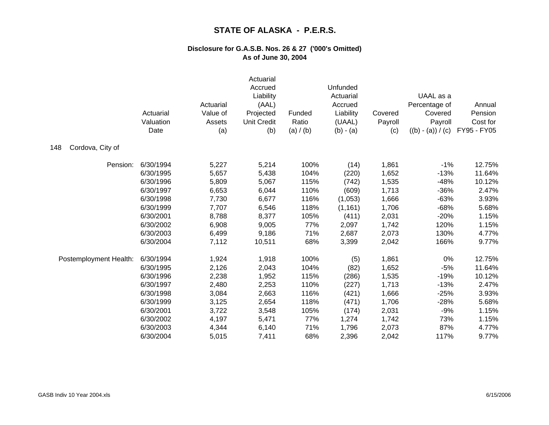|                         | Actuarial<br>Valuation<br>Date | Actuarial<br>Value of<br>Assets<br>(a) | Actuarial<br>Accrued<br>Liability<br>(AAL)<br>Projected<br><b>Unit Credit</b><br>(b) | Funded<br>Ratio<br>(a) / (b) | Unfunded<br>Actuarial<br>Accrued<br>Liability<br>(UAAL)<br>$(b) - (a)$ | Covered<br>Payroll<br>(c) | UAAL as a<br>Percentage of<br>Covered<br>Payroll<br>$((b) - (a)) / (c)$ | Annual<br>Pension<br>Cost for<br>FY95 - FY05 |
|-------------------------|--------------------------------|----------------------------------------|--------------------------------------------------------------------------------------|------------------------------|------------------------------------------------------------------------|---------------------------|-------------------------------------------------------------------------|----------------------------------------------|
| Cordova, City of<br>148 |                                |                                        |                                                                                      |                              |                                                                        |                           |                                                                         |                                              |
| Pension:                | 6/30/1994                      | 5,227                                  | 5,214                                                                                | 100%                         | (14)                                                                   | 1,861                     | $-1%$                                                                   | 12.75%                                       |
|                         | 6/30/1995                      | 5,657                                  | 5,438                                                                                | 104%                         | (220)                                                                  | 1,652                     | $-13%$                                                                  | 11.64%                                       |
|                         | 6/30/1996                      | 5,809                                  | 5,067                                                                                | 115%                         | (742)                                                                  | 1,535                     | $-48%$                                                                  | 10.12%                                       |
|                         | 6/30/1997                      | 6,653                                  | 6,044                                                                                | 110%                         | (609)                                                                  | 1,713                     | $-36%$                                                                  | 2.47%                                        |
|                         | 6/30/1998                      | 7,730                                  | 6,677                                                                                | 116%                         | (1,053)                                                                | 1,666                     | $-63%$                                                                  | 3.93%                                        |
|                         | 6/30/1999                      | 7,707                                  | 6,546                                                                                | 118%                         | (1, 161)                                                               | 1,706                     | $-68%$                                                                  | 5.68%                                        |
|                         | 6/30/2001                      | 8,788                                  | 8,377                                                                                | 105%                         | (411)                                                                  | 2,031                     | $-20%$                                                                  | 1.15%                                        |
|                         | 6/30/2002                      | 6,908                                  | 9,005                                                                                | 77%                          | 2,097                                                                  | 1,742                     | 120%                                                                    | 1.15%                                        |
|                         | 6/30/2003                      | 6,499                                  | 9,186                                                                                | 71%                          | 2,687                                                                  | 2,073                     | 130%                                                                    | 4.77%                                        |
|                         | 6/30/2004                      | 7,112                                  | 10,511                                                                               | 68%                          | 3,399                                                                  | 2,042                     | 166%                                                                    | 9.77%                                        |
| Postemployment Health:  | 6/30/1994                      | 1,924                                  | 1,918                                                                                | 100%                         | (5)                                                                    | 1,861                     | 0%                                                                      | 12.75%                                       |
|                         | 6/30/1995                      | 2,126                                  | 2,043                                                                                | 104%                         | (82)                                                                   | 1,652                     | $-5%$                                                                   | 11.64%                                       |
|                         | 6/30/1996                      | 2,238                                  | 1,952                                                                                | 115%                         | (286)                                                                  | 1,535                     | $-19%$                                                                  | 10.12%                                       |
|                         | 6/30/1997                      | 2,480                                  | 2,253                                                                                | 110%                         | (227)                                                                  | 1,713                     | $-13%$                                                                  | 2.47%                                        |
|                         | 6/30/1998                      | 3,084                                  | 2,663                                                                                | 116%                         | (421)                                                                  | 1,666                     | $-25%$                                                                  | 3.93%                                        |
|                         | 6/30/1999                      | 3,125                                  | 2,654                                                                                | 118%                         | (471)                                                                  | 1,706                     | $-28%$                                                                  | 5.68%                                        |
|                         | 6/30/2001                      | 3,722                                  | 3,548                                                                                | 105%                         | (174)                                                                  | 2,031                     | $-9%$                                                                   | 1.15%                                        |
|                         | 6/30/2002                      | 4,197                                  | 5,471                                                                                | 77%                          | 1,274                                                                  | 1,742                     | 73%                                                                     | 1.15%                                        |
|                         | 6/30/2003                      | 4,344                                  | 6,140                                                                                | 71%                          | 1,796                                                                  | 2,073                     | 87%                                                                     | 4.77%                                        |
|                         | 6/30/2004                      | 5,015                                  | 7,411                                                                                | 68%                          | 2,396                                                                  | 2,042                     | 117%                                                                    | 9.77%                                        |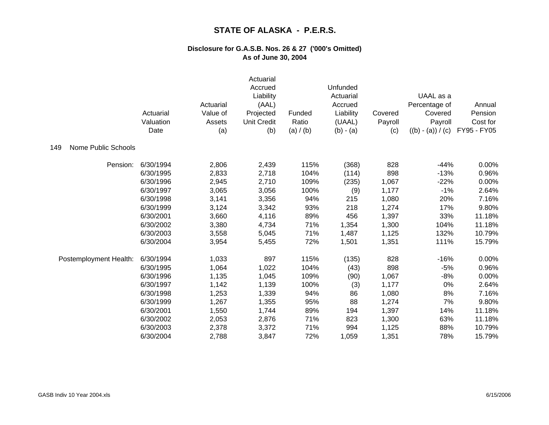|                            | Actuarial<br>Valuation<br>Date | Actuarial<br>Value of<br>Assets<br>(a) | Actuarial<br>Accrued<br>Liability<br>(AAL)<br>Projected<br><b>Unit Credit</b><br>(b) | Funded<br>Ratio<br>(a) / (b) | Unfunded<br>Actuarial<br>Accrued<br>Liability<br>(UAAL)<br>$(b) - (a)$ | Covered<br>Payroll<br>(c) | UAAL as a<br>Percentage of<br>Covered<br>Payroll<br>$((b) - (a)) / (c)$ | Annual<br>Pension<br>Cost for<br>FY95 - FY05 |
|----------------------------|--------------------------------|----------------------------------------|--------------------------------------------------------------------------------------|------------------------------|------------------------------------------------------------------------|---------------------------|-------------------------------------------------------------------------|----------------------------------------------|
| Nome Public Schools<br>149 |                                |                                        |                                                                                      |                              |                                                                        |                           |                                                                         |                                              |
| Pension:                   | 6/30/1994                      | 2,806                                  | 2,439                                                                                | 115%                         | (368)                                                                  | 828                       | $-44%$                                                                  | 0.00%                                        |
|                            | 6/30/1995                      | 2,833                                  | 2,718                                                                                | 104%                         | (114)                                                                  | 898                       | $-13%$                                                                  | 0.96%                                        |
|                            | 6/30/1996                      | 2,945                                  | 2,710                                                                                | 109%                         | (235)                                                                  | 1,067                     | $-22%$                                                                  | 0.00%                                        |
|                            | 6/30/1997                      | 3,065                                  | 3,056                                                                                | 100%                         | (9)                                                                    | 1,177                     | $-1%$                                                                   | 2.64%                                        |
|                            | 6/30/1998                      | 3,141                                  | 3,356                                                                                | 94%                          | 215                                                                    | 1,080                     | 20%                                                                     | 7.16%                                        |
|                            | 6/30/1999                      | 3,124                                  | 3,342                                                                                | 93%                          | 218                                                                    | 1,274                     | 17%                                                                     | 9.80%                                        |
|                            | 6/30/2001                      | 3,660                                  | 4,116                                                                                | 89%                          | 456                                                                    | 1,397                     | 33%                                                                     | 11.18%                                       |
|                            | 6/30/2002                      | 3,380                                  | 4,734                                                                                | 71%                          | 1,354                                                                  | 1,300                     | 104%                                                                    | 11.18%                                       |
|                            | 6/30/2003                      | 3,558                                  | 5,045                                                                                | 71%                          | 1,487                                                                  | 1,125                     | 132%                                                                    | 10.79%                                       |
|                            | 6/30/2004                      | 3,954                                  | 5,455                                                                                | 72%                          | 1,501                                                                  | 1,351                     | 111%                                                                    | 15.79%                                       |
| Postemployment Health:     | 6/30/1994                      | 1,033                                  | 897                                                                                  | 115%                         | (135)                                                                  | 828                       | $-16%$                                                                  | 0.00%                                        |
|                            | 6/30/1995                      | 1,064                                  | 1,022                                                                                | 104%                         | (43)                                                                   | 898                       | $-5%$                                                                   | 0.96%                                        |
|                            | 6/30/1996                      | 1,135                                  | 1,045                                                                                | 109%                         | (90)                                                                   | 1,067                     | $-8%$                                                                   | 0.00%                                        |
|                            | 6/30/1997                      | 1,142                                  | 1,139                                                                                | 100%                         | (3)                                                                    | 1,177                     | 0%                                                                      | 2.64%                                        |
|                            | 6/30/1998                      | 1,253                                  | 1,339                                                                                | 94%                          | 86                                                                     | 1,080                     | 8%                                                                      | 7.16%                                        |
|                            | 6/30/1999                      | 1,267                                  | 1,355                                                                                | 95%                          | 88                                                                     | 1,274                     | 7%                                                                      | 9.80%                                        |
|                            | 6/30/2001                      | 1,550                                  | 1,744                                                                                | 89%                          | 194                                                                    | 1,397                     | 14%                                                                     | 11.18%                                       |
|                            | 6/30/2002                      | 2,053                                  | 2,876                                                                                | 71%                          | 823                                                                    | 1,300                     | 63%                                                                     | 11.18%                                       |
|                            | 6/30/2003                      | 2,378                                  | 3,372                                                                                | 71%                          | 994                                                                    | 1,125                     | 88%                                                                     | 10.79%                                       |
|                            | 6/30/2004                      | 2,788                                  | 3,847                                                                                | 72%                          | 1,059                                                                  | 1,351                     | 78%                                                                     | 15.79%                                       |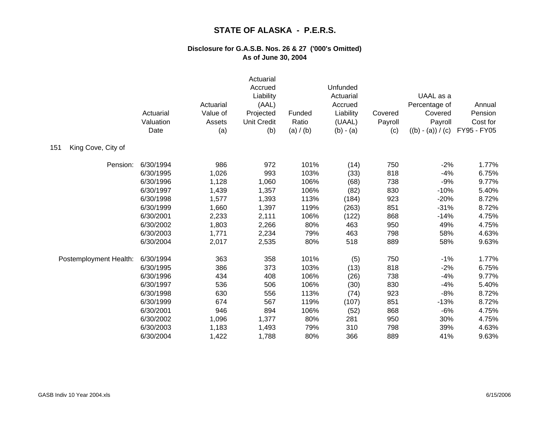|                           | Actuarial<br>Valuation<br>Date | Actuarial<br>Value of<br>Assets<br>(a) | Actuarial<br>Accrued<br>Liability<br>(AAL)<br>Projected<br><b>Unit Credit</b><br>(b) | Funded<br>Ratio<br>(a) / (b) | Unfunded<br>Actuarial<br>Accrued<br>Liability<br>(UAAL)<br>$(b) - (a)$ | Covered<br>Payroll<br>(c) | UAAL as a<br>Percentage of<br>Covered<br>Payroll<br>$((b) - (a)) / (c)$ | Annual<br>Pension<br>Cost for<br>FY95 - FY05 |
|---------------------------|--------------------------------|----------------------------------------|--------------------------------------------------------------------------------------|------------------------------|------------------------------------------------------------------------|---------------------------|-------------------------------------------------------------------------|----------------------------------------------|
| 151<br>King Cove, City of |                                |                                        |                                                                                      |                              |                                                                        |                           |                                                                         |                                              |
| Pension:                  | 6/30/1994                      | 986                                    | 972                                                                                  | 101%                         | (14)                                                                   | 750                       | $-2%$                                                                   | 1.77%                                        |
|                           | 6/30/1995                      | 1,026                                  | 993                                                                                  | 103%                         | (33)                                                                   | 818                       | $-4%$                                                                   | 6.75%                                        |
|                           | 6/30/1996                      | 1,128                                  | 1,060                                                                                | 106%                         | (68)                                                                   | 738                       | $-9%$                                                                   | 9.77%                                        |
|                           | 6/30/1997                      | 1,439                                  | 1,357                                                                                | 106%                         | (82)                                                                   | 830                       | $-10%$                                                                  | 5.40%                                        |
|                           | 6/30/1998                      | 1,577                                  | 1,393                                                                                | 113%                         | (184)                                                                  | 923                       | $-20%$                                                                  | 8.72%                                        |
|                           | 6/30/1999                      | 1,660                                  | 1,397                                                                                | 119%                         | (263)                                                                  | 851                       | $-31%$                                                                  | 8.72%                                        |
|                           | 6/30/2001                      | 2,233                                  | 2,111                                                                                | 106%                         | (122)                                                                  | 868                       | $-14%$                                                                  | 4.75%                                        |
|                           | 6/30/2002                      | 1,803                                  | 2,266                                                                                | 80%                          | 463                                                                    | 950                       | 49%                                                                     | 4.75%                                        |
|                           | 6/30/2003                      | 1,771                                  | 2,234                                                                                | 79%                          | 463                                                                    | 798                       | 58%                                                                     | 4.63%                                        |
|                           | 6/30/2004                      | 2,017                                  | 2,535                                                                                | 80%                          | 518                                                                    | 889                       | 58%                                                                     | 9.63%                                        |
| Postemployment Health:    | 6/30/1994                      | 363                                    | 358                                                                                  | 101%                         | (5)                                                                    | 750                       | $-1%$                                                                   | 1.77%                                        |
|                           | 6/30/1995                      | 386                                    | 373                                                                                  | 103%                         | (13)                                                                   | 818                       | $-2%$                                                                   | 6.75%                                        |
|                           | 6/30/1996                      | 434                                    | 408                                                                                  | 106%                         | (26)                                                                   | 738                       | $-4%$                                                                   | 9.77%                                        |
|                           | 6/30/1997                      | 536                                    | 506                                                                                  | 106%                         | (30)                                                                   | 830                       | $-4%$                                                                   | 5.40%                                        |
|                           | 6/30/1998                      | 630                                    | 556                                                                                  | 113%                         | (74)                                                                   | 923                       | $-8%$                                                                   | 8.72%                                        |
|                           | 6/30/1999                      | 674                                    | 567                                                                                  | 119%                         | (107)                                                                  | 851                       | $-13%$                                                                  | 8.72%                                        |
|                           | 6/30/2001                      | 946                                    | 894                                                                                  | 106%                         | (52)                                                                   | 868                       | $-6%$                                                                   | 4.75%                                        |
|                           | 6/30/2002                      | 1,096                                  | 1,377                                                                                | 80%                          | 281                                                                    | 950                       | 30%                                                                     | 4.75%                                        |
|                           | 6/30/2003                      | 1,183                                  | 1,493                                                                                | 79%                          | 310                                                                    | 798                       | 39%                                                                     | 4.63%                                        |
|                           | 6/30/2004                      | 1,422                                  | 1,788                                                                                | 80%                          | 366                                                                    | 889                       | 41%                                                                     | 9.63%                                        |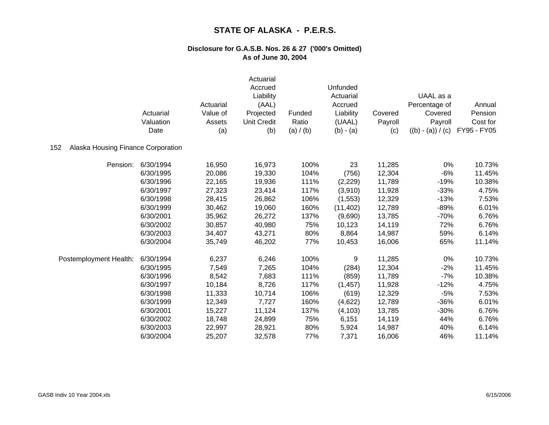|                                           | Actuarial<br>Valuation<br>Date | Actuarial<br>Value of<br>Assets<br>(a) | Actuarial<br>Accrued<br>Liability<br>(AAL)<br>Projected<br><b>Unit Credit</b><br>(b) | Funded<br>Ratio<br>(a) / (b) | Unfunded<br>Actuarial<br>Accrued<br>Liability<br>(UAAL)<br>$(b) - (a)$ | Covered<br>Payroll<br>(c) | UAAL as a<br>Percentage of<br>Covered<br>Payroll<br>$((b) - (a)) / (c)$ | Annual<br>Pension<br>Cost for<br>FY95 - FY05 |
|-------------------------------------------|--------------------------------|----------------------------------------|--------------------------------------------------------------------------------------|------------------------------|------------------------------------------------------------------------|---------------------------|-------------------------------------------------------------------------|----------------------------------------------|
| Alaska Housing Finance Corporation<br>152 |                                |                                        |                                                                                      |                              |                                                                        |                           |                                                                         |                                              |
| Pension:                                  | 6/30/1994                      | 16,950                                 | 16,973                                                                               | 100%                         | 23                                                                     | 11,285                    | 0%                                                                      | 10.73%                                       |
|                                           | 6/30/1995                      | 20,086                                 | 19,330                                                                               | 104%                         | (756)                                                                  | 12,304                    | $-6%$                                                                   | 11.45%                                       |
|                                           | 6/30/1996                      | 22,165                                 | 19,936                                                                               | 111%                         | (2,229)                                                                | 11,789                    | $-19%$                                                                  | 10.38%                                       |
|                                           | 6/30/1997                      | 27,323                                 | 23,414                                                                               | 117%                         | (3,910)                                                                | 11,928                    | $-33%$                                                                  | 4.75%                                        |
|                                           | 6/30/1998                      | 28,415                                 | 26,862                                                                               | 106%                         | (1, 553)                                                               | 12,329                    | $-13%$                                                                  | 7.53%                                        |
|                                           | 6/30/1999                      | 30,462                                 | 19,060                                                                               | 160%                         | (11, 402)                                                              | 12,789                    | $-89%$                                                                  | 6.01%                                        |
|                                           | 6/30/2001                      | 35,962                                 | 26,272                                                                               | 137%                         | (9,690)                                                                | 13,785                    | $-70%$                                                                  | 6.76%                                        |
|                                           | 6/30/2002                      | 30,857                                 | 40,980                                                                               | 75%                          | 10,123                                                                 | 14,119                    | 72%                                                                     | 6.76%                                        |
|                                           | 6/30/2003                      | 34,407                                 | 43,271                                                                               | 80%                          | 8,864                                                                  | 14,987                    | 59%                                                                     | 6.14%                                        |
|                                           | 6/30/2004                      | 35,749                                 | 46,202                                                                               | 77%                          | 10,453                                                                 | 16,006                    | 65%                                                                     | 11.14%                                       |
| Postemployment Health:                    | 6/30/1994                      | 6,237                                  | 6,246                                                                                | 100%                         | 9                                                                      | 11,285                    | 0%                                                                      | 10.73%                                       |
|                                           | 6/30/1995                      | 7,549                                  | 7,265                                                                                | 104%                         | (284)                                                                  | 12,304                    | $-2%$                                                                   | 11.45%                                       |
|                                           | 6/30/1996                      | 8,542                                  | 7,683                                                                                | 111%                         | (859)                                                                  | 11,789                    | $-7%$                                                                   | 10.38%                                       |
|                                           | 6/30/1997                      | 10,184                                 | 8,726                                                                                | 117%                         | (1, 457)                                                               | 11,928                    | $-12%$                                                                  | 4.75%                                        |
|                                           | 6/30/1998                      | 11,333                                 | 10,714                                                                               | 106%                         | (619)                                                                  | 12,329                    | $-5%$                                                                   | 7.53%                                        |
|                                           | 6/30/1999                      | 12,349                                 | 7,727                                                                                | 160%                         | (4,622)                                                                | 12,789                    | $-36%$                                                                  | 6.01%                                        |
|                                           | 6/30/2001                      | 15,227                                 | 11,124                                                                               | 137%                         | (4, 103)                                                               | 13,785                    | $-30%$                                                                  | 6.76%                                        |
|                                           | 6/30/2002                      | 18,748                                 | 24,899                                                                               | 75%                          | 6,151                                                                  | 14,119                    | 44%                                                                     | 6.76%                                        |
|                                           | 6/30/2003                      | 22,997                                 | 28,921                                                                               | 80%                          | 5,924                                                                  | 14,987                    | 40%                                                                     | 6.14%                                        |
|                                           | 6/30/2004                      | 25,207                                 | 32,578                                                                               | 77%                          | 7,371                                                                  | 16,006                    | 46%                                                                     | 11.14%                                       |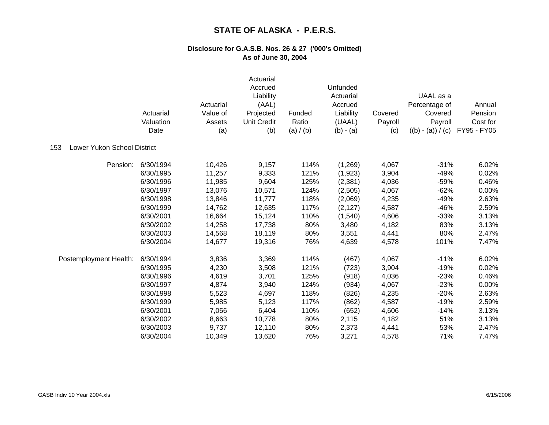|                                    | Actuarial<br>Valuation<br>Date | Actuarial<br>Value of<br>Assets<br>(a) | Actuarial<br>Accrued<br>Liability<br>(AAL)<br>Projected<br><b>Unit Credit</b><br>(b) | Funded<br>Ratio<br>(a) / (b) | Unfunded<br>Actuarial<br>Accrued<br>Liability<br>(UAAL)<br>$(b) - (a)$ | Covered<br>Payroll<br>(c) | UAAL as a<br>Percentage of<br>Covered<br>Payroll<br>$((b) - (a)) / (c)$ | Annual<br>Pension<br>Cost for<br>FY95 - FY05 |
|------------------------------------|--------------------------------|----------------------------------------|--------------------------------------------------------------------------------------|------------------------------|------------------------------------------------------------------------|---------------------------|-------------------------------------------------------------------------|----------------------------------------------|
| Lower Yukon School District<br>153 |                                |                                        |                                                                                      |                              |                                                                        |                           |                                                                         |                                              |
| Pension:                           | 6/30/1994                      | 10,426                                 | 9,157                                                                                | 114%                         | (1,269)                                                                | 4,067                     | $-31%$                                                                  | 6.02%                                        |
|                                    | 6/30/1995                      | 11,257                                 | 9,333                                                                                | 121%                         | (1,923)                                                                | 3,904                     | $-49%$                                                                  | 0.02%                                        |
|                                    | 6/30/1996                      | 11,985                                 | 9,604                                                                                | 125%                         | (2, 381)                                                               | 4,036                     | $-59%$                                                                  | 0.46%                                        |
|                                    | 6/30/1997                      | 13,076                                 | 10,571                                                                               | 124%                         | (2,505)                                                                | 4,067                     | $-62%$                                                                  | 0.00%                                        |
|                                    | 6/30/1998                      | 13,846                                 | 11,777                                                                               | 118%                         | (2,069)                                                                | 4,235                     | $-49%$                                                                  | 2.63%                                        |
|                                    | 6/30/1999                      | 14,762                                 | 12,635                                                                               | 117%                         | (2, 127)                                                               | 4,587                     | $-46%$                                                                  | 2.59%                                        |
|                                    | 6/30/2001                      | 16,664                                 | 15,124                                                                               | 110%                         | (1,540)                                                                | 4,606                     | $-33%$                                                                  | 3.13%                                        |
|                                    | 6/30/2002                      | 14,258                                 | 17,738                                                                               | 80%                          | 3,480                                                                  | 4,182                     | 83%                                                                     | 3.13%                                        |
|                                    | 6/30/2003                      | 14,568                                 | 18,119                                                                               | 80%                          | 3,551                                                                  | 4,441                     | 80%                                                                     | 2.47%                                        |
|                                    | 6/30/2004                      | 14,677                                 | 19,316                                                                               | 76%                          | 4,639                                                                  | 4,578                     | 101%                                                                    | 7.47%                                        |
| Postemployment Health:             | 6/30/1994                      | 3,836                                  | 3,369                                                                                | 114%                         | (467)                                                                  | 4,067                     | $-11%$                                                                  | 6.02%                                        |
|                                    | 6/30/1995                      | 4,230                                  | 3,508                                                                                | 121%                         | (723)                                                                  | 3,904                     | $-19%$                                                                  | 0.02%                                        |
|                                    | 6/30/1996                      | 4,619                                  | 3,701                                                                                | 125%                         | (918)                                                                  | 4,036                     | $-23%$                                                                  | 0.46%                                        |
|                                    | 6/30/1997                      | 4,874                                  | 3,940                                                                                | 124%                         | (934)                                                                  | 4,067                     | $-23%$                                                                  | 0.00%                                        |
|                                    | 6/30/1998                      | 5,523                                  | 4,697                                                                                | 118%                         | (826)                                                                  | 4,235                     | $-20%$                                                                  | 2.63%                                        |
|                                    | 6/30/1999                      | 5,985                                  | 5,123                                                                                | 117%                         | (862)                                                                  | 4,587                     | $-19%$                                                                  | 2.59%                                        |
|                                    | 6/30/2001                      | 7,056                                  | 6,404                                                                                | 110%                         | (652)                                                                  | 4,606                     | $-14%$                                                                  | 3.13%                                        |
|                                    | 6/30/2002                      | 8,663                                  | 10,778                                                                               | 80%                          | 2,115                                                                  | 4,182                     | 51%                                                                     | 3.13%                                        |
|                                    | 6/30/2003                      | 9,737                                  | 12,110                                                                               | 80%                          | 2,373                                                                  | 4,441                     | 53%                                                                     | 2.47%                                        |
|                                    | 6/30/2004                      | 10,349                                 | 13,620                                                                               | 76%                          | 3,271                                                                  | 4,578                     | 71%                                                                     | 7.47%                                        |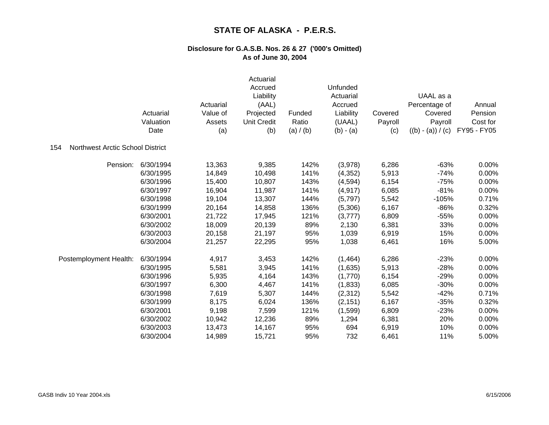|                                         | Actuarial<br>Valuation<br>Date | Actuarial<br>Value of<br>Assets<br>(a) | Actuarial<br>Accrued<br>Liability<br>(AAL)<br>Projected<br><b>Unit Credit</b><br>(b) | Funded<br>Ratio<br>(a) $/$ (b) | Unfunded<br>Actuarial<br>Accrued<br>Liability<br>(UAAL)<br>$(b) - (a)$ | Covered<br>Payroll<br>(c) | UAAL as a<br>Percentage of<br>Covered<br>Payroll<br>$((b) - (a)) / (c)$ | Annual<br>Pension<br>Cost for<br>FY95 - FY05 |
|-----------------------------------------|--------------------------------|----------------------------------------|--------------------------------------------------------------------------------------|--------------------------------|------------------------------------------------------------------------|---------------------------|-------------------------------------------------------------------------|----------------------------------------------|
| Northwest Arctic School District<br>154 |                                |                                        |                                                                                      |                                |                                                                        |                           |                                                                         |                                              |
| Pension:                                | 6/30/1994                      | 13,363                                 | 9,385                                                                                | 142%                           | (3,978)                                                                | 6,286                     | $-63%$                                                                  | 0.00%                                        |
|                                         | 6/30/1995                      | 14,849                                 | 10,498                                                                               | 141%                           | (4, 352)                                                               | 5,913                     | $-74%$                                                                  | 0.00%                                        |
|                                         | 6/30/1996                      | 15,400                                 | 10,807                                                                               | 143%                           | (4, 594)                                                               | 6,154                     | $-75%$                                                                  | 0.00%                                        |
|                                         | 6/30/1997                      | 16,904                                 | 11,987                                                                               | 141%                           | (4, 917)                                                               | 6,085                     | $-81%$                                                                  | 0.00%                                        |
|                                         | 6/30/1998                      | 19,104                                 | 13,307                                                                               | 144%                           | (5,797)                                                                | 5,542                     | $-105%$                                                                 | 0.71%                                        |
|                                         | 6/30/1999                      | 20,164                                 | 14,858                                                                               | 136%                           | (5,306)                                                                | 6,167                     | $-86%$                                                                  | 0.32%                                        |
|                                         | 6/30/2001                      | 21,722                                 | 17,945                                                                               | 121%                           | (3,777)                                                                | 6,809                     | $-55%$                                                                  | 0.00%                                        |
|                                         | 6/30/2002                      | 18,009                                 | 20,139                                                                               | 89%                            | 2,130                                                                  | 6,381                     | 33%                                                                     | 0.00%                                        |
|                                         | 6/30/2003                      | 20,158                                 | 21,197                                                                               | 95%                            | 1,039                                                                  | 6,919                     | 15%                                                                     | 0.00%                                        |
|                                         | 6/30/2004                      | 21,257                                 | 22,295                                                                               | 95%                            | 1,038                                                                  | 6,461                     | 16%                                                                     | 5.00%                                        |
| Postemployment Health:                  | 6/30/1994                      | 4,917                                  | 3,453                                                                                | 142%                           | (1,464)                                                                | 6,286                     | $-23%$                                                                  | 0.00%                                        |
|                                         | 6/30/1995                      | 5,581                                  | 3,945                                                                                | 141%                           | (1,635)                                                                | 5,913                     | $-28%$                                                                  | 0.00%                                        |
|                                         | 6/30/1996                      | 5,935                                  | 4,164                                                                                | 143%                           | (1,770)                                                                | 6,154                     | $-29%$                                                                  | 0.00%                                        |
|                                         | 6/30/1997                      | 6,300                                  | 4,467                                                                                | 141%                           | (1,833)                                                                | 6,085                     | $-30%$                                                                  | 0.00%                                        |
|                                         | 6/30/1998                      | 7,619                                  | 5,307                                                                                | 144%                           | (2, 312)                                                               | 5,542                     | $-42%$                                                                  | 0.71%                                        |
|                                         | 6/30/1999                      | 8,175                                  | 6,024                                                                                | 136%                           | (2, 151)                                                               | 6,167                     | $-35%$                                                                  | 0.32%                                        |
|                                         | 6/30/2001                      | 9,198                                  | 7,599                                                                                | 121%                           | (1,599)                                                                | 6,809                     | $-23%$                                                                  | 0.00%                                        |
|                                         | 6/30/2002                      | 10,942                                 | 12,236                                                                               | 89%                            | 1,294                                                                  | 6,381                     | 20%                                                                     | 0.00%                                        |
|                                         | 6/30/2003                      | 13,473                                 | 14,167                                                                               | 95%                            | 694                                                                    | 6,919                     | 10%                                                                     | 0.00%                                        |
|                                         | 6/30/2004                      | 14,989                                 | 15,721                                                                               | 95%                            | 732                                                                    | 6,461                     | 11%                                                                     | 5.00%                                        |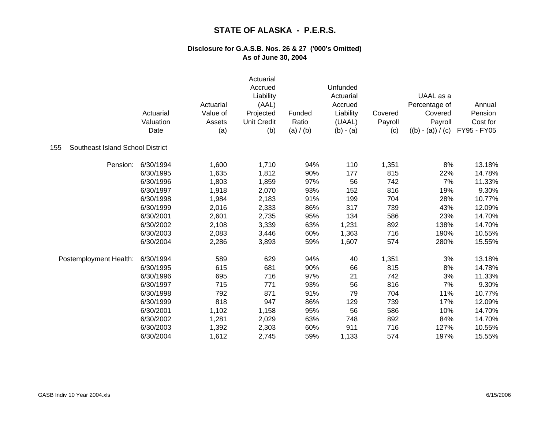|                                         | Actuarial<br>Valuation<br>Date | Actuarial<br>Value of<br>Assets<br>(a) | Actuarial<br>Accrued<br>Liability<br>(AAL)<br>Projected<br><b>Unit Credit</b><br>(b) | Funded<br>Ratio<br>(a) $/(b)$ | Unfunded<br>Actuarial<br>Accrued<br>Liability<br>(UAAL)<br>$(b) - (a)$ | Covered<br>Payroll<br>(c) | UAAL as a<br>Percentage of<br>Covered<br>Payroll<br>$((b) - (a)) / (c)$ | Annual<br>Pension<br>Cost for<br>FY95 - FY05 |
|-----------------------------------------|--------------------------------|----------------------------------------|--------------------------------------------------------------------------------------|-------------------------------|------------------------------------------------------------------------|---------------------------|-------------------------------------------------------------------------|----------------------------------------------|
| Southeast Island School District<br>155 |                                |                                        |                                                                                      |                               |                                                                        |                           |                                                                         |                                              |
| Pension:                                | 6/30/1994                      | 1,600                                  | 1,710                                                                                | 94%                           | 110                                                                    | 1,351                     | 8%                                                                      | 13.18%                                       |
|                                         | 6/30/1995                      | 1,635                                  | 1,812                                                                                | 90%                           | 177                                                                    | 815                       | 22%                                                                     | 14.78%                                       |
|                                         | 6/30/1996                      | 1,803                                  | 1,859                                                                                | 97%                           | 56                                                                     | 742                       | 7%                                                                      | 11.33%                                       |
|                                         | 6/30/1997                      | 1,918                                  | 2,070                                                                                | 93%                           | 152                                                                    | 816                       | 19%                                                                     | 9.30%                                        |
|                                         | 6/30/1998                      | 1,984                                  | 2,183                                                                                | 91%                           | 199                                                                    | 704                       | 28%                                                                     | 10.77%                                       |
|                                         | 6/30/1999                      | 2,016                                  | 2,333                                                                                | 86%                           | 317                                                                    | 739                       | 43%                                                                     | 12.09%                                       |
|                                         | 6/30/2001                      | 2,601                                  | 2,735                                                                                | 95%                           | 134                                                                    | 586                       | 23%                                                                     | 14.70%                                       |
|                                         | 6/30/2002                      | 2,108                                  | 3,339                                                                                | 63%                           | 1,231                                                                  | 892                       | 138%                                                                    | 14.70%                                       |
|                                         | 6/30/2003                      | 2,083                                  | 3,446                                                                                | 60%                           | 1,363                                                                  | 716                       | 190%                                                                    | 10.55%                                       |
|                                         | 6/30/2004                      | 2,286                                  | 3,893                                                                                | 59%                           | 1,607                                                                  | 574                       | 280%                                                                    | 15.55%                                       |
| Postemployment Health:                  | 6/30/1994                      | 589                                    | 629                                                                                  | 94%                           | 40                                                                     | 1,351                     | 3%                                                                      | 13.18%                                       |
|                                         | 6/30/1995                      | 615                                    | 681                                                                                  | 90%                           | 66                                                                     | 815                       | 8%                                                                      | 14.78%                                       |
|                                         | 6/30/1996                      | 695                                    | 716                                                                                  | 97%                           | 21                                                                     | 742                       | 3%                                                                      | 11.33%                                       |
|                                         | 6/30/1997                      | 715                                    | 771                                                                                  | 93%                           | 56                                                                     | 816                       | 7%                                                                      | 9.30%                                        |
|                                         | 6/30/1998                      | 792                                    | 871                                                                                  | 91%                           | 79                                                                     | 704                       | 11%                                                                     | 10.77%                                       |
|                                         | 6/30/1999                      | 818                                    | 947                                                                                  | 86%                           | 129                                                                    | 739                       | 17%                                                                     | 12.09%                                       |
|                                         | 6/30/2001                      | 1,102                                  | 1,158                                                                                | 95%                           | 56                                                                     | 586                       | 10%                                                                     | 14.70%                                       |
|                                         | 6/30/2002                      | 1,281                                  | 2,029                                                                                | 63%                           | 748                                                                    | 892                       | 84%                                                                     | 14.70%                                       |
|                                         | 6/30/2003                      | 1,392                                  | 2,303                                                                                | 60%                           | 911                                                                    | 716                       | 127%                                                                    | 10.55%                                       |
|                                         | 6/30/2004                      | 1,612                                  | 2,745                                                                                | 59%                           | 1,133                                                                  | 574                       | 197%                                                                    | 15.55%                                       |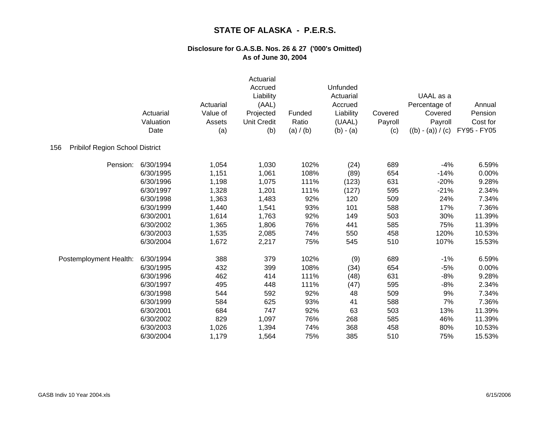|                                               | Actuarial<br>Valuation<br>Date | Actuarial<br>Value of<br>Assets<br>(a) | Actuarial<br>Accrued<br>Liability<br>(AAL)<br>Projected<br>Unit Credit<br>(b) | Funded<br>Ratio<br>(a) / (b) | Unfunded<br>Actuarial<br>Accrued<br>Liability<br>(UAAL)<br>$(b) - (a)$ | Covered<br>Payroll<br>(c) | UAAL as a<br>Percentage of<br>Covered<br>Payroll<br>$((b) - (a)) / (c)$ | Annual<br>Pension<br>Cost for<br>FY95 - FY05 |
|-----------------------------------------------|--------------------------------|----------------------------------------|-------------------------------------------------------------------------------|------------------------------|------------------------------------------------------------------------|---------------------------|-------------------------------------------------------------------------|----------------------------------------------|
| <b>Pribilof Region School District</b><br>156 |                                |                                        |                                                                               |                              |                                                                        |                           |                                                                         |                                              |
| Pension:                                      | 6/30/1994                      | 1,054                                  | 1,030                                                                         | 102%                         | (24)                                                                   | 689                       | $-4%$                                                                   | 6.59%                                        |
|                                               | 6/30/1995                      | 1,151                                  | 1,061                                                                         | 108%                         | (89)                                                                   | 654                       | $-14%$                                                                  | 0.00%                                        |
|                                               | 6/30/1996                      | 1,198                                  | 1,075                                                                         | 111%                         | (123)                                                                  | 631                       | $-20%$                                                                  | 9.28%                                        |
|                                               | 6/30/1997                      | 1,328                                  | 1,201                                                                         | 111%                         | (127)                                                                  | 595                       | $-21%$                                                                  | 2.34%                                        |
|                                               | 6/30/1998                      | 1,363                                  | 1,483                                                                         | 92%                          | 120                                                                    | 509                       | 24%                                                                     | 7.34%                                        |
|                                               | 6/30/1999                      | 1,440                                  | 1,541                                                                         | 93%                          | 101                                                                    | 588                       | 17%                                                                     | 7.36%                                        |
|                                               | 6/30/2001                      | 1,614                                  | 1,763                                                                         | 92%                          | 149                                                                    | 503                       | 30%                                                                     | 11.39%                                       |
|                                               | 6/30/2002                      | 1,365                                  | 1,806                                                                         | 76%                          | 441                                                                    | 585                       | 75%                                                                     | 11.39%                                       |
|                                               | 6/30/2003                      | 1,535                                  | 2,085                                                                         | 74%                          | 550                                                                    | 458                       | 120%                                                                    | 10.53%                                       |
|                                               | 6/30/2004                      | 1,672                                  | 2,217                                                                         | 75%                          | 545                                                                    | 510                       | 107%                                                                    | 15.53%                                       |
| Postemployment Health:                        | 6/30/1994                      | 388                                    | 379                                                                           | 102%                         | (9)                                                                    | 689                       | $-1%$                                                                   | 6.59%                                        |
|                                               | 6/30/1995                      | 432                                    | 399                                                                           | 108%                         | (34)                                                                   | 654                       | $-5%$                                                                   | 0.00%                                        |
|                                               | 6/30/1996                      | 462                                    | 414                                                                           | 111%                         | (48)                                                                   | 631                       | $-8%$                                                                   | 9.28%                                        |
|                                               | 6/30/1997                      | 495                                    | 448                                                                           | 111%                         | (47)                                                                   | 595                       | $-8%$                                                                   | 2.34%                                        |
|                                               | 6/30/1998                      | 544                                    | 592                                                                           | 92%                          | 48                                                                     | 509                       | 9%                                                                      | 7.34%                                        |
|                                               | 6/30/1999                      | 584                                    | 625                                                                           | 93%                          | 41                                                                     | 588                       | 7%                                                                      | 7.36%                                        |
|                                               | 6/30/2001                      | 684                                    | 747                                                                           | 92%                          | 63                                                                     | 503                       | 13%                                                                     | 11.39%                                       |
|                                               | 6/30/2002                      | 829                                    | 1,097                                                                         | 76%                          | 268                                                                    | 585                       | 46%                                                                     | 11.39%                                       |
|                                               | 6/30/2003                      | 1,026                                  | 1,394                                                                         | 74%                          | 368                                                                    | 458                       | 80%                                                                     | 10.53%                                       |
|                                               | 6/30/2004                      | 1,179                                  | 1,564                                                                         | 75%                          | 385                                                                    | 510                       | 75%                                                                     | 15.53%                                       |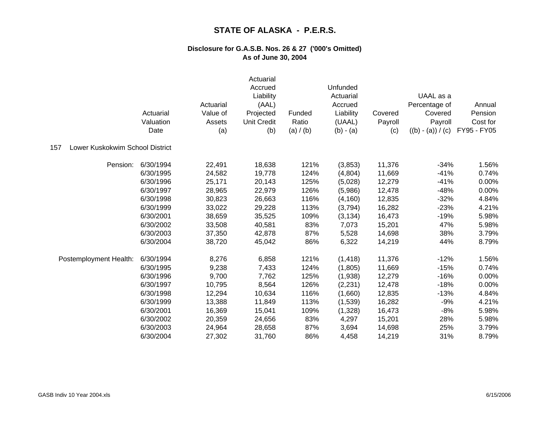|                                        | Actuarial<br>Valuation<br>Date | Actuarial<br>Value of<br>Assets<br>(a) | Actuarial<br>Accrued<br>Liability<br>(AAL)<br>Projected<br><b>Unit Credit</b><br>(b) | Funded<br>Ratio<br>(a) $/$ (b) | Unfunded<br>Actuarial<br>Accrued<br>Liability<br>(UAAL)<br>$(b) - (a)$ | Covered<br>Payroll<br>(c) | UAAL as a<br>Percentage of<br>Covered<br>Payroll<br>$((b) - (a)) / (c)$ | Annual<br>Pension<br>Cost for<br>FY95 - FY05 |
|----------------------------------------|--------------------------------|----------------------------------------|--------------------------------------------------------------------------------------|--------------------------------|------------------------------------------------------------------------|---------------------------|-------------------------------------------------------------------------|----------------------------------------------|
| Lower Kuskokwim School District<br>157 |                                |                                        |                                                                                      |                                |                                                                        |                           |                                                                         |                                              |
| Pension:                               | 6/30/1994                      | 22,491                                 | 18,638                                                                               | 121%                           | (3,853)                                                                | 11,376                    | $-34%$                                                                  | 1.56%                                        |
|                                        | 6/30/1995                      | 24,582                                 | 19,778                                                                               | 124%                           | (4,804)                                                                | 11,669                    | $-41%$                                                                  | 0.74%                                        |
|                                        | 6/30/1996                      | 25,171                                 | 20,143                                                                               | 125%                           | (5,028)                                                                | 12,279                    | $-41%$                                                                  | 0.00%                                        |
|                                        | 6/30/1997                      | 28,965                                 | 22,979                                                                               | 126%                           | (5,986)                                                                | 12,478                    | $-48%$                                                                  | 0.00%                                        |
|                                        | 6/30/1998                      | 30,823                                 | 26,663                                                                               | 116%                           | (4, 160)                                                               | 12,835                    | $-32%$                                                                  | 4.84%                                        |
|                                        | 6/30/1999                      | 33,022                                 | 29,228                                                                               | 113%                           | (3,794)                                                                | 16,282                    | $-23%$                                                                  | 4.21%                                        |
|                                        | 6/30/2001                      | 38,659                                 | 35,525                                                                               | 109%                           | (3, 134)                                                               | 16,473                    | $-19%$                                                                  | 5.98%                                        |
|                                        | 6/30/2002                      | 33,508                                 | 40,581                                                                               | 83%                            | 7,073                                                                  | 15,201                    | 47%                                                                     | 5.98%                                        |
|                                        | 6/30/2003                      | 37,350                                 | 42,878                                                                               | 87%                            | 5,528                                                                  | 14,698                    | 38%                                                                     | 3.79%                                        |
|                                        | 6/30/2004                      | 38,720                                 | 45,042                                                                               | 86%                            | 6,322                                                                  | 14,219                    | 44%                                                                     | 8.79%                                        |
| Postemployment Health:                 | 6/30/1994                      | 8,276                                  | 6,858                                                                                | 121%                           | (1, 418)                                                               | 11,376                    | $-12%$                                                                  | 1.56%                                        |
|                                        | 6/30/1995                      | 9,238                                  | 7,433                                                                                | 124%                           | (1,805)                                                                | 11,669                    | $-15%$                                                                  | 0.74%                                        |
|                                        | 6/30/1996                      | 9,700                                  | 7,762                                                                                | 125%                           | (1,938)                                                                | 12,279                    | $-16%$                                                                  | 0.00%                                        |
|                                        | 6/30/1997                      | 10,795                                 | 8,564                                                                                | 126%                           | (2, 231)                                                               | 12,478                    | $-18%$                                                                  | 0.00%                                        |
|                                        | 6/30/1998                      | 12,294                                 | 10,634                                                                               | 116%                           | (1,660)                                                                | 12,835                    | $-13%$                                                                  | 4.84%                                        |
|                                        | 6/30/1999                      | 13,388                                 | 11,849                                                                               | 113%                           | (1,539)                                                                | 16,282                    | $-9%$                                                                   | 4.21%                                        |
|                                        | 6/30/2001                      | 16,369                                 | 15,041                                                                               | 109%                           | (1,328)                                                                | 16,473                    | $-8%$                                                                   | 5.98%                                        |
|                                        | 6/30/2002                      | 20,359                                 | 24,656                                                                               | 83%                            | 4,297                                                                  | 15,201                    | 28%                                                                     | 5.98%                                        |
|                                        | 6/30/2003                      | 24,964                                 | 28,658                                                                               | 87%                            | 3,694                                                                  | 14,698                    | 25%                                                                     | 3.79%                                        |
|                                        | 6/30/2004                      | 27,302                                 | 31,760                                                                               | 86%                            | 4,458                                                                  | 14,219                    | 31%                                                                     | 8.79%                                        |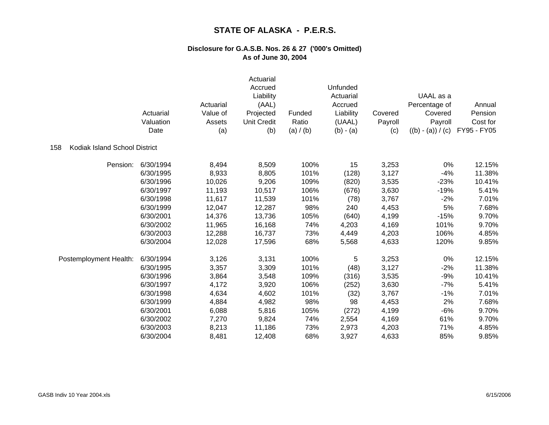|                                      | Actuarial<br>Valuation<br>Date | Actuarial<br>Value of<br>Assets<br>(a) | Actuarial<br>Accrued<br>Liability<br>(AAL)<br>Projected<br><b>Unit Credit</b><br>(b) | Funded<br>Ratio<br>(a) / (b) | Unfunded<br>Actuarial<br>Accrued<br>Liability<br>(UAAL)<br>$(b) - (a)$ | Covered<br>Payroll<br>(c) | UAAL as a<br>Percentage of<br>Covered<br>Payroll<br>$((b) - (a)) / (c)$ | Annual<br>Pension<br>Cost for<br>FY95 - FY05 |
|--------------------------------------|--------------------------------|----------------------------------------|--------------------------------------------------------------------------------------|------------------------------|------------------------------------------------------------------------|---------------------------|-------------------------------------------------------------------------|----------------------------------------------|
| Kodiak Island School District<br>158 |                                |                                        |                                                                                      |                              |                                                                        |                           |                                                                         |                                              |
| Pension:                             | 6/30/1994                      | 8,494                                  | 8,509                                                                                | 100%                         | 15                                                                     | 3,253                     | 0%                                                                      | 12.15%                                       |
|                                      | 6/30/1995                      | 8,933                                  | 8,805                                                                                | 101%                         | (128)                                                                  | 3,127                     | $-4%$                                                                   | 11.38%                                       |
|                                      | 6/30/1996                      | 10,026                                 | 9,206                                                                                | 109%                         | (820)                                                                  | 3,535                     | $-23%$                                                                  | 10.41%                                       |
|                                      | 6/30/1997                      | 11,193                                 | 10,517                                                                               | 106%                         | (676)                                                                  | 3,630                     | $-19%$                                                                  | 5.41%                                        |
|                                      | 6/30/1998                      | 11,617                                 | 11,539                                                                               | 101%                         | (78)                                                                   | 3,767                     | $-2%$                                                                   | 7.01%                                        |
|                                      | 6/30/1999                      | 12,047                                 | 12,287                                                                               | 98%                          | 240                                                                    | 4,453                     | 5%                                                                      | 7.68%                                        |
|                                      | 6/30/2001                      | 14,376                                 | 13,736                                                                               | 105%                         | (640)                                                                  | 4,199                     | $-15%$                                                                  | 9.70%                                        |
|                                      | 6/30/2002                      | 11,965                                 | 16,168                                                                               | 74%                          | 4,203                                                                  | 4,169                     | 101%                                                                    | 9.70%                                        |
|                                      | 6/30/2003                      | 12,288                                 | 16,737                                                                               | 73%                          | 4,449                                                                  | 4,203                     | 106%                                                                    | 4.85%                                        |
|                                      | 6/30/2004                      | 12,028                                 | 17,596                                                                               | 68%                          | 5,568                                                                  | 4,633                     | 120%                                                                    | 9.85%                                        |
| Postemployment Health:               | 6/30/1994                      | 3,126                                  | 3,131                                                                                | 100%                         | 5                                                                      | 3,253                     | 0%                                                                      | 12.15%                                       |
|                                      | 6/30/1995                      | 3,357                                  | 3,309                                                                                | 101%                         | (48)                                                                   | 3,127                     | $-2%$                                                                   | 11.38%                                       |
|                                      | 6/30/1996                      | 3,864                                  | 3,548                                                                                | 109%                         | (316)                                                                  | 3,535                     | $-9%$                                                                   | 10.41%                                       |
|                                      | 6/30/1997                      | 4,172                                  | 3,920                                                                                | 106%                         | (252)                                                                  | 3,630                     | $-7%$                                                                   | 5.41%                                        |
|                                      | 6/30/1998                      | 4,634                                  | 4,602                                                                                | 101%                         | (32)                                                                   | 3,767                     | $-1%$                                                                   | 7.01%                                        |
|                                      | 6/30/1999                      | 4,884                                  | 4,982                                                                                | 98%                          | 98                                                                     | 4,453                     | 2%                                                                      | 7.68%                                        |
|                                      | 6/30/2001                      | 6,088                                  | 5,816                                                                                | 105%                         | (272)                                                                  | 4,199                     | $-6%$                                                                   | 9.70%                                        |
|                                      | 6/30/2002                      | 7,270                                  | 9,824                                                                                | 74%                          | 2,554                                                                  | 4,169                     | 61%                                                                     | 9.70%                                        |
|                                      | 6/30/2003                      | 8,213                                  | 11,186                                                                               | 73%                          | 2,973                                                                  | 4,203                     | 71%                                                                     | 4.85%                                        |
|                                      | 6/30/2004                      | 8,481                                  | 12,408                                                                               | 68%                          | 3,927                                                                  | 4,633                     | 85%                                                                     | 9.85%                                        |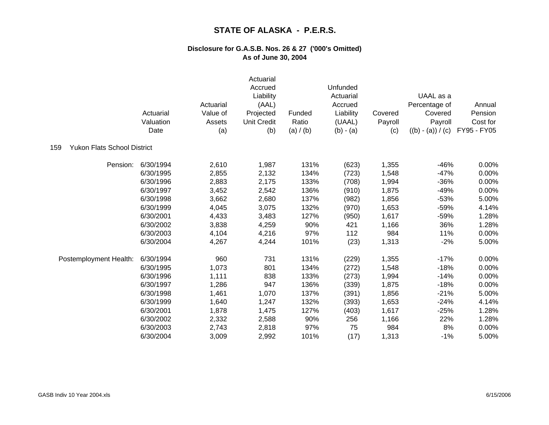|                                           | Actuarial<br>Valuation<br>Date | Actuarial<br>Value of<br>Assets<br>(a) | Actuarial<br>Accrued<br>Liability<br>(AAL)<br>Projected<br><b>Unit Credit</b><br>(b) | Funded<br>Ratio<br>(a) / (b) | Unfunded<br>Actuarial<br>Accrued<br>Liability<br>(UAAL)<br>$(b) - (a)$ | Covered<br>Payroll<br>(c) | UAAL as a<br>Percentage of<br>Covered<br>Payroll<br>$((b) - (a)) / (c)$ | Annual<br>Pension<br>Cost for<br>FY95 - FY05 |
|-------------------------------------------|--------------------------------|----------------------------------------|--------------------------------------------------------------------------------------|------------------------------|------------------------------------------------------------------------|---------------------------|-------------------------------------------------------------------------|----------------------------------------------|
| <b>Yukon Flats School District</b><br>159 |                                |                                        |                                                                                      |                              |                                                                        |                           |                                                                         |                                              |
| Pension:                                  | 6/30/1994                      | 2,610                                  | 1,987                                                                                | 131%                         | (623)                                                                  | 1,355                     | $-46%$                                                                  | 0.00%                                        |
|                                           | 6/30/1995                      | 2,855                                  | 2,132                                                                                | 134%                         | (723)                                                                  | 1,548                     | $-47%$                                                                  | 0.00%                                        |
|                                           | 6/30/1996                      | 2,883                                  | 2,175                                                                                | 133%                         | (708)                                                                  | 1,994                     | $-36%$                                                                  | 0.00%                                        |
|                                           | 6/30/1997                      | 3,452                                  | 2,542                                                                                | 136%                         | (910)                                                                  | 1,875                     | $-49%$                                                                  | 0.00%                                        |
|                                           | 6/30/1998                      | 3,662                                  | 2,680                                                                                | 137%                         | (982)                                                                  | 1,856                     | $-53%$                                                                  | 5.00%                                        |
|                                           | 6/30/1999                      | 4,045                                  | 3,075                                                                                | 132%                         | (970)                                                                  | 1,653                     | $-59%$                                                                  | 4.14%                                        |
|                                           | 6/30/2001                      | 4,433                                  | 3,483                                                                                | 127%                         | (950)                                                                  | 1,617                     | $-59%$                                                                  | 1.28%                                        |
|                                           | 6/30/2002                      | 3,838                                  | 4,259                                                                                | 90%                          | 421                                                                    | 1,166                     | 36%                                                                     | 1.28%                                        |
|                                           | 6/30/2003                      | 4,104                                  | 4,216                                                                                | 97%                          | 112                                                                    | 984                       | 11%                                                                     | 0.00%                                        |
|                                           | 6/30/2004                      | 4,267                                  | 4,244                                                                                | 101%                         | (23)                                                                   | 1,313                     | $-2%$                                                                   | 5.00%                                        |
| Postemployment Health:                    | 6/30/1994                      | 960                                    | 731                                                                                  | 131%                         | (229)                                                                  | 1,355                     | $-17%$                                                                  | 0.00%                                        |
|                                           | 6/30/1995                      | 1,073                                  | 801                                                                                  | 134%                         | (272)                                                                  | 1,548                     | $-18%$                                                                  | 0.00%                                        |
|                                           | 6/30/1996                      | 1,111                                  | 838                                                                                  | 133%                         | (273)                                                                  | 1,994                     | $-14%$                                                                  | 0.00%                                        |
|                                           | 6/30/1997                      | 1,286                                  | 947                                                                                  | 136%                         | (339)                                                                  | 1,875                     | $-18%$                                                                  | 0.00%                                        |
|                                           | 6/30/1998                      | 1,461                                  | 1,070                                                                                | 137%                         | (391)                                                                  | 1,856                     | $-21%$                                                                  | 5.00%                                        |
|                                           | 6/30/1999                      | 1,640                                  | 1,247                                                                                | 132%                         | (393)                                                                  | 1,653                     | $-24%$                                                                  | 4.14%                                        |
|                                           | 6/30/2001                      | 1,878                                  | 1,475                                                                                | 127%                         | (403)                                                                  | 1,617                     | $-25%$                                                                  | 1.28%                                        |
|                                           | 6/30/2002                      | 2,332                                  | 2,588                                                                                | 90%                          | 256                                                                    | 1,166                     | 22%                                                                     | 1.28%                                        |
|                                           | 6/30/2003                      | 2,743                                  | 2,818                                                                                | 97%                          | 75                                                                     | 984                       | 8%                                                                      | 0.00%                                        |
|                                           | 6/30/2004                      | 3,009                                  | 2,992                                                                                | 101%                         | (17)                                                                   | 1,313                     | $-1%$                                                                   | 5.00%                                        |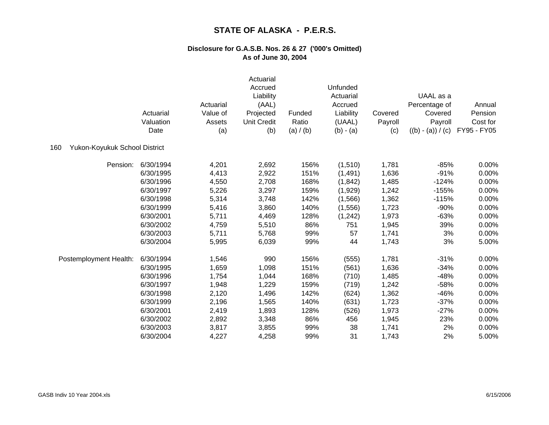|                                      | Actuarial<br>Valuation<br>Date | Actuarial<br>Value of<br>Assets<br>(a) | Actuarial<br>Accrued<br>Liability<br>(AAL)<br>Projected<br><b>Unit Credit</b><br>(b) | Funded<br>Ratio<br>(a) / (b) | Unfunded<br>Actuarial<br>Accrued<br>Liability<br>(UAAL)<br>$(b) - (a)$ | Covered<br>Payroll<br>(c) | UAAL as a<br>Percentage of<br>Covered<br>Payroll<br>$((b) - (a)) / (c)$ | Annual<br>Pension<br>Cost for<br>FY95 - FY05 |
|--------------------------------------|--------------------------------|----------------------------------------|--------------------------------------------------------------------------------------|------------------------------|------------------------------------------------------------------------|---------------------------|-------------------------------------------------------------------------|----------------------------------------------|
| Yukon-Koyukuk School District<br>160 |                                |                                        |                                                                                      |                              |                                                                        |                           |                                                                         |                                              |
| Pension:                             | 6/30/1994                      | 4,201                                  | 2,692                                                                                | 156%                         | (1,510)                                                                | 1,781                     | $-85%$                                                                  | 0.00%                                        |
|                                      | 6/30/1995                      | 4,413                                  | 2,922                                                                                | 151%                         | (1, 491)                                                               | 1,636                     | $-91%$                                                                  | 0.00%                                        |
|                                      | 6/30/1996                      | 4,550                                  | 2,708                                                                                | 168%                         | (1, 842)                                                               | 1,485                     | $-124%$                                                                 | 0.00%                                        |
|                                      | 6/30/1997                      | 5,226                                  | 3,297                                                                                | 159%                         | (1,929)                                                                | 1,242                     | $-155%$                                                                 | 0.00%                                        |
|                                      | 6/30/1998                      | 5,314                                  | 3,748                                                                                | 142%                         | (1, 566)                                                               | 1,362                     | $-115%$                                                                 | 0.00%                                        |
|                                      | 6/30/1999                      | 5,416                                  | 3,860                                                                                | 140%                         | (1,556)                                                                | 1,723                     | $-90%$                                                                  | 0.00%                                        |
|                                      | 6/30/2001                      | 5,711                                  | 4,469                                                                                | 128%                         | (1,242)                                                                | 1,973                     | $-63%$                                                                  | 0.00%                                        |
|                                      | 6/30/2002                      | 4,759                                  | 5,510                                                                                | 86%                          | 751                                                                    | 1,945                     | 39%                                                                     | 0.00%                                        |
|                                      | 6/30/2003                      | 5,711                                  | 5,768                                                                                | 99%                          | 57                                                                     | 1,741                     | 3%                                                                      | 0.00%                                        |
|                                      | 6/30/2004                      | 5,995                                  | 6,039                                                                                | 99%                          | 44                                                                     | 1,743                     | 3%                                                                      | 5.00%                                        |
| Postemployment Health:               | 6/30/1994                      | 1,546                                  | 990                                                                                  | 156%                         | (555)                                                                  | 1,781                     | $-31%$                                                                  | 0.00%                                        |
|                                      | 6/30/1995                      | 1,659                                  | 1,098                                                                                | 151%                         | (561)                                                                  | 1,636                     | $-34%$                                                                  | 0.00%                                        |
|                                      | 6/30/1996                      | 1,754                                  | 1,044                                                                                | 168%                         | (710)                                                                  | 1,485                     | $-48%$                                                                  | 0.00%                                        |
|                                      | 6/30/1997                      | 1,948                                  | 1,229                                                                                | 159%                         | (719)                                                                  | 1,242                     | $-58%$                                                                  | 0.00%                                        |
|                                      | 6/30/1998                      | 2,120                                  | 1,496                                                                                | 142%                         | (624)                                                                  | 1,362                     | $-46%$                                                                  | 0.00%                                        |
|                                      | 6/30/1999                      | 2,196                                  | 1,565                                                                                | 140%                         | (631)                                                                  | 1,723                     | $-37%$                                                                  | 0.00%                                        |
|                                      | 6/30/2001                      | 2,419                                  | 1,893                                                                                | 128%                         | (526)                                                                  | 1,973                     | $-27%$                                                                  | 0.00%                                        |
|                                      | 6/30/2002                      | 2,892                                  | 3,348                                                                                | 86%                          | 456                                                                    | 1,945                     | 23%                                                                     | 0.00%                                        |
|                                      | 6/30/2003                      | 3,817                                  | 3,855                                                                                | 99%                          | 38                                                                     | 1,741                     | 2%                                                                      | 0.00%                                        |
|                                      | 6/30/2004                      | 4,227                                  | 4,258                                                                                | 99%                          | 31                                                                     | 1,743                     | 2%                                                                      | 5.00%                                        |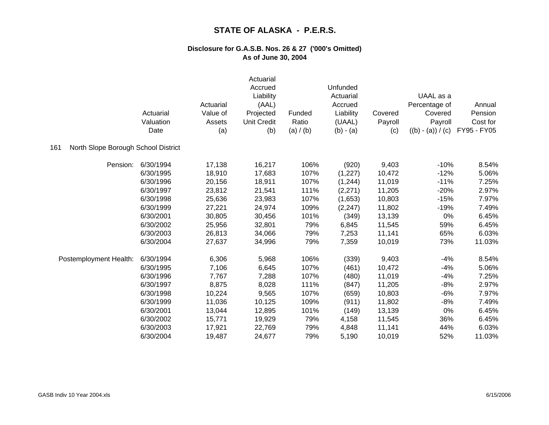|                                            | Actuarial<br>Valuation<br>Date | Actuarial<br>Value of<br>Assets<br>(a) | Actuarial<br>Accrued<br>Liability<br>(AAL)<br>Projected<br><b>Unit Credit</b><br>(b) | Funded<br>Ratio<br>(a) / (b) | Unfunded<br>Actuarial<br>Accrued<br>Liability<br>(UAAL)<br>$(b) - (a)$ | Covered<br>Payroll<br>(c) | UAAL as a<br>Percentage of<br>Covered<br>Payroll<br>$((b) - (a)) / (c)$ | Annual<br>Pension<br>Cost for<br>FY95 - FY05 |
|--------------------------------------------|--------------------------------|----------------------------------------|--------------------------------------------------------------------------------------|------------------------------|------------------------------------------------------------------------|---------------------------|-------------------------------------------------------------------------|----------------------------------------------|
| North Slope Borough School District<br>161 |                                |                                        |                                                                                      |                              |                                                                        |                           |                                                                         |                                              |
| Pension:                                   | 6/30/1994                      | 17,138                                 | 16,217                                                                               | 106%                         | (920)                                                                  | 9,403                     | $-10%$                                                                  | 8.54%                                        |
|                                            | 6/30/1995                      | 18,910                                 | 17,683                                                                               | 107%                         | (1, 227)                                                               | 10,472                    | $-12%$                                                                  | 5.06%                                        |
|                                            | 6/30/1996                      | 20,156                                 | 18,911                                                                               | 107%                         | (1,244)                                                                | 11,019                    | $-11%$                                                                  | 7.25%                                        |
|                                            | 6/30/1997                      | 23,812                                 | 21,541                                                                               | 111%                         | (2,271)                                                                | 11,205                    | $-20%$                                                                  | 2.97%                                        |
|                                            | 6/30/1998                      | 25,636                                 | 23,983                                                                               | 107%                         | (1,653)                                                                | 10,803                    | $-15%$                                                                  | 7.97%                                        |
|                                            | 6/30/1999                      | 27,221                                 | 24,974                                                                               | 109%                         | (2, 247)                                                               | 11,802                    | $-19%$                                                                  | 7.49%                                        |
|                                            | 6/30/2001                      | 30,805                                 | 30,456                                                                               | 101%                         | (349)                                                                  | 13,139                    | 0%                                                                      | 6.45%                                        |
|                                            | 6/30/2002                      | 25,956                                 | 32,801                                                                               | 79%                          | 6,845                                                                  | 11,545                    | 59%                                                                     | 6.45%                                        |
|                                            | 6/30/2003                      | 26,813                                 | 34,066                                                                               | 79%                          | 7,253                                                                  | 11,141                    | 65%                                                                     | 6.03%                                        |
|                                            | 6/30/2004                      | 27,637                                 | 34,996                                                                               | 79%                          | 7,359                                                                  | 10,019                    | 73%                                                                     | 11.03%                                       |
| Postemployment Health:                     | 6/30/1994                      | 6,306                                  | 5,968                                                                                | 106%                         | (339)                                                                  | 9,403                     | $-4%$                                                                   | 8.54%                                        |
|                                            | 6/30/1995                      | 7,106                                  | 6,645                                                                                | 107%                         | (461)                                                                  | 10,472                    | $-4%$                                                                   | 5.06%                                        |
|                                            | 6/30/1996                      | 7,767                                  | 7,288                                                                                | 107%                         | (480)                                                                  | 11,019                    | $-4%$                                                                   | 7.25%                                        |
|                                            | 6/30/1997                      | 8,875                                  | 8,028                                                                                | 111%                         | (847)                                                                  | 11,205                    | $-8%$                                                                   | 2.97%                                        |
|                                            | 6/30/1998                      | 10,224                                 | 9,565                                                                                | 107%                         | (659)                                                                  | 10,803                    | $-6%$                                                                   | 7.97%                                        |
|                                            | 6/30/1999                      | 11,036                                 | 10,125                                                                               | 109%                         | (911)                                                                  | 11,802                    | $-8%$                                                                   | 7.49%                                        |
|                                            | 6/30/2001                      | 13,044                                 | 12,895                                                                               | 101%                         | (149)                                                                  | 13,139                    | 0%                                                                      | 6.45%                                        |
|                                            | 6/30/2002                      | 15,771                                 | 19,929                                                                               | 79%                          | 4,158                                                                  | 11,545                    | 36%                                                                     | 6.45%                                        |
|                                            | 6/30/2003                      | 17,921                                 | 22,769                                                                               | 79%                          | 4,848                                                                  | 11,141                    | 44%                                                                     | 6.03%                                        |
|                                            | 6/30/2004                      | 19,487                                 | 24,677                                                                               | 79%                          | 5,190                                                                  | 10,019                    | 52%                                                                     | 11.03%                                       |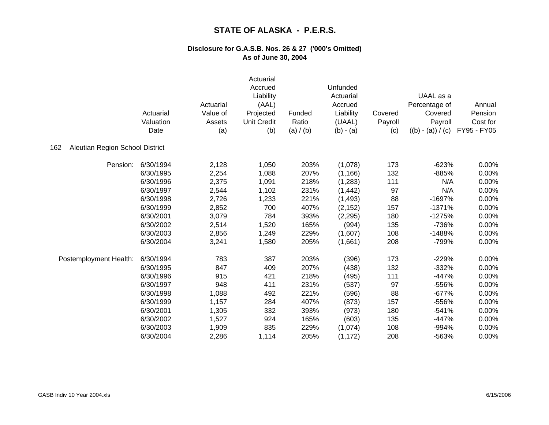|                                        | Actuarial<br>Valuation<br>Date | Actuarial<br>Value of<br>Assets<br>(a) | Actuarial<br>Accrued<br>Liability<br>(AAL)<br>Projected<br><b>Unit Credit</b><br>(b) | Funded<br>Ratio<br>(a) $/$ (b) | Unfunded<br>Actuarial<br>Accrued<br>Liability<br>(UAAL)<br>$(b) - (a)$ | Covered<br>Payroll<br>(c) | UAAL as a<br>Percentage of<br>Covered<br>Payroll<br>$((b) - (a)) / (c)$ | Annual<br>Pension<br>Cost for<br>FY95 - FY05 |
|----------------------------------------|--------------------------------|----------------------------------------|--------------------------------------------------------------------------------------|--------------------------------|------------------------------------------------------------------------|---------------------------|-------------------------------------------------------------------------|----------------------------------------------|
| Aleutian Region School District<br>162 |                                |                                        |                                                                                      |                                |                                                                        |                           |                                                                         |                                              |
| Pension:                               | 6/30/1994                      | 2,128                                  | 1,050                                                                                | 203%                           | (1,078)                                                                | 173                       | $-623%$                                                                 | 0.00%                                        |
|                                        | 6/30/1995                      | 2,254                                  | 1,088                                                                                | 207%                           | (1, 166)                                                               | 132                       | $-885%$                                                                 | 0.00%                                        |
|                                        | 6/30/1996                      | 2,375                                  | 1,091                                                                                | 218%                           | (1,283)                                                                | 111                       | N/A                                                                     | 0.00%                                        |
|                                        | 6/30/1997                      | 2,544                                  | 1,102                                                                                | 231%                           | (1, 442)                                                               | 97                        | N/A                                                                     | 0.00%                                        |
|                                        | 6/30/1998                      | 2,726                                  | 1,233                                                                                | 221%                           | (1, 493)                                                               | 88                        | $-1697%$                                                                | 0.00%                                        |
|                                        | 6/30/1999                      | 2,852                                  | 700                                                                                  | 407%                           | (2, 152)                                                               | 157                       | $-1371%$                                                                | 0.00%                                        |
|                                        | 6/30/2001                      | 3,079                                  | 784                                                                                  | 393%                           | (2, 295)                                                               | 180                       | $-1275%$                                                                | 0.00%                                        |
|                                        | 6/30/2002                      | 2,514                                  | 1,520                                                                                | 165%                           | (994)                                                                  | 135                       | $-736%$                                                                 | 0.00%                                        |
|                                        | 6/30/2003                      | 2,856                                  | 1,249                                                                                | 229%                           | (1,607)                                                                | 108                       | -1488%                                                                  | 0.00%                                        |
|                                        | 6/30/2004                      | 3,241                                  | 1,580                                                                                | 205%                           | (1,661)                                                                | 208                       | -799%                                                                   | 0.00%                                        |
| Postemployment Health:                 | 6/30/1994                      | 783                                    | 387                                                                                  | 203%                           | (396)                                                                  | 173                       | $-229%$                                                                 | 0.00%                                        |
|                                        | 6/30/1995                      | 847                                    | 409                                                                                  | 207%                           | (438)                                                                  | 132                       | $-332%$                                                                 | 0.00%                                        |
|                                        | 6/30/1996                      | 915                                    | 421                                                                                  | 218%                           | (495)                                                                  | 111                       | $-447%$                                                                 | 0.00%                                        |
|                                        | 6/30/1997                      | 948                                    | 411                                                                                  | 231%                           | (537)                                                                  | 97                        | -556%                                                                   | 0.00%                                        |
|                                        | 6/30/1998                      | 1,088                                  | 492                                                                                  | 221%                           | (596)                                                                  | 88                        | $-677%$                                                                 | 0.00%                                        |
|                                        | 6/30/1999                      | 1,157                                  | 284                                                                                  | 407%                           | (873)                                                                  | 157                       | -556%                                                                   | 0.00%                                        |
|                                        | 6/30/2001                      | 1,305                                  | 332                                                                                  | 393%                           | (973)                                                                  | 180                       | $-541%$                                                                 | 0.00%                                        |
|                                        | 6/30/2002                      | 1,527                                  | 924                                                                                  | 165%                           | (603)                                                                  | 135                       | $-447%$                                                                 | 0.00%                                        |
|                                        | 6/30/2003                      | 1,909                                  | 835                                                                                  | 229%                           | (1,074)                                                                | 108                       | $-994%$                                                                 | 0.00%                                        |
|                                        | 6/30/2004                      | 2,286                                  | 1,114                                                                                | 205%                           | (1, 172)                                                               | 208                       | -563%                                                                   | 0.00%                                        |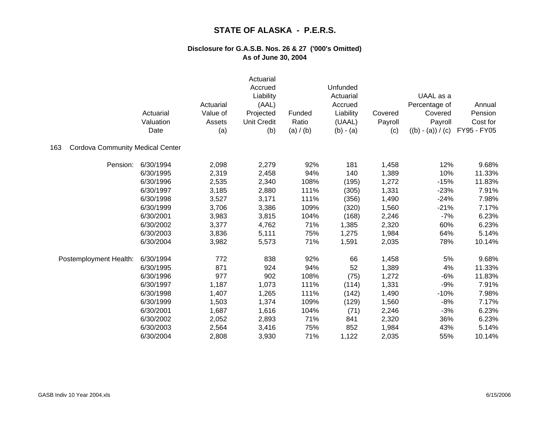|                                                | Actuarial<br>Valuation<br>Date | Actuarial<br>Value of<br>Assets<br>(a) | Actuarial<br>Accrued<br>Liability<br>(AAL)<br>Projected<br><b>Unit Credit</b><br>(b) | Funded<br>Ratio<br>(a) / (b) | Unfunded<br>Actuarial<br>Accrued<br>Liability<br>(UAAL)<br>$(b) - (a)$ | Covered<br>Payroll<br>(c) | UAAL as a<br>Percentage of<br>Covered<br>Payroll<br>$((b) - (a)) / (c)$ | Annual<br>Pension<br>Cost for<br>FY95 - FY05 |
|------------------------------------------------|--------------------------------|----------------------------------------|--------------------------------------------------------------------------------------|------------------------------|------------------------------------------------------------------------|---------------------------|-------------------------------------------------------------------------|----------------------------------------------|
| <b>Cordova Community Medical Center</b><br>163 |                                |                                        |                                                                                      |                              |                                                                        |                           |                                                                         |                                              |
| Pension:                                       | 6/30/1994                      | 2,098                                  | 2,279                                                                                | 92%                          | 181                                                                    | 1,458                     | 12%                                                                     | 9.68%                                        |
|                                                | 6/30/1995                      | 2,319                                  | 2,458                                                                                | 94%                          | 140                                                                    | 1,389                     | 10%                                                                     | 11.33%                                       |
|                                                | 6/30/1996                      | 2,535                                  | 2,340                                                                                | 108%                         | (195)                                                                  | 1,272                     | $-15%$                                                                  | 11.83%                                       |
|                                                | 6/30/1997                      | 3,185                                  | 2,880                                                                                | 111%                         | (305)                                                                  | 1,331                     | $-23%$                                                                  | 7.91%                                        |
|                                                | 6/30/1998                      | 3,527                                  | 3,171                                                                                | 111%                         | (356)                                                                  | 1,490                     | $-24%$                                                                  | 7.98%                                        |
|                                                | 6/30/1999                      | 3,706                                  | 3,386                                                                                | 109%                         | (320)                                                                  | 1,560                     | $-21%$                                                                  | 7.17%                                        |
|                                                | 6/30/2001                      | 3,983                                  | 3,815                                                                                | 104%                         | (168)                                                                  | 2,246                     | $-7%$                                                                   | 6.23%                                        |
|                                                | 6/30/2002                      | 3,377                                  | 4,762                                                                                | 71%                          | 1,385                                                                  | 2,320                     | 60%                                                                     | 6.23%                                        |
|                                                | 6/30/2003                      | 3,836                                  | 5,111                                                                                | 75%                          | 1,275                                                                  | 1,984                     | 64%                                                                     | 5.14%                                        |
|                                                | 6/30/2004                      | 3,982                                  | 5,573                                                                                | 71%                          | 1,591                                                                  | 2,035                     | 78%                                                                     | 10.14%                                       |
| Postemployment Health:                         | 6/30/1994                      | 772                                    | 838                                                                                  | 92%                          | 66                                                                     | 1,458                     | 5%                                                                      | 9.68%                                        |
|                                                | 6/30/1995                      | 871                                    | 924                                                                                  | 94%                          | 52                                                                     | 1,389                     | 4%                                                                      | 11.33%                                       |
|                                                | 6/30/1996                      | 977                                    | 902                                                                                  | 108%                         | (75)                                                                   | 1,272                     | $-6%$                                                                   | 11.83%                                       |
|                                                | 6/30/1997                      | 1,187                                  | 1,073                                                                                | 111%                         | (114)                                                                  | 1,331                     | $-9%$                                                                   | 7.91%                                        |
|                                                | 6/30/1998                      | 1,407                                  | 1,265                                                                                | 111%                         | (142)                                                                  | 1,490                     | $-10%$                                                                  | 7.98%                                        |
|                                                | 6/30/1999                      | 1,503                                  | 1,374                                                                                | 109%                         | (129)                                                                  | 1,560                     | $-8%$                                                                   | 7.17%                                        |
|                                                | 6/30/2001                      | 1,687                                  | 1,616                                                                                | 104%                         | (71)                                                                   | 2,246                     | $-3%$                                                                   | 6.23%                                        |
|                                                | 6/30/2002                      | 2,052                                  | 2,893                                                                                | 71%                          | 841                                                                    | 2,320                     | 36%                                                                     | 6.23%                                        |
|                                                | 6/30/2003                      | 2,564                                  | 3,416                                                                                | 75%                          | 852                                                                    | 1,984                     | 43%                                                                     | 5.14%                                        |
|                                                | 6/30/2004                      | 2,808                                  | 3,930                                                                                | 71%                          | 1,122                                                                  | 2,035                     | 55%                                                                     | 10.14%                                       |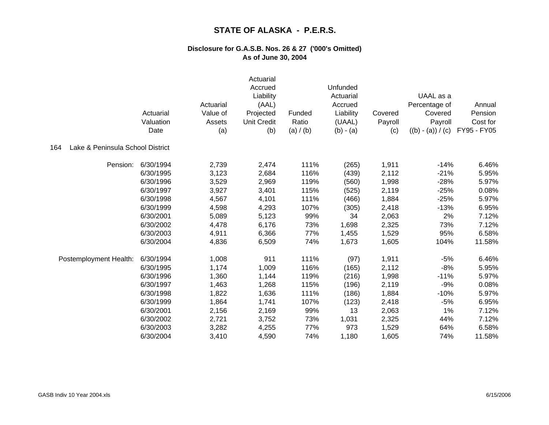|                                         | Actuarial<br>Valuation<br>Date | Actuarial<br>Value of<br>Assets<br>(a) | Actuarial<br>Accrued<br>Liability<br>(AAL)<br>Projected<br><b>Unit Credit</b><br>(b) | Funded<br>Ratio<br>(a) / (b) | Unfunded<br>Actuarial<br>Accrued<br>Liability<br>(UAAL)<br>$(b) - (a)$ | Covered<br>Payroll<br>(c) | UAAL as a<br>Percentage of<br>Covered<br>Payroll<br>$((b) - (a)) / (c)$ | Annual<br>Pension<br>Cost for<br>FY95 - FY05 |
|-----------------------------------------|--------------------------------|----------------------------------------|--------------------------------------------------------------------------------------|------------------------------|------------------------------------------------------------------------|---------------------------|-------------------------------------------------------------------------|----------------------------------------------|
| Lake & Peninsula School District<br>164 |                                |                                        |                                                                                      |                              |                                                                        |                           |                                                                         |                                              |
| Pension:                                | 6/30/1994                      | 2,739                                  | 2,474                                                                                | 111%                         | (265)                                                                  | 1,911                     | $-14%$                                                                  | 6.46%                                        |
|                                         | 6/30/1995                      | 3,123                                  | 2,684                                                                                | 116%                         | (439)                                                                  | 2,112                     | $-21%$                                                                  | 5.95%                                        |
|                                         | 6/30/1996                      | 3,529                                  | 2,969                                                                                | 119%                         | (560)                                                                  | 1,998                     | $-28%$                                                                  | 5.97%                                        |
|                                         | 6/30/1997                      | 3,927                                  | 3,401                                                                                | 115%                         | (525)                                                                  | 2,119                     | $-25%$                                                                  | 0.08%                                        |
|                                         | 6/30/1998                      | 4,567                                  | 4,101                                                                                | 111%                         | (466)                                                                  | 1,884                     | $-25%$                                                                  | 5.97%                                        |
|                                         | 6/30/1999                      | 4,598                                  | 4,293                                                                                | 107%                         | (305)                                                                  | 2,418                     | $-13%$                                                                  | 6.95%                                        |
|                                         | 6/30/2001                      | 5,089                                  | 5,123                                                                                | 99%                          | 34                                                                     | 2,063                     | 2%                                                                      | 7.12%                                        |
|                                         | 6/30/2002                      | 4,478                                  | 6,176                                                                                | 73%                          | 1,698                                                                  | 2,325                     | 73%                                                                     | 7.12%                                        |
|                                         | 6/30/2003                      | 4,911                                  | 6,366                                                                                | 77%                          | 1,455                                                                  | 1,529                     | 95%                                                                     | 6.58%                                        |
|                                         | 6/30/2004                      | 4,836                                  | 6,509                                                                                | 74%                          | 1,673                                                                  | 1,605                     | 104%                                                                    | 11.58%                                       |
| Postemployment Health:                  | 6/30/1994                      | 1,008                                  | 911                                                                                  | 111%                         | (97)                                                                   | 1,911                     | $-5%$                                                                   | 6.46%                                        |
|                                         | 6/30/1995                      | 1,174                                  | 1,009                                                                                | 116%                         | (165)                                                                  | 2,112                     | $-8%$                                                                   | 5.95%                                        |
|                                         | 6/30/1996                      | 1,360                                  | 1,144                                                                                | 119%                         | (216)                                                                  | 1,998                     | $-11%$                                                                  | 5.97%                                        |
|                                         | 6/30/1997                      | 1,463                                  | 1,268                                                                                | 115%                         | (196)                                                                  | 2,119                     | $-9%$                                                                   | 0.08%                                        |
|                                         | 6/30/1998                      | 1,822                                  | 1,636                                                                                | 111%                         | (186)                                                                  | 1,884                     | $-10%$                                                                  | 5.97%                                        |
|                                         | 6/30/1999                      | 1,864                                  | 1,741                                                                                | 107%                         | (123)                                                                  | 2,418                     | $-5%$                                                                   | 6.95%                                        |
|                                         | 6/30/2001                      | 2,156                                  | 2,169                                                                                | 99%                          | 13                                                                     | 2,063                     | 1%                                                                      | 7.12%                                        |
|                                         | 6/30/2002                      | 2,721                                  | 3,752                                                                                | 73%                          | 1,031                                                                  | 2,325                     | 44%                                                                     | 7.12%                                        |
|                                         | 6/30/2003                      | 3,282                                  | 4,255                                                                                | 77%                          | 973                                                                    | 1,529                     | 64%                                                                     | 6.58%                                        |
|                                         | 6/30/2004                      | 3,410                                  | 4,590                                                                                | 74%                          | 1,180                                                                  | 1,605                     | 74%                                                                     | 11.58%                                       |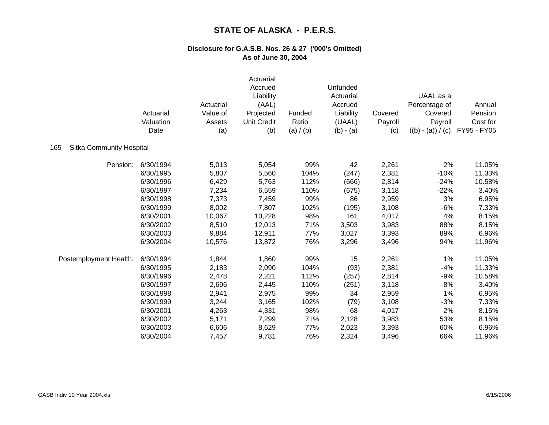|                                        | Actuarial<br>Valuation<br>Date | Actuarial<br>Value of<br>Assets<br>(a) | Actuarial<br>Accrued<br>Liability<br>(AAL)<br>Projected<br><b>Unit Credit</b><br>(b) | Funded<br>Ratio<br>(a) / (b) | Unfunded<br>Actuarial<br>Accrued<br>Liability<br>(UAAL)<br>$(b) - (a)$ | Covered<br>Payroll<br>(c) | UAAL as a<br>Percentage of<br>Covered<br>Payroll<br>$((b) - (a)) / (c)$ | Annual<br>Pension<br>Cost for<br>FY95 - FY05 |
|----------------------------------------|--------------------------------|----------------------------------------|--------------------------------------------------------------------------------------|------------------------------|------------------------------------------------------------------------|---------------------------|-------------------------------------------------------------------------|----------------------------------------------|
| 165<br><b>Sitka Community Hospital</b> |                                |                                        |                                                                                      |                              |                                                                        |                           |                                                                         |                                              |
| Pension:                               | 6/30/1994                      | 5,013                                  | 5,054                                                                                | 99%                          | 42                                                                     | 2,261                     | 2%                                                                      | 11.05%                                       |
|                                        | 6/30/1995                      | 5,807                                  | 5,560                                                                                | 104%                         | (247)                                                                  | 2,381                     | $-10%$                                                                  | 11.33%                                       |
|                                        | 6/30/1996                      | 6,429                                  | 5,763                                                                                | 112%                         | (666)                                                                  | 2,814                     | $-24%$                                                                  | 10.58%                                       |
|                                        | 6/30/1997                      | 7,234                                  | 6,559                                                                                | 110%                         | (675)                                                                  | 3,118                     | $-22%$                                                                  | 3.40%                                        |
|                                        | 6/30/1998                      | 7,373                                  | 7,459                                                                                | 99%                          | 86                                                                     | 2,959                     | 3%                                                                      | 6.95%                                        |
|                                        | 6/30/1999                      | 8,002                                  | 7,807                                                                                | 102%                         | (195)                                                                  | 3,108                     | $-6%$                                                                   | 7.33%                                        |
|                                        | 6/30/2001                      | 10,067                                 | 10,228                                                                               | 98%                          | 161                                                                    | 4,017                     | 4%                                                                      | 8.15%                                        |
|                                        | 6/30/2002                      | 8,510                                  | 12,013                                                                               | 71%                          | 3,503                                                                  | 3,983                     | 88%                                                                     | 8.15%                                        |
|                                        | 6/30/2003                      | 9,884                                  | 12,911                                                                               | 77%                          | 3,027                                                                  | 3,393                     | 89%                                                                     | 6.96%                                        |
|                                        | 6/30/2004                      | 10,576                                 | 13,872                                                                               | 76%                          | 3,296                                                                  | 3,496                     | 94%                                                                     | 11.96%                                       |
| Postemployment Health:                 | 6/30/1994                      | 1,844                                  | 1,860                                                                                | 99%                          | 15                                                                     | 2,261                     | 1%                                                                      | 11.05%                                       |
|                                        | 6/30/1995                      | 2,183                                  | 2,090                                                                                | 104%                         | (93)                                                                   | 2,381                     | $-4%$                                                                   | 11.33%                                       |
|                                        | 6/30/1996                      | 2,478                                  | 2,221                                                                                | 112%                         | (257)                                                                  | 2,814                     | $-9%$                                                                   | 10.58%                                       |
|                                        | 6/30/1997                      | 2,696                                  | 2,445                                                                                | 110%                         | (251)                                                                  | 3,118                     | $-8%$                                                                   | 3.40%                                        |
|                                        | 6/30/1998                      | 2,941                                  | 2,975                                                                                | 99%                          | 34                                                                     | 2,959                     | 1%                                                                      | 6.95%                                        |
|                                        | 6/30/1999                      | 3,244                                  | 3,165                                                                                | 102%                         | (79)                                                                   | 3,108                     | $-3%$                                                                   | 7.33%                                        |
|                                        | 6/30/2001                      | 4,263                                  | 4,331                                                                                | 98%                          | 68                                                                     | 4,017                     | 2%                                                                      | 8.15%                                        |
|                                        | 6/30/2002                      | 5,171                                  | 7,299                                                                                | 71%                          | 2,128                                                                  | 3,983                     | 53%                                                                     | 8.15%                                        |
|                                        | 6/30/2003                      | 6,606                                  | 8,629                                                                                | 77%                          | 2,023                                                                  | 3,393                     | 60%                                                                     | 6.96%                                        |
|                                        | 6/30/2004                      | 7,457                                  | 9,781                                                                                | 76%                          | 2,324                                                                  | 3,496                     | 66%                                                                     | 11.96%                                       |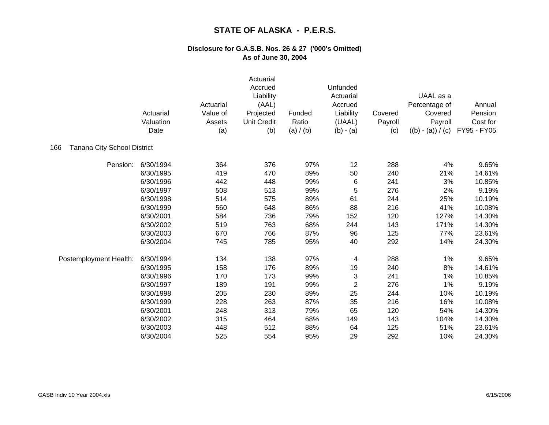|                                    | Actuarial<br>Valuation<br>Date | Actuarial<br>Value of<br>Assets<br>(a) | Actuarial<br>Accrued<br>Liability<br>(AAL)<br>Projected<br><b>Unit Credit</b><br>(b) | Funded<br>Ratio<br>(a) / (b) | Unfunded<br>Actuarial<br>Accrued<br>Liability<br>(UAAL)<br>$(b) - (a)$ | Covered<br>Payroll<br>(c) | UAAL as a<br>Percentage of<br>Covered<br>Payroll<br>$((b) - (a)) / (c)$ | Annual<br>Pension<br>Cost for<br>FY95 - FY05 |
|------------------------------------|--------------------------------|----------------------------------------|--------------------------------------------------------------------------------------|------------------------------|------------------------------------------------------------------------|---------------------------|-------------------------------------------------------------------------|----------------------------------------------|
| Tanana City School District<br>166 |                                |                                        |                                                                                      |                              |                                                                        |                           |                                                                         |                                              |
| Pension:                           | 6/30/1994                      | 364                                    | 376                                                                                  | 97%                          | 12                                                                     | 288                       | 4%                                                                      | 9.65%                                        |
|                                    | 6/30/1995                      | 419                                    | 470                                                                                  | 89%                          | 50                                                                     | 240                       | 21%                                                                     | 14.61%                                       |
|                                    | 6/30/1996                      | 442                                    | 448                                                                                  | 99%                          | 6                                                                      | 241                       | 3%                                                                      | 10.85%                                       |
|                                    | 6/30/1997                      | 508                                    | 513                                                                                  | 99%                          | 5                                                                      | 276                       | 2%                                                                      | 9.19%                                        |
|                                    | 6/30/1998                      | 514                                    | 575                                                                                  | 89%                          | 61                                                                     | 244                       | 25%                                                                     | 10.19%                                       |
|                                    | 6/30/1999                      | 560                                    | 648                                                                                  | 86%                          | 88                                                                     | 216                       | 41%                                                                     | 10.08%                                       |
|                                    | 6/30/2001                      | 584                                    | 736                                                                                  | 79%                          | 152                                                                    | 120                       | 127%                                                                    | 14.30%                                       |
|                                    | 6/30/2002                      | 519                                    | 763                                                                                  | 68%                          | 244                                                                    | 143                       | 171%                                                                    | 14.30%                                       |
|                                    | 6/30/2003                      | 670                                    | 766                                                                                  | 87%                          | 96                                                                     | 125                       | 77%                                                                     | 23.61%                                       |
|                                    | 6/30/2004                      | 745                                    | 785                                                                                  | 95%                          | 40                                                                     | 292                       | 14%                                                                     | 24.30%                                       |
| Postemployment Health:             | 6/30/1994                      | 134                                    | 138                                                                                  | 97%                          | 4                                                                      | 288                       | 1%                                                                      | 9.65%                                        |
|                                    | 6/30/1995                      | 158                                    | 176                                                                                  | 89%                          | 19                                                                     | 240                       | 8%                                                                      | 14.61%                                       |
|                                    | 6/30/1996                      | 170                                    | 173                                                                                  | 99%                          | 3                                                                      | 241                       | 1%                                                                      | 10.85%                                       |
|                                    | 6/30/1997                      | 189                                    | 191                                                                                  | 99%                          | $\overline{c}$                                                         | 276                       | 1%                                                                      | 9.19%                                        |
|                                    | 6/30/1998                      | 205                                    | 230                                                                                  | 89%                          | 25                                                                     | 244                       | 10%                                                                     | 10.19%                                       |
|                                    | 6/30/1999                      | 228                                    | 263                                                                                  | 87%                          | 35                                                                     | 216                       | 16%                                                                     | 10.08%                                       |
|                                    | 6/30/2001                      | 248                                    | 313                                                                                  | 79%                          | 65                                                                     | 120                       | 54%                                                                     | 14.30%                                       |
|                                    | 6/30/2002                      | 315                                    | 464                                                                                  | 68%                          | 149                                                                    | 143                       | 104%                                                                    | 14.30%                                       |
|                                    | 6/30/2003                      | 448                                    | 512                                                                                  | 88%                          | 64                                                                     | 125                       | 51%                                                                     | 23.61%                                       |
|                                    | 6/30/2004                      | 525                                    | 554                                                                                  | 95%                          | 29                                                                     | 292                       | 10%                                                                     | 24.30%                                       |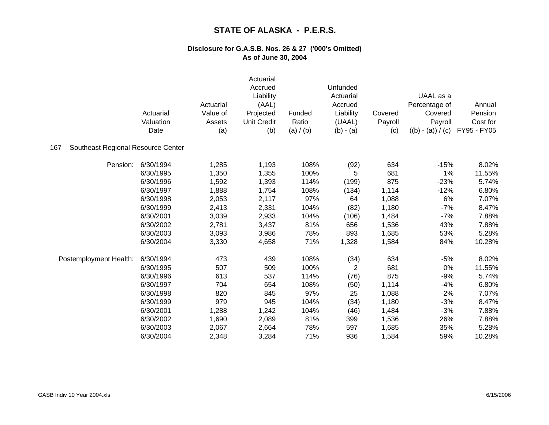|                                           | Actuarial<br>Valuation<br>Date | Actuarial<br>Value of<br>Assets<br>(a) | Actuarial<br>Accrued<br>Liability<br>(AAL)<br>Projected<br><b>Unit Credit</b><br>(b) | Funded<br>Ratio<br>(a) / (b) | Unfunded<br>Actuarial<br>Accrued<br>Liability<br>(UAAL)<br>$(b) - (a)$ | Covered<br>Payroll<br>(c) | UAAL as a<br>Percentage of<br>Covered<br>Payroll<br>$((b) - (a)) / (c)$ | Annual<br>Pension<br>Cost for<br>FY95 - FY05 |
|-------------------------------------------|--------------------------------|----------------------------------------|--------------------------------------------------------------------------------------|------------------------------|------------------------------------------------------------------------|---------------------------|-------------------------------------------------------------------------|----------------------------------------------|
| Southeast Regional Resource Center<br>167 |                                |                                        |                                                                                      |                              |                                                                        |                           |                                                                         |                                              |
| Pension:                                  | 6/30/1994                      | 1,285                                  | 1,193                                                                                | 108%                         | (92)                                                                   | 634                       | $-15%$                                                                  | 8.02%                                        |
|                                           | 6/30/1995                      | 1,350                                  | 1,355                                                                                | 100%                         | 5                                                                      | 681                       | 1%                                                                      | 11.55%                                       |
|                                           | 6/30/1996                      | 1,592                                  | 1,393                                                                                | 114%                         | (199)                                                                  | 875                       | $-23%$                                                                  | 5.74%                                        |
|                                           | 6/30/1997                      | 1,888                                  | 1,754                                                                                | 108%                         | (134)                                                                  | 1,114                     | $-12%$                                                                  | 6.80%                                        |
|                                           | 6/30/1998                      | 2,053                                  | 2,117                                                                                | 97%                          | 64                                                                     | 1,088                     | 6%                                                                      | 7.07%                                        |
|                                           | 6/30/1999                      | 2,413                                  | 2,331                                                                                | 104%                         | (82)                                                                   | 1,180                     | $-7%$                                                                   | 8.47%                                        |
|                                           | 6/30/2001                      | 3,039                                  | 2,933                                                                                | 104%                         | (106)                                                                  | 1,484                     | $-7%$                                                                   | 7.88%                                        |
|                                           | 6/30/2002                      | 2,781                                  | 3,437                                                                                | 81%                          | 656                                                                    | 1,536                     | 43%                                                                     | 7.88%                                        |
|                                           | 6/30/2003                      | 3,093                                  | 3,986                                                                                | 78%                          | 893                                                                    | 1,685                     | 53%                                                                     | 5.28%                                        |
|                                           | 6/30/2004                      | 3,330                                  | 4,658                                                                                | 71%                          | 1,328                                                                  | 1,584                     | 84%                                                                     | 10.28%                                       |
| Postemployment Health:                    | 6/30/1994                      | 473                                    | 439                                                                                  | 108%                         | (34)                                                                   | 634                       | $-5%$                                                                   | 8.02%                                        |
|                                           | 6/30/1995                      | 507                                    | 509                                                                                  | 100%                         | 2                                                                      | 681                       | 0%                                                                      | 11.55%                                       |
|                                           | 6/30/1996                      | 613                                    | 537                                                                                  | 114%                         | (76)                                                                   | 875                       | $-9%$                                                                   | 5.74%                                        |
|                                           | 6/30/1997                      | 704                                    | 654                                                                                  | 108%                         | (50)                                                                   | 1,114                     | $-4%$                                                                   | 6.80%                                        |
|                                           | 6/30/1998                      | 820                                    | 845                                                                                  | 97%                          | 25                                                                     | 1,088                     | 2%                                                                      | 7.07%                                        |
|                                           | 6/30/1999                      | 979                                    | 945                                                                                  | 104%                         | (34)                                                                   | 1,180                     | $-3%$                                                                   | 8.47%                                        |
|                                           | 6/30/2001                      | 1,288                                  | 1,242                                                                                | 104%                         | (46)                                                                   | 1,484                     | $-3%$                                                                   | 7.88%                                        |
|                                           | 6/30/2002                      | 1,690                                  | 2,089                                                                                | 81%                          | 399                                                                    | 1,536                     | 26%                                                                     | 7.88%                                        |
|                                           | 6/30/2003                      | 2,067                                  | 2,664                                                                                | 78%                          | 597                                                                    | 1,685                     | 35%                                                                     | 5.28%                                        |
|                                           | 6/30/2004                      | 2,348                                  | 3,284                                                                                | 71%                          | 936                                                                    | 1,584                     | 59%                                                                     | 10.28%                                       |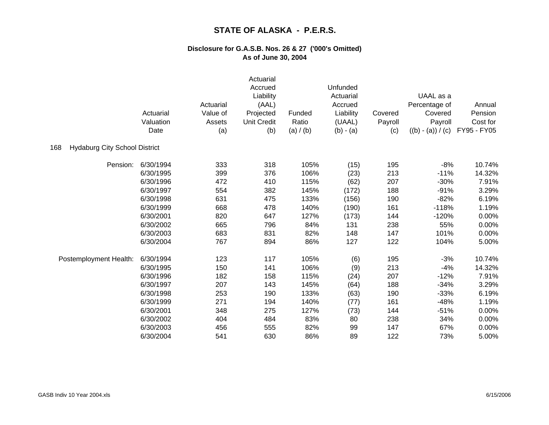|                                             | Actuarial<br>Valuation<br>Date | Actuarial<br>Value of<br>Assets<br>(a) | Actuarial<br>Accrued<br>Liability<br>(AAL)<br>Projected<br><b>Unit Credit</b><br>(b) | Funded<br>Ratio<br>(a) / (b) | Unfunded<br>Actuarial<br>Accrued<br>Liability<br>(UAAL)<br>$(b) - (a)$ | Covered<br>Payroll<br>(c) | UAAL as a<br>Percentage of<br>Covered<br>Payroll<br>$((b) - (a)) / (c)$ | Annual<br>Pension<br>Cost for<br>FY95 - FY05 |
|---------------------------------------------|--------------------------------|----------------------------------------|--------------------------------------------------------------------------------------|------------------------------|------------------------------------------------------------------------|---------------------------|-------------------------------------------------------------------------|----------------------------------------------|
| <b>Hydaburg City School District</b><br>168 |                                |                                        |                                                                                      |                              |                                                                        |                           |                                                                         |                                              |
| Pension:                                    | 6/30/1994                      | 333                                    | 318                                                                                  | 105%                         | (15)                                                                   | 195                       | $-8%$                                                                   | 10.74%                                       |
|                                             | 6/30/1995                      | 399                                    | 376                                                                                  | 106%                         | (23)                                                                   | 213                       | $-11%$                                                                  | 14.32%                                       |
|                                             | 6/30/1996                      | 472                                    | 410                                                                                  | 115%                         | (62)                                                                   | 207                       | $-30%$                                                                  | 7.91%                                        |
|                                             | 6/30/1997                      | 554                                    | 382                                                                                  | 145%                         | (172)                                                                  | 188                       | $-91%$                                                                  | 3.29%                                        |
|                                             | 6/30/1998                      | 631                                    | 475                                                                                  | 133%                         | (156)                                                                  | 190                       | $-82%$                                                                  | 6.19%                                        |
|                                             | 6/30/1999                      | 668                                    | 478                                                                                  | 140%                         | (190)                                                                  | 161                       | $-118%$                                                                 | 1.19%                                        |
|                                             | 6/30/2001                      | 820                                    | 647                                                                                  | 127%                         | (173)                                                                  | 144                       | $-120%$                                                                 | 0.00%                                        |
|                                             | 6/30/2002                      | 665                                    | 796                                                                                  | 84%                          | 131                                                                    | 238                       | 55%                                                                     | 0.00%                                        |
|                                             | 6/30/2003                      | 683                                    | 831                                                                                  | 82%                          | 148                                                                    | 147                       | 101%                                                                    | 0.00%                                        |
|                                             | 6/30/2004                      | 767                                    | 894                                                                                  | 86%                          | 127                                                                    | 122                       | 104%                                                                    | 5.00%                                        |
| Postemployment Health:                      | 6/30/1994                      | 123                                    | 117                                                                                  | 105%                         | (6)                                                                    | 195                       | $-3%$                                                                   | 10.74%                                       |
|                                             | 6/30/1995                      | 150                                    | 141                                                                                  | 106%                         | (9)                                                                    | 213                       | $-4%$                                                                   | 14.32%                                       |
|                                             | 6/30/1996                      | 182                                    | 158                                                                                  | 115%                         | (24)                                                                   | 207                       | $-12%$                                                                  | 7.91%                                        |
|                                             | 6/30/1997                      | 207                                    | 143                                                                                  | 145%                         | (64)                                                                   | 188                       | $-34%$                                                                  | 3.29%                                        |
|                                             | 6/30/1998                      | 253                                    | 190                                                                                  | 133%                         | (63)                                                                   | 190                       | $-33%$                                                                  | 6.19%                                        |
|                                             | 6/30/1999                      | 271                                    | 194                                                                                  | 140%                         | (77)                                                                   | 161                       | $-48%$                                                                  | 1.19%                                        |
|                                             | 6/30/2001                      | 348                                    | 275                                                                                  | 127%                         | (73)                                                                   | 144                       | $-51%$                                                                  | 0.00%                                        |
|                                             | 6/30/2002                      | 404                                    | 484                                                                                  | 83%                          | 80                                                                     | 238                       | 34%                                                                     | 0.00%                                        |
|                                             | 6/30/2003                      | 456                                    | 555                                                                                  | 82%                          | 99                                                                     | 147                       | 67%                                                                     | 0.00%                                        |
|                                             | 6/30/2004                      | 541                                    | 630                                                                                  | 86%                          | 89                                                                     | 122                       | 73%                                                                     | 5.00%                                        |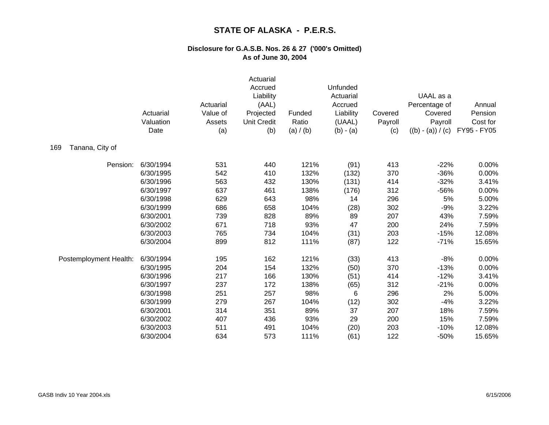|                        | Actuarial<br>Valuation<br>Date | Actuarial<br>Value of<br>Assets<br>(a) | Actuarial<br>Accrued<br>Liability<br>(AAL)<br>Projected<br><b>Unit Credit</b><br>(b) | Funded<br>Ratio<br>(a) / (b) | Unfunded<br>Actuarial<br>Accrued<br>Liability<br>(UAAL)<br>$(b) - (a)$ | Covered<br>Payroll<br>(c) | UAAL as a<br>Percentage of<br>Covered<br>Payroll<br>$((b) - (a)) / (c)$ | Annual<br>Pension<br>Cost for<br>FY95 - FY05 |
|------------------------|--------------------------------|----------------------------------------|--------------------------------------------------------------------------------------|------------------------------|------------------------------------------------------------------------|---------------------------|-------------------------------------------------------------------------|----------------------------------------------|
| Tanana, City of<br>169 |                                |                                        |                                                                                      |                              |                                                                        |                           |                                                                         |                                              |
| Pension:               | 6/30/1994                      | 531                                    | 440                                                                                  | 121%                         | (91)                                                                   | 413                       | $-22%$                                                                  | 0.00%                                        |
|                        | 6/30/1995                      | 542                                    | 410                                                                                  | 132%                         | (132)                                                                  | 370                       | $-36%$                                                                  | 0.00%                                        |
|                        | 6/30/1996                      | 563                                    | 432                                                                                  | 130%                         | (131)                                                                  | 414                       | $-32%$                                                                  | 3.41%                                        |
|                        | 6/30/1997                      | 637                                    | 461                                                                                  | 138%                         | (176)                                                                  | 312                       | $-56%$                                                                  | 0.00%                                        |
|                        | 6/30/1998                      | 629                                    | 643                                                                                  | 98%                          | 14                                                                     | 296                       | 5%                                                                      | 5.00%                                        |
|                        | 6/30/1999                      | 686                                    | 658                                                                                  | 104%                         | (28)                                                                   | 302                       | $-9%$                                                                   | 3.22%                                        |
|                        | 6/30/2001                      | 739                                    | 828                                                                                  | 89%                          | 89                                                                     | 207                       | 43%                                                                     | 7.59%                                        |
|                        | 6/30/2002                      | 671                                    | 718                                                                                  | 93%                          | 47                                                                     | 200                       | 24%                                                                     | 7.59%                                        |
|                        | 6/30/2003                      | 765                                    | 734                                                                                  | 104%                         | (31)                                                                   | 203                       | $-15%$                                                                  | 12.08%                                       |
|                        | 6/30/2004                      | 899                                    | 812                                                                                  | 111%                         | (87)                                                                   | 122                       | $-71%$                                                                  | 15.65%                                       |
| Postemployment Health: | 6/30/1994                      | 195                                    | 162                                                                                  | 121%                         | (33)                                                                   | 413                       | $-8%$                                                                   | 0.00%                                        |
|                        | 6/30/1995                      | 204                                    | 154                                                                                  | 132%                         | (50)                                                                   | 370                       | $-13%$                                                                  | 0.00%                                        |
|                        | 6/30/1996                      | 217                                    | 166                                                                                  | 130%                         | (51)                                                                   | 414                       | $-12%$                                                                  | 3.41%                                        |
|                        | 6/30/1997                      | 237                                    | 172                                                                                  | 138%                         | (65)                                                                   | 312                       | $-21%$                                                                  | 0.00%                                        |
|                        | 6/30/1998                      | 251                                    | 257                                                                                  | 98%                          | 6                                                                      | 296                       | 2%                                                                      | 5.00%                                        |
|                        | 6/30/1999                      | 279                                    | 267                                                                                  | 104%                         | (12)                                                                   | 302                       | $-4%$                                                                   | 3.22%                                        |
|                        | 6/30/2001                      | 314                                    | 351                                                                                  | 89%                          | 37                                                                     | 207                       | 18%                                                                     | 7.59%                                        |
|                        | 6/30/2002                      | 407                                    | 436                                                                                  | 93%                          | 29                                                                     | 200                       | 15%                                                                     | 7.59%                                        |
|                        | 6/30/2003                      | 511                                    | 491                                                                                  | 104%                         | (20)                                                                   | 203                       | $-10%$                                                                  | 12.08%                                       |
|                        | 6/30/2004                      | 634                                    | 573                                                                                  | 111%                         | (61)                                                                   | 122                       | $-50%$                                                                  | 15.65%                                       |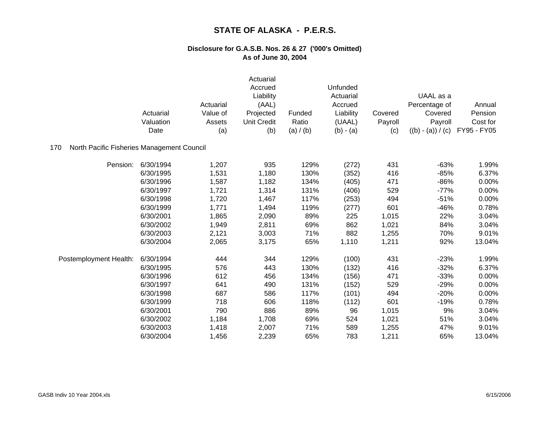|                                                   | Actuarial<br>Valuation<br>Date | Actuarial<br>Value of<br>Assets<br>(a) | Actuarial<br>Accrued<br>Liability<br>(AAL)<br>Projected<br><b>Unit Credit</b><br>(b) | Funded<br>Ratio<br>(a) / (b) | Unfunded<br>Actuarial<br>Accrued<br>Liability<br>(UAAL)<br>$(b) - (a)$ | Covered<br>Payroll<br>(c) | UAAL as a<br>Percentage of<br>Covered<br>Payroll<br>$((b) - (a)) / (c)$ | Annual<br>Pension<br>Cost for<br>FY95 - FY05 |
|---------------------------------------------------|--------------------------------|----------------------------------------|--------------------------------------------------------------------------------------|------------------------------|------------------------------------------------------------------------|---------------------------|-------------------------------------------------------------------------|----------------------------------------------|
| North Pacific Fisheries Management Council<br>170 |                                |                                        |                                                                                      |                              |                                                                        |                           |                                                                         |                                              |
| Pension:                                          | 6/30/1994                      | 1,207                                  | 935                                                                                  | 129%                         | (272)                                                                  | 431                       | $-63%$                                                                  | 1.99%                                        |
|                                                   | 6/30/1995                      | 1,531                                  | 1,180                                                                                | 130%                         | (352)                                                                  | 416                       | $-85%$                                                                  | 6.37%                                        |
|                                                   | 6/30/1996                      | 1,587                                  | 1,182                                                                                | 134%                         | (405)                                                                  | 471                       | $-86%$                                                                  | 0.00%                                        |
|                                                   | 6/30/1997                      | 1,721                                  | 1,314                                                                                | 131%                         | (406)                                                                  | 529                       | $-77%$                                                                  | 0.00%                                        |
|                                                   | 6/30/1998                      | 1,720                                  | 1,467                                                                                | 117%                         | (253)                                                                  | 494                       | $-51%$                                                                  | 0.00%                                        |
|                                                   | 6/30/1999                      | 1,771                                  | 1,494                                                                                | 119%                         | (277)                                                                  | 601                       | $-46%$                                                                  | 0.78%                                        |
|                                                   | 6/30/2001                      | 1,865                                  | 2,090                                                                                | 89%                          | 225                                                                    | 1,015                     | 22%                                                                     | 3.04%                                        |
|                                                   | 6/30/2002                      | 1,949                                  | 2,811                                                                                | 69%                          | 862                                                                    | 1,021                     | 84%                                                                     | 3.04%                                        |
|                                                   | 6/30/2003                      | 2,121                                  | 3,003                                                                                | 71%                          | 882                                                                    | 1,255                     | 70%                                                                     | 9.01%                                        |
|                                                   | 6/30/2004                      | 2,065                                  | 3,175                                                                                | 65%                          | 1,110                                                                  | 1,211                     | 92%                                                                     | 13.04%                                       |
| Postemployment Health:                            | 6/30/1994                      | 444                                    | 344                                                                                  | 129%                         | (100)                                                                  | 431                       | $-23%$                                                                  | 1.99%                                        |
|                                                   | 6/30/1995                      | 576                                    | 443                                                                                  | 130%                         | (132)                                                                  | 416                       | $-32%$                                                                  | 6.37%                                        |
|                                                   | 6/30/1996                      | 612                                    | 456                                                                                  | 134%                         | (156)                                                                  | 471                       | $-33%$                                                                  | 0.00%                                        |
|                                                   | 6/30/1997                      | 641                                    | 490                                                                                  | 131%                         | (152)                                                                  | 529                       | $-29%$                                                                  | 0.00%                                        |
|                                                   | 6/30/1998                      | 687                                    | 586                                                                                  | 117%                         | (101)                                                                  | 494                       | $-20%$                                                                  | 0.00%                                        |
|                                                   | 6/30/1999                      | 718                                    | 606                                                                                  | 118%                         | (112)                                                                  | 601                       | $-19%$                                                                  | 0.78%                                        |
|                                                   | 6/30/2001                      | 790                                    | 886                                                                                  | 89%                          | 96                                                                     | 1,015                     | 9%                                                                      | 3.04%                                        |
|                                                   | 6/30/2002                      | 1,184                                  | 1,708                                                                                | 69%                          | 524                                                                    | 1,021                     | 51%                                                                     | 3.04%                                        |
|                                                   | 6/30/2003                      | 1,418                                  | 2,007                                                                                | 71%                          | 589                                                                    | 1,255                     | 47%                                                                     | 9.01%                                        |
|                                                   | 6/30/2004                      | 1,456                                  | 2,239                                                                                | 65%                          | 783                                                                    | 1,211                     | 65%                                                                     | 13.04%                                       |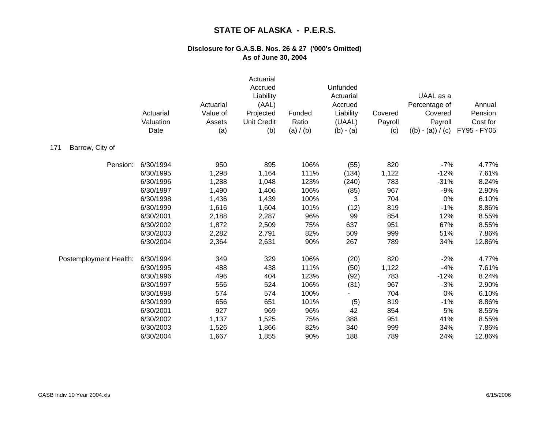|                        | Actuarial<br>Valuation<br>Date | Actuarial<br>Value of<br>Assets<br>(a) | Actuarial<br>Accrued<br>Liability<br>(AAL)<br>Projected<br><b>Unit Credit</b><br>(b) | Funded<br>Ratio<br>(a) / (b) | Unfunded<br>Actuarial<br>Accrued<br>Liability<br>(UAAL)<br>$(b) - (a)$ | Covered<br>Payroll<br>(c) | UAAL as a<br>Percentage of<br>Covered<br>Payroll<br>$((b) - (a)) / (c)$ | Annual<br>Pension<br>Cost for<br>FY95 - FY05 |
|------------------------|--------------------------------|----------------------------------------|--------------------------------------------------------------------------------------|------------------------------|------------------------------------------------------------------------|---------------------------|-------------------------------------------------------------------------|----------------------------------------------|
| Barrow, City of<br>171 |                                |                                        |                                                                                      |                              |                                                                        |                           |                                                                         |                                              |
| Pension:               | 6/30/1994                      | 950                                    | 895                                                                                  | 106%                         | (55)                                                                   | 820                       | $-7%$                                                                   | 4.77%                                        |
|                        | 6/30/1995                      | 1,298                                  | 1,164                                                                                | 111%                         | (134)                                                                  | 1,122                     | $-12%$                                                                  | 7.61%                                        |
|                        | 6/30/1996                      | 1,288                                  | 1,048                                                                                | 123%                         | (240)                                                                  | 783                       | $-31%$                                                                  | 8.24%                                        |
|                        | 6/30/1997                      | 1,490                                  | 1,406                                                                                | 106%                         | (85)                                                                   | 967                       | $-9%$                                                                   | 2.90%                                        |
|                        | 6/30/1998                      | 1,436                                  | 1,439                                                                                | 100%                         | 3                                                                      | 704                       | 0%                                                                      | 6.10%                                        |
|                        | 6/30/1999                      | 1,616                                  | 1,604                                                                                | 101%                         | (12)                                                                   | 819                       | $-1%$                                                                   | 8.86%                                        |
|                        | 6/30/2001                      | 2,188                                  | 2,287                                                                                | 96%                          | 99                                                                     | 854                       | 12%                                                                     | 8.55%                                        |
|                        | 6/30/2002                      | 1,872                                  | 2,509                                                                                | 75%                          | 637                                                                    | 951                       | 67%                                                                     | 8.55%                                        |
|                        | 6/30/2003                      | 2,282                                  | 2,791                                                                                | 82%                          | 509                                                                    | 999                       | 51%                                                                     | 7.86%                                        |
|                        | 6/30/2004                      | 2,364                                  | 2,631                                                                                | 90%                          | 267                                                                    | 789                       | 34%                                                                     | 12.86%                                       |
| Postemployment Health: | 6/30/1994                      | 349                                    | 329                                                                                  | 106%                         | (20)                                                                   | 820                       | $-2%$                                                                   | 4.77%                                        |
|                        | 6/30/1995                      | 488                                    | 438                                                                                  | 111%                         | (50)                                                                   | 1,122                     | $-4%$                                                                   | 7.61%                                        |
|                        | 6/30/1996                      | 496                                    | 404                                                                                  | 123%                         | (92)                                                                   | 783                       | $-12%$                                                                  | 8.24%                                        |
|                        | 6/30/1997                      | 556                                    | 524                                                                                  | 106%                         | (31)                                                                   | 967                       | $-3%$                                                                   | 2.90%                                        |
|                        | 6/30/1998                      | 574                                    | 574                                                                                  | 100%                         |                                                                        | 704                       | 0%                                                                      | 6.10%                                        |
|                        | 6/30/1999                      | 656                                    | 651                                                                                  | 101%                         | (5)                                                                    | 819                       | $-1%$                                                                   | 8.86%                                        |
|                        | 6/30/2001                      | 927                                    | 969                                                                                  | 96%                          | 42                                                                     | 854                       | 5%                                                                      | 8.55%                                        |
|                        | 6/30/2002                      | 1,137                                  | 1,525                                                                                | 75%                          | 388                                                                    | 951                       | 41%                                                                     | 8.55%                                        |
|                        | 6/30/2003                      | 1,526                                  | 1,866                                                                                | 82%                          | 340                                                                    | 999                       | 34%                                                                     | 7.86%                                        |
|                        | 6/30/2004                      | 1,667                                  | 1,855                                                                                | 90%                          | 188                                                                    | 789                       | 24%                                                                     | 12.86%                                       |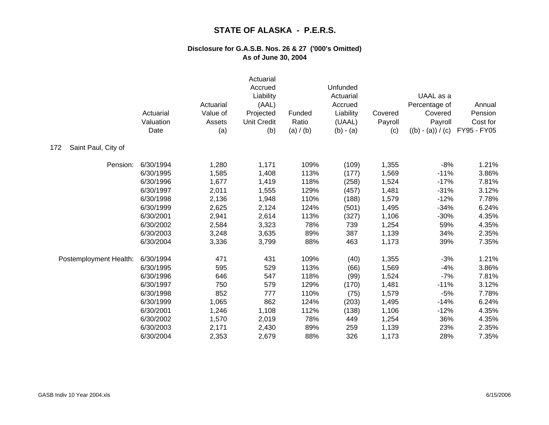|                            | Actuarial<br>Valuation<br>Date | Actuarial<br>Value of<br>Assets<br>(a) | Actuarial<br>Accrued<br>Liability<br>(AAL)<br>Projected<br><b>Unit Credit</b><br>(b) | Funded<br>Ratio<br>(a) / (b) | Unfunded<br>Actuarial<br>Accrued<br>Liability<br>(UAAL)<br>$(b) - (a)$ | Covered<br>Payroll<br>(c) | UAAL as a<br>Percentage of<br>Covered<br>Payroll<br>$((b) - (a)) / (c)$ | Annual<br>Pension<br>Cost for<br>FY95 - FY05 |
|----------------------------|--------------------------------|----------------------------------------|--------------------------------------------------------------------------------------|------------------------------|------------------------------------------------------------------------|---------------------------|-------------------------------------------------------------------------|----------------------------------------------|
| Saint Paul, City of<br>172 |                                |                                        |                                                                                      |                              |                                                                        |                           |                                                                         |                                              |
| Pension:                   | 6/30/1994                      | 1,280                                  | 1,171                                                                                | 109%                         | (109)                                                                  | 1,355                     | $-8%$                                                                   | 1.21%                                        |
|                            | 6/30/1995                      | 1,585                                  | 1,408                                                                                | 113%                         | (177)                                                                  | 1,569                     | $-11%$                                                                  | 3.86%                                        |
|                            | 6/30/1996                      | 1,677                                  | 1,419                                                                                | 118%                         | (258)                                                                  | 1,524                     | $-17%$                                                                  | 7.81%                                        |
|                            | 6/30/1997                      | 2,011                                  | 1,555                                                                                | 129%                         | (457)                                                                  | 1,481                     | $-31%$                                                                  | 3.12%                                        |
|                            | 6/30/1998                      | 2,136                                  | 1,948                                                                                | 110%                         | (188)                                                                  | 1,579                     | $-12%$                                                                  | 7.78%                                        |
|                            | 6/30/1999                      | 2,625                                  | 2,124                                                                                | 124%                         | (501)                                                                  | 1,495                     | $-34%$                                                                  | 6.24%                                        |
|                            | 6/30/2001                      | 2,941                                  | 2,614                                                                                | 113%                         | (327)                                                                  | 1,106                     | $-30%$                                                                  | 4.35%                                        |
|                            | 6/30/2002                      | 2,584                                  | 3,323                                                                                | 78%                          | 739                                                                    | 1,254                     | 59%                                                                     | 4.35%                                        |
|                            | 6/30/2003                      | 3,248                                  | 3,635                                                                                | 89%                          | 387                                                                    | 1,139                     | 34%                                                                     | 2.35%                                        |
|                            | 6/30/2004                      | 3,336                                  | 3,799                                                                                | 88%                          | 463                                                                    | 1,173                     | 39%                                                                     | 7.35%                                        |
| Postemployment Health:     | 6/30/1994                      | 471                                    | 431                                                                                  | 109%                         | (40)                                                                   | 1,355                     | $-3%$                                                                   | 1.21%                                        |
|                            | 6/30/1995                      | 595                                    | 529                                                                                  | 113%                         | (66)                                                                   | 1,569                     | $-4%$                                                                   | 3.86%                                        |
|                            | 6/30/1996                      | 646                                    | 547                                                                                  | 118%                         | (99)                                                                   | 1,524                     | $-7%$                                                                   | 7.81%                                        |
|                            | 6/30/1997                      | 750                                    | 579                                                                                  | 129%                         | (170)                                                                  | 1,481                     | $-11%$                                                                  | 3.12%                                        |
|                            | 6/30/1998                      | 852                                    | 777                                                                                  | 110%                         | (75)                                                                   | 1,579                     | $-5%$                                                                   | 7.78%                                        |
|                            | 6/30/1999                      | 1,065                                  | 862                                                                                  | 124%                         | (203)                                                                  | 1,495                     | $-14%$                                                                  | 6.24%                                        |
|                            | 6/30/2001                      | 1,246                                  | 1,108                                                                                | 112%                         | (138)                                                                  | 1,106                     | $-12%$                                                                  | 4.35%                                        |
|                            | 6/30/2002                      | 1,570                                  | 2,019                                                                                | 78%                          | 449                                                                    | 1,254                     | 36%                                                                     | 4.35%                                        |
|                            | 6/30/2003                      | 2,171                                  | 2,430                                                                                | 89%                          | 259                                                                    | 1,139                     | 23%                                                                     | 2.35%                                        |
|                            | 6/30/2004                      | 2,353                                  | 2,679                                                                                | 88%                          | 326                                                                    | 1,173                     | 28%                                                                     | 7.35%                                        |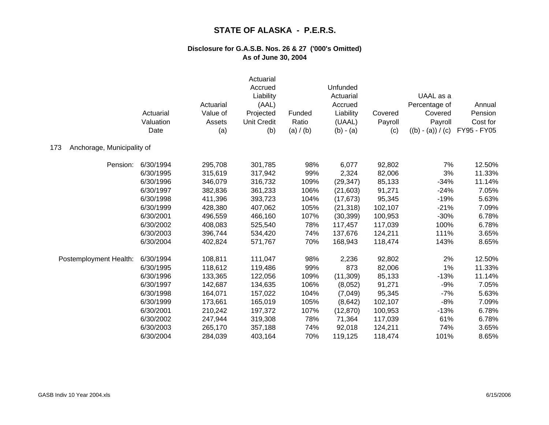|                                   | Actuarial<br>Valuation<br>Date | Actuarial<br>Value of<br>Assets<br>(a) | Actuarial<br>Accrued<br>Liability<br>(AAL)<br>Projected<br><b>Unit Credit</b><br>(b) | Funded<br>Ratio<br>(a) / (b) | Unfunded<br>Actuarial<br>Accrued<br>Liability<br>(UAAL)<br>$(b) - (a)$ | Covered<br>Payroll<br>(c) | UAAL as a<br>Percentage of<br>Covered<br>Payroll<br>$((b) - (a)) / (c)$ | Annual<br>Pension<br>Cost for<br>FY95 - FY05 |
|-----------------------------------|--------------------------------|----------------------------------------|--------------------------------------------------------------------------------------|------------------------------|------------------------------------------------------------------------|---------------------------|-------------------------------------------------------------------------|----------------------------------------------|
| 173<br>Anchorage, Municipality of |                                |                                        |                                                                                      |                              |                                                                        |                           |                                                                         |                                              |
| Pension:                          | 6/30/1994                      | 295,708                                | 301,785                                                                              | 98%                          | 6,077                                                                  | 92,802                    | 7%                                                                      | 12.50%                                       |
|                                   | 6/30/1995                      | 315,619                                | 317,942                                                                              | 99%                          | 2,324                                                                  | 82,006                    | 3%                                                                      | 11.33%                                       |
|                                   | 6/30/1996                      | 346,079                                | 316,732                                                                              | 109%                         | (29, 347)                                                              | 85,133                    | $-34%$                                                                  | 11.14%                                       |
|                                   | 6/30/1997                      | 382,836                                | 361,233                                                                              | 106%                         | (21, 603)                                                              | 91,271                    | $-24%$                                                                  | 7.05%                                        |
|                                   | 6/30/1998                      | 411,396                                | 393,723                                                                              | 104%                         | (17, 673)                                                              | 95,345                    | $-19%$                                                                  | 5.63%                                        |
|                                   | 6/30/1999                      | 428,380                                | 407,062                                                                              | 105%                         | (21, 318)                                                              | 102,107                   | $-21%$                                                                  | 7.09%                                        |
|                                   | 6/30/2001                      | 496,559                                | 466,160                                                                              | 107%                         | (30, 399)                                                              | 100,953                   | $-30%$                                                                  | 6.78%                                        |
|                                   | 6/30/2002                      | 408,083                                | 525,540                                                                              | 78%                          | 117,457                                                                | 117,039                   | 100%                                                                    | 6.78%                                        |
|                                   | 6/30/2003                      | 396,744                                | 534,420                                                                              | 74%                          | 137,676                                                                | 124,211                   | 111%                                                                    | 3.65%                                        |
|                                   | 6/30/2004                      | 402,824                                | 571,767                                                                              | 70%                          | 168,943                                                                | 118,474                   | 143%                                                                    | 8.65%                                        |
| Postemployment Health:            | 6/30/1994                      | 108,811                                | 111,047                                                                              | 98%                          | 2,236                                                                  | 92,802                    | 2%                                                                      | 12.50%                                       |
|                                   | 6/30/1995                      | 118,612                                | 119,486                                                                              | 99%                          | 873                                                                    | 82,006                    | 1%                                                                      | 11.33%                                       |
|                                   | 6/30/1996                      | 133,365                                | 122,056                                                                              | 109%                         | (11, 309)                                                              | 85,133                    | $-13%$                                                                  | 11.14%                                       |
|                                   | 6/30/1997                      | 142,687                                | 134,635                                                                              | 106%                         | (8,052)                                                                | 91,271                    | $-9%$                                                                   | 7.05%                                        |
|                                   | 6/30/1998                      | 164,071                                | 157,022                                                                              | 104%                         | (7,049)                                                                | 95,345                    | $-7%$                                                                   | 5.63%                                        |
|                                   | 6/30/1999                      | 173,661                                | 165,019                                                                              | 105%                         | (8,642)                                                                | 102,107                   | $-8%$                                                                   | 7.09%                                        |
|                                   | 6/30/2001                      | 210,242                                | 197,372                                                                              | 107%                         | (12, 870)                                                              | 100,953                   | $-13%$                                                                  | 6.78%                                        |
|                                   | 6/30/2002                      | 247,944                                | 319,308                                                                              | 78%                          | 71,364                                                                 | 117,039                   | 61%                                                                     | 6.78%                                        |
|                                   | 6/30/2003                      | 265,170                                | 357,188                                                                              | 74%                          | 92,018                                                                 | 124,211                   | 74%                                                                     | 3.65%                                        |
|                                   | 6/30/2004                      | 284,039                                | 403,164                                                                              | 70%                          | 119,125                                                                | 118,474                   | 101%                                                                    | 8.65%                                        |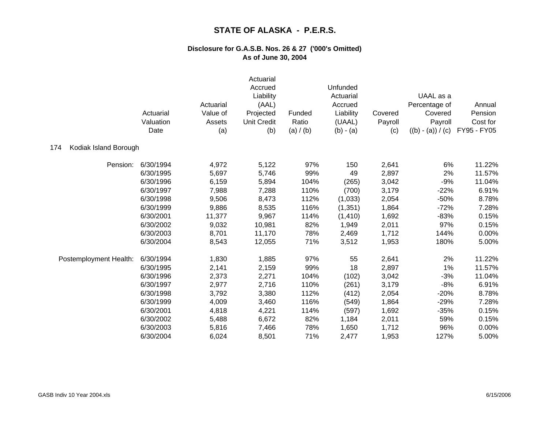|                              | Actuarial<br>Valuation<br>Date | Actuarial<br>Value of<br>Assets<br>(a) | Actuarial<br>Accrued<br>Liability<br>(AAL)<br>Projected<br><b>Unit Credit</b><br>(b) | Funded<br>Ratio<br>(a) / (b) | Unfunded<br>Actuarial<br>Accrued<br>Liability<br>(UAAL)<br>$(b) - (a)$ | Covered<br>Payroll<br>(c) | UAAL as a<br>Percentage of<br>Covered<br>Payroll<br>$((b) - (a)) / (c)$ | Annual<br>Pension<br>Cost for<br>FY95 - FY05 |
|------------------------------|--------------------------------|----------------------------------------|--------------------------------------------------------------------------------------|------------------------------|------------------------------------------------------------------------|---------------------------|-------------------------------------------------------------------------|----------------------------------------------|
| Kodiak Island Borough<br>174 |                                |                                        |                                                                                      |                              |                                                                        |                           |                                                                         |                                              |
| Pension:                     | 6/30/1994                      | 4,972                                  | 5,122                                                                                | 97%                          | 150                                                                    | 2,641                     | 6%                                                                      | 11.22%                                       |
|                              | 6/30/1995                      | 5,697                                  | 5,746                                                                                | 99%                          | 49                                                                     | 2,897                     | 2%                                                                      | 11.57%                                       |
|                              | 6/30/1996                      | 6,159                                  | 5,894                                                                                | 104%                         | (265)                                                                  | 3,042                     | $-9%$                                                                   | 11.04%                                       |
|                              | 6/30/1997                      | 7,988                                  | 7,288                                                                                | 110%                         | (700)                                                                  | 3,179                     | $-22%$                                                                  | 6.91%                                        |
|                              | 6/30/1998                      | 9,506                                  | 8,473                                                                                | 112%                         | (1,033)                                                                | 2,054                     | $-50%$                                                                  | 8.78%                                        |
|                              | 6/30/1999                      | 9,886                                  | 8,535                                                                                | 116%                         | (1, 351)                                                               | 1,864                     | $-72%$                                                                  | 7.28%                                        |
|                              | 6/30/2001                      | 11,377                                 | 9,967                                                                                | 114%                         | (1, 410)                                                               | 1,692                     | $-83%$                                                                  | 0.15%                                        |
|                              | 6/30/2002                      | 9,032                                  | 10,981                                                                               | 82%                          | 1,949                                                                  | 2,011                     | 97%                                                                     | 0.15%                                        |
|                              | 6/30/2003                      | 8,701                                  | 11,170                                                                               | 78%                          | 2,469                                                                  | 1,712                     | 144%                                                                    | 0.00%                                        |
|                              | 6/30/2004                      | 8,543                                  | 12,055                                                                               | 71%                          | 3,512                                                                  | 1,953                     | 180%                                                                    | 5.00%                                        |
| Postemployment Health:       | 6/30/1994                      | 1,830                                  | 1,885                                                                                | 97%                          | 55                                                                     | 2,641                     | 2%                                                                      | 11.22%                                       |
|                              | 6/30/1995                      | 2,141                                  | 2,159                                                                                | 99%                          | 18                                                                     | 2,897                     | 1%                                                                      | 11.57%                                       |
|                              | 6/30/1996                      | 2,373                                  | 2,271                                                                                | 104%                         | (102)                                                                  | 3,042                     | $-3%$                                                                   | 11.04%                                       |
|                              | 6/30/1997                      | 2,977                                  | 2,716                                                                                | 110%                         | (261)                                                                  | 3,179                     | $-8%$                                                                   | 6.91%                                        |
|                              | 6/30/1998                      | 3,792                                  | 3,380                                                                                | 112%                         | (412)                                                                  | 2,054                     | $-20%$                                                                  | 8.78%                                        |
|                              | 6/30/1999                      | 4,009                                  | 3,460                                                                                | 116%                         | (549)                                                                  | 1,864                     | $-29%$                                                                  | 7.28%                                        |
|                              | 6/30/2001                      | 4,818                                  | 4,221                                                                                | 114%                         | (597)                                                                  | 1,692                     | $-35%$                                                                  | 0.15%                                        |
|                              | 6/30/2002                      | 5,488                                  | 6,672                                                                                | 82%                          | 1,184                                                                  | 2,011                     | 59%                                                                     | 0.15%                                        |
|                              | 6/30/2003                      | 5,816                                  | 7,466                                                                                | 78%                          | 1,650                                                                  | 1,712                     | 96%                                                                     | 0.00%                                        |
|                              | 6/30/2004                      | 6,024                                  | 8,501                                                                                | 71%                          | 2,477                                                                  | 1,953                     | 127%                                                                    | 5.00%                                        |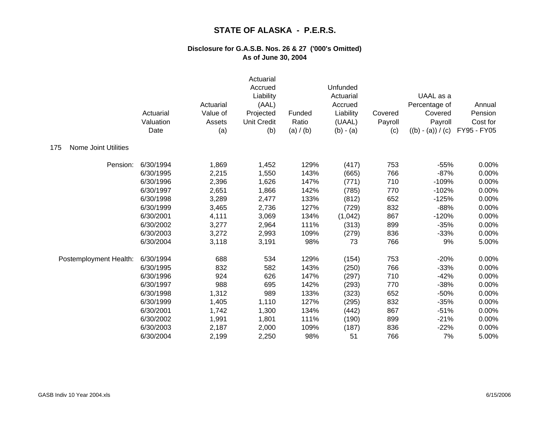|                                    | Actuarial<br>Valuation<br>Date | Actuarial<br>Value of<br>Assets<br>(a) | Actuarial<br>Accrued<br>Liability<br>(AAL)<br>Projected<br><b>Unit Credit</b><br>(b) | Funded<br>Ratio<br>(a) / (b) | Unfunded<br>Actuarial<br>Accrued<br>Liability<br>(UAAL)<br>$(b) - (a)$ | Covered<br>Payroll<br>(c) | UAAL as a<br>Percentage of<br>Covered<br>Payroll<br>$((b) - (a)) / (c)$ | Annual<br>Pension<br>Cost for<br>FY95 - FY05 |
|------------------------------------|--------------------------------|----------------------------------------|--------------------------------------------------------------------------------------|------------------------------|------------------------------------------------------------------------|---------------------------|-------------------------------------------------------------------------|----------------------------------------------|
| <b>Nome Joint Utilities</b><br>175 |                                |                                        |                                                                                      |                              |                                                                        |                           |                                                                         |                                              |
| Pension:                           | 6/30/1994                      | 1,869                                  | 1,452                                                                                | 129%                         | (417)                                                                  | 753                       | $-55%$                                                                  | 0.00%                                        |
|                                    | 6/30/1995                      | 2,215                                  | 1,550                                                                                | 143%                         | (665)                                                                  | 766                       | $-87%$                                                                  | 0.00%                                        |
|                                    | 6/30/1996                      | 2,396                                  | 1,626                                                                                | 147%                         | (771)                                                                  | 710                       | $-109%$                                                                 | 0.00%                                        |
|                                    | 6/30/1997                      | 2,651                                  | 1,866                                                                                | 142%                         | (785)                                                                  | 770                       | $-102%$                                                                 | 0.00%                                        |
|                                    | 6/30/1998                      | 3,289                                  | 2,477                                                                                | 133%                         | (812)                                                                  | 652                       | $-125%$                                                                 | 0.00%                                        |
|                                    | 6/30/1999                      | 3,465                                  | 2,736                                                                                | 127%                         | (729)                                                                  | 832                       | $-88%$                                                                  | 0.00%                                        |
|                                    | 6/30/2001                      | 4,111                                  | 3,069                                                                                | 134%                         | (1,042)                                                                | 867                       | $-120%$                                                                 | 0.00%                                        |
|                                    | 6/30/2002                      | 3,277                                  | 2,964                                                                                | 111%                         | (313)                                                                  | 899                       | $-35%$                                                                  | 0.00%                                        |
|                                    | 6/30/2003                      | 3,272                                  | 2,993                                                                                | 109%                         | (279)                                                                  | 836                       | $-33%$                                                                  | 0.00%                                        |
|                                    | 6/30/2004                      | 3,118                                  | 3,191                                                                                | 98%                          | 73                                                                     | 766                       | 9%                                                                      | 5.00%                                        |
| Postemployment Health:             | 6/30/1994                      | 688                                    | 534                                                                                  | 129%                         | (154)                                                                  | 753                       | $-20%$                                                                  | 0.00%                                        |
|                                    | 6/30/1995                      | 832                                    | 582                                                                                  | 143%                         | (250)                                                                  | 766                       | $-33%$                                                                  | 0.00%                                        |
|                                    | 6/30/1996                      | 924                                    | 626                                                                                  | 147%                         | (297)                                                                  | 710                       | $-42%$                                                                  | 0.00%                                        |
|                                    | 6/30/1997                      | 988                                    | 695                                                                                  | 142%                         | (293)                                                                  | 770                       | $-38%$                                                                  | 0.00%                                        |
|                                    | 6/30/1998                      | 1,312                                  | 989                                                                                  | 133%                         | (323)                                                                  | 652                       | $-50%$                                                                  | 0.00%                                        |
|                                    | 6/30/1999                      | 1,405                                  | 1,110                                                                                | 127%                         | (295)                                                                  | 832                       | $-35%$                                                                  | 0.00%                                        |
|                                    | 6/30/2001                      | 1,742                                  | 1,300                                                                                | 134%                         | (442)                                                                  | 867                       | $-51%$                                                                  | 0.00%                                        |
|                                    | 6/30/2002                      | 1,991                                  | 1,801                                                                                | 111%                         | (190)                                                                  | 899                       | $-21%$                                                                  | 0.00%                                        |
|                                    | 6/30/2003                      | 2,187                                  | 2,000                                                                                | 109%                         | (187)                                                                  | 836                       | $-22%$                                                                  | 0.00%                                        |
|                                    | 6/30/2004                      | 2,199                                  | 2,250                                                                                | 98%                          | 51                                                                     | 766                       | 7%                                                                      | 5.00%                                        |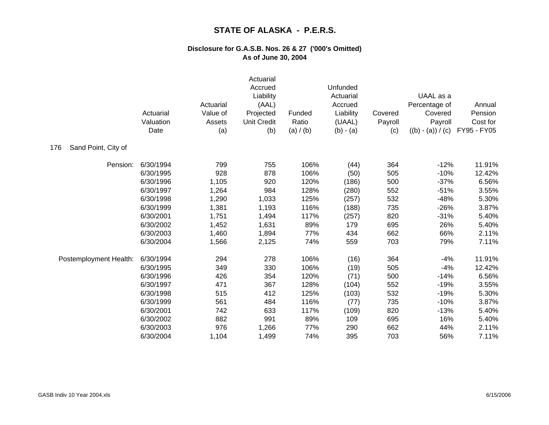|                            | Actuarial<br>Valuation<br>Date | Actuarial<br>Value of<br>Assets<br>(a) | Actuarial<br>Accrued<br>Liability<br>(AAL)<br>Projected<br><b>Unit Credit</b><br>(b) | Funded<br>Ratio<br>(a) / (b) | Unfunded<br>Actuarial<br>Accrued<br>Liability<br>(UAAL)<br>$(b) - (a)$ | Covered<br>Payroll<br>(c) | UAAL as a<br>Percentage of<br>Covered<br>Payroll<br>$((b) - (a)) / (c)$ | Annual<br>Pension<br>Cost for<br>FY95 - FY05 |
|----------------------------|--------------------------------|----------------------------------------|--------------------------------------------------------------------------------------|------------------------------|------------------------------------------------------------------------|---------------------------|-------------------------------------------------------------------------|----------------------------------------------|
| Sand Point, City of<br>176 |                                |                                        |                                                                                      |                              |                                                                        |                           |                                                                         |                                              |
| Pension:                   | 6/30/1994                      | 799                                    | 755                                                                                  | 106%                         | (44)                                                                   | 364                       | $-12%$                                                                  | 11.91%                                       |
|                            | 6/30/1995                      | 928                                    | 878                                                                                  | 106%                         | (50)                                                                   | 505                       | $-10%$                                                                  | 12.42%                                       |
|                            | 6/30/1996                      | 1,105                                  | 920                                                                                  | 120%                         | (186)                                                                  | 500                       | $-37%$                                                                  | 6.56%                                        |
|                            | 6/30/1997                      | 1,264                                  | 984                                                                                  | 128%                         | (280)                                                                  | 552                       | $-51%$                                                                  | 3.55%                                        |
|                            | 6/30/1998                      | 1,290                                  | 1,033                                                                                | 125%                         | (257)                                                                  | 532                       | $-48%$                                                                  | 5.30%                                        |
|                            | 6/30/1999                      | 1,381                                  | 1,193                                                                                | 116%                         | (188)                                                                  | 735                       | $-26%$                                                                  | 3.87%                                        |
|                            | 6/30/2001                      | 1,751                                  | 1,494                                                                                | 117%                         | (257)                                                                  | 820                       | $-31%$                                                                  | 5.40%                                        |
|                            | 6/30/2002                      | 1,452                                  | 1,631                                                                                | 89%                          | 179                                                                    | 695                       | 26%                                                                     | 5.40%                                        |
|                            | 6/30/2003                      | 1,460                                  | 1,894                                                                                | 77%                          | 434                                                                    | 662                       | 66%                                                                     | 2.11%                                        |
|                            | 6/30/2004                      | 1,566                                  | 2,125                                                                                | 74%                          | 559                                                                    | 703                       | 79%                                                                     | 7.11%                                        |
| Postemployment Health:     | 6/30/1994                      | 294                                    | 278                                                                                  | 106%                         | (16)                                                                   | 364                       | $-4%$                                                                   | 11.91%                                       |
|                            | 6/30/1995                      | 349                                    | 330                                                                                  | 106%                         | (19)                                                                   | 505                       | $-4%$                                                                   | 12.42%                                       |
|                            | 6/30/1996                      | 426                                    | 354                                                                                  | 120%                         | (71)                                                                   | 500                       | $-14%$                                                                  | 6.56%                                        |
|                            | 6/30/1997                      | 471                                    | 367                                                                                  | 128%                         | (104)                                                                  | 552                       | $-19%$                                                                  | 3.55%                                        |
|                            | 6/30/1998                      | 515                                    | 412                                                                                  | 125%                         | (103)                                                                  | 532                       | $-19%$                                                                  | 5.30%                                        |
|                            | 6/30/1999                      | 561                                    | 484                                                                                  | 116%                         | (77)                                                                   | 735                       | $-10%$                                                                  | 3.87%                                        |
|                            | 6/30/2001                      | 742                                    | 633                                                                                  | 117%                         | (109)                                                                  | 820                       | $-13%$                                                                  | 5.40%                                        |
|                            | 6/30/2002                      | 882                                    | 991                                                                                  | 89%                          | 109                                                                    | 695                       | 16%                                                                     | 5.40%                                        |
|                            | 6/30/2003                      | 976                                    | 1,266                                                                                | 77%                          | 290                                                                    | 662                       | 44%                                                                     | 2.11%                                        |
|                            | 6/30/2004                      | 1,104                                  | 1,499                                                                                | 74%                          | 395                                                                    | 703                       | 56%                                                                     | 7.11%                                        |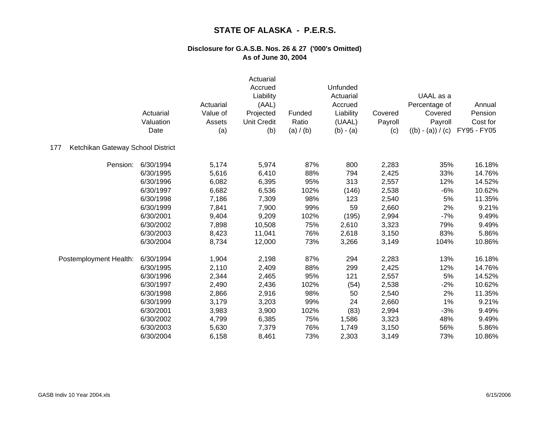|                                          | Actuarial<br>Valuation<br>Date | Actuarial<br>Value of<br>Assets<br>(a) | Actuarial<br>Accrued<br>Liability<br>(AAL)<br>Projected<br><b>Unit Credit</b><br>(b) | Funded<br>Ratio<br>(a) / (b) | Unfunded<br>Actuarial<br>Accrued<br>Liability<br>(UAAL)<br>$(b) - (a)$ | Covered<br>Payroll<br>(c) | UAAL as a<br>Percentage of<br>Covered<br>Payroll<br>$((b) - (a)) / (c)$ | Annual<br>Pension<br>Cost for<br>FY95 - FY05 |
|------------------------------------------|--------------------------------|----------------------------------------|--------------------------------------------------------------------------------------|------------------------------|------------------------------------------------------------------------|---------------------------|-------------------------------------------------------------------------|----------------------------------------------|
| Ketchikan Gateway School District<br>177 |                                |                                        |                                                                                      |                              |                                                                        |                           |                                                                         |                                              |
| Pension:                                 | 6/30/1994                      | 5,174                                  | 5,974                                                                                | 87%                          | 800                                                                    | 2,283                     | 35%                                                                     | 16.18%                                       |
|                                          | 6/30/1995                      | 5,616                                  | 6,410                                                                                | 88%                          | 794                                                                    | 2,425                     | 33%                                                                     | 14.76%                                       |
|                                          | 6/30/1996                      | 6,082                                  | 6,395                                                                                | 95%                          | 313                                                                    | 2,557                     | 12%                                                                     | 14.52%                                       |
|                                          | 6/30/1997                      | 6,682                                  | 6,536                                                                                | 102%                         | (146)                                                                  | 2,538                     | $-6%$                                                                   | 10.62%                                       |
|                                          | 6/30/1998                      | 7,186                                  | 7,309                                                                                | 98%                          | 123                                                                    | 2,540                     | 5%                                                                      | 11.35%                                       |
|                                          | 6/30/1999                      | 7,841                                  | 7,900                                                                                | 99%                          | 59                                                                     | 2,660                     | 2%                                                                      | 9.21%                                        |
|                                          | 6/30/2001                      | 9,404                                  | 9,209                                                                                | 102%                         | (195)                                                                  | 2,994                     | $-7%$                                                                   | 9.49%                                        |
|                                          | 6/30/2002                      | 7,898                                  | 10,508                                                                               | 75%                          | 2,610                                                                  | 3,323                     | 79%                                                                     | 9.49%                                        |
|                                          | 6/30/2003                      | 8,423                                  | 11,041                                                                               | 76%                          | 2,618                                                                  | 3,150                     | 83%                                                                     | 5.86%                                        |
|                                          | 6/30/2004                      | 8,734                                  | 12,000                                                                               | 73%                          | 3,266                                                                  | 3,149                     | 104%                                                                    | 10.86%                                       |
| Postemployment Health:                   | 6/30/1994                      | 1,904                                  | 2,198                                                                                | 87%                          | 294                                                                    | 2,283                     | 13%                                                                     | 16.18%                                       |
|                                          | 6/30/1995                      | 2,110                                  | 2,409                                                                                | 88%                          | 299                                                                    | 2,425                     | 12%                                                                     | 14.76%                                       |
|                                          | 6/30/1996                      | 2,344                                  | 2,465                                                                                | 95%                          | 121                                                                    | 2,557                     | 5%                                                                      | 14.52%                                       |
|                                          | 6/30/1997                      | 2,490                                  | 2,436                                                                                | 102%                         | (54)                                                                   | 2,538                     | $-2%$                                                                   | 10.62%                                       |
|                                          | 6/30/1998                      | 2,866                                  | 2,916                                                                                | 98%                          | 50                                                                     | 2,540                     | 2%                                                                      | 11.35%                                       |
|                                          | 6/30/1999                      | 3,179                                  | 3,203                                                                                | 99%                          | 24                                                                     | 2,660                     | 1%                                                                      | 9.21%                                        |
|                                          | 6/30/2001                      | 3,983                                  | 3,900                                                                                | 102%                         | (83)                                                                   | 2,994                     | $-3%$                                                                   | 9.49%                                        |
|                                          | 6/30/2002                      | 4,799                                  | 6,385                                                                                | 75%                          | 1,586                                                                  | 3,323                     | 48%                                                                     | 9.49%                                        |
|                                          | 6/30/2003                      | 5,630                                  | 7,379                                                                                | 76%                          | 1,749                                                                  | 3,150                     | 56%                                                                     | 5.86%                                        |
|                                          | 6/30/2004                      | 6,158                                  | 8,461                                                                                | 73%                          | 2,303                                                                  | 3,149                     | 73%                                                                     | 10.86%                                       |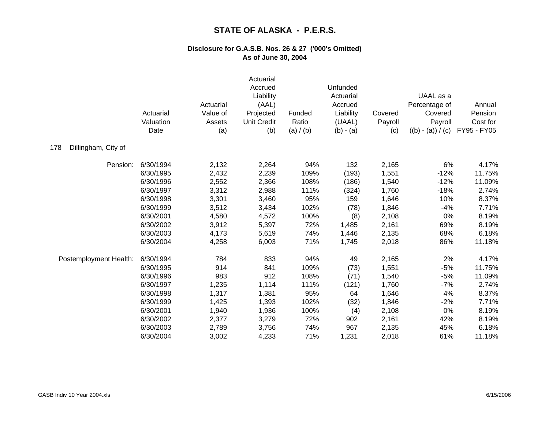|                            | Actuarial<br>Valuation<br>Date | Actuarial<br>Value of<br>Assets<br>(a) | Actuarial<br>Accrued<br>Liability<br>(AAL)<br>Projected<br><b>Unit Credit</b><br>(b) | Funded<br>Ratio<br>(a) / (b) | Unfunded<br>Actuarial<br>Accrued<br>Liability<br>(UAAL)<br>$(b) - (a)$ | Covered<br>Payroll<br>(c) | UAAL as a<br>Percentage of<br>Covered<br>Payroll<br>$((b) - (a)) / (c)$ | Annual<br>Pension<br>Cost for<br>FY95 - FY05 |
|----------------------------|--------------------------------|----------------------------------------|--------------------------------------------------------------------------------------|------------------------------|------------------------------------------------------------------------|---------------------------|-------------------------------------------------------------------------|----------------------------------------------|
| Dillingham, City of<br>178 |                                |                                        |                                                                                      |                              |                                                                        |                           |                                                                         |                                              |
| Pension:                   | 6/30/1994                      | 2,132                                  | 2,264                                                                                | 94%                          | 132                                                                    | 2,165                     | 6%                                                                      | 4.17%                                        |
|                            | 6/30/1995                      | 2,432                                  | 2,239                                                                                | 109%                         | (193)                                                                  | 1,551                     | $-12%$                                                                  | 11.75%                                       |
|                            | 6/30/1996                      | 2,552                                  | 2,366                                                                                | 108%                         | (186)                                                                  | 1,540                     | $-12%$                                                                  | 11.09%                                       |
|                            | 6/30/1997                      | 3,312                                  | 2,988                                                                                | 111%                         | (324)                                                                  | 1,760                     | $-18%$                                                                  | 2.74%                                        |
|                            | 6/30/1998                      | 3,301                                  | 3,460                                                                                | 95%                          | 159                                                                    | 1,646                     | 10%                                                                     | 8.37%                                        |
|                            | 6/30/1999                      | 3,512                                  | 3,434                                                                                | 102%                         | (78)                                                                   | 1,846                     | $-4%$                                                                   | 7.71%                                        |
|                            | 6/30/2001                      | 4,580                                  | 4,572                                                                                | 100%                         | (8)                                                                    | 2,108                     | 0%                                                                      | 8.19%                                        |
|                            | 6/30/2002                      | 3,912                                  | 5,397                                                                                | 72%                          | 1,485                                                                  | 2,161                     | 69%                                                                     | 8.19%                                        |
|                            | 6/30/2003                      | 4,173                                  | 5,619                                                                                | 74%                          | 1,446                                                                  | 2,135                     | 68%                                                                     | 6.18%                                        |
|                            | 6/30/2004                      | 4,258                                  | 6,003                                                                                | 71%                          | 1,745                                                                  | 2,018                     | 86%                                                                     | 11.18%                                       |
| Postemployment Health:     | 6/30/1994                      | 784                                    | 833                                                                                  | 94%                          | 49                                                                     | 2,165                     | 2%                                                                      | 4.17%                                        |
|                            | 6/30/1995                      | 914                                    | 841                                                                                  | 109%                         | (73)                                                                   | 1,551                     | $-5%$                                                                   | 11.75%                                       |
|                            | 6/30/1996                      | 983                                    | 912                                                                                  | 108%                         | (71)                                                                   | 1,540                     | $-5%$                                                                   | 11.09%                                       |
|                            | 6/30/1997                      | 1,235                                  | 1,114                                                                                | 111%                         | (121)                                                                  | 1,760                     | $-7%$                                                                   | 2.74%                                        |
|                            | 6/30/1998                      | 1,317                                  | 1,381                                                                                | 95%                          | 64                                                                     | 1,646                     | 4%                                                                      | 8.37%                                        |
|                            | 6/30/1999                      | 1,425                                  | 1,393                                                                                | 102%                         | (32)                                                                   | 1,846                     | $-2%$                                                                   | 7.71%                                        |
|                            | 6/30/2001                      | 1,940                                  | 1,936                                                                                | 100%                         | (4)                                                                    | 2,108                     | 0%                                                                      | 8.19%                                        |
|                            | 6/30/2002                      | 2,377                                  | 3,279                                                                                | 72%                          | 902                                                                    | 2,161                     | 42%                                                                     | 8.19%                                        |
|                            | 6/30/2003                      | 2,789                                  | 3,756                                                                                | 74%                          | 967                                                                    | 2,135                     | 45%                                                                     | 6.18%                                        |
|                            | 6/30/2004                      | 3,002                                  | 4,233                                                                                | 71%                          | 1,231                                                                  | 2,018                     | 61%                                                                     | 11.18%                                       |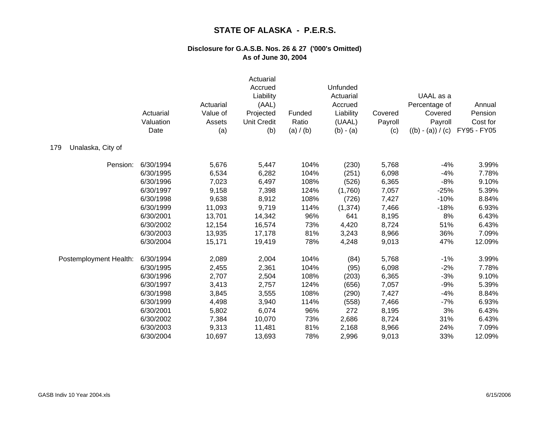|                          | Actuarial<br>Valuation<br>Date | Actuarial<br>Value of<br>Assets<br>(a) | Actuarial<br>Accrued<br>Liability<br>(AAL)<br>Projected<br><b>Unit Credit</b><br>(b) | Funded<br>Ratio<br>(a) / (b) | Unfunded<br>Actuarial<br>Accrued<br>Liability<br>(UAAL)<br>$(b) - (a)$ | Covered<br>Payroll<br>(c) | UAAL as a<br>Percentage of<br>Covered<br>Payroll<br>$((b) - (a)) / (c)$ | Annual<br>Pension<br>Cost for<br>FY95 - FY05 |
|--------------------------|--------------------------------|----------------------------------------|--------------------------------------------------------------------------------------|------------------------------|------------------------------------------------------------------------|---------------------------|-------------------------------------------------------------------------|----------------------------------------------|
| Unalaska, City of<br>179 |                                |                                        |                                                                                      |                              |                                                                        |                           |                                                                         |                                              |
| Pension:                 | 6/30/1994                      | 5,676                                  | 5,447                                                                                | 104%                         | (230)                                                                  | 5,768                     | $-4%$                                                                   | 3.99%                                        |
|                          | 6/30/1995                      | 6,534                                  | 6,282                                                                                | 104%                         | (251)                                                                  | 6,098                     | $-4%$                                                                   | 7.78%                                        |
|                          | 6/30/1996                      | 7,023                                  | 6,497                                                                                | 108%                         | (526)                                                                  | 6,365                     | $-8%$                                                                   | 9.10%                                        |
|                          | 6/30/1997                      | 9,158                                  | 7,398                                                                                | 124%                         | (1,760)                                                                | 7,057                     | $-25%$                                                                  | 5.39%                                        |
|                          | 6/30/1998                      | 9,638                                  | 8,912                                                                                | 108%                         | (726)                                                                  | 7,427                     | $-10%$                                                                  | 8.84%                                        |
|                          | 6/30/1999                      | 11,093                                 | 9,719                                                                                | 114%                         | (1, 374)                                                               | 7,466                     | $-18%$                                                                  | 6.93%                                        |
|                          | 6/30/2001                      | 13,701                                 | 14,342                                                                               | 96%                          | 641                                                                    | 8,195                     | 8%                                                                      | 6.43%                                        |
|                          | 6/30/2002                      | 12,154                                 | 16,574                                                                               | 73%                          | 4,420                                                                  | 8,724                     | 51%                                                                     | 6.43%                                        |
|                          | 6/30/2003                      | 13,935                                 | 17,178                                                                               | 81%                          | 3,243                                                                  | 8,966                     | 36%                                                                     | 7.09%                                        |
|                          | 6/30/2004                      | 15,171                                 | 19,419                                                                               | 78%                          | 4,248                                                                  | 9,013                     | 47%                                                                     | 12.09%                                       |
| Postemployment Health:   | 6/30/1994                      | 2,089                                  | 2,004                                                                                | 104%                         | (84)                                                                   | 5,768                     | $-1%$                                                                   | 3.99%                                        |
|                          | 6/30/1995                      | 2,455                                  | 2,361                                                                                | 104%                         | (95)                                                                   | 6,098                     | $-2%$                                                                   | 7.78%                                        |
|                          | 6/30/1996                      | 2,707                                  | 2,504                                                                                | 108%                         | (203)                                                                  | 6,365                     | $-3%$                                                                   | 9.10%                                        |
|                          | 6/30/1997                      | 3,413                                  | 2,757                                                                                | 124%                         | (656)                                                                  | 7,057                     | $-9%$                                                                   | 5.39%                                        |
|                          | 6/30/1998                      | 3,845                                  | 3,555                                                                                | 108%                         | (290)                                                                  | 7,427                     | $-4%$                                                                   | 8.84%                                        |
|                          | 6/30/1999                      | 4,498                                  | 3,940                                                                                | 114%                         | (558)                                                                  | 7,466                     | $-7%$                                                                   | 6.93%                                        |
|                          | 6/30/2001                      | 5,802                                  | 6,074                                                                                | 96%                          | 272                                                                    | 8,195                     | 3%                                                                      | 6.43%                                        |
|                          | 6/30/2002                      | 7,384                                  | 10,070                                                                               | 73%                          | 2,686                                                                  | 8,724                     | 31%                                                                     | 6.43%                                        |
|                          | 6/30/2003                      | 9,313                                  | 11,481                                                                               | 81%                          | 2,168                                                                  | 8,966                     | 24%                                                                     | 7.09%                                        |
|                          | 6/30/2004                      | 10,697                                 | 13,693                                                                               | 78%                          | 2,996                                                                  | 9,013                     | 33%                                                                     | 12.09%                                       |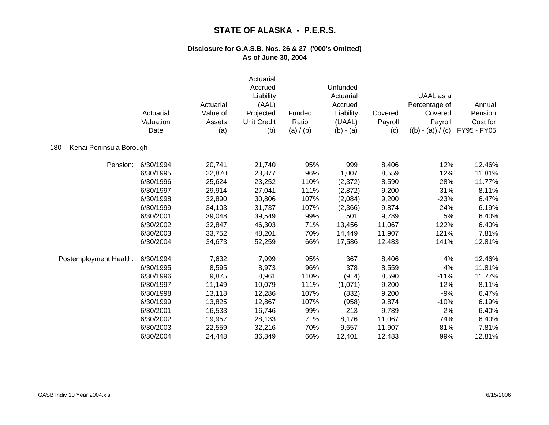|                                | Actuarial<br>Valuation<br>Date | Actuarial<br>Value of<br>Assets<br>(a) | Actuarial<br>Accrued<br>Liability<br>(AAL)<br>Projected<br><b>Unit Credit</b><br>(b) | Funded<br>Ratio<br>(a) / (b) | Unfunded<br>Actuarial<br>Accrued<br>Liability<br>(UAAL)<br>$(b) - (a)$ | Covered<br>Payroll<br>(c) | UAAL as a<br>Percentage of<br>Covered<br>Payroll<br>$((b) - (a)) / (c)$ | Annual<br>Pension<br>Cost for<br>FY95 - FY05 |
|--------------------------------|--------------------------------|----------------------------------------|--------------------------------------------------------------------------------------|------------------------------|------------------------------------------------------------------------|---------------------------|-------------------------------------------------------------------------|----------------------------------------------|
| Kenai Peninsula Borough<br>180 |                                |                                        |                                                                                      |                              |                                                                        |                           |                                                                         |                                              |
| Pension:                       | 6/30/1994                      | 20,741                                 | 21,740                                                                               | 95%                          | 999                                                                    | 8,406                     | 12%                                                                     | 12.46%                                       |
|                                | 6/30/1995                      | 22,870                                 | 23,877                                                                               | 96%                          | 1,007                                                                  | 8,559                     | 12%                                                                     | 11.81%                                       |
|                                | 6/30/1996                      | 25,624                                 | 23,252                                                                               | 110%                         | (2,372)                                                                | 8,590                     | $-28%$                                                                  | 11.77%                                       |
|                                | 6/30/1997                      | 29,914                                 | 27,041                                                                               | 111%                         | (2,872)                                                                | 9,200                     | $-31%$                                                                  | 8.11%                                        |
|                                | 6/30/1998                      | 32,890                                 | 30,806                                                                               | 107%                         | (2,084)                                                                | 9,200                     | $-23%$                                                                  | 6.47%                                        |
|                                | 6/30/1999                      | 34,103                                 | 31,737                                                                               | 107%                         | (2,366)                                                                | 9,874                     | $-24%$                                                                  | 6.19%                                        |
|                                | 6/30/2001                      | 39,048                                 | 39,549                                                                               | 99%                          | 501                                                                    | 9,789                     | 5%                                                                      | 6.40%                                        |
|                                | 6/30/2002                      | 32,847                                 | 46,303                                                                               | 71%                          | 13,456                                                                 | 11,067                    | 122%                                                                    | 6.40%                                        |
|                                | 6/30/2003                      | 33,752                                 | 48,201                                                                               | 70%                          | 14,449                                                                 | 11,907                    | 121%                                                                    | 7.81%                                        |
|                                | 6/30/2004                      | 34,673                                 | 52,259                                                                               | 66%                          | 17,586                                                                 | 12,483                    | 141%                                                                    | 12.81%                                       |
| Postemployment Health:         | 6/30/1994                      | 7,632                                  | 7,999                                                                                | 95%                          | 367                                                                    | 8,406                     | 4%                                                                      | 12.46%                                       |
|                                | 6/30/1995                      | 8,595                                  | 8,973                                                                                | 96%                          | 378                                                                    | 8,559                     | 4%                                                                      | 11.81%                                       |
|                                | 6/30/1996                      | 9,875                                  | 8,961                                                                                | 110%                         | (914)                                                                  | 8,590                     | $-11%$                                                                  | 11.77%                                       |
|                                | 6/30/1997                      | 11,149                                 | 10,079                                                                               | 111%                         | (1,071)                                                                | 9,200                     | $-12%$                                                                  | 8.11%                                        |
|                                | 6/30/1998                      | 13,118                                 | 12,286                                                                               | 107%                         | (832)                                                                  | 9,200                     | $-9%$                                                                   | 6.47%                                        |
|                                | 6/30/1999                      | 13,825                                 | 12,867                                                                               | 107%                         | (958)                                                                  | 9,874                     | $-10%$                                                                  | 6.19%                                        |
|                                | 6/30/2001                      | 16,533                                 | 16,746                                                                               | 99%                          | 213                                                                    | 9,789                     | 2%                                                                      | 6.40%                                        |
|                                | 6/30/2002                      | 19,957                                 | 28,133                                                                               | 71%                          | 8,176                                                                  | 11,067                    | 74%                                                                     | 6.40%                                        |
|                                | 6/30/2003                      | 22,559                                 | 32,216                                                                               | 70%                          | 9,657                                                                  | 11,907                    | 81%                                                                     | 7.81%                                        |
|                                | 6/30/2004                      | 24,448                                 | 36,849                                                                               | 66%                          | 12,401                                                                 | 12,483                    | 99%                                                                     | 12.81%                                       |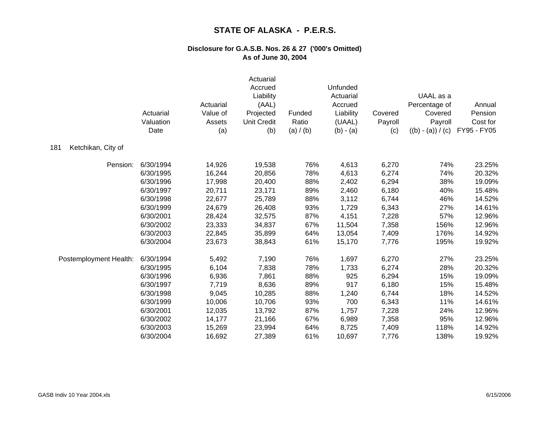|                           | Actuarial<br>Valuation<br>Date | Actuarial<br>Value of<br>Assets<br>(a) | Actuarial<br>Accrued<br>Liability<br>(AAL)<br>Projected<br><b>Unit Credit</b><br>(b) | Funded<br>Ratio<br>(a) / (b) | Unfunded<br>Actuarial<br>Accrued<br>Liability<br>(UAAL)<br>$(b) - (a)$ | Covered<br>Payroll<br>(c) | UAAL as a<br>Percentage of<br>Covered<br>Payroll<br>$((b) - (a)) / (c)$ | Annual<br>Pension<br>Cost for<br>FY95 - FY05 |
|---------------------------|--------------------------------|----------------------------------------|--------------------------------------------------------------------------------------|------------------------------|------------------------------------------------------------------------|---------------------------|-------------------------------------------------------------------------|----------------------------------------------|
| Ketchikan, City of<br>181 |                                |                                        |                                                                                      |                              |                                                                        |                           |                                                                         |                                              |
| Pension:                  | 6/30/1994                      | 14,926                                 | 19,538                                                                               | 76%                          | 4,613                                                                  | 6,270                     | 74%                                                                     | 23.25%                                       |
|                           | 6/30/1995                      | 16,244                                 | 20,856                                                                               | 78%                          | 4,613                                                                  | 6,274                     | 74%                                                                     | 20.32%                                       |
|                           | 6/30/1996                      | 17,998                                 | 20,400                                                                               | 88%                          | 2,402                                                                  | 6,294                     | 38%                                                                     | 19.09%                                       |
|                           | 6/30/1997                      | 20,711                                 | 23,171                                                                               | 89%                          | 2,460                                                                  | 6,180                     | 40%                                                                     | 15.48%                                       |
|                           | 6/30/1998                      | 22,677                                 | 25,789                                                                               | 88%                          | 3,112                                                                  | 6,744                     | 46%                                                                     | 14.52%                                       |
|                           | 6/30/1999                      | 24,679                                 | 26,408                                                                               | 93%                          | 1,729                                                                  | 6,343                     | 27%                                                                     | 14.61%                                       |
|                           | 6/30/2001                      | 28,424                                 | 32,575                                                                               | 87%                          | 4,151                                                                  | 7,228                     | 57%                                                                     | 12.96%                                       |
|                           | 6/30/2002                      | 23,333                                 | 34,837                                                                               | 67%                          | 11,504                                                                 | 7,358                     | 156%                                                                    | 12.96%                                       |
|                           | 6/30/2003                      | 22,845                                 | 35,899                                                                               | 64%                          | 13,054                                                                 | 7,409                     | 176%                                                                    | 14.92%                                       |
|                           | 6/30/2004                      | 23,673                                 | 38,843                                                                               | 61%                          | 15,170                                                                 | 7,776                     | 195%                                                                    | 19.92%                                       |
| Postemployment Health:    | 6/30/1994                      | 5,492                                  | 7,190                                                                                | 76%                          | 1,697                                                                  | 6,270                     | 27%                                                                     | 23.25%                                       |
|                           | 6/30/1995                      | 6,104                                  | 7,838                                                                                | 78%                          | 1,733                                                                  | 6,274                     | 28%                                                                     | 20.32%                                       |
|                           | 6/30/1996                      | 6,936                                  | 7,861                                                                                | 88%                          | 925                                                                    | 6,294                     | 15%                                                                     | 19.09%                                       |
|                           | 6/30/1997                      | 7,719                                  | 8,636                                                                                | 89%                          | 917                                                                    | 6,180                     | 15%                                                                     | 15.48%                                       |
|                           | 6/30/1998                      | 9,045                                  | 10,285                                                                               | 88%                          | 1,240                                                                  | 6,744                     | 18%                                                                     | 14.52%                                       |
|                           | 6/30/1999                      | 10,006                                 | 10,706                                                                               | 93%                          | 700                                                                    | 6,343                     | 11%                                                                     | 14.61%                                       |
|                           | 6/30/2001                      | 12,035                                 | 13,792                                                                               | 87%                          | 1,757                                                                  | 7,228                     | 24%                                                                     | 12.96%                                       |
|                           | 6/30/2002                      | 14,177                                 | 21,166                                                                               | 67%                          | 6,989                                                                  | 7,358                     | 95%                                                                     | 12.96%                                       |
|                           | 6/30/2003                      | 15,269                                 | 23,994                                                                               | 64%                          | 8,725                                                                  | 7,409                     | 118%                                                                    | 14.92%                                       |
|                           | 6/30/2004                      | 16,692                                 | 27,389                                                                               | 61%                          | 10,697                                                                 | 7,776                     | 138%                                                                    | 19.92%                                       |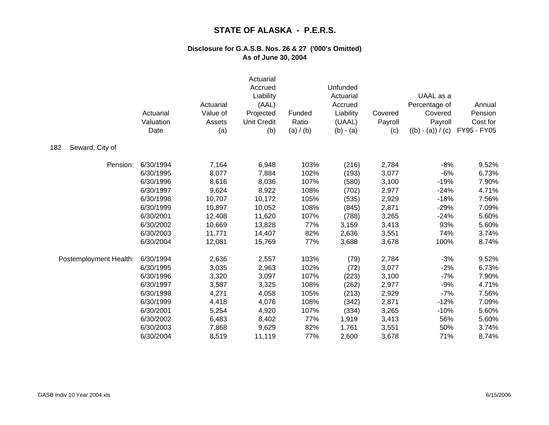|                        | Actuarial<br>Valuation<br>Date | Actuarial<br>Value of<br>Assets<br>(a) | Actuarial<br>Accrued<br>Liability<br>(AAL)<br>Projected<br><b>Unit Credit</b><br>(b) | Funded<br>Ratio<br>(a) / (b) | Unfunded<br>Actuarial<br>Accrued<br>Liability<br>(UAAL)<br>$(b) - (a)$ | Covered<br>Payroll<br>(c) | UAAL as a<br>Percentage of<br>Covered<br>Payroll<br>$((b) - (a)) / (c)$ | Annual<br>Pension<br>Cost for<br>FY95 - FY05 |
|------------------------|--------------------------------|----------------------------------------|--------------------------------------------------------------------------------------|------------------------------|------------------------------------------------------------------------|---------------------------|-------------------------------------------------------------------------|----------------------------------------------|
| Seward, City of<br>182 |                                |                                        |                                                                                      |                              |                                                                        |                           |                                                                         |                                              |
| Pension:               | 6/30/1994                      | 7,164                                  | 6,948                                                                                | 103%                         | (216)                                                                  | 2,784                     | $-8%$                                                                   | 9.52%                                        |
|                        | 6/30/1995                      | 8,077                                  | 7,884                                                                                | 102%                         | (193)                                                                  | 3,077                     | $-6%$                                                                   | 6.73%                                        |
|                        | 6/30/1996                      | 8,616                                  | 8,036                                                                                | 107%                         | (580)                                                                  | 3,100                     | $-19%$                                                                  | 7.90%                                        |
|                        | 6/30/1997                      | 9,624                                  | 8,922                                                                                | 108%                         | (702)                                                                  | 2,977                     | $-24%$                                                                  | 4.71%                                        |
|                        | 6/30/1998                      | 10,707                                 | 10,172                                                                               | 105%                         | (535)                                                                  | 2,929                     | $-18%$                                                                  | 7.56%                                        |
|                        | 6/30/1999                      | 10,897                                 | 10,052                                                                               | 108%                         | (845)                                                                  | 2,871                     | $-29%$                                                                  | 7.09%                                        |
|                        | 6/30/2001                      | 12,408                                 | 11,620                                                                               | 107%                         | (788)                                                                  | 3,265                     | $-24%$                                                                  | 5.60%                                        |
|                        | 6/30/2002                      | 10,669                                 | 13,828                                                                               | 77%                          | 3,159                                                                  | 3,413                     | 93%                                                                     | 5.60%                                        |
|                        | 6/30/2003                      | 11,771                                 | 14,407                                                                               | 82%                          | 2,636                                                                  | 3,551                     | 74%                                                                     | 3.74%                                        |
|                        | 6/30/2004                      | 12,081                                 | 15,769                                                                               | 77%                          | 3,688                                                                  | 3,678                     | 100%                                                                    | 8.74%                                        |
| Postemployment Health: | 6/30/1994                      | 2,636                                  | 2,557                                                                                | 103%                         | (79)                                                                   | 2,784                     | $-3%$                                                                   | 9.52%                                        |
|                        | 6/30/1995                      | 3,035                                  | 2,963                                                                                | 102%                         | (72)                                                                   | 3,077                     | $-2%$                                                                   | 6.73%                                        |
|                        | 6/30/1996                      | 3,320                                  | 3,097                                                                                | 107%                         | (223)                                                                  | 3,100                     | $-7%$                                                                   | 7.90%                                        |
|                        | 6/30/1997                      | 3,587                                  | 3,325                                                                                | 108%                         | (262)                                                                  | 2,977                     | $-9%$                                                                   | 4.71%                                        |
|                        | 6/30/1998                      | 4,271                                  | 4,058                                                                                | 105%                         | (213)                                                                  | 2,929                     | $-7%$                                                                   | 7.56%                                        |
|                        | 6/30/1999                      | 4,418                                  | 4,076                                                                                | 108%                         | (342)                                                                  | 2,871                     | $-12%$                                                                  | 7.09%                                        |
|                        | 6/30/2001                      | 5,254                                  | 4,920                                                                                | 107%                         | (334)                                                                  | 3,265                     | $-10%$                                                                  | 5.60%                                        |
|                        | 6/30/2002                      | 6,483                                  | 8,402                                                                                | 77%                          | 1,919                                                                  | 3,413                     | 56%                                                                     | 5.60%                                        |
|                        | 6/30/2003                      | 7,868                                  | 9,629                                                                                | 82%                          | 1,761                                                                  | 3,551                     | 50%                                                                     | 3.74%                                        |
|                        | 6/30/2004                      | 8,519                                  | 11,119                                                                               | 77%                          | 2,600                                                                  | 3,678                     | 71%                                                                     | 8.74%                                        |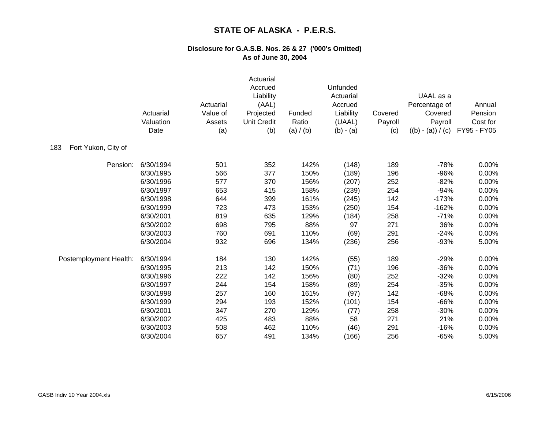|                            | Actuarial<br>Valuation<br>Date | Actuarial<br>Value of<br>Assets<br>(a) | Actuarial<br>Accrued<br>Liability<br>(AAL)<br>Projected<br><b>Unit Credit</b><br>(b) | Funded<br>Ratio<br>(a) / (b) | Unfunded<br>Actuarial<br>Accrued<br>Liability<br>(UAAL)<br>$(b) - (a)$ | Covered<br>Payroll<br>(c) | UAAL as a<br>Percentage of<br>Covered<br>Payroll<br>$((b) - (a)) / (c)$ | Annual<br>Pension<br>Cost for<br>FY95 - FY05 |
|----------------------------|--------------------------------|----------------------------------------|--------------------------------------------------------------------------------------|------------------------------|------------------------------------------------------------------------|---------------------------|-------------------------------------------------------------------------|----------------------------------------------|
| Fort Yukon, City of<br>183 |                                |                                        |                                                                                      |                              |                                                                        |                           |                                                                         |                                              |
| Pension:                   | 6/30/1994                      | 501                                    | 352                                                                                  | 142%                         | (148)                                                                  | 189                       | $-78%$                                                                  | 0.00%                                        |
|                            | 6/30/1995                      | 566                                    | 377                                                                                  | 150%                         | (189)                                                                  | 196                       | $-96%$                                                                  | 0.00%                                        |
|                            | 6/30/1996                      | 577                                    | 370                                                                                  | 156%                         | (207)                                                                  | 252                       | $-82%$                                                                  | 0.00%                                        |
|                            | 6/30/1997                      | 653                                    | 415                                                                                  | 158%                         | (239)                                                                  | 254                       | $-94%$                                                                  | 0.00%                                        |
|                            | 6/30/1998                      | 644                                    | 399                                                                                  | 161%                         | (245)                                                                  | 142                       | $-173%$                                                                 | 0.00%                                        |
|                            | 6/30/1999                      | 723                                    | 473                                                                                  | 153%                         | (250)                                                                  | 154                       | $-162%$                                                                 | 0.00%                                        |
|                            | 6/30/2001                      | 819                                    | 635                                                                                  | 129%                         | (184)                                                                  | 258                       | $-71%$                                                                  | 0.00%                                        |
|                            | 6/30/2002                      | 698                                    | 795                                                                                  | 88%                          | 97                                                                     | 271                       | 36%                                                                     | 0.00%                                        |
|                            | 6/30/2003                      | 760                                    | 691                                                                                  | 110%                         | (69)                                                                   | 291                       | $-24%$                                                                  | 0.00%                                        |
|                            | 6/30/2004                      | 932                                    | 696                                                                                  | 134%                         | (236)                                                                  | 256                       | $-93%$                                                                  | 5.00%                                        |
| Postemployment Health:     | 6/30/1994                      | 184                                    | 130                                                                                  | 142%                         | (55)                                                                   | 189                       | $-29%$                                                                  | 0.00%                                        |
|                            | 6/30/1995                      | 213                                    | 142                                                                                  | 150%                         | (71)                                                                   | 196                       | $-36%$                                                                  | 0.00%                                        |
|                            | 6/30/1996                      | 222                                    | 142                                                                                  | 156%                         | (80)                                                                   | 252                       | $-32%$                                                                  | 0.00%                                        |
|                            | 6/30/1997                      | 244                                    | 154                                                                                  | 158%                         | (89)                                                                   | 254                       | $-35%$                                                                  | 0.00%                                        |
|                            | 6/30/1998                      | 257                                    | 160                                                                                  | 161%                         | (97)                                                                   | 142                       | $-68%$                                                                  | 0.00%                                        |
|                            | 6/30/1999                      | 294                                    | 193                                                                                  | 152%                         | (101)                                                                  | 154                       | $-66%$                                                                  | 0.00%                                        |
|                            | 6/30/2001                      | 347                                    | 270                                                                                  | 129%                         | (77)                                                                   | 258                       | $-30%$                                                                  | 0.00%                                        |
|                            | 6/30/2002                      | 425                                    | 483                                                                                  | 88%                          | 58                                                                     | 271                       | 21%                                                                     | 0.00%                                        |
|                            | 6/30/2003                      | 508                                    | 462                                                                                  | 110%                         | (46)                                                                   | 291                       | $-16%$                                                                  | 0.00%                                        |
|                            | 6/30/2004                      | 657                                    | 491                                                                                  | 134%                         | (166)                                                                  | 256                       | $-65%$                                                                  | 5.00%                                        |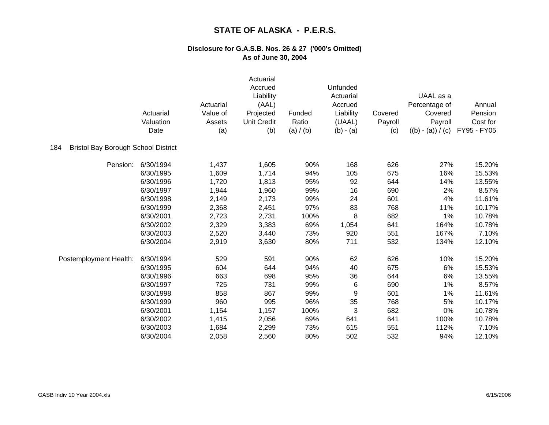|                                                   | Actuarial<br>Valuation<br>Date | Actuarial<br>Value of<br>Assets<br>(a) | Actuarial<br>Accrued<br>Liability<br>(AAL)<br>Projected<br><b>Unit Credit</b><br>(b) | Funded<br>Ratio<br>(a) / (b) | Unfunded<br>Actuarial<br>Accrued<br>Liability<br>(UAAL)<br>$(b) - (a)$ | Covered<br>Payroll<br>(c) | UAAL as a<br>Percentage of<br>Covered<br>Payroll<br>$((b) - (a)) / (c)$ | Annual<br>Pension<br>Cost for<br>FY95 - FY05 |
|---------------------------------------------------|--------------------------------|----------------------------------------|--------------------------------------------------------------------------------------|------------------------------|------------------------------------------------------------------------|---------------------------|-------------------------------------------------------------------------|----------------------------------------------|
| <b>Bristol Bay Borough School District</b><br>184 |                                |                                        |                                                                                      |                              |                                                                        |                           |                                                                         |                                              |
| Pension:                                          | 6/30/1994                      | 1,437                                  | 1,605                                                                                | 90%                          | 168                                                                    | 626                       | 27%                                                                     | 15.20%                                       |
|                                                   | 6/30/1995                      | 1,609                                  | 1,714                                                                                | 94%                          | 105                                                                    | 675                       | 16%                                                                     | 15.53%                                       |
|                                                   | 6/30/1996                      | 1,720                                  | 1,813                                                                                | 95%                          | 92                                                                     | 644                       | 14%                                                                     | 13.55%                                       |
|                                                   | 6/30/1997                      | 1,944                                  | 1,960                                                                                | 99%                          | 16                                                                     | 690                       | 2%                                                                      | 8.57%                                        |
|                                                   | 6/30/1998                      | 2,149                                  | 2,173                                                                                | 99%                          | 24                                                                     | 601                       | 4%                                                                      | 11.61%                                       |
|                                                   | 6/30/1999                      | 2,368                                  | 2,451                                                                                | 97%                          | 83                                                                     | 768                       | 11%                                                                     | 10.17%                                       |
|                                                   | 6/30/2001                      | 2,723                                  | 2,731                                                                                | 100%                         | 8                                                                      | 682                       | 1%                                                                      | 10.78%                                       |
|                                                   | 6/30/2002                      | 2,329                                  | 3,383                                                                                | 69%                          | 1,054                                                                  | 641                       | 164%                                                                    | 10.78%                                       |
|                                                   | 6/30/2003                      | 2,520                                  | 3,440                                                                                | 73%                          | 920                                                                    | 551                       | 167%                                                                    | 7.10%                                        |
|                                                   | 6/30/2004                      | 2,919                                  | 3,630                                                                                | 80%                          | 711                                                                    | 532                       | 134%                                                                    | 12.10%                                       |
| Postemployment Health:                            | 6/30/1994                      | 529                                    | 591                                                                                  | 90%                          | 62                                                                     | 626                       | 10%                                                                     | 15.20%                                       |
|                                                   | 6/30/1995                      | 604                                    | 644                                                                                  | 94%                          | 40                                                                     | 675                       | 6%                                                                      | 15.53%                                       |
|                                                   | 6/30/1996                      | 663                                    | 698                                                                                  | 95%                          | 36                                                                     | 644                       | 6%                                                                      | 13.55%                                       |
|                                                   | 6/30/1997                      | 725                                    | 731                                                                                  | 99%                          | 6                                                                      | 690                       | 1%                                                                      | 8.57%                                        |
|                                                   | 6/30/1998                      | 858                                    | 867                                                                                  | 99%                          | 9                                                                      | 601                       | 1%                                                                      | 11.61%                                       |
|                                                   | 6/30/1999                      | 960                                    | 995                                                                                  | 96%                          | 35                                                                     | 768                       | 5%                                                                      | 10.17%                                       |
|                                                   | 6/30/2001                      | 1,154                                  | 1,157                                                                                | 100%                         | 3                                                                      | 682                       | 0%                                                                      | 10.78%                                       |
|                                                   | 6/30/2002                      | 1,415                                  | 2,056                                                                                | 69%                          | 641                                                                    | 641                       | 100%                                                                    | 10.78%                                       |
|                                                   | 6/30/2003                      | 1,684                                  | 2,299                                                                                | 73%                          | 615                                                                    | 551                       | 112%                                                                    | 7.10%                                        |
|                                                   | 6/30/2004                      | 2,058                                  | 2,560                                                                                | 80%                          | 502                                                                    | 532                       | 94%                                                                     | 12.10%                                       |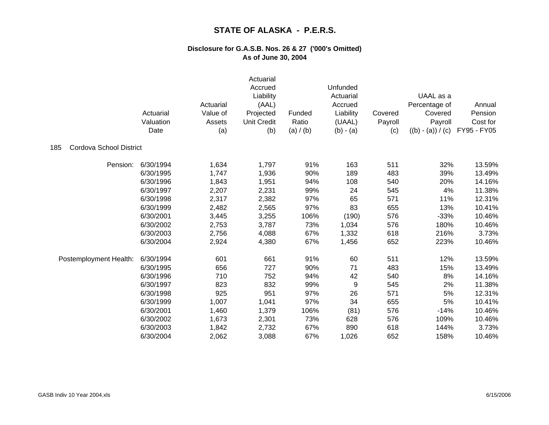|                                | Actuarial<br>Valuation<br>Date | Actuarial<br>Value of<br>Assets<br>(a) | Actuarial<br>Accrued<br>Liability<br>(AAL)<br>Projected<br><b>Unit Credit</b><br>(b) | Funded<br>Ratio<br>(a) $/$ (b) | Unfunded<br>Actuarial<br>Accrued<br>Liability<br>(UAAL)<br>$(b) - (a)$ | Covered<br>Payroll<br>(c) | UAAL as a<br>Percentage of<br>Covered<br>Payroll<br>$((b) - (a)) / (c)$ | Annual<br>Pension<br>Cost for<br>FY95 - FY05 |
|--------------------------------|--------------------------------|----------------------------------------|--------------------------------------------------------------------------------------|--------------------------------|------------------------------------------------------------------------|---------------------------|-------------------------------------------------------------------------|----------------------------------------------|
| Cordova School District<br>185 |                                |                                        |                                                                                      |                                |                                                                        |                           |                                                                         |                                              |
| Pension:                       | 6/30/1994                      | 1,634                                  | 1,797                                                                                | 91%                            | 163                                                                    | 511                       | 32%                                                                     | 13.59%                                       |
|                                | 6/30/1995                      | 1,747                                  | 1,936                                                                                | 90%                            | 189                                                                    | 483                       | 39%                                                                     | 13.49%                                       |
|                                | 6/30/1996                      | 1,843                                  | 1,951                                                                                | 94%                            | 108                                                                    | 540                       | 20%                                                                     | 14.16%                                       |
|                                | 6/30/1997                      | 2,207                                  | 2,231                                                                                | 99%                            | 24                                                                     | 545                       | 4%                                                                      | 11.38%                                       |
|                                | 6/30/1998                      | 2,317                                  | 2,382                                                                                | 97%                            | 65                                                                     | 571                       | 11%                                                                     | 12.31%                                       |
|                                | 6/30/1999                      | 2,482                                  | 2,565                                                                                | 97%                            | 83                                                                     | 655                       | 13%                                                                     | 10.41%                                       |
|                                | 6/30/2001                      | 3,445                                  | 3,255                                                                                | 106%                           | (190)                                                                  | 576                       | $-33%$                                                                  | 10.46%                                       |
|                                | 6/30/2002                      | 2,753                                  | 3,787                                                                                | 73%                            | 1,034                                                                  | 576                       | 180%                                                                    | 10.46%                                       |
|                                | 6/30/2003                      | 2,756                                  | 4,088                                                                                | 67%                            | 1,332                                                                  | 618                       | 216%                                                                    | 3.73%                                        |
|                                | 6/30/2004                      | 2,924                                  | 4,380                                                                                | 67%                            | 1,456                                                                  | 652                       | 223%                                                                    | 10.46%                                       |
| Postemployment Health:         | 6/30/1994                      | 601                                    | 661                                                                                  | 91%                            | 60                                                                     | 511                       | 12%                                                                     | 13.59%                                       |
|                                | 6/30/1995                      | 656                                    | 727                                                                                  | 90%                            | 71                                                                     | 483                       | 15%                                                                     | 13.49%                                       |
|                                | 6/30/1996                      | 710                                    | 752                                                                                  | 94%                            | 42                                                                     | 540                       | 8%                                                                      | 14.16%                                       |
|                                | 6/30/1997                      | 823                                    | 832                                                                                  | 99%                            | 9                                                                      | 545                       | 2%                                                                      | 11.38%                                       |
|                                | 6/30/1998                      | 925                                    | 951                                                                                  | 97%                            | 26                                                                     | 571                       | 5%                                                                      | 12.31%                                       |
|                                | 6/30/1999                      | 1,007                                  | 1,041                                                                                | 97%                            | 34                                                                     | 655                       | 5%                                                                      | 10.41%                                       |
|                                | 6/30/2001                      | 1,460                                  | 1,379                                                                                | 106%                           | (81)                                                                   | 576                       | $-14%$                                                                  | 10.46%                                       |
|                                | 6/30/2002                      | 1,673                                  | 2,301                                                                                | 73%                            | 628                                                                    | 576                       | 109%                                                                    | 10.46%                                       |
|                                | 6/30/2003                      | 1,842                                  | 2,732                                                                                | 67%                            | 890                                                                    | 618                       | 144%                                                                    | 3.73%                                        |
|                                | 6/30/2004                      | 2,062                                  | 3,088                                                                                | 67%                            | 1,026                                                                  | 652                       | 158%                                                                    | 10.46%                                       |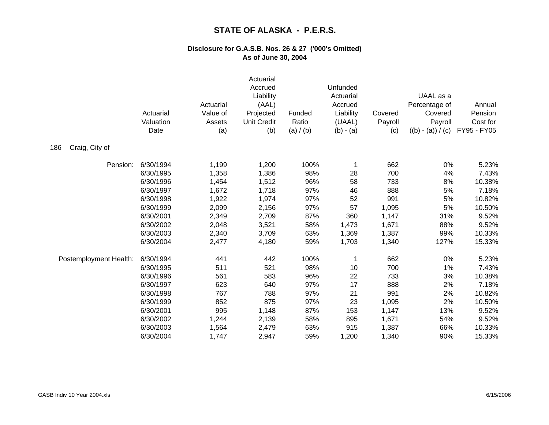|                        | Actuarial<br>Valuation<br>Date | Actuarial<br>Value of<br>Assets<br>(a) | Actuarial<br>Accrued<br>Liability<br>(AAL)<br>Projected<br><b>Unit Credit</b><br>(b) | Funded<br>Ratio<br>(a) / (b) | Unfunded<br>Actuarial<br>Accrued<br>Liability<br>(UAAL)<br>$(b) - (a)$ | Covered<br>Payroll<br>(c) | UAAL as a<br>Percentage of<br>Covered<br>Payroll<br>$((b) - (a)) / (c)$ | Annual<br>Pension<br>Cost for<br>FY95 - FY05 |
|------------------------|--------------------------------|----------------------------------------|--------------------------------------------------------------------------------------|------------------------------|------------------------------------------------------------------------|---------------------------|-------------------------------------------------------------------------|----------------------------------------------|
| Craig, City of<br>186  |                                |                                        |                                                                                      |                              |                                                                        |                           |                                                                         |                                              |
| Pension:               | 6/30/1994                      | 1,199                                  | 1,200                                                                                | 100%                         |                                                                        | 662                       | 0%                                                                      | 5.23%                                        |
|                        | 6/30/1995                      | 1,358                                  | 1,386                                                                                | 98%                          | 28                                                                     | 700                       | 4%                                                                      | 7.43%                                        |
|                        | 6/30/1996                      | 1,454                                  | 1,512                                                                                | 96%                          | 58                                                                     | 733                       | 8%                                                                      | 10.38%                                       |
|                        | 6/30/1997                      | 1,672                                  | 1,718                                                                                | 97%                          | 46                                                                     | 888                       | 5%                                                                      | 7.18%                                        |
|                        | 6/30/1998                      | 1,922                                  | 1,974                                                                                | 97%                          | 52                                                                     | 991                       | 5%                                                                      | 10.82%                                       |
|                        | 6/30/1999                      | 2,099                                  | 2,156                                                                                | 97%                          | 57                                                                     | 1,095                     | 5%                                                                      | 10.50%                                       |
|                        | 6/30/2001                      | 2,349                                  | 2,709                                                                                | 87%                          | 360                                                                    | 1,147                     | 31%                                                                     | 9.52%                                        |
|                        | 6/30/2002                      | 2,048                                  | 3,521                                                                                | 58%                          | 1,473                                                                  | 1,671                     | 88%                                                                     | 9.52%                                        |
|                        | 6/30/2003                      | 2,340                                  | 3,709                                                                                | 63%                          | 1,369                                                                  | 1,387                     | 99%                                                                     | 10.33%                                       |
|                        | 6/30/2004                      | 2,477                                  | 4,180                                                                                | 59%                          | 1,703                                                                  | 1,340                     | 127%                                                                    | 15.33%                                       |
| Postemployment Health: | 6/30/1994                      | 441                                    | 442                                                                                  | 100%                         |                                                                        | 662                       | 0%                                                                      | 5.23%                                        |
|                        | 6/30/1995                      | 511                                    | 521                                                                                  | 98%                          | 10                                                                     | 700                       | 1%                                                                      | 7.43%                                        |
|                        | 6/30/1996                      | 561                                    | 583                                                                                  | 96%                          | 22                                                                     | 733                       | 3%                                                                      | 10.38%                                       |
|                        | 6/30/1997                      | 623                                    | 640                                                                                  | 97%                          | 17                                                                     | 888                       | 2%                                                                      | 7.18%                                        |
|                        | 6/30/1998                      | 767                                    | 788                                                                                  | 97%                          | 21                                                                     | 991                       | 2%                                                                      | 10.82%                                       |
|                        | 6/30/1999                      | 852                                    | 875                                                                                  | 97%                          | 23                                                                     | 1,095                     | 2%                                                                      | 10.50%                                       |
|                        | 6/30/2001                      | 995                                    | 1,148                                                                                | 87%                          | 153                                                                    | 1,147                     | 13%                                                                     | 9.52%                                        |
|                        | 6/30/2002                      | 1,244                                  | 2,139                                                                                | 58%                          | 895                                                                    | 1,671                     | 54%                                                                     | 9.52%                                        |
|                        | 6/30/2003                      | 1,564                                  | 2,479                                                                                | 63%                          | 915                                                                    | 1,387                     | 66%                                                                     | 10.33%                                       |
|                        | 6/30/2004                      | 1,747                                  | 2,947                                                                                | 59%                          | 1,200                                                                  | 1,340                     | 90%                                                                     | 15.33%                                       |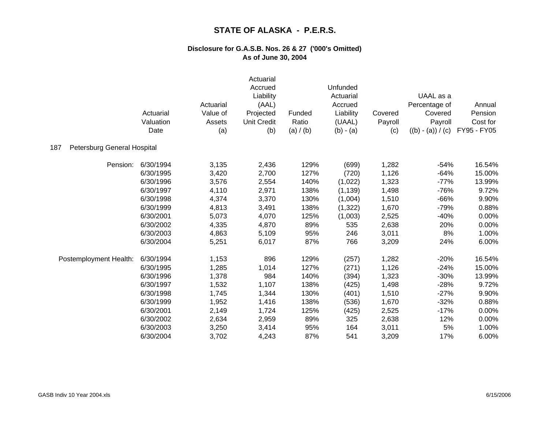|                                    | Actuarial<br>Valuation<br>Date | Actuarial<br>Value of<br>Assets<br>(a) | Actuarial<br>Accrued<br>Liability<br>(AAL)<br>Projected<br><b>Unit Credit</b><br>(b) | Funded<br>Ratio<br>(a) / (b) | Unfunded<br>Actuarial<br>Accrued<br>Liability<br>(UAAL)<br>$(b) - (a)$ | Covered<br>Payroll<br>(c) | UAAL as a<br>Percentage of<br>Covered<br>Payroll<br>$((b) - (a)) / (c)$ | Annual<br>Pension<br>Cost for<br>FY95 - FY05 |
|------------------------------------|--------------------------------|----------------------------------------|--------------------------------------------------------------------------------------|------------------------------|------------------------------------------------------------------------|---------------------------|-------------------------------------------------------------------------|----------------------------------------------|
| Petersburg General Hospital<br>187 |                                |                                        |                                                                                      |                              |                                                                        |                           |                                                                         |                                              |
| Pension:                           | 6/30/1994                      | 3,135                                  | 2,436                                                                                | 129%                         | (699)                                                                  | 1,282                     | $-54%$                                                                  | 16.54%                                       |
|                                    | 6/30/1995                      | 3,420                                  | 2,700                                                                                | 127%                         | (720)                                                                  | 1,126                     | $-64%$                                                                  | 15.00%                                       |
|                                    | 6/30/1996                      | 3,576                                  | 2,554                                                                                | 140%                         | (1,022)                                                                | 1,323                     | $-77%$                                                                  | 13.99%                                       |
|                                    | 6/30/1997                      | 4,110                                  | 2,971                                                                                | 138%                         | (1, 139)                                                               | 1,498                     | $-76%$                                                                  | 9.72%                                        |
|                                    | 6/30/1998                      | 4,374                                  | 3,370                                                                                | 130%                         | (1,004)                                                                | 1,510                     | $-66%$                                                                  | 9.90%                                        |
|                                    | 6/30/1999                      | 4,813                                  | 3,491                                                                                | 138%                         | (1, 322)                                                               | 1,670                     | $-79%$                                                                  | 0.88%                                        |
|                                    | 6/30/2001                      | 5,073                                  | 4,070                                                                                | 125%                         | (1,003)                                                                | 2,525                     | $-40%$                                                                  | 0.00%                                        |
|                                    | 6/30/2002                      | 4,335                                  | 4,870                                                                                | 89%                          | 535                                                                    | 2,638                     | 20%                                                                     | 0.00%                                        |
|                                    | 6/30/2003                      | 4,863                                  | 5,109                                                                                | 95%                          | 246                                                                    | 3,011                     | 8%                                                                      | 1.00%                                        |
|                                    | 6/30/2004                      | 5,251                                  | 6,017                                                                                | 87%                          | 766                                                                    | 3,209                     | 24%                                                                     | 6.00%                                        |
| Postemployment Health:             | 6/30/1994                      | 1,153                                  | 896                                                                                  | 129%                         | (257)                                                                  | 1,282                     | $-20%$                                                                  | 16.54%                                       |
|                                    | 6/30/1995                      | 1,285                                  | 1,014                                                                                | 127%                         | (271)                                                                  | 1,126                     | $-24%$                                                                  | 15.00%                                       |
|                                    | 6/30/1996                      | 1,378                                  | 984                                                                                  | 140%                         | (394)                                                                  | 1,323                     | $-30%$                                                                  | 13.99%                                       |
|                                    | 6/30/1997                      | 1,532                                  | 1,107                                                                                | 138%                         | (425)                                                                  | 1,498                     | $-28%$                                                                  | 9.72%                                        |
|                                    | 6/30/1998                      | 1,745                                  | 1,344                                                                                | 130%                         | (401)                                                                  | 1,510                     | $-27%$                                                                  | 9.90%                                        |
|                                    | 6/30/1999                      | 1,952                                  | 1,416                                                                                | 138%                         | (536)                                                                  | 1,670                     | $-32%$                                                                  | 0.88%                                        |
|                                    | 6/30/2001                      | 2,149                                  | 1,724                                                                                | 125%                         | (425)                                                                  | 2,525                     | $-17%$                                                                  | 0.00%                                        |
|                                    | 6/30/2002                      | 2,634                                  | 2,959                                                                                | 89%                          | 325                                                                    | 2,638                     | 12%                                                                     | 0.00%                                        |
|                                    | 6/30/2003                      | 3,250                                  | 3,414                                                                                | 95%                          | 164                                                                    | 3,011                     | 5%                                                                      | 1.00%                                        |
|                                    | 6/30/2004                      | 3,702                                  | 4,243                                                                                | 87%                          | 541                                                                    | 3,209                     | 17%                                                                     | 6.00%                                        |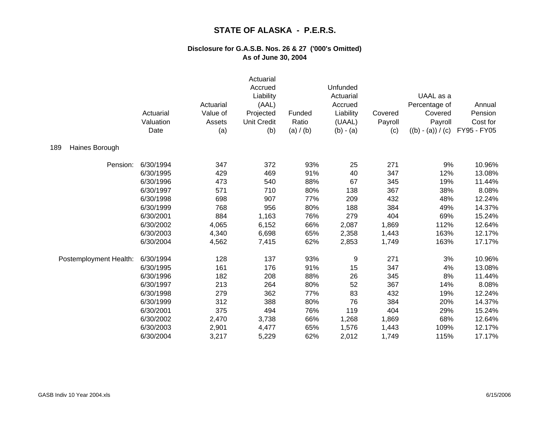|                        | Actuarial<br>Valuation<br>Date | Actuarial<br>Value of<br>Assets<br>(a) | Actuarial<br>Accrued<br>Liability<br>(AAL)<br>Projected<br><b>Unit Credit</b><br>(b) | Funded<br>Ratio<br>(a) / (b) | Unfunded<br>Actuarial<br>Accrued<br>Liability<br>(UAAL)<br>$(b) - (a)$ | Covered<br>Payroll<br>(c) | UAAL as a<br>Percentage of<br>Covered<br>Payroll<br>$((b) - (a)) / (c)$ | Annual<br>Pension<br>Cost for<br>FY95 - FY05 |
|------------------------|--------------------------------|----------------------------------------|--------------------------------------------------------------------------------------|------------------------------|------------------------------------------------------------------------|---------------------------|-------------------------------------------------------------------------|----------------------------------------------|
| 189<br>Haines Borough  |                                |                                        |                                                                                      |                              |                                                                        |                           |                                                                         |                                              |
| Pension:               | 6/30/1994                      | 347                                    | 372                                                                                  | 93%                          | 25                                                                     | 271                       | 9%                                                                      | 10.96%                                       |
|                        | 6/30/1995                      | 429                                    | 469                                                                                  | 91%                          | 40                                                                     | 347                       | 12%                                                                     | 13.08%                                       |
|                        | 6/30/1996                      | 473                                    | 540                                                                                  | 88%                          | 67                                                                     | 345                       | 19%                                                                     | 11.44%                                       |
|                        | 6/30/1997                      | 571                                    | 710                                                                                  | 80%                          | 138                                                                    | 367                       | 38%                                                                     | 8.08%                                        |
|                        | 6/30/1998                      | 698                                    | 907                                                                                  | 77%                          | 209                                                                    | 432                       | 48%                                                                     | 12.24%                                       |
|                        | 6/30/1999                      | 768                                    | 956                                                                                  | 80%                          | 188                                                                    | 384                       | 49%                                                                     | 14.37%                                       |
|                        | 6/30/2001                      | 884                                    | 1,163                                                                                | 76%                          | 279                                                                    | 404                       | 69%                                                                     | 15.24%                                       |
|                        | 6/30/2002                      | 4,065                                  | 6,152                                                                                | 66%                          | 2,087                                                                  | 1,869                     | 112%                                                                    | 12.64%                                       |
|                        | 6/30/2003                      | 4,340                                  | 6,698                                                                                | 65%                          | 2,358                                                                  | 1,443                     | 163%                                                                    | 12.17%                                       |
|                        | 6/30/2004                      | 4,562                                  | 7,415                                                                                | 62%                          | 2,853                                                                  | 1,749                     | 163%                                                                    | 17.17%                                       |
| Postemployment Health: | 6/30/1994                      | 128                                    | 137                                                                                  | 93%                          | 9                                                                      | 271                       | 3%                                                                      | 10.96%                                       |
|                        | 6/30/1995                      | 161                                    | 176                                                                                  | 91%                          | 15                                                                     | 347                       | 4%                                                                      | 13.08%                                       |
|                        | 6/30/1996                      | 182                                    | 208                                                                                  | 88%                          | 26                                                                     | 345                       | 8%                                                                      | 11.44%                                       |
|                        | 6/30/1997                      | 213                                    | 264                                                                                  | 80%                          | 52                                                                     | 367                       | 14%                                                                     | 8.08%                                        |
|                        | 6/30/1998                      | 279                                    | 362                                                                                  | 77%                          | 83                                                                     | 432                       | 19%                                                                     | 12.24%                                       |
|                        | 6/30/1999                      | 312                                    | 388                                                                                  | 80%                          | 76                                                                     | 384                       | 20%                                                                     | 14.37%                                       |
|                        | 6/30/2001                      | 375                                    | 494                                                                                  | 76%                          | 119                                                                    | 404                       | 29%                                                                     | 15.24%                                       |
|                        | 6/30/2002                      | 2,470                                  | 3,738                                                                                | 66%                          | 1,268                                                                  | 1,869                     | 68%                                                                     | 12.64%                                       |
|                        | 6/30/2003                      | 2,901                                  | 4,477                                                                                | 65%                          | 1,576                                                                  | 1,443                     | 109%                                                                    | 12.17%                                       |
|                        | 6/30/2004                      | 3,217                                  | 5,229                                                                                | 62%                          | 2,012                                                                  | 1,749                     | 115%                                                                    | 17.17%                                       |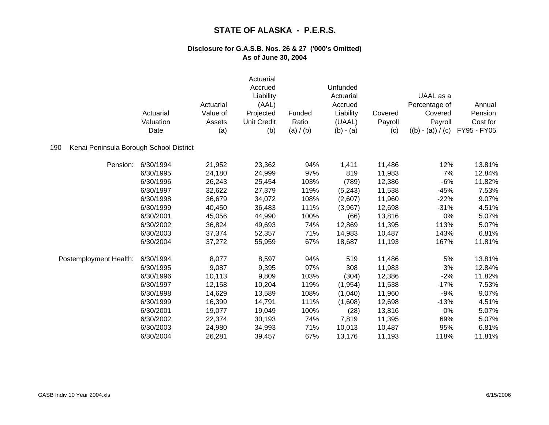|                                                | Actuarial<br>Valuation<br>Date | Actuarial<br>Value of<br>Assets<br>(a) | Actuarial<br>Accrued<br>Liability<br>(AAL)<br>Projected<br><b>Unit Credit</b><br>(b) | Funded<br>Ratio<br>(a) / (b) | Unfunded<br>Actuarial<br>Accrued<br>Liability<br>(UAAL)<br>$(b) - (a)$ | Covered<br>Payroll<br>(c) | UAAL as a<br>Percentage of<br>Covered<br>Payroll<br>$((b) - (a)) / (c)$ | Annual<br>Pension<br>Cost for<br>FY95 - FY05 |
|------------------------------------------------|--------------------------------|----------------------------------------|--------------------------------------------------------------------------------------|------------------------------|------------------------------------------------------------------------|---------------------------|-------------------------------------------------------------------------|----------------------------------------------|
| Kenai Peninsula Borough School District<br>190 |                                |                                        |                                                                                      |                              |                                                                        |                           |                                                                         |                                              |
| Pension:                                       | 6/30/1994                      | 21,952                                 | 23,362                                                                               | 94%                          | 1,411                                                                  | 11,486                    | 12%                                                                     | 13.81%                                       |
|                                                | 6/30/1995                      | 24,180                                 | 24,999                                                                               | 97%                          | 819                                                                    | 11,983                    | 7%                                                                      | 12.84%                                       |
|                                                | 6/30/1996                      | 26,243                                 | 25,454                                                                               | 103%                         | (789)                                                                  | 12,386                    | $-6%$                                                                   | 11.82%                                       |
|                                                | 6/30/1997                      | 32,622                                 | 27,379                                                                               | 119%                         | (5, 243)                                                               | 11,538                    | $-45%$                                                                  | 7.53%                                        |
|                                                | 6/30/1998                      | 36,679                                 | 34,072                                                                               | 108%                         | (2,607)                                                                | 11,960                    | $-22%$                                                                  | 9.07%                                        |
|                                                | 6/30/1999                      | 40,450                                 | 36,483                                                                               | 111%                         | (3,967)                                                                | 12,698                    | $-31%$                                                                  | 4.51%                                        |
|                                                | 6/30/2001                      | 45,056                                 | 44,990                                                                               | 100%                         | (66)                                                                   | 13,816                    | 0%                                                                      | 5.07%                                        |
|                                                | 6/30/2002                      | 36,824                                 | 49,693                                                                               | 74%                          | 12,869                                                                 | 11,395                    | 113%                                                                    | 5.07%                                        |
|                                                | 6/30/2003                      | 37,374                                 | 52,357                                                                               | 71%                          | 14,983                                                                 | 10,487                    | 143%                                                                    | 6.81%                                        |
|                                                | 6/30/2004                      | 37,272                                 | 55,959                                                                               | 67%                          | 18,687                                                                 | 11,193                    | 167%                                                                    | 11.81%                                       |
| Postemployment Health:                         | 6/30/1994                      | 8,077                                  | 8,597                                                                                | 94%                          | 519                                                                    | 11,486                    | 5%                                                                      | 13.81%                                       |
|                                                | 6/30/1995                      | 9,087                                  | 9,395                                                                                | 97%                          | 308                                                                    | 11,983                    | 3%                                                                      | 12.84%                                       |
|                                                | 6/30/1996                      | 10,113                                 | 9,809                                                                                | 103%                         | (304)                                                                  | 12,386                    | $-2%$                                                                   | 11.82%                                       |
|                                                | 6/30/1997                      | 12,158                                 | 10,204                                                                               | 119%                         | (1, 954)                                                               | 11,538                    | $-17%$                                                                  | 7.53%                                        |
|                                                | 6/30/1998                      | 14,629                                 | 13,589                                                                               | 108%                         | (1,040)                                                                | 11,960                    | $-9%$                                                                   | 9.07%                                        |
|                                                | 6/30/1999                      | 16,399                                 | 14,791                                                                               | 111%                         | (1,608)                                                                | 12,698                    | $-13%$                                                                  | 4.51%                                        |
|                                                | 6/30/2001                      | 19,077                                 | 19,049                                                                               | 100%                         | (28)                                                                   | 13,816                    | 0%                                                                      | 5.07%                                        |
|                                                | 6/30/2002                      | 22,374                                 | 30,193                                                                               | 74%                          | 7,819                                                                  | 11,395                    | 69%                                                                     | 5.07%                                        |
|                                                | 6/30/2003                      | 24,980                                 | 34,993                                                                               | 71%                          | 10,013                                                                 | 10,487                    | 95%                                                                     | 6.81%                                        |
|                                                | 6/30/2004                      | 26,281                                 | 39,457                                                                               | 67%                          | 13,176                                                                 | 11,193                    | 118%                                                                    | 11.81%                                       |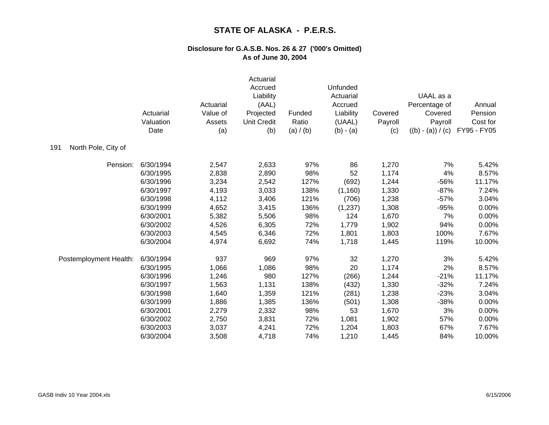|                            | Actuarial<br>Valuation<br>Date | Actuarial<br>Value of<br>Assets<br>(a) | Actuarial<br>Accrued<br>Liability<br>(AAL)<br>Projected<br><b>Unit Credit</b><br>(b) | Funded<br>Ratio<br>(a) / (b) | Unfunded<br>Actuarial<br>Accrued<br>Liability<br>(UAAL)<br>$(b) - (a)$ | Covered<br>Payroll<br>(c) | UAAL as a<br>Percentage of<br>Covered<br>Payroll<br>$((b) - (a)) / (c)$ | Annual<br>Pension<br>Cost for<br>FY95 - FY05 |
|----------------------------|--------------------------------|----------------------------------------|--------------------------------------------------------------------------------------|------------------------------|------------------------------------------------------------------------|---------------------------|-------------------------------------------------------------------------|----------------------------------------------|
| North Pole, City of<br>191 |                                |                                        |                                                                                      |                              |                                                                        |                           |                                                                         |                                              |
| Pension:                   | 6/30/1994                      | 2,547                                  | 2,633                                                                                | 97%                          | 86                                                                     | 1,270                     | 7%                                                                      | 5.42%                                        |
|                            | 6/30/1995                      | 2,838                                  | 2,890                                                                                | 98%                          | 52                                                                     | 1,174                     | 4%                                                                      | 8.57%                                        |
|                            | 6/30/1996                      | 3,234                                  | 2,542                                                                                | 127%                         | (692)                                                                  | 1,244                     | -56%                                                                    | 11.17%                                       |
|                            | 6/30/1997                      | 4,193                                  | 3,033                                                                                | 138%                         | (1, 160)                                                               | 1,330                     | $-87%$                                                                  | 7.24%                                        |
|                            | 6/30/1998                      | 4,112                                  | 3,406                                                                                | 121%                         | (706)                                                                  | 1,238                     | $-57%$                                                                  | 3.04%                                        |
|                            | 6/30/1999                      | 4,652                                  | 3,415                                                                                | 136%                         | (1,237)                                                                | 1,308                     | $-95%$                                                                  | 0.00%                                        |
|                            | 6/30/2001                      | 5,382                                  | 5,506                                                                                | 98%                          | 124                                                                    | 1,670                     | 7%                                                                      | 0.00%                                        |
|                            | 6/30/2002                      | 4,526                                  | 6,305                                                                                | 72%                          | 1,779                                                                  | 1,902                     | 94%                                                                     | 0.00%                                        |
|                            | 6/30/2003                      | 4,545                                  | 6,346                                                                                | 72%                          | 1,801                                                                  | 1,803                     | 100%                                                                    | 7.67%                                        |
|                            | 6/30/2004                      | 4,974                                  | 6,692                                                                                | 74%                          | 1,718                                                                  | 1,445                     | 119%                                                                    | 10.00%                                       |
| Postemployment Health:     | 6/30/1994                      | 937                                    | 969                                                                                  | 97%                          | 32                                                                     | 1,270                     | 3%                                                                      | 5.42%                                        |
|                            | 6/30/1995                      | 1,066                                  | 1,086                                                                                | 98%                          | 20                                                                     | 1,174                     | 2%                                                                      | 8.57%                                        |
|                            | 6/30/1996                      | 1,246                                  | 980                                                                                  | 127%                         | (266)                                                                  | 1,244                     | $-21%$                                                                  | 11.17%                                       |
|                            | 6/30/1997                      | 1,563                                  | 1,131                                                                                | 138%                         | (432)                                                                  | 1,330                     | $-32%$                                                                  | 7.24%                                        |
|                            | 6/30/1998                      | 1,640                                  | 1,359                                                                                | 121%                         | (281)                                                                  | 1,238                     | $-23%$                                                                  | 3.04%                                        |
|                            | 6/30/1999                      | 1,886                                  | 1,385                                                                                | 136%                         | (501)                                                                  | 1,308                     | $-38%$                                                                  | 0.00%                                        |
|                            | 6/30/2001                      | 2,279                                  | 2,332                                                                                | 98%                          | 53                                                                     | 1,670                     | 3%                                                                      | 0.00%                                        |
|                            | 6/30/2002                      | 2,750                                  | 3,831                                                                                | 72%                          | 1,081                                                                  | 1,902                     | 57%                                                                     | 0.00%                                        |
|                            | 6/30/2003                      | 3,037                                  | 4,241                                                                                | 72%                          | 1,204                                                                  | 1,803                     | 67%                                                                     | 7.67%                                        |
|                            | 6/30/2004                      | 3,508                                  | 4,718                                                                                | 74%                          | 1,210                                                                  | 1,445                     | 84%                                                                     | 10.00%                                       |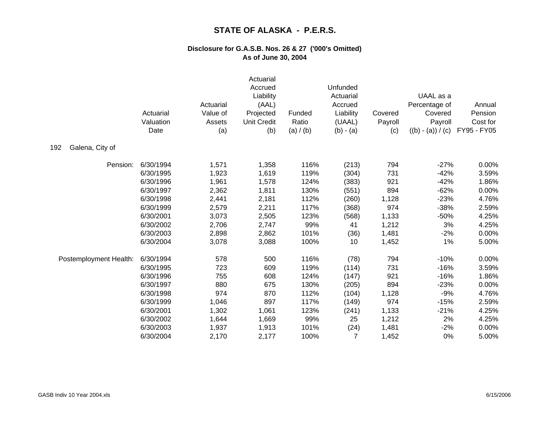|                        | Actuarial<br>Valuation<br>Date | Actuarial<br>Value of<br>Assets<br>(a) | Actuarial<br>Accrued<br>Liability<br>(AAL)<br>Projected<br><b>Unit Credit</b><br>(b) | Funded<br>Ratio<br>(a) / (b) | Unfunded<br>Actuarial<br>Accrued<br>Liability<br>(UAAL)<br>$(b) - (a)$ | Covered<br>Payroll<br>(c) | UAAL as a<br>Percentage of<br>Covered<br>Payroll<br>$((b) - (a)) / (c)$ | Annual<br>Pension<br>Cost for<br>FY95 - FY05 |
|------------------------|--------------------------------|----------------------------------------|--------------------------------------------------------------------------------------|------------------------------|------------------------------------------------------------------------|---------------------------|-------------------------------------------------------------------------|----------------------------------------------|
| Galena, City of<br>192 |                                |                                        |                                                                                      |                              |                                                                        |                           |                                                                         |                                              |
| Pension:               | 6/30/1994                      | 1,571                                  | 1,358                                                                                | 116%                         | (213)                                                                  | 794                       | $-27%$                                                                  | 0.00%                                        |
|                        | 6/30/1995                      | 1,923                                  | 1,619                                                                                | 119%                         | (304)                                                                  | 731                       | $-42%$                                                                  | 3.59%                                        |
|                        | 6/30/1996                      | 1,961                                  | 1,578                                                                                | 124%                         | (383)                                                                  | 921                       | $-42%$                                                                  | 1.86%                                        |
|                        | 6/30/1997                      | 2,362                                  | 1,811                                                                                | 130%                         | (551)                                                                  | 894                       | $-62%$                                                                  | 0.00%                                        |
|                        | 6/30/1998                      | 2,441                                  | 2,181                                                                                | 112%                         | (260)                                                                  | 1,128                     | $-23%$                                                                  | 4.76%                                        |
|                        | 6/30/1999                      | 2,579                                  | 2,211                                                                                | 117%                         | (368)                                                                  | 974                       | $-38%$                                                                  | 2.59%                                        |
|                        | 6/30/2001                      | 3,073                                  | 2,505                                                                                | 123%                         | (568)                                                                  | 1,133                     | $-50%$                                                                  | 4.25%                                        |
|                        | 6/30/2002                      | 2,706                                  | 2,747                                                                                | 99%                          | 41                                                                     | 1,212                     | 3%                                                                      | 4.25%                                        |
|                        | 6/30/2003                      | 2,898                                  | 2,862                                                                                | 101%                         | (36)                                                                   | 1,481                     | $-2%$                                                                   | 0.00%                                        |
|                        | 6/30/2004                      | 3,078                                  | 3,088                                                                                | 100%                         | 10                                                                     | 1,452                     | 1%                                                                      | 5.00%                                        |
| Postemployment Health: | 6/30/1994                      | 578                                    | 500                                                                                  | 116%                         | (78)                                                                   | 794                       | $-10%$                                                                  | 0.00%                                        |
|                        | 6/30/1995                      | 723                                    | 609                                                                                  | 119%                         | (114)                                                                  | 731                       | $-16%$                                                                  | 3.59%                                        |
|                        | 6/30/1996                      | 755                                    | 608                                                                                  | 124%                         | (147)                                                                  | 921                       | $-16%$                                                                  | 1.86%                                        |
|                        | 6/30/1997                      | 880                                    | 675                                                                                  | 130%                         | (205)                                                                  | 894                       | $-23%$                                                                  | 0.00%                                        |
|                        | 6/30/1998                      | 974                                    | 870                                                                                  | 112%                         | (104)                                                                  | 1,128                     | $-9%$                                                                   | 4.76%                                        |
|                        | 6/30/1999                      | 1,046                                  | 897                                                                                  | 117%                         | (149)                                                                  | 974                       | $-15%$                                                                  | 2.59%                                        |
|                        | 6/30/2001                      | 1,302                                  | 1,061                                                                                | 123%                         | (241)                                                                  | 1,133                     | $-21%$                                                                  | 4.25%                                        |
|                        | 6/30/2002                      | 1,644                                  | 1,669                                                                                | 99%                          | 25                                                                     | 1,212                     | 2%                                                                      | 4.25%                                        |
|                        | 6/30/2003                      | 1,937                                  | 1,913                                                                                | 101%                         | (24)                                                                   | 1,481                     | $-2%$                                                                   | 0.00%                                        |
|                        | 6/30/2004                      | 2,170                                  | 2,177                                                                                | 100%                         | 7                                                                      | 1,452                     | 0%                                                                      | 5.00%                                        |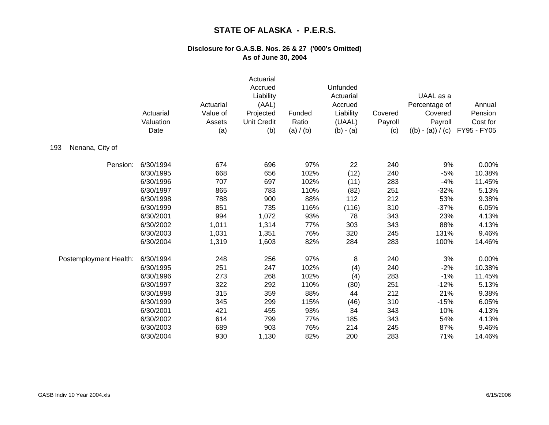|                        | Actuarial<br>Valuation<br>Date | Actuarial<br>Value of<br>Assets<br>(a) | Actuarial<br>Accrued<br>Liability<br>(AAL)<br>Projected<br><b>Unit Credit</b><br>(b) | Funded<br>Ratio<br>(a) / (b) | Unfunded<br>Actuarial<br>Accrued<br>Liability<br>(UAAL)<br>$(b) - (a)$ | Covered<br>Payroll<br>(c) | UAAL as a<br>Percentage of<br>Covered<br>Payroll<br>$((b) - (a)) / (c)$ | Annual<br>Pension<br>Cost for<br>FY95 - FY05 |
|------------------------|--------------------------------|----------------------------------------|--------------------------------------------------------------------------------------|------------------------------|------------------------------------------------------------------------|---------------------------|-------------------------------------------------------------------------|----------------------------------------------|
| 193<br>Nenana, City of |                                |                                        |                                                                                      |                              |                                                                        |                           |                                                                         |                                              |
| Pension:               | 6/30/1994                      | 674                                    | 696                                                                                  | 97%                          | 22                                                                     | 240                       | 9%                                                                      | 0.00%                                        |
|                        | 6/30/1995                      | 668                                    | 656                                                                                  | 102%                         | (12)                                                                   | 240                       | $-5%$                                                                   | 10.38%                                       |
|                        | 6/30/1996                      | 707                                    | 697                                                                                  | 102%                         | (11)                                                                   | 283                       | $-4%$                                                                   | 11.45%                                       |
|                        | 6/30/1997                      | 865                                    | 783                                                                                  | 110%                         | (82)                                                                   | 251                       | $-32%$                                                                  | 5.13%                                        |
|                        | 6/30/1998                      | 788                                    | 900                                                                                  | 88%                          | 112                                                                    | 212                       | 53%                                                                     | 9.38%                                        |
|                        | 6/30/1999                      | 851                                    | 735                                                                                  | 116%                         | (116)                                                                  | 310                       | $-37%$                                                                  | 6.05%                                        |
|                        | 6/30/2001                      | 994                                    | 1,072                                                                                | 93%                          | 78                                                                     | 343                       | 23%                                                                     | 4.13%                                        |
|                        | 6/30/2002                      | 1,011                                  | 1,314                                                                                | 77%                          | 303                                                                    | 343                       | 88%                                                                     | 4.13%                                        |
|                        | 6/30/2003                      | 1,031                                  | 1,351                                                                                | 76%                          | 320                                                                    | 245                       | 131%                                                                    | 9.46%                                        |
|                        | 6/30/2004                      | 1,319                                  | 1,603                                                                                | 82%                          | 284                                                                    | 283                       | 100%                                                                    | 14.46%                                       |
| Postemployment Health: | 6/30/1994                      | 248                                    | 256                                                                                  | 97%                          | 8                                                                      | 240                       | 3%                                                                      | 0.00%                                        |
|                        | 6/30/1995                      | 251                                    | 247                                                                                  | 102%                         | (4)                                                                    | 240                       | $-2%$                                                                   | 10.38%                                       |
|                        | 6/30/1996                      | 273                                    | 268                                                                                  | 102%                         | (4)                                                                    | 283                       | $-1%$                                                                   | 11.45%                                       |
|                        | 6/30/1997                      | 322                                    | 292                                                                                  | 110%                         | (30)                                                                   | 251                       | $-12%$                                                                  | 5.13%                                        |
|                        | 6/30/1998                      | 315                                    | 359                                                                                  | 88%                          | 44                                                                     | 212                       | 21%                                                                     | 9.38%                                        |
|                        | 6/30/1999                      | 345                                    | 299                                                                                  | 115%                         | (46)                                                                   | 310                       | $-15%$                                                                  | 6.05%                                        |
|                        | 6/30/2001                      | 421                                    | 455                                                                                  | 93%                          | 34                                                                     | 343                       | 10%                                                                     | 4.13%                                        |
|                        | 6/30/2002                      | 614                                    | 799                                                                                  | 77%                          | 185                                                                    | 343                       | 54%                                                                     | 4.13%                                        |
|                        | 6/30/2003                      | 689                                    | 903                                                                                  | 76%                          | 214                                                                    | 245                       | 87%                                                                     | 9.46%                                        |
|                        | 6/30/2004                      | 930                                    | 1,130                                                                                | 82%                          | 200                                                                    | 283                       | 71%                                                                     | 14.46%                                       |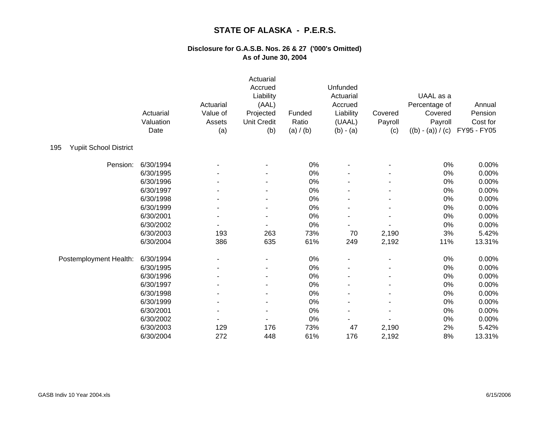|                                      | Actuarial<br>Valuation<br>Date | Actuarial<br>Value of<br>Assets<br>(a) | Actuarial<br>Accrued<br>Liability<br>(AAL)<br>Projected<br><b>Unit Credit</b><br>(b) | Funded<br>Ratio<br>(a) / (b) | Unfunded<br>Actuarial<br>Accrued<br>Liability<br>(UAAL)<br>$(b) - (a)$ | Covered<br>Payroll<br>(c) | UAAL as a<br>Percentage of<br>Covered<br>Payroll<br>$((b) - (a)) / (c)$ | Annual<br>Pension<br>Cost for<br>FY95 - FY05 |
|--------------------------------------|--------------------------------|----------------------------------------|--------------------------------------------------------------------------------------|------------------------------|------------------------------------------------------------------------|---------------------------|-------------------------------------------------------------------------|----------------------------------------------|
| <b>Yupiit School District</b><br>195 |                                |                                        |                                                                                      |                              |                                                                        |                           |                                                                         |                                              |
| Pension:                             | 6/30/1994                      |                                        |                                                                                      | 0%                           |                                                                        |                           | 0%                                                                      | 0.00%                                        |
|                                      | 6/30/1995                      |                                        |                                                                                      | 0%                           |                                                                        |                           | 0%                                                                      | 0.00%                                        |
|                                      | 6/30/1996                      |                                        |                                                                                      | 0%                           |                                                                        |                           | 0%                                                                      | 0.00%                                        |
|                                      | 6/30/1997                      |                                        |                                                                                      | 0%                           |                                                                        |                           | $0\%$                                                                   | 0.00%                                        |
|                                      | 6/30/1998                      |                                        |                                                                                      | 0%                           |                                                                        |                           | 0%                                                                      | 0.00%                                        |
|                                      | 6/30/1999                      |                                        |                                                                                      | 0%                           |                                                                        |                           | 0%                                                                      | 0.00%                                        |
|                                      | 6/30/2001                      |                                        |                                                                                      | 0%                           |                                                                        |                           | 0%                                                                      | 0.00%                                        |
|                                      | 6/30/2002                      |                                        |                                                                                      | 0%                           |                                                                        |                           | 0%                                                                      | 0.00%                                        |
|                                      | 6/30/2003                      | 193                                    | 263                                                                                  | 73%                          | 70                                                                     | 2,190                     | 3%                                                                      | 5.42%                                        |
|                                      | 6/30/2004                      | 386                                    | 635                                                                                  | 61%                          | 249                                                                    | 2,192                     | 11%                                                                     | 13.31%                                       |
| Postemployment Health:               | 6/30/1994                      |                                        |                                                                                      | 0%                           |                                                                        |                           | 0%                                                                      | 0.00%                                        |
|                                      | 6/30/1995                      |                                        |                                                                                      | 0%                           |                                                                        |                           | 0%                                                                      | 0.00%                                        |
|                                      | 6/30/1996                      |                                        |                                                                                      | 0%                           |                                                                        |                           | 0%                                                                      | 0.00%                                        |
|                                      | 6/30/1997                      |                                        |                                                                                      | 0%                           |                                                                        |                           | 0%                                                                      | 0.00%                                        |
|                                      | 6/30/1998                      |                                        |                                                                                      | $0\%$                        |                                                                        |                           | 0%                                                                      | 0.00%                                        |
|                                      | 6/30/1999                      |                                        |                                                                                      | 0%                           |                                                                        |                           | 0%                                                                      | 0.00%                                        |
|                                      | 6/30/2001                      |                                        |                                                                                      | 0%                           |                                                                        |                           | 0%                                                                      | 0.00%                                        |
|                                      | 6/30/2002                      |                                        |                                                                                      | 0%                           |                                                                        |                           | 0%                                                                      | 0.00%                                        |
|                                      | 6/30/2003                      | 129                                    | 176                                                                                  | 73%                          | 47                                                                     | 2,190                     | 2%                                                                      | 5.42%                                        |
|                                      | 6/30/2004                      | 272                                    | 448                                                                                  | 61%                          | 176                                                                    | 2,192                     | 8%                                                                      | 13.31%                                       |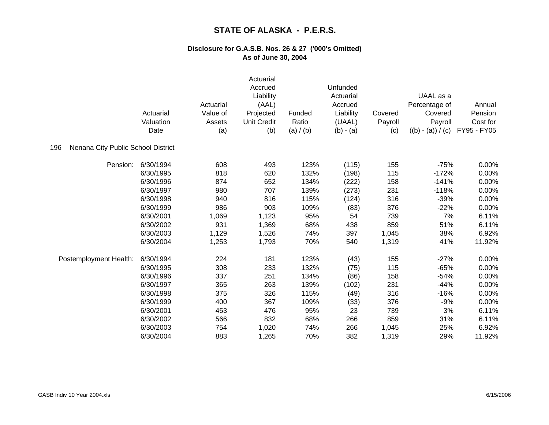|                                           | Actuarial<br>Valuation<br>Date | Actuarial<br>Value of<br>Assets<br>(a) | Actuarial<br>Accrued<br>Liability<br>(AAL)<br>Projected<br><b>Unit Credit</b><br>(b) | Funded<br>Ratio<br>(a) / (b) | Unfunded<br>Actuarial<br>Accrued<br>Liability<br>(UAAL)<br>$(b) - (a)$ | Covered<br>Payroll<br>(c) | UAAL as a<br>Percentage of<br>Covered<br>Payroll<br>$((b) - (a)) / (c)$ | Annual<br>Pension<br>Cost for<br>FY95 - FY05 |
|-------------------------------------------|--------------------------------|----------------------------------------|--------------------------------------------------------------------------------------|------------------------------|------------------------------------------------------------------------|---------------------------|-------------------------------------------------------------------------|----------------------------------------------|
| Nenana City Public School District<br>196 |                                |                                        |                                                                                      |                              |                                                                        |                           |                                                                         |                                              |
| Pension:                                  | 6/30/1994                      | 608                                    | 493                                                                                  | 123%                         | (115)                                                                  | 155                       | $-75%$                                                                  | 0.00%                                        |
|                                           | 6/30/1995                      | 818                                    | 620                                                                                  | 132%                         | (198)                                                                  | 115                       | $-172%$                                                                 | 0.00%                                        |
|                                           | 6/30/1996                      | 874                                    | 652                                                                                  | 134%                         | (222)                                                                  | 158                       | $-141%$                                                                 | 0.00%                                        |
|                                           | 6/30/1997                      | 980                                    | 707                                                                                  | 139%                         | (273)                                                                  | 231                       | $-118%$                                                                 | 0.00%                                        |
|                                           | 6/30/1998                      | 940                                    | 816                                                                                  | 115%                         | (124)                                                                  | 316                       | $-39%$                                                                  | 0.00%                                        |
|                                           | 6/30/1999                      | 986                                    | 903                                                                                  | 109%                         | (83)                                                                   | 376                       | $-22%$                                                                  | 0.00%                                        |
|                                           | 6/30/2001                      | 1,069                                  | 1,123                                                                                | 95%                          | 54                                                                     | 739                       | 7%                                                                      | 6.11%                                        |
|                                           | 6/30/2002                      | 931                                    | 1,369                                                                                | 68%                          | 438                                                                    | 859                       | 51%                                                                     | 6.11%                                        |
|                                           | 6/30/2003                      | 1,129                                  | 1,526                                                                                | 74%                          | 397                                                                    | 1,045                     | 38%                                                                     | 6.92%                                        |
|                                           | 6/30/2004                      | 1,253                                  | 1,793                                                                                | 70%                          | 540                                                                    | 1,319                     | 41%                                                                     | 11.92%                                       |
| Postemployment Health:                    | 6/30/1994                      | 224                                    | 181                                                                                  | 123%                         | (43)                                                                   | 155                       | $-27%$                                                                  | 0.00%                                        |
|                                           | 6/30/1995                      | 308                                    | 233                                                                                  | 132%                         | (75)                                                                   | 115                       | $-65%$                                                                  | 0.00%                                        |
|                                           | 6/30/1996                      | 337                                    | 251                                                                                  | 134%                         | (86)                                                                   | 158                       | $-54%$                                                                  | 0.00%                                        |
|                                           | 6/30/1997                      | 365                                    | 263                                                                                  | 139%                         | (102)                                                                  | 231                       | $-44%$                                                                  | 0.00%                                        |
|                                           | 6/30/1998                      | 375                                    | 326                                                                                  | 115%                         | (49)                                                                   | 316                       | $-16%$                                                                  | 0.00%                                        |
|                                           | 6/30/1999                      | 400                                    | 367                                                                                  | 109%                         | (33)                                                                   | 376                       | $-9%$                                                                   | 0.00%                                        |
|                                           | 6/30/2001                      | 453                                    | 476                                                                                  | 95%                          | 23                                                                     | 739                       | 3%                                                                      | 6.11%                                        |
|                                           | 6/30/2002                      | 566                                    | 832                                                                                  | 68%                          | 266                                                                    | 859                       | 31%                                                                     | 6.11%                                        |
|                                           | 6/30/2003                      | 754                                    | 1,020                                                                                | 74%                          | 266                                                                    | 1,045                     | 25%                                                                     | 6.92%                                        |
|                                           | 6/30/2004                      | 883                                    | 1,265                                                                                | 70%                          | 382                                                                    | 1,319                     | 29%                                                                     | 11.92%                                       |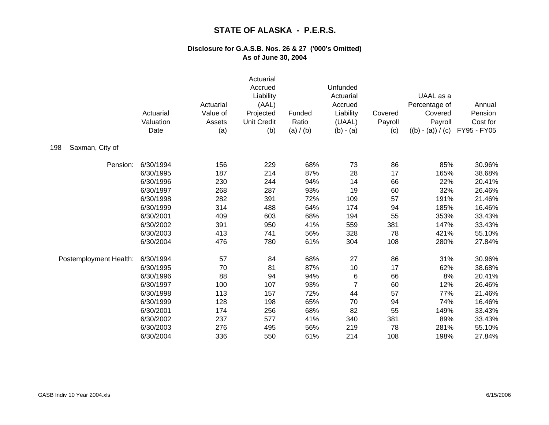|                        | Actuarial<br>Valuation<br>Date | Actuarial<br>Value of<br>Assets<br>(a) | Actuarial<br>Accrued<br>Liability<br>(AAL)<br>Projected<br><b>Unit Credit</b><br>(b) | Funded<br>Ratio<br>(a) / (b) | <b>Unfunded</b><br>Actuarial<br>Accrued<br>Liability<br>(UAAL)<br>$(b) - (a)$ | Covered<br>Payroll<br>(c) | UAAL as a<br>Percentage of<br>Covered<br>Payroll<br>$((b) - (a)) / (c)$ | Annual<br>Pension<br>Cost for<br>FY95 - FY05 |
|------------------------|--------------------------------|----------------------------------------|--------------------------------------------------------------------------------------|------------------------------|-------------------------------------------------------------------------------|---------------------------|-------------------------------------------------------------------------|----------------------------------------------|
| Saxman, City of<br>198 |                                |                                        |                                                                                      |                              |                                                                               |                           |                                                                         |                                              |
| Pension:               | 6/30/1994                      | 156                                    | 229                                                                                  | 68%                          | 73                                                                            | 86                        | 85%                                                                     | 30.96%                                       |
|                        | 6/30/1995                      | 187                                    | 214                                                                                  | 87%                          | 28                                                                            | 17                        | 165%                                                                    | 38.68%                                       |
|                        | 6/30/1996                      | 230                                    | 244                                                                                  | 94%                          | 14                                                                            | 66                        | 22%                                                                     | 20.41%                                       |
|                        | 6/30/1997                      | 268                                    | 287                                                                                  | 93%                          | 19                                                                            | 60                        | 32%                                                                     | 26.46%                                       |
|                        | 6/30/1998                      | 282                                    | 391                                                                                  | 72%                          | 109                                                                           | 57                        | 191%                                                                    | 21.46%                                       |
|                        | 6/30/1999                      | 314                                    | 488                                                                                  | 64%                          | 174                                                                           | 94                        | 185%                                                                    | 16.46%                                       |
|                        | 6/30/2001                      | 409                                    | 603                                                                                  | 68%                          | 194                                                                           | 55                        | 353%                                                                    | 33.43%                                       |
|                        | 6/30/2002                      | 391                                    | 950                                                                                  | 41%                          | 559                                                                           | 381                       | 147%                                                                    | 33.43%                                       |
|                        | 6/30/2003                      | 413                                    | 741                                                                                  | 56%                          | 328                                                                           | 78                        | 421%                                                                    | 55.10%                                       |
|                        | 6/30/2004                      | 476                                    | 780                                                                                  | 61%                          | 304                                                                           | 108                       | 280%                                                                    | 27.84%                                       |
| Postemployment Health: | 6/30/1994                      | 57                                     | 84                                                                                   | 68%                          | 27                                                                            | 86                        | 31%                                                                     | 30.96%                                       |
|                        | 6/30/1995                      | 70                                     | 81                                                                                   | 87%                          | 10                                                                            | 17                        | 62%                                                                     | 38.68%                                       |
|                        | 6/30/1996                      | 88                                     | 94                                                                                   | 94%                          | 6                                                                             | 66                        | 8%                                                                      | 20.41%                                       |
|                        | 6/30/1997                      | 100                                    | 107                                                                                  | 93%                          | 7                                                                             | 60                        | 12%                                                                     | 26.46%                                       |
|                        | 6/30/1998                      | 113                                    | 157                                                                                  | 72%                          | 44                                                                            | 57                        | 77%                                                                     | 21.46%                                       |
|                        | 6/30/1999                      | 128                                    | 198                                                                                  | 65%                          | 70                                                                            | 94                        | 74%                                                                     | 16.46%                                       |
|                        | 6/30/2001                      | 174                                    | 256                                                                                  | 68%                          | 82                                                                            | 55                        | 149%                                                                    | 33.43%                                       |
|                        | 6/30/2002                      | 237                                    | 577                                                                                  | 41%                          | 340                                                                           | 381                       | 89%                                                                     | 33.43%                                       |
|                        | 6/30/2003                      | 276                                    | 495                                                                                  | 56%                          | 219                                                                           | 78                        | 281%                                                                    | 55.10%                                       |
|                        | 6/30/2004                      | 336                                    | 550                                                                                  | 61%                          | 214                                                                           | 108                       | 198%                                                                    | 27.84%                                       |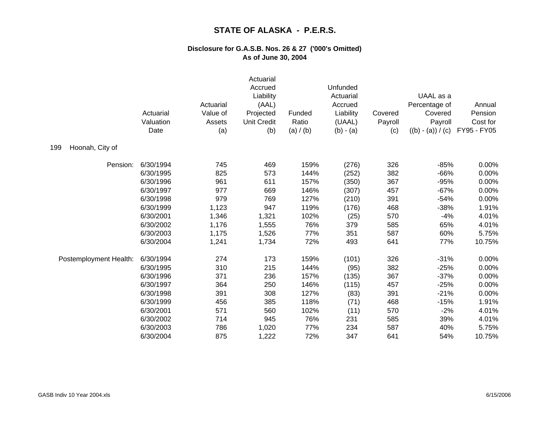|                        | Actuarial<br>Valuation<br>Date | Actuarial<br>Value of<br>Assets<br>(a) | Actuarial<br>Accrued<br>Liability<br>(AAL)<br>Projected<br><b>Unit Credit</b><br>(b) | Funded<br>Ratio<br>(a) / (b) | Unfunded<br>Actuarial<br>Accrued<br>Liability<br>(UAAL)<br>$(b) - (a)$ | Covered<br>Payroll<br>(c) | UAAL as a<br>Percentage of<br>Covered<br>Payroll<br>$((b) - (a)) / (c)$ | Annual<br>Pension<br>Cost for<br>FY95 - FY05 |
|------------------------|--------------------------------|----------------------------------------|--------------------------------------------------------------------------------------|------------------------------|------------------------------------------------------------------------|---------------------------|-------------------------------------------------------------------------|----------------------------------------------|
| Hoonah, City of<br>199 |                                |                                        |                                                                                      |                              |                                                                        |                           |                                                                         |                                              |
| Pension:               | 6/30/1994                      | 745                                    | 469                                                                                  | 159%                         | (276)                                                                  | 326                       | $-85%$                                                                  | 0.00%                                        |
|                        | 6/30/1995                      | 825                                    | 573                                                                                  | 144%                         | (252)                                                                  | 382                       | $-66%$                                                                  | 0.00%                                        |
|                        | 6/30/1996                      | 961                                    | 611                                                                                  | 157%                         | (350)                                                                  | 367                       | $-95%$                                                                  | 0.00%                                        |
|                        | 6/30/1997                      | 977                                    | 669                                                                                  | 146%                         | (307)                                                                  | 457                       | $-67%$                                                                  | 0.00%                                        |
|                        | 6/30/1998                      | 979                                    | 769                                                                                  | 127%                         | (210)                                                                  | 391                       | $-54%$                                                                  | 0.00%                                        |
|                        | 6/30/1999                      | 1,123                                  | 947                                                                                  | 119%                         | (176)                                                                  | 468                       | $-38%$                                                                  | 1.91%                                        |
|                        | 6/30/2001                      | 1,346                                  | 1,321                                                                                | 102%                         | (25)                                                                   | 570                       | $-4%$                                                                   | 4.01%                                        |
|                        | 6/30/2002                      | 1,176                                  | 1,555                                                                                | 76%                          | 379                                                                    | 585                       | 65%                                                                     | 4.01%                                        |
|                        | 6/30/2003                      | 1,175                                  | 1,526                                                                                | 77%                          | 351                                                                    | 587                       | 60%                                                                     | 5.75%                                        |
|                        | 6/30/2004                      | 1,241                                  | 1,734                                                                                | 72%                          | 493                                                                    | 641                       | 77%                                                                     | 10.75%                                       |
| Postemployment Health: | 6/30/1994                      | 274                                    | 173                                                                                  | 159%                         | (101)                                                                  | 326                       | $-31%$                                                                  | 0.00%                                        |
|                        | 6/30/1995                      | 310                                    | 215                                                                                  | 144%                         | (95)                                                                   | 382                       | $-25%$                                                                  | 0.00%                                        |
|                        | 6/30/1996                      | 371                                    | 236                                                                                  | 157%                         | (135)                                                                  | 367                       | $-37%$                                                                  | 0.00%                                        |
|                        | 6/30/1997                      | 364                                    | 250                                                                                  | 146%                         | (115)                                                                  | 457                       | $-25%$                                                                  | 0.00%                                        |
|                        | 6/30/1998                      | 391                                    | 308                                                                                  | 127%                         | (83)                                                                   | 391                       | $-21%$                                                                  | 0.00%                                        |
|                        | 6/30/1999                      | 456                                    | 385                                                                                  | 118%                         | (71)                                                                   | 468                       | $-15%$                                                                  | 1.91%                                        |
|                        | 6/30/2001                      | 571                                    | 560                                                                                  | 102%                         | (11)                                                                   | 570                       | $-2%$                                                                   | 4.01%                                        |
|                        | 6/30/2002                      | 714                                    | 945                                                                                  | 76%                          | 231                                                                    | 585                       | 39%                                                                     | 4.01%                                        |
|                        | 6/30/2003                      | 786                                    | 1,020                                                                                | 77%                          | 234                                                                    | 587                       | 40%                                                                     | 5.75%                                        |
|                        | 6/30/2004                      | 875                                    | 1,222                                                                                | 72%                          | 347                                                                    | 641                       | 54%                                                                     | 10.75%                                       |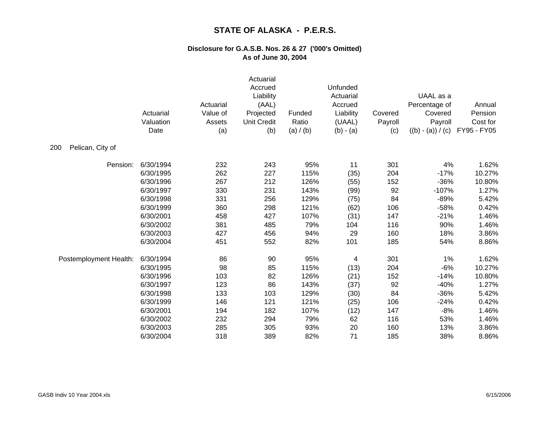|                         | Actuarial<br>Valuation<br>Date | Actuarial<br>Value of<br>Assets<br>(a) | Actuarial<br>Accrued<br>Liability<br>(AAL)<br>Projected<br><b>Unit Credit</b><br>(b) | Funded<br>Ratio<br>(a) / (b) | Unfunded<br>Actuarial<br>Accrued<br>Liability<br>(UAAL)<br>$(b) - (a)$ | Covered<br>Payroll<br>(c) | UAAL as a<br>Percentage of<br>Covered<br>Payroll<br>$((b) - (a)) / (c)$ | Annual<br>Pension<br>Cost for<br>FY95 - FY05 |
|-------------------------|--------------------------------|----------------------------------------|--------------------------------------------------------------------------------------|------------------------------|------------------------------------------------------------------------|---------------------------|-------------------------------------------------------------------------|----------------------------------------------|
| 200<br>Pelican, City of |                                |                                        |                                                                                      |                              |                                                                        |                           |                                                                         |                                              |
| Pension:                | 6/30/1994                      | 232                                    | 243                                                                                  | 95%                          | 11                                                                     | 301                       | 4%                                                                      | 1.62%                                        |
|                         | 6/30/1995                      | 262                                    | 227                                                                                  | 115%                         | (35)                                                                   | 204                       | $-17%$                                                                  | 10.27%                                       |
|                         | 6/30/1996                      | 267                                    | 212                                                                                  | 126%                         | (55)                                                                   | 152                       | $-36%$                                                                  | 10.80%                                       |
|                         | 6/30/1997                      | 330                                    | 231                                                                                  | 143%                         | (99)                                                                   | 92                        | $-107%$                                                                 | 1.27%                                        |
|                         | 6/30/1998                      | 331                                    | 256                                                                                  | 129%                         | (75)                                                                   | 84                        | $-89%$                                                                  | 5.42%                                        |
|                         | 6/30/1999                      | 360                                    | 298                                                                                  | 121%                         | (62)                                                                   | 106                       | $-58%$                                                                  | 0.42%                                        |
|                         | 6/30/2001                      | 458                                    | 427                                                                                  | 107%                         | (31)                                                                   | 147                       | $-21%$                                                                  | 1.46%                                        |
|                         | 6/30/2002                      | 381                                    | 485                                                                                  | 79%                          | 104                                                                    | 116                       | 90%                                                                     | 1.46%                                        |
|                         | 6/30/2003                      | 427                                    | 456                                                                                  | 94%                          | 29                                                                     | 160                       | 18%                                                                     | 3.86%                                        |
|                         | 6/30/2004                      | 451                                    | 552                                                                                  | 82%                          | 101                                                                    | 185                       | 54%                                                                     | 8.86%                                        |
| Postemployment Health:  | 6/30/1994                      | 86                                     | 90                                                                                   | 95%                          | 4                                                                      | 301                       | 1%                                                                      | 1.62%                                        |
|                         | 6/30/1995                      | 98                                     | 85                                                                                   | 115%                         | (13)                                                                   | 204                       | $-6%$                                                                   | 10.27%                                       |
|                         | 6/30/1996                      | 103                                    | 82                                                                                   | 126%                         | (21)                                                                   | 152                       | $-14%$                                                                  | 10.80%                                       |
|                         | 6/30/1997                      | 123                                    | 86                                                                                   | 143%                         | (37)                                                                   | 92                        | $-40%$                                                                  | 1.27%                                        |
|                         | 6/30/1998                      | 133                                    | 103                                                                                  | 129%                         | (30)                                                                   | 84                        | $-36%$                                                                  | 5.42%                                        |
|                         | 6/30/1999                      | 146                                    | 121                                                                                  | 121%                         | (25)                                                                   | 106                       | $-24%$                                                                  | 0.42%                                        |
|                         | 6/30/2001                      | 194                                    | 182                                                                                  | 107%                         | (12)                                                                   | 147                       | $-8%$                                                                   | 1.46%                                        |
|                         | 6/30/2002                      | 232                                    | 294                                                                                  | 79%                          | 62                                                                     | 116                       | 53%                                                                     | 1.46%                                        |
|                         | 6/30/2003                      | 285                                    | 305                                                                                  | 93%                          | 20                                                                     | 160                       | 13%                                                                     | 3.86%                                        |
|                         | 6/30/2004                      | 318                                    | 389                                                                                  | 82%                          | 71                                                                     | 185                       | 38%                                                                     | 8.86%                                        |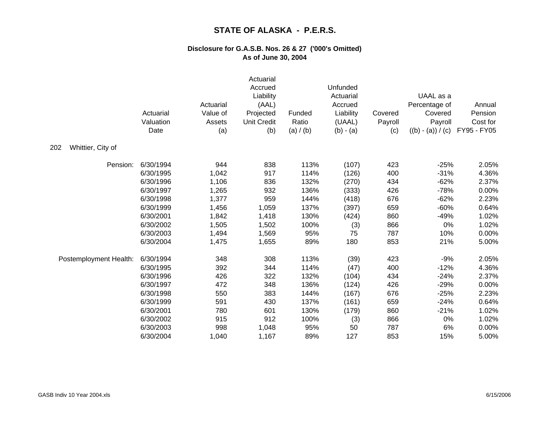|                          | Actuarial<br>Valuation<br>Date | Actuarial<br>Value of<br>Assets<br>(a) | Actuarial<br>Accrued<br>Liability<br>(AAL)<br>Projected<br><b>Unit Credit</b><br>(b) | Funded<br>Ratio<br>(a) / (b) | Unfunded<br>Actuarial<br>Accrued<br>Liability<br>(UAAL)<br>$(b) - (a)$ | Covered<br>Payroll<br>(c) | UAAL as a<br>Percentage of<br>Covered<br>Payroll<br>$((b) - (a)) / (c)$ | Annual<br>Pension<br>Cost for<br>FY95 - FY05 |
|--------------------------|--------------------------------|----------------------------------------|--------------------------------------------------------------------------------------|------------------------------|------------------------------------------------------------------------|---------------------------|-------------------------------------------------------------------------|----------------------------------------------|
| Whittier, City of<br>202 |                                |                                        |                                                                                      |                              |                                                                        |                           |                                                                         |                                              |
| Pension:                 | 6/30/1994                      | 944                                    | 838                                                                                  | 113%                         | (107)                                                                  | 423                       | $-25%$                                                                  | 2.05%                                        |
|                          | 6/30/1995                      | 1,042                                  | 917                                                                                  | 114%                         | (126)                                                                  | 400                       | $-31%$                                                                  | 4.36%                                        |
|                          | 6/30/1996                      | 1,106                                  | 836                                                                                  | 132%                         | (270)                                                                  | 434                       | $-62%$                                                                  | 2.37%                                        |
|                          | 6/30/1997                      | 1,265                                  | 932                                                                                  | 136%                         | (333)                                                                  | 426                       | $-78%$                                                                  | 0.00%                                        |
|                          | 6/30/1998                      | 1,377                                  | 959                                                                                  | 144%                         | (418)                                                                  | 676                       | $-62%$                                                                  | 2.23%                                        |
|                          | 6/30/1999                      | 1,456                                  | 1,059                                                                                | 137%                         | (397)                                                                  | 659                       | $-60%$                                                                  | 0.64%                                        |
|                          | 6/30/2001                      | 1,842                                  | 1,418                                                                                | 130%                         | (424)                                                                  | 860                       | $-49%$                                                                  | 1.02%                                        |
|                          | 6/30/2002                      | 1,505                                  | 1,502                                                                                | 100%                         | (3)                                                                    | 866                       | 0%                                                                      | 1.02%                                        |
|                          | 6/30/2003                      | 1,494                                  | 1,569                                                                                | 95%                          | 75                                                                     | 787                       | 10%                                                                     | 0.00%                                        |
|                          | 6/30/2004                      | 1,475                                  | 1,655                                                                                | 89%                          | 180                                                                    | 853                       | 21%                                                                     | 5.00%                                        |
| Postemployment Health:   | 6/30/1994                      | 348                                    | 308                                                                                  | 113%                         | (39)                                                                   | 423                       | $-9%$                                                                   | 2.05%                                        |
|                          | 6/30/1995                      | 392                                    | 344                                                                                  | 114%                         | (47)                                                                   | 400                       | $-12%$                                                                  | 4.36%                                        |
|                          | 6/30/1996                      | 426                                    | 322                                                                                  | 132%                         | (104)                                                                  | 434                       | $-24%$                                                                  | 2.37%                                        |
|                          | 6/30/1997                      | 472                                    | 348                                                                                  | 136%                         | (124)                                                                  | 426                       | $-29%$                                                                  | 0.00%                                        |
|                          | 6/30/1998                      | 550                                    | 383                                                                                  | 144%                         | (167)                                                                  | 676                       | $-25%$                                                                  | 2.23%                                        |
|                          | 6/30/1999                      | 591                                    | 430                                                                                  | 137%                         | (161)                                                                  | 659                       | $-24%$                                                                  | 0.64%                                        |
|                          | 6/30/2001                      | 780                                    | 601                                                                                  | 130%                         | (179)                                                                  | 860                       | $-21%$                                                                  | 1.02%                                        |
|                          | 6/30/2002                      | 915                                    | 912                                                                                  | 100%                         | (3)                                                                    | 866                       | 0%                                                                      | 1.02%                                        |
|                          | 6/30/2003                      | 998                                    | 1,048                                                                                | 95%                          | 50                                                                     | 787                       | 6%                                                                      | 0.00%                                        |
|                          | 6/30/2004                      | 1,040                                  | 1,167                                                                                | 89%                          | 127                                                                    | 853                       | 15%                                                                     | 5.00%                                        |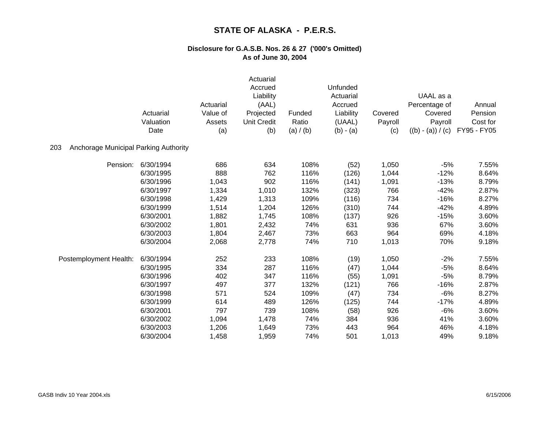|                                              | Actuarial<br>Valuation<br>Date | Actuarial<br>Value of<br>Assets<br>(a) | Actuarial<br>Accrued<br>Liability<br>(AAL)<br>Projected<br><b>Unit Credit</b><br>(b) | Funded<br>Ratio<br>(a) / (b) | Unfunded<br>Actuarial<br>Accrued<br>Liability<br>(UAAL)<br>$(b) - (a)$ | Covered<br>Payroll<br>(c) | UAAL as a<br>Percentage of<br>Covered<br>Payroll<br>$((b) - (a)) / (c)$ | Annual<br>Pension<br>Cost for<br>FY95 - FY05 |
|----------------------------------------------|--------------------------------|----------------------------------------|--------------------------------------------------------------------------------------|------------------------------|------------------------------------------------------------------------|---------------------------|-------------------------------------------------------------------------|----------------------------------------------|
| Anchorage Municipal Parking Authority<br>203 |                                |                                        |                                                                                      |                              |                                                                        |                           |                                                                         |                                              |
| Pension:                                     | 6/30/1994                      | 686                                    | 634                                                                                  | 108%                         | (52)                                                                   | 1,050                     | $-5%$                                                                   | 7.55%                                        |
|                                              | 6/30/1995                      | 888                                    | 762                                                                                  | 116%                         | (126)                                                                  | 1,044                     | $-12%$                                                                  | 8.64%                                        |
|                                              | 6/30/1996                      | 1,043                                  | 902                                                                                  | 116%                         | (141)                                                                  | 1,091                     | $-13%$                                                                  | 8.79%                                        |
|                                              | 6/30/1997                      | 1,334                                  | 1,010                                                                                | 132%                         | (323)                                                                  | 766                       | $-42%$                                                                  | 2.87%                                        |
|                                              | 6/30/1998                      | 1,429                                  | 1,313                                                                                | 109%                         | (116)                                                                  | 734                       | $-16%$                                                                  | 8.27%                                        |
|                                              | 6/30/1999                      | 1,514                                  | 1,204                                                                                | 126%                         | (310)                                                                  | 744                       | $-42%$                                                                  | 4.89%                                        |
|                                              | 6/30/2001                      | 1,882                                  | 1,745                                                                                | 108%                         | (137)                                                                  | 926                       | $-15%$                                                                  | 3.60%                                        |
|                                              | 6/30/2002                      | 1,801                                  | 2,432                                                                                | 74%                          | 631                                                                    | 936                       | 67%                                                                     | 3.60%                                        |
|                                              | 6/30/2003                      | 1,804                                  | 2,467                                                                                | 73%                          | 663                                                                    | 964                       | 69%                                                                     | 4.18%                                        |
|                                              | 6/30/2004                      | 2,068                                  | 2,778                                                                                | 74%                          | 710                                                                    | 1,013                     | 70%                                                                     | 9.18%                                        |
| Postemployment Health:                       | 6/30/1994                      | 252                                    | 233                                                                                  | 108%                         | (19)                                                                   | 1,050                     | $-2%$                                                                   | 7.55%                                        |
|                                              | 6/30/1995                      | 334                                    | 287                                                                                  | 116%                         | (47)                                                                   | 1,044                     | $-5%$                                                                   | 8.64%                                        |
|                                              | 6/30/1996                      | 402                                    | 347                                                                                  | 116%                         | (55)                                                                   | 1,091                     | $-5%$                                                                   | 8.79%                                        |
|                                              | 6/30/1997                      | 497                                    | 377                                                                                  | 132%                         | (121)                                                                  | 766                       | $-16%$                                                                  | 2.87%                                        |
|                                              | 6/30/1998                      | 571                                    | 524                                                                                  | 109%                         | (47)                                                                   | 734                       | $-6%$                                                                   | 8.27%                                        |
|                                              | 6/30/1999                      | 614                                    | 489                                                                                  | 126%                         | (125)                                                                  | 744                       | $-17%$                                                                  | 4.89%                                        |
|                                              | 6/30/2001                      | 797                                    | 739                                                                                  | 108%                         | (58)                                                                   | 926                       | $-6%$                                                                   | 3.60%                                        |
|                                              | 6/30/2002                      | 1,094                                  | 1,478                                                                                | 74%                          | 384                                                                    | 936                       | 41%                                                                     | 3.60%                                        |
|                                              | 6/30/2003                      | 1,206                                  | 1,649                                                                                | 73%                          | 443                                                                    | 964                       | 46%                                                                     | 4.18%                                        |
|                                              | 6/30/2004                      | 1,458                                  | 1,959                                                                                | 74%                          | 501                                                                    | 1,013                     | 49%                                                                     | 9.18%                                        |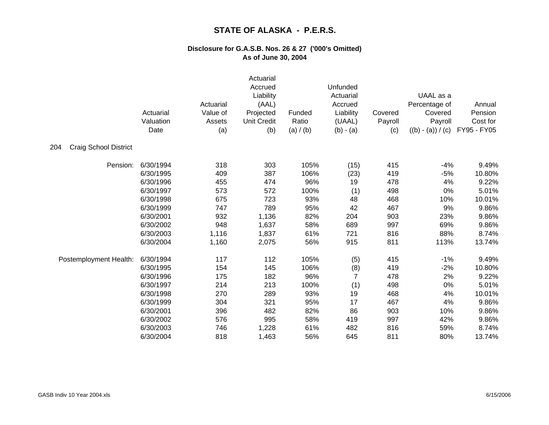|                                     | Actuarial<br>Valuation<br>Date | Actuarial<br>Value of<br>Assets<br>(a) | Actuarial<br>Accrued<br>Liability<br>(AAL)<br>Projected<br><b>Unit Credit</b><br>(b) | Funded<br>Ratio<br>(a) / (b) | Unfunded<br>Actuarial<br>Accrued<br>Liability<br>(UAAL)<br>$(b) - (a)$ | Covered<br>Payroll<br>(c) | UAAL as a<br>Percentage of<br>Covered<br>Payroll<br>$((b) - (a)) / (c)$ | Annual<br>Pension<br>Cost for<br>FY95 - FY05 |
|-------------------------------------|--------------------------------|----------------------------------------|--------------------------------------------------------------------------------------|------------------------------|------------------------------------------------------------------------|---------------------------|-------------------------------------------------------------------------|----------------------------------------------|
| <b>Craig School District</b><br>204 |                                |                                        |                                                                                      |                              |                                                                        |                           |                                                                         |                                              |
| Pension:                            | 6/30/1994                      | 318                                    | 303                                                                                  | 105%                         | (15)                                                                   | 415                       | $-4%$                                                                   | 9.49%                                        |
|                                     | 6/30/1995                      | 409                                    | 387                                                                                  | 106%                         | (23)                                                                   | 419                       | $-5%$                                                                   | 10.80%                                       |
|                                     | 6/30/1996                      | 455                                    | 474                                                                                  | 96%                          | 19                                                                     | 478                       | 4%                                                                      | 9.22%                                        |
|                                     | 6/30/1997                      | 573                                    | 572                                                                                  | 100%                         | (1)                                                                    | 498                       | 0%                                                                      | 5.01%                                        |
|                                     | 6/30/1998                      | 675                                    | 723                                                                                  | 93%                          | 48                                                                     | 468                       | 10%                                                                     | 10.01%                                       |
|                                     | 6/30/1999                      | 747                                    | 789                                                                                  | 95%                          | 42                                                                     | 467                       | 9%                                                                      | 9.86%                                        |
|                                     | 6/30/2001                      | 932                                    | 1,136                                                                                | 82%                          | 204                                                                    | 903                       | 23%                                                                     | 9.86%                                        |
|                                     | 6/30/2002                      | 948                                    | 1,637                                                                                | 58%                          | 689                                                                    | 997                       | 69%                                                                     | 9.86%                                        |
|                                     | 6/30/2003                      | 1,116                                  | 1,837                                                                                | 61%                          | 721                                                                    | 816                       | 88%                                                                     | 8.74%                                        |
|                                     | 6/30/2004                      | 1,160                                  | 2,075                                                                                | 56%                          | 915                                                                    | 811                       | 113%                                                                    | 13.74%                                       |
| Postemployment Health:              | 6/30/1994                      | 117                                    | 112                                                                                  | 105%                         | (5)                                                                    | 415                       | $-1%$                                                                   | 9.49%                                        |
|                                     | 6/30/1995                      | 154                                    | 145                                                                                  | 106%                         | (8)                                                                    | 419                       | $-2%$                                                                   | 10.80%                                       |
|                                     | 6/30/1996                      | 175                                    | 182                                                                                  | 96%                          | 7                                                                      | 478                       | 2%                                                                      | 9.22%                                        |
|                                     | 6/30/1997                      | 214                                    | 213                                                                                  | 100%                         | (1)                                                                    | 498                       | 0%                                                                      | 5.01%                                        |
|                                     | 6/30/1998                      | 270                                    | 289                                                                                  | 93%                          | 19                                                                     | 468                       | 4%                                                                      | 10.01%                                       |
|                                     | 6/30/1999                      | 304                                    | 321                                                                                  | 95%                          | 17                                                                     | 467                       | 4%                                                                      | 9.86%                                        |
|                                     | 6/30/2001                      | 396                                    | 482                                                                                  | 82%                          | 86                                                                     | 903                       | 10%                                                                     | 9.86%                                        |
|                                     | 6/30/2002                      | 576                                    | 995                                                                                  | 58%                          | 419                                                                    | 997                       | 42%                                                                     | 9.86%                                        |
|                                     | 6/30/2003                      | 746                                    | 1,228                                                                                | 61%                          | 482                                                                    | 816                       | 59%                                                                     | 8.74%                                        |
|                                     | 6/30/2004                      | 818                                    | 1,463                                                                                | 56%                          | 645                                                                    | 811                       | 80%                                                                     | 13.74%                                       |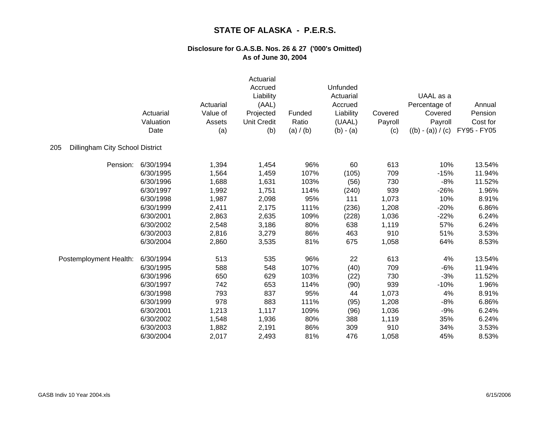|                                        | Actuarial<br>Valuation<br>Date | Actuarial<br>Value of<br>Assets<br>(a) | Actuarial<br>Accrued<br>Liability<br>(AAL)<br>Projected<br><b>Unit Credit</b><br>(b) | Funded<br>Ratio<br>(a) / (b) | Unfunded<br>Actuarial<br>Accrued<br>Liability<br>(UAAL)<br>$(b) - (a)$ | Covered<br>Payroll<br>(c) | UAAL as a<br>Percentage of<br>Covered<br>Payroll<br>$((b) - (a)) / (c)$ | Annual<br>Pension<br>Cost for<br>FY95 - FY05 |
|----------------------------------------|--------------------------------|----------------------------------------|--------------------------------------------------------------------------------------|------------------------------|------------------------------------------------------------------------|---------------------------|-------------------------------------------------------------------------|----------------------------------------------|
| 205<br>Dillingham City School District |                                |                                        |                                                                                      |                              |                                                                        |                           |                                                                         |                                              |
| Pension:                               | 6/30/1994                      | 1,394                                  | 1,454                                                                                | 96%                          | 60                                                                     | 613                       | 10%                                                                     | 13.54%                                       |
|                                        | 6/30/1995                      | 1,564                                  | 1,459                                                                                | 107%                         | (105)                                                                  | 709                       | $-15%$                                                                  | 11.94%                                       |
|                                        | 6/30/1996                      | 1,688                                  | 1,631                                                                                | 103%                         | (56)                                                                   | 730                       | $-8%$                                                                   | 11.52%                                       |
|                                        | 6/30/1997                      | 1,992                                  | 1,751                                                                                | 114%                         | (240)                                                                  | 939                       | $-26%$                                                                  | 1.96%                                        |
|                                        | 6/30/1998                      | 1,987                                  | 2,098                                                                                | 95%                          | 111                                                                    | 1,073                     | 10%                                                                     | 8.91%                                        |
|                                        | 6/30/1999                      | 2,411                                  | 2,175                                                                                | 111%                         | (236)                                                                  | 1,208                     | $-20%$                                                                  | 6.86%                                        |
|                                        | 6/30/2001                      | 2,863                                  | 2,635                                                                                | 109%                         | (228)                                                                  | 1,036                     | $-22%$                                                                  | 6.24%                                        |
|                                        | 6/30/2002                      | 2,548                                  | 3,186                                                                                | 80%                          | 638                                                                    | 1,119                     | 57%                                                                     | 6.24%                                        |
|                                        | 6/30/2003                      | 2,816                                  | 3,279                                                                                | 86%                          | 463                                                                    | 910                       | 51%                                                                     | 3.53%                                        |
|                                        | 6/30/2004                      | 2,860                                  | 3,535                                                                                | 81%                          | 675                                                                    | 1,058                     | 64%                                                                     | 8.53%                                        |
| Postemployment Health:                 | 6/30/1994                      | 513                                    | 535                                                                                  | 96%                          | 22                                                                     | 613                       | 4%                                                                      | 13.54%                                       |
|                                        | 6/30/1995                      | 588                                    | 548                                                                                  | 107%                         | (40)                                                                   | 709                       | $-6%$                                                                   | 11.94%                                       |
|                                        | 6/30/1996                      | 650                                    | 629                                                                                  | 103%                         | (22)                                                                   | 730                       | $-3%$                                                                   | 11.52%                                       |
|                                        | 6/30/1997                      | 742                                    | 653                                                                                  | 114%                         | (90)                                                                   | 939                       | $-10%$                                                                  | 1.96%                                        |
|                                        | 6/30/1998                      | 793                                    | 837                                                                                  | 95%                          | 44                                                                     | 1,073                     | 4%                                                                      | 8.91%                                        |
|                                        | 6/30/1999                      | 978                                    | 883                                                                                  | 111%                         | (95)                                                                   | 1,208                     | $-8%$                                                                   | 6.86%                                        |
|                                        | 6/30/2001                      | 1,213                                  | 1,117                                                                                | 109%                         | (96)                                                                   | 1,036                     | $-9%$                                                                   | 6.24%                                        |
|                                        | 6/30/2002                      | 1,548                                  | 1,936                                                                                | 80%                          | 388                                                                    | 1,119                     | 35%                                                                     | 6.24%                                        |
|                                        | 6/30/2003                      | 1,882                                  | 2,191                                                                                | 86%                          | 309                                                                    | 910                       | 34%                                                                     | 3.53%                                        |
|                                        | 6/30/2004                      | 2,017                                  | 2,493                                                                                | 81%                          | 476                                                                    | 1,058                     | 45%                                                                     | 8.53%                                        |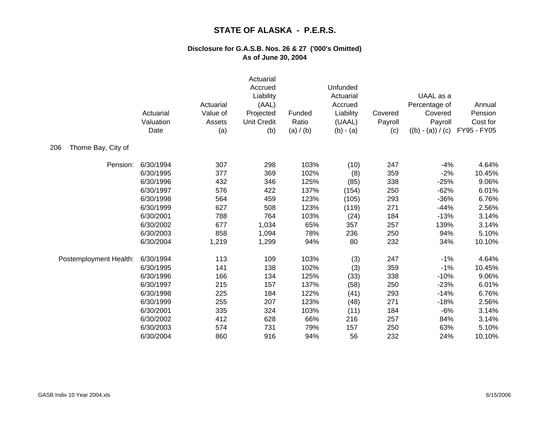|                            | Actuarial<br>Valuation<br>Date | Actuarial<br>Value of<br>Assets<br>(a) | Actuarial<br>Accrued<br>Liability<br>(AAL)<br>Projected<br><b>Unit Credit</b><br>(b) | Funded<br>Ratio<br>(a) $/$ (b) | Unfunded<br>Actuarial<br>Accrued<br>Liability<br>(UAAL)<br>$(b) - (a)$ | Covered<br>Payroll<br>(c) | UAAL as a<br>Percentage of<br>Covered<br>Payroll<br>$((b) - (a)) / (c)$ | Annual<br>Pension<br>Cost for<br>FY95 - FY05 |
|----------------------------|--------------------------------|----------------------------------------|--------------------------------------------------------------------------------------|--------------------------------|------------------------------------------------------------------------|---------------------------|-------------------------------------------------------------------------|----------------------------------------------|
| Thorne Bay, City of<br>206 |                                |                                        |                                                                                      |                                |                                                                        |                           |                                                                         |                                              |
| Pension:                   | 6/30/1994                      | 307                                    | 298                                                                                  | 103%                           | (10)                                                                   | 247                       | $-4%$                                                                   | 4.64%                                        |
|                            | 6/30/1995                      | 377                                    | 369                                                                                  | 102%                           | (8)                                                                    | 359                       | $-2%$                                                                   | 10.45%                                       |
|                            | 6/30/1996                      | 432                                    | 346                                                                                  | 125%                           | (85)                                                                   | 338                       | $-25%$                                                                  | 9.06%                                        |
|                            | 6/30/1997                      | 576                                    | 422                                                                                  | 137%                           | (154)                                                                  | 250                       | $-62%$                                                                  | 6.01%                                        |
|                            | 6/30/1998                      | 564                                    | 459                                                                                  | 123%                           | (105)                                                                  | 293                       | $-36%$                                                                  | 6.76%                                        |
|                            | 6/30/1999                      | 627                                    | 508                                                                                  | 123%                           | (119)                                                                  | 271                       | $-44%$                                                                  | 2.56%                                        |
|                            | 6/30/2001                      | 788                                    | 764                                                                                  | 103%                           | (24)                                                                   | 184                       | $-13%$                                                                  | 3.14%                                        |
|                            | 6/30/2002                      | 677                                    | 1,034                                                                                | 65%                            | 357                                                                    | 257                       | 139%                                                                    | 3.14%                                        |
|                            | 6/30/2003                      | 858                                    | 1,094                                                                                | 78%                            | 236                                                                    | 250                       | 94%                                                                     | 5.10%                                        |
|                            | 6/30/2004                      | 1,219                                  | 1,299                                                                                | 94%                            | 80                                                                     | 232                       | 34%                                                                     | 10.10%                                       |
| Postemployment Health:     | 6/30/1994                      | 113                                    | 109                                                                                  | 103%                           | (3)                                                                    | 247                       | $-1%$                                                                   | 4.64%                                        |
|                            | 6/30/1995                      | 141                                    | 138                                                                                  | 102%                           | (3)                                                                    | 359                       | $-1%$                                                                   | 10.45%                                       |
|                            | 6/30/1996                      | 166                                    | 134                                                                                  | 125%                           | (33)                                                                   | 338                       | $-10%$                                                                  | 9.06%                                        |
|                            | 6/30/1997                      | 215                                    | 157                                                                                  | 137%                           | (58)                                                                   | 250                       | $-23%$                                                                  | 6.01%                                        |
|                            | 6/30/1998                      | 225                                    | 184                                                                                  | 122%                           | (41)                                                                   | 293                       | $-14%$                                                                  | 6.76%                                        |
|                            | 6/30/1999                      | 255                                    | 207                                                                                  | 123%                           | (48)                                                                   | 271                       | $-18%$                                                                  | 2.56%                                        |
|                            | 6/30/2001                      | 335                                    | 324                                                                                  | 103%                           | (11)                                                                   | 184                       | $-6%$                                                                   | 3.14%                                        |
|                            | 6/30/2002                      | 412                                    | 628                                                                                  | 66%                            | 216                                                                    | 257                       | 84%                                                                     | 3.14%                                        |
|                            | 6/30/2003                      | 574                                    | 731                                                                                  | 79%                            | 157                                                                    | 250                       | 63%                                                                     | 5.10%                                        |
|                            | 6/30/2004                      | 860                                    | 916                                                                                  | 94%                            | 56                                                                     | 232                       | 24%                                                                     | 10.10%                                       |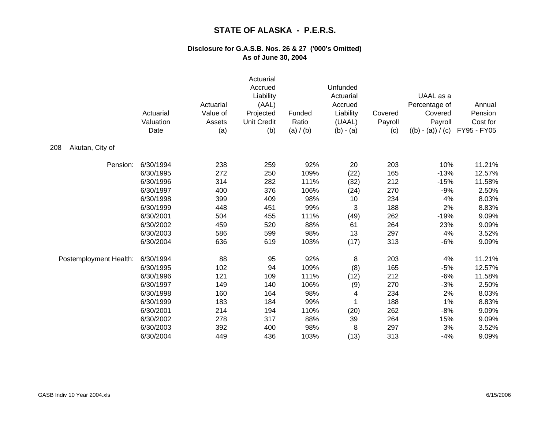|                        | Actuarial<br>Valuation<br>Date | Actuarial<br>Value of<br>Assets<br>(a) | Actuarial<br>Accrued<br>Liability<br>(AAL)<br>Projected<br><b>Unit Credit</b><br>(b) | Funded<br>Ratio<br>(a) / (b) | <b>Unfunded</b><br>Actuarial<br>Accrued<br>Liability<br>(UAAL)<br>$(b) - (a)$ | Covered<br>Payroll<br>(c) | UAAL as a<br>Percentage of<br>Covered<br>Payroll<br>$((b) - (a)) / (c)$ | Annual<br>Pension<br>Cost for<br>FY95 - FY05 |
|------------------------|--------------------------------|----------------------------------------|--------------------------------------------------------------------------------------|------------------------------|-------------------------------------------------------------------------------|---------------------------|-------------------------------------------------------------------------|----------------------------------------------|
| 208<br>Akutan, City of |                                |                                        |                                                                                      |                              |                                                                               |                           |                                                                         |                                              |
| Pension:               | 6/30/1994                      | 238                                    | 259                                                                                  | 92%                          | 20                                                                            | 203                       | 10%                                                                     | 11.21%                                       |
|                        | 6/30/1995                      | 272                                    | 250                                                                                  | 109%                         | (22)                                                                          | 165                       | $-13%$                                                                  | 12.57%                                       |
|                        | 6/30/1996                      | 314                                    | 282                                                                                  | 111%                         | (32)                                                                          | 212                       | $-15%$                                                                  | 11.58%                                       |
|                        | 6/30/1997                      | 400                                    | 376                                                                                  | 106%                         | (24)                                                                          | 270                       | $-9%$                                                                   | 2.50%                                        |
|                        | 6/30/1998                      | 399                                    | 409                                                                                  | 98%                          | 10                                                                            | 234                       | 4%                                                                      | 8.03%                                        |
|                        | 6/30/1999                      | 448                                    | 451                                                                                  | 99%                          | 3                                                                             | 188                       | 2%                                                                      | 8.83%                                        |
|                        | 6/30/2001                      | 504                                    | 455                                                                                  | 111%                         | (49)                                                                          | 262                       | $-19%$                                                                  | 9.09%                                        |
|                        | 6/30/2002                      | 459                                    | 520                                                                                  | 88%                          | 61                                                                            | 264                       | 23%                                                                     | 9.09%                                        |
|                        | 6/30/2003                      | 586                                    | 599                                                                                  | 98%                          | 13                                                                            | 297                       | 4%                                                                      | 3.52%                                        |
|                        | 6/30/2004                      | 636                                    | 619                                                                                  | 103%                         | (17)                                                                          | 313                       | $-6%$                                                                   | 9.09%                                        |
| Postemployment Health: | 6/30/1994                      | 88                                     | 95                                                                                   | 92%                          | 8                                                                             | 203                       | 4%                                                                      | 11.21%                                       |
|                        | 6/30/1995                      | 102                                    | 94                                                                                   | 109%                         | (8)                                                                           | 165                       | $-5%$                                                                   | 12.57%                                       |
|                        | 6/30/1996                      | 121                                    | 109                                                                                  | 111%                         | (12)                                                                          | 212                       | $-6%$                                                                   | 11.58%                                       |
|                        | 6/30/1997                      | 149                                    | 140                                                                                  | 106%                         | (9)                                                                           | 270                       | $-3%$                                                                   | 2.50%                                        |
|                        | 6/30/1998                      | 160                                    | 164                                                                                  | 98%                          | 4                                                                             | 234                       | 2%                                                                      | 8.03%                                        |
|                        | 6/30/1999                      | 183                                    | 184                                                                                  | 99%                          |                                                                               | 188                       | 1%                                                                      | 8.83%                                        |
|                        | 6/30/2001                      | 214                                    | 194                                                                                  | 110%                         | (20)                                                                          | 262                       | $-8%$                                                                   | 9.09%                                        |
|                        | 6/30/2002                      | 278                                    | 317                                                                                  | 88%                          | 39                                                                            | 264                       | 15%                                                                     | 9.09%                                        |
|                        | 6/30/2003                      | 392                                    | 400                                                                                  | 98%                          | 8                                                                             | 297                       | 3%                                                                      | 3.52%                                        |
|                        | 6/30/2004                      | 449                                    | 436                                                                                  | 103%                         | (13)                                                                          | 313                       | -4%                                                                     | 9.09%                                        |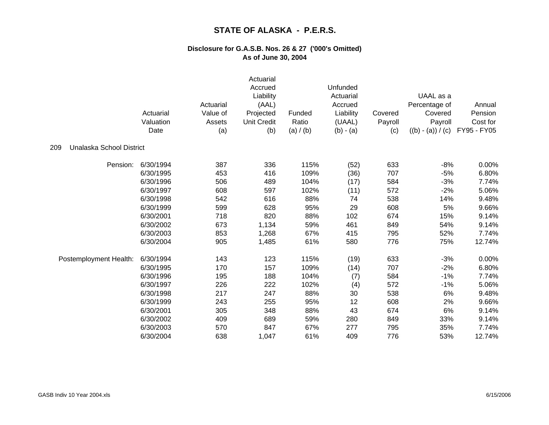|                                 | Actuarial<br>Valuation<br>Date | Actuarial<br>Value of<br>Assets<br>(a) | Actuarial<br>Accrued<br>Liability<br>(AAL)<br>Projected<br><b>Unit Credit</b><br>(b) | Funded<br>Ratio<br>(a) / (b) | Unfunded<br>Actuarial<br>Accrued<br>Liability<br>(UAAL)<br>$(b) - (a)$ | Covered<br>Payroll<br>(c) | UAAL as a<br>Percentage of<br>Covered<br>Payroll<br>$((b) - (a)) / (c)$ | Annual<br>Pension<br>Cost for<br>FY95 - FY05 |
|---------------------------------|--------------------------------|----------------------------------------|--------------------------------------------------------------------------------------|------------------------------|------------------------------------------------------------------------|---------------------------|-------------------------------------------------------------------------|----------------------------------------------|
| Unalaska School District<br>209 |                                |                                        |                                                                                      |                              |                                                                        |                           |                                                                         |                                              |
| Pension:                        | 6/30/1994                      | 387                                    | 336                                                                                  | 115%                         | (52)                                                                   | 633                       | $-8%$                                                                   | 0.00%                                        |
|                                 | 6/30/1995                      | 453                                    | 416                                                                                  | 109%                         | (36)                                                                   | 707                       | $-5%$                                                                   | 6.80%                                        |
|                                 | 6/30/1996                      | 506                                    | 489                                                                                  | 104%                         | (17)                                                                   | 584                       | $-3%$                                                                   | 7.74%                                        |
|                                 | 6/30/1997                      | 608                                    | 597                                                                                  | 102%                         | (11)                                                                   | 572                       | $-2%$                                                                   | 5.06%                                        |
|                                 | 6/30/1998                      | 542                                    | 616                                                                                  | 88%                          | 74                                                                     | 538                       | 14%                                                                     | 9.48%                                        |
|                                 | 6/30/1999                      | 599                                    | 628                                                                                  | 95%                          | 29                                                                     | 608                       | 5%                                                                      | 9.66%                                        |
|                                 | 6/30/2001                      | 718                                    | 820                                                                                  | 88%                          | 102                                                                    | 674                       | 15%                                                                     | 9.14%                                        |
|                                 | 6/30/2002                      | 673                                    | 1,134                                                                                | 59%                          | 461                                                                    | 849                       | 54%                                                                     | 9.14%                                        |
|                                 | 6/30/2003                      | 853                                    | 1,268                                                                                | 67%                          | 415                                                                    | 795                       | 52%                                                                     | 7.74%                                        |
|                                 | 6/30/2004                      | 905                                    | 1,485                                                                                | 61%                          | 580                                                                    | 776                       | 75%                                                                     | 12.74%                                       |
| Postemployment Health:          | 6/30/1994                      | 143                                    | 123                                                                                  | 115%                         | (19)                                                                   | 633                       | $-3%$                                                                   | 0.00%                                        |
|                                 | 6/30/1995                      | 170                                    | 157                                                                                  | 109%                         | (14)                                                                   | 707                       | $-2%$                                                                   | 6.80%                                        |
|                                 | 6/30/1996                      | 195                                    | 188                                                                                  | 104%                         | (7)                                                                    | 584                       | $-1%$                                                                   | 7.74%                                        |
|                                 | 6/30/1997                      | 226                                    | 222                                                                                  | 102%                         | (4)                                                                    | 572                       | $-1%$                                                                   | 5.06%                                        |
|                                 | 6/30/1998                      | 217                                    | 247                                                                                  | 88%                          | 30                                                                     | 538                       | $6\%$                                                                   | 9.48%                                        |
|                                 | 6/30/1999                      | 243                                    | 255                                                                                  | 95%                          | 12                                                                     | 608                       | 2%                                                                      | 9.66%                                        |
|                                 | 6/30/2001                      | 305                                    | 348                                                                                  | 88%                          | 43                                                                     | 674                       | 6%                                                                      | 9.14%                                        |
|                                 | 6/30/2002                      | 409                                    | 689                                                                                  | 59%                          | 280                                                                    | 849                       | 33%                                                                     | 9.14%                                        |
|                                 | 6/30/2003                      | 570                                    | 847                                                                                  | 67%                          | 277                                                                    | 795                       | 35%                                                                     | 7.74%                                        |
|                                 | 6/30/2004                      | 638                                    | 1,047                                                                                | 61%                          | 409                                                                    | 776                       | 53%                                                                     | 12.74%                                       |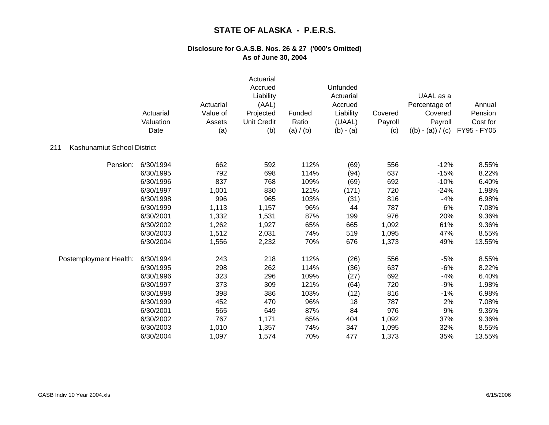|                                    | Actuarial<br>Valuation<br>Date | Actuarial<br>Value of<br>Assets<br>(a) | Actuarial<br>Accrued<br>Liability<br>(AAL)<br>Projected<br><b>Unit Credit</b><br>(b) | Funded<br>Ratio<br>(a) $/$ (b) | Unfunded<br>Actuarial<br>Accrued<br>Liability<br>(UAAL)<br>$(b) - (a)$ | Covered<br>Payroll<br>(c) | UAAL as a<br>Percentage of<br>Covered<br>Payroll<br>$((b) - (a)) / (c)$ | Annual<br>Pension<br>Cost for<br>FY95 - FY05 |
|------------------------------------|--------------------------------|----------------------------------------|--------------------------------------------------------------------------------------|--------------------------------|------------------------------------------------------------------------|---------------------------|-------------------------------------------------------------------------|----------------------------------------------|
| 211<br>Kashunamiut School District |                                |                                        |                                                                                      |                                |                                                                        |                           |                                                                         |                                              |
| Pension:                           | 6/30/1994                      | 662                                    | 592                                                                                  | 112%                           | (69)                                                                   | 556                       | $-12%$                                                                  | 8.55%                                        |
|                                    | 6/30/1995                      | 792                                    | 698                                                                                  | 114%                           | (94)                                                                   | 637                       | $-15%$                                                                  | 8.22%                                        |
|                                    | 6/30/1996                      | 837                                    | 768                                                                                  | 109%                           | (69)                                                                   | 692                       | $-10%$                                                                  | 6.40%                                        |
|                                    | 6/30/1997                      | 1,001                                  | 830                                                                                  | 121%                           | (171)                                                                  | 720                       | $-24%$                                                                  | 1.98%                                        |
|                                    | 6/30/1998                      | 996                                    | 965                                                                                  | 103%                           | (31)                                                                   | 816                       | $-4%$                                                                   | 6.98%                                        |
|                                    | 6/30/1999                      | 1,113                                  | 1,157                                                                                | 96%                            | 44                                                                     | 787                       | 6%                                                                      | 7.08%                                        |
|                                    | 6/30/2001                      | 1,332                                  | 1,531                                                                                | 87%                            | 199                                                                    | 976                       | 20%                                                                     | 9.36%                                        |
|                                    | 6/30/2002                      | 1,262                                  | 1,927                                                                                | 65%                            | 665                                                                    | 1,092                     | 61%                                                                     | 9.36%                                        |
|                                    | 6/30/2003                      | 1,512                                  | 2,031                                                                                | 74%                            | 519                                                                    | 1,095                     | 47%                                                                     | 8.55%                                        |
|                                    | 6/30/2004                      | 1,556                                  | 2,232                                                                                | 70%                            | 676                                                                    | 1,373                     | 49%                                                                     | 13.55%                                       |
| Postemployment Health:             | 6/30/1994                      | 243                                    | 218                                                                                  | 112%                           | (26)                                                                   | 556                       | $-5%$                                                                   | 8.55%                                        |
|                                    | 6/30/1995                      | 298                                    | 262                                                                                  | 114%                           | (36)                                                                   | 637                       | $-6%$                                                                   | 8.22%                                        |
|                                    | 6/30/1996                      | 323                                    | 296                                                                                  | 109%                           | (27)                                                                   | 692                       | $-4%$                                                                   | 6.40%                                        |
|                                    | 6/30/1997                      | 373                                    | 309                                                                                  | 121%                           | (64)                                                                   | 720                       | $-9%$                                                                   | 1.98%                                        |
|                                    | 6/30/1998                      | 398                                    | 386                                                                                  | 103%                           | (12)                                                                   | 816                       | $-1%$                                                                   | 6.98%                                        |
|                                    | 6/30/1999                      | 452                                    | 470                                                                                  | 96%                            | 18                                                                     | 787                       | 2%                                                                      | 7.08%                                        |
|                                    | 6/30/2001                      | 565                                    | 649                                                                                  | 87%                            | 84                                                                     | 976                       | 9%                                                                      | 9.36%                                        |
|                                    | 6/30/2002                      | 767                                    | 1,171                                                                                | 65%                            | 404                                                                    | 1,092                     | 37%                                                                     | 9.36%                                        |
|                                    | 6/30/2003                      | 1,010                                  | 1,357                                                                                | 74%                            | 347                                                                    | 1,095                     | 32%                                                                     | 8.55%                                        |
|                                    | 6/30/2004                      | 1,097                                  | 1,574                                                                                | 70%                            | 477                                                                    | 1,373                     | 35%                                                                     | 13.55%                                       |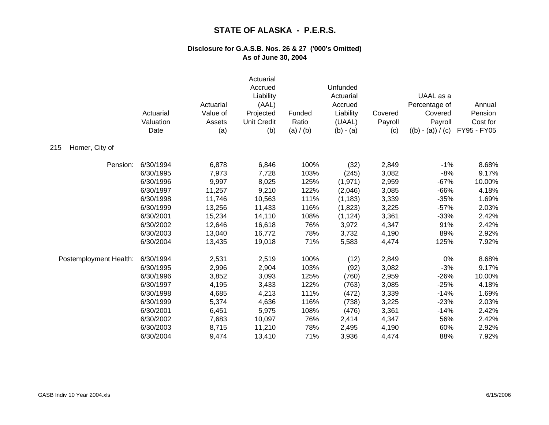|                        | Actuarial<br>Valuation<br>Date | Actuarial<br>Value of<br>Assets<br>(a) | Actuarial<br>Accrued<br>Liability<br>(AAL)<br>Projected<br><b>Unit Credit</b><br>(b) | Funded<br>Ratio<br>(a) / (b) | Unfunded<br>Actuarial<br>Accrued<br>Liability<br>(UAAL)<br>$(b) - (a)$ | Covered<br>Payroll<br>(c) | UAAL as a<br>Percentage of<br>Covered<br>Payroll<br>$((b) - (a)) / (c)$ | Annual<br>Pension<br>Cost for<br>FY95 - FY05 |
|------------------------|--------------------------------|----------------------------------------|--------------------------------------------------------------------------------------|------------------------------|------------------------------------------------------------------------|---------------------------|-------------------------------------------------------------------------|----------------------------------------------|
| Homer, City of<br>215  |                                |                                        |                                                                                      |                              |                                                                        |                           |                                                                         |                                              |
| Pension:               | 6/30/1994                      | 6,878                                  | 6,846                                                                                | 100%                         | (32)                                                                   | 2,849                     | $-1%$                                                                   | 8.68%                                        |
|                        | 6/30/1995                      | 7,973                                  | 7,728                                                                                | 103%                         | (245)                                                                  | 3,082                     | $-8%$                                                                   | 9.17%                                        |
|                        | 6/30/1996                      | 9,997                                  | 8,025                                                                                | 125%                         | (1, 971)                                                               | 2,959                     | $-67%$                                                                  | 10.00%                                       |
|                        | 6/30/1997                      | 11,257                                 | 9,210                                                                                | 122%                         | (2,046)                                                                | 3,085                     | $-66%$                                                                  | 4.18%                                        |
|                        | 6/30/1998                      | 11,746                                 | 10,563                                                                               | 111%                         | (1, 183)                                                               | 3,339                     | $-35%$                                                                  | 1.69%                                        |
|                        | 6/30/1999                      | 13,256                                 | 11,433                                                                               | 116%                         | (1,823)                                                                | 3,225                     | $-57%$                                                                  | 2.03%                                        |
|                        | 6/30/2001                      | 15,234                                 | 14,110                                                                               | 108%                         | (1, 124)                                                               | 3,361                     | $-33%$                                                                  | 2.42%                                        |
|                        | 6/30/2002                      | 12,646                                 | 16,618                                                                               | 76%                          | 3,972                                                                  | 4,347                     | 91%                                                                     | 2.42%                                        |
|                        | 6/30/2003                      | 13,040                                 | 16,772                                                                               | 78%                          | 3,732                                                                  | 4,190                     | 89%                                                                     | 2.92%                                        |
|                        | 6/30/2004                      | 13,435                                 | 19,018                                                                               | 71%                          | 5,583                                                                  | 4,474                     | 125%                                                                    | 7.92%                                        |
| Postemployment Health: | 6/30/1994                      | 2,531                                  | 2,519                                                                                | 100%                         | (12)                                                                   | 2,849                     | 0%                                                                      | 8.68%                                        |
|                        | 6/30/1995                      | 2,996                                  | 2,904                                                                                | 103%                         | (92)                                                                   | 3,082                     | $-3%$                                                                   | 9.17%                                        |
|                        | 6/30/1996                      | 3,852                                  | 3,093                                                                                | 125%                         | (760)                                                                  | 2,959                     | $-26%$                                                                  | 10.00%                                       |
|                        | 6/30/1997                      | 4,195                                  | 3,433                                                                                | 122%                         | (763)                                                                  | 3,085                     | $-25%$                                                                  | 4.18%                                        |
|                        | 6/30/1998                      | 4,685                                  | 4,213                                                                                | 111%                         | (472)                                                                  | 3,339                     | $-14%$                                                                  | 1.69%                                        |
|                        | 6/30/1999                      | 5,374                                  | 4,636                                                                                | 116%                         | (738)                                                                  | 3,225                     | $-23%$                                                                  | 2.03%                                        |
|                        | 6/30/2001                      | 6,451                                  | 5,975                                                                                | 108%                         | (476)                                                                  | 3,361                     | $-14%$                                                                  | 2.42%                                        |
|                        | 6/30/2002                      | 7,683                                  | 10,097                                                                               | 76%                          | 2,414                                                                  | 4,347                     | 56%                                                                     | 2.42%                                        |
|                        | 6/30/2003                      | 8,715                                  | 11,210                                                                               | 78%                          | 2,495                                                                  | 4,190                     | 60%                                                                     | 2.92%                                        |
|                        | 6/30/2004                      | 9,474                                  | 13,410                                                                               | 71%                          | 3,936                                                                  | 4,474                     | 88%                                                                     | 7.92%                                        |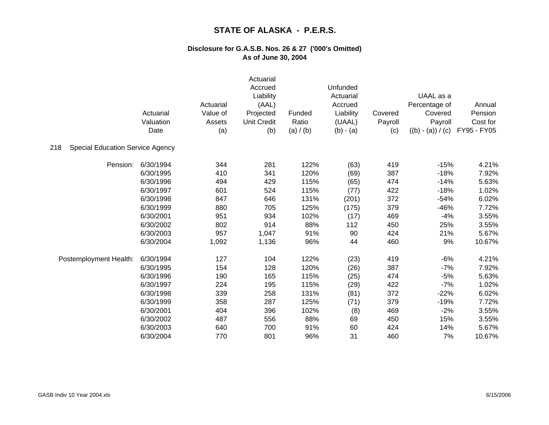|                                                | Actuarial<br>Valuation<br>Date | Actuarial<br>Value of<br>Assets<br>(a) | Actuarial<br>Accrued<br>Liability<br>(AAL)<br>Projected<br><b>Unit Credit</b><br>(b) | Funded<br>Ratio<br>(a) / (b) | Unfunded<br>Actuarial<br>Accrued<br>Liability<br>(UAAL)<br>$(b) - (a)$ | Covered<br>Payroll<br>(c) | UAAL as a<br>Percentage of<br>Covered<br>Payroll<br>$((b) - (a)) / (c)$ | Annual<br>Pension<br>Cost for<br>FY95 - FY05 |
|------------------------------------------------|--------------------------------|----------------------------------------|--------------------------------------------------------------------------------------|------------------------------|------------------------------------------------------------------------|---------------------------|-------------------------------------------------------------------------|----------------------------------------------|
| 218<br><b>Special Education Service Agency</b> |                                |                                        |                                                                                      |                              |                                                                        |                           |                                                                         |                                              |
| Pension:                                       | 6/30/1994                      | 344                                    | 281                                                                                  | 122%                         | (63)                                                                   | 419                       | $-15%$                                                                  | 4.21%                                        |
|                                                | 6/30/1995                      | 410                                    | 341                                                                                  | 120%                         | (69)                                                                   | 387                       | $-18%$                                                                  | 7.92%                                        |
|                                                | 6/30/1996                      | 494                                    | 429                                                                                  | 115%                         | (65)                                                                   | 474                       | $-14%$                                                                  | 5.63%                                        |
|                                                | 6/30/1997                      | 601                                    | 524                                                                                  | 115%                         | (77)                                                                   | 422                       | $-18%$                                                                  | 1.02%                                        |
|                                                | 6/30/1998                      | 847                                    | 646                                                                                  | 131%                         | (201)                                                                  | 372                       | $-54%$                                                                  | 6.02%                                        |
|                                                | 6/30/1999                      | 880                                    | 705                                                                                  | 125%                         | (175)                                                                  | 379                       | $-46%$                                                                  | 7.72%                                        |
|                                                | 6/30/2001                      | 951                                    | 934                                                                                  | 102%                         | (17)                                                                   | 469                       | $-4%$                                                                   | 3.55%                                        |
|                                                | 6/30/2002                      | 802                                    | 914                                                                                  | 88%                          | 112                                                                    | 450                       | 25%                                                                     | 3.55%                                        |
|                                                | 6/30/2003                      | 957                                    | 1,047                                                                                | 91%                          | 90                                                                     | 424                       | 21%                                                                     | 5.67%                                        |
|                                                | 6/30/2004                      | 1,092                                  | 1,136                                                                                | 96%                          | 44                                                                     | 460                       | 9%                                                                      | 10.67%                                       |
| Postemployment Health:                         | 6/30/1994                      | 127                                    | 104                                                                                  | 122%                         | (23)                                                                   | 419                       | $-6%$                                                                   | 4.21%                                        |
|                                                | 6/30/1995                      | 154                                    | 128                                                                                  | 120%                         | (26)                                                                   | 387                       | $-7%$                                                                   | 7.92%                                        |
|                                                | 6/30/1996                      | 190                                    | 165                                                                                  | 115%                         | (25)                                                                   | 474                       | $-5%$                                                                   | 5.63%                                        |
|                                                | 6/30/1997                      | 224                                    | 195                                                                                  | 115%                         | (29)                                                                   | 422                       | $-7%$                                                                   | 1.02%                                        |
|                                                | 6/30/1998                      | 339                                    | 258                                                                                  | 131%                         | (81)                                                                   | 372                       | $-22%$                                                                  | 6.02%                                        |
|                                                | 6/30/1999                      | 358                                    | 287                                                                                  | 125%                         | (71)                                                                   | 379                       | $-19%$                                                                  | 7.72%                                        |
|                                                | 6/30/2001                      | 404                                    | 396                                                                                  | 102%                         | (8)                                                                    | 469                       | $-2%$                                                                   | 3.55%                                        |
|                                                | 6/30/2002                      | 487                                    | 556                                                                                  | 88%                          | 69                                                                     | 450                       | 15%                                                                     | 3.55%                                        |
|                                                | 6/30/2003                      | 640                                    | 700                                                                                  | 91%                          | 60                                                                     | 424                       | 14%                                                                     | 5.67%                                        |
|                                                | 6/30/2004                      | 770                                    | 801                                                                                  | 96%                          | 31                                                                     | 460                       | 7%                                                                      | 10.67%                                       |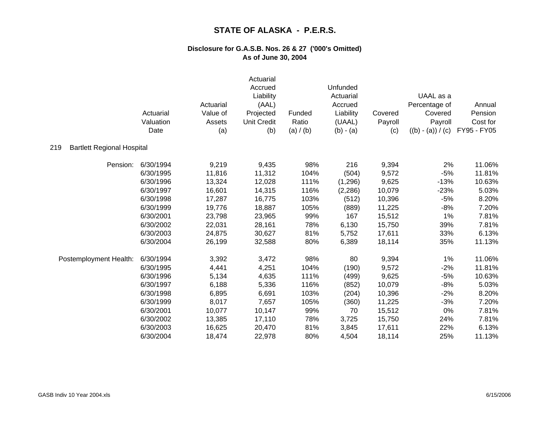|                                          | Actuarial<br>Valuation<br>Date | Actuarial<br>Value of<br>Assets<br>(a) | Actuarial<br>Accrued<br>Liability<br>(AAL)<br>Projected<br><b>Unit Credit</b><br>(b) | Funded<br>Ratio<br>(a) $/$ (b) | Unfunded<br>Actuarial<br>Accrued<br>Liability<br>(UAAL)<br>$(b) - (a)$ | Covered<br>Payroll<br>(c) | UAAL as a<br>Percentage of<br>Covered<br>Payroll<br>$((b) - (a)) / (c)$ | Annual<br>Pension<br>Cost for<br>FY95 - FY05 |
|------------------------------------------|--------------------------------|----------------------------------------|--------------------------------------------------------------------------------------|--------------------------------|------------------------------------------------------------------------|---------------------------|-------------------------------------------------------------------------|----------------------------------------------|
| 219<br><b>Bartlett Regional Hospital</b> |                                |                                        |                                                                                      |                                |                                                                        |                           |                                                                         |                                              |
| Pension:                                 | 6/30/1994                      | 9,219                                  | 9,435                                                                                | 98%                            | 216                                                                    | 9,394                     | 2%                                                                      | 11.06%                                       |
|                                          | 6/30/1995                      | 11,816                                 | 11,312                                                                               | 104%                           | (504)                                                                  | 9,572                     | $-5%$                                                                   | 11.81%                                       |
|                                          | 6/30/1996                      | 13,324                                 | 12,028                                                                               | 111%                           | (1,296)                                                                | 9,625                     | $-13%$                                                                  | 10.63%                                       |
|                                          | 6/30/1997                      | 16,601                                 | 14,315                                                                               | 116%                           | (2,286)                                                                | 10,079                    | $-23%$                                                                  | 5.03%                                        |
|                                          | 6/30/1998                      | 17,287                                 | 16,775                                                                               | 103%                           | (512)                                                                  | 10,396                    | $-5%$                                                                   | 8.20%                                        |
|                                          | 6/30/1999                      | 19,776                                 | 18,887                                                                               | 105%                           | (889)                                                                  | 11,225                    | $-8%$                                                                   | 7.20%                                        |
|                                          | 6/30/2001                      | 23,798                                 | 23,965                                                                               | 99%                            | 167                                                                    | 15,512                    | 1%                                                                      | 7.81%                                        |
|                                          | 6/30/2002                      | 22,031                                 | 28,161                                                                               | 78%                            | 6,130                                                                  | 15,750                    | 39%                                                                     | 7.81%                                        |
|                                          | 6/30/2003                      | 24,875                                 | 30,627                                                                               | 81%                            | 5,752                                                                  | 17,611                    | 33%                                                                     | 6.13%                                        |
|                                          | 6/30/2004                      | 26,199                                 | 32,588                                                                               | 80%                            | 6,389                                                                  | 18,114                    | 35%                                                                     | 11.13%                                       |
| Postemployment Health:                   | 6/30/1994                      | 3,392                                  | 3,472                                                                                | 98%                            | 80                                                                     | 9,394                     | 1%                                                                      | 11.06%                                       |
|                                          | 6/30/1995                      | 4,441                                  | 4,251                                                                                | 104%                           | (190)                                                                  | 9,572                     | $-2%$                                                                   | 11.81%                                       |
|                                          | 6/30/1996                      | 5,134                                  | 4,635                                                                                | 111%                           | (499)                                                                  | 9,625                     | $-5%$                                                                   | 10.63%                                       |
|                                          | 6/30/1997                      | 6,188                                  | 5,336                                                                                | 116%                           | (852)                                                                  | 10,079                    | $-8%$                                                                   | 5.03%                                        |
|                                          | 6/30/1998                      | 6,895                                  | 6,691                                                                                | 103%                           | (204)                                                                  | 10,396                    | $-2%$                                                                   | 8.20%                                        |
|                                          | 6/30/1999                      | 8,017                                  | 7,657                                                                                | 105%                           | (360)                                                                  | 11,225                    | $-3%$                                                                   | 7.20%                                        |
|                                          | 6/30/2001                      | 10,077                                 | 10,147                                                                               | 99%                            | 70                                                                     | 15,512                    | 0%                                                                      | 7.81%                                        |
|                                          | 6/30/2002                      | 13,385                                 | 17,110                                                                               | 78%                            | 3,725                                                                  | 15,750                    | 24%                                                                     | 7.81%                                        |
|                                          | 6/30/2003                      | 16,625                                 | 20,470                                                                               | 81%                            | 3,845                                                                  | 17,611                    | 22%                                                                     | 6.13%                                        |
|                                          | 6/30/2004                      | 18,474                                 | 22,978                                                                               | 80%                            | 4,504                                                                  | 18,114                    | 25%                                                                     | 11.13%                                       |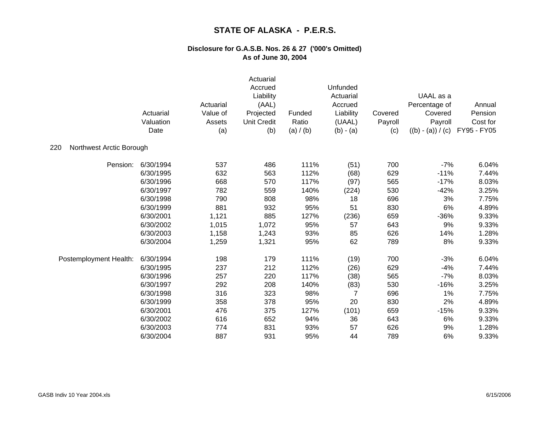|                                 | Actuarial<br>Valuation<br>Date | Actuarial<br>Value of<br>Assets<br>(a) | Actuarial<br>Accrued<br>Liability<br>(AAL)<br>Projected<br><b>Unit Credit</b><br>(b) | Funded<br>Ratio<br>(a) / (b) | Unfunded<br>Actuarial<br>Accrued<br>Liability<br>(UAAL)<br>$(b) - (a)$ | Covered<br>Payroll<br>(c) | UAAL as a<br>Percentage of<br>Covered<br>Payroll<br>$((b) - (a)) / (c)$ | Annual<br>Pension<br>Cost for<br>FY95 - FY05 |
|---------------------------------|--------------------------------|----------------------------------------|--------------------------------------------------------------------------------------|------------------------------|------------------------------------------------------------------------|---------------------------|-------------------------------------------------------------------------|----------------------------------------------|
| Northwest Arctic Borough<br>220 |                                |                                        |                                                                                      |                              |                                                                        |                           |                                                                         |                                              |
| Pension:                        | 6/30/1994                      | 537                                    | 486                                                                                  | 111%                         | (51)                                                                   | 700                       | $-7%$                                                                   | 6.04%                                        |
|                                 | 6/30/1995                      | 632                                    | 563                                                                                  | 112%                         | (68)                                                                   | 629                       | $-11%$                                                                  | 7.44%                                        |
|                                 | 6/30/1996                      | 668                                    | 570                                                                                  | 117%                         | (97)                                                                   | 565                       | $-17%$                                                                  | 8.03%                                        |
|                                 | 6/30/1997                      | 782                                    | 559                                                                                  | 140%                         | (224)                                                                  | 530                       | $-42%$                                                                  | 3.25%                                        |
|                                 | 6/30/1998                      | 790                                    | 808                                                                                  | 98%                          | 18                                                                     | 696                       | 3%                                                                      | 7.75%                                        |
|                                 | 6/30/1999                      | 881                                    | 932                                                                                  | 95%                          | 51                                                                     | 830                       | 6%                                                                      | 4.89%                                        |
|                                 | 6/30/2001                      | 1,121                                  | 885                                                                                  | 127%                         | (236)                                                                  | 659                       | $-36%$                                                                  | 9.33%                                        |
|                                 | 6/30/2002                      | 1,015                                  | 1,072                                                                                | 95%                          | 57                                                                     | 643                       | 9%                                                                      | 9.33%                                        |
|                                 | 6/30/2003                      | 1,158                                  | 1,243                                                                                | 93%                          | 85                                                                     | 626                       | 14%                                                                     | 1.28%                                        |
|                                 | 6/30/2004                      | 1,259                                  | 1,321                                                                                | 95%                          | 62                                                                     | 789                       | 8%                                                                      | 9.33%                                        |
| Postemployment Health:          | 6/30/1994                      | 198                                    | 179                                                                                  | 111%                         | (19)                                                                   | 700                       | $-3%$                                                                   | 6.04%                                        |
|                                 | 6/30/1995                      | 237                                    | 212                                                                                  | 112%                         | (26)                                                                   | 629                       | $-4%$                                                                   | 7.44%                                        |
|                                 | 6/30/1996                      | 257                                    | 220                                                                                  | 117%                         | (38)                                                                   | 565                       | $-7%$                                                                   | 8.03%                                        |
|                                 | 6/30/1997                      | 292                                    | 208                                                                                  | 140%                         | (83)                                                                   | 530                       | $-16%$                                                                  | 3.25%                                        |
|                                 | 6/30/1998                      | 316                                    | 323                                                                                  | 98%                          | 7                                                                      | 696                       | 1%                                                                      | 7.75%                                        |
|                                 | 6/30/1999                      | 358                                    | 378                                                                                  | 95%                          | 20                                                                     | 830                       | 2%                                                                      | 4.89%                                        |
|                                 | 6/30/2001                      | 476                                    | 375                                                                                  | 127%                         | (101)                                                                  | 659                       | $-15%$                                                                  | 9.33%                                        |
|                                 | 6/30/2002                      | 616                                    | 652                                                                                  | 94%                          | 36                                                                     | 643                       | 6%                                                                      | 9.33%                                        |
|                                 | 6/30/2003                      | 774                                    | 831                                                                                  | 93%                          | 57                                                                     | 626                       | 9%                                                                      | 1.28%                                        |
|                                 | 6/30/2004                      | 887                                    | 931                                                                                  | 95%                          | 44                                                                     | 789                       | 6%                                                                      | 9.33%                                        |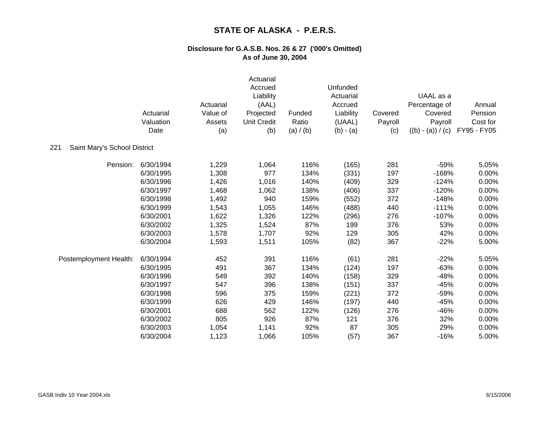|                                     | Actuarial<br>Valuation<br>Date | Actuarial<br>Value of<br>Assets<br>(a) | Actuarial<br>Accrued<br>Liability<br>(AAL)<br>Projected<br><b>Unit Credit</b><br>(b) | Funded<br>Ratio<br>(a) / (b) | Unfunded<br>Actuarial<br>Accrued<br>Liability<br>(UAAL)<br>$(b) - (a)$ | Covered<br>Payroll<br>(c) | UAAL as a<br>Percentage of<br>Covered<br>Payroll<br>$((b) - (a)) / (c)$ | Annual<br>Pension<br>Cost for<br>FY95 - FY05 |
|-------------------------------------|--------------------------------|----------------------------------------|--------------------------------------------------------------------------------------|------------------------------|------------------------------------------------------------------------|---------------------------|-------------------------------------------------------------------------|----------------------------------------------|
| 221<br>Saint Mary's School District |                                |                                        |                                                                                      |                              |                                                                        |                           |                                                                         |                                              |
| Pension:                            | 6/30/1994                      | 1,229                                  | 1,064                                                                                | 116%                         | (165)                                                                  | 281                       | $-59%$                                                                  | 5.05%                                        |
|                                     | 6/30/1995                      | 1,308                                  | 977                                                                                  | 134%                         | (331)                                                                  | 197                       | $-168%$                                                                 | 0.00%                                        |
|                                     | 6/30/1996                      | 1,426                                  | 1,016                                                                                | 140%                         | (409)                                                                  | 329                       | $-124%$                                                                 | 0.00%                                        |
|                                     | 6/30/1997                      | 1,468                                  | 1,062                                                                                | 138%                         | (406)                                                                  | 337                       | $-120%$                                                                 | 0.00%                                        |
|                                     | 6/30/1998                      | 1,492                                  | 940                                                                                  | 159%                         | (552)                                                                  | 372                       | $-148%$                                                                 | 0.00%                                        |
|                                     | 6/30/1999                      | 1,543                                  | 1,055                                                                                | 146%                         | (488)                                                                  | 440                       | $-111%$                                                                 | 0.00%                                        |
|                                     | 6/30/2001                      | 1,622                                  | 1,326                                                                                | 122%                         | (296)                                                                  | 276                       | $-107%$                                                                 | 0.00%                                        |
|                                     | 6/30/2002                      | 1,325                                  | 1,524                                                                                | 87%                          | 199                                                                    | 376                       | 53%                                                                     | 0.00%                                        |
|                                     | 6/30/2003                      | 1,578                                  | 1,707                                                                                | 92%                          | 129                                                                    | 305                       | 42%                                                                     | 0.00%                                        |
|                                     | 6/30/2004                      | 1,593                                  | 1,511                                                                                | 105%                         | (82)                                                                   | 367                       | $-22%$                                                                  | 5.00%                                        |
| Postemployment Health:              | 6/30/1994                      | 452                                    | 391                                                                                  | 116%                         | (61)                                                                   | 281                       | $-22%$                                                                  | 5.05%                                        |
|                                     | 6/30/1995                      | 491                                    | 367                                                                                  | 134%                         | (124)                                                                  | 197                       | $-63%$                                                                  | 0.00%                                        |
|                                     | 6/30/1996                      | 549                                    | 392                                                                                  | 140%                         | (158)                                                                  | 329                       | $-48%$                                                                  | 0.00%                                        |
|                                     | 6/30/1997                      | 547                                    | 396                                                                                  | 138%                         | (151)                                                                  | 337                       | $-45%$                                                                  | 0.00%                                        |
|                                     | 6/30/1998                      | 596                                    | 375                                                                                  | 159%                         | (221)                                                                  | 372                       | $-59%$                                                                  | 0.00%                                        |
|                                     | 6/30/1999                      | 626                                    | 429                                                                                  | 146%                         | (197)                                                                  | 440                       | $-45%$                                                                  | 0.00%                                        |
|                                     | 6/30/2001                      | 688                                    | 562                                                                                  | 122%                         | (126)                                                                  | 276                       | $-46%$                                                                  | 0.00%                                        |
|                                     | 6/30/2002                      | 805                                    | 926                                                                                  | 87%                          | 121                                                                    | 376                       | 32%                                                                     | 0.00%                                        |
|                                     | 6/30/2003                      | 1,054                                  | 1,141                                                                                | 92%                          | 87                                                                     | 305                       | 29%                                                                     | 0.00%                                        |
|                                     | 6/30/2004                      | 1,123                                  | 1,066                                                                                | 105%                         | (57)                                                                   | 367                       | $-16%$                                                                  | 5.00%                                        |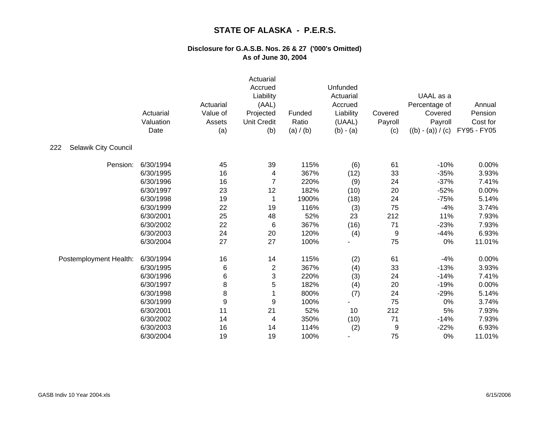|                                    | Actuarial<br>Valuation<br>Date | Actuarial<br>Value of<br>Assets<br>(a) | Actuarial<br>Accrued<br>Liability<br>(AAL)<br>Projected<br><b>Unit Credit</b><br>(b) | Funded<br>Ratio<br>(a) / (b) | Unfunded<br>Actuarial<br>Accrued<br>Liability<br>(UAAL)<br>$(b) - (a)$ | Covered<br>Payroll<br>(c) | UAAL as a<br>Percentage of<br>Covered<br>Payroll<br>$((b) - (a)) / (c)$ | Annual<br>Pension<br>Cost for<br>FY95 - FY05 |
|------------------------------------|--------------------------------|----------------------------------------|--------------------------------------------------------------------------------------|------------------------------|------------------------------------------------------------------------|---------------------------|-------------------------------------------------------------------------|----------------------------------------------|
| 222<br><b>Selawik City Council</b> |                                |                                        |                                                                                      |                              |                                                                        |                           |                                                                         |                                              |
| Pension:                           | 6/30/1994                      | 45                                     | 39                                                                                   | 115%                         | (6)                                                                    | 61                        | $-10%$                                                                  | 0.00%                                        |
|                                    | 6/30/1995                      | 16                                     | 4                                                                                    | 367%                         | (12)                                                                   | 33                        | $-35%$                                                                  | 3.93%                                        |
|                                    | 6/30/1996                      | 16                                     | $\overline{7}$                                                                       | 220%                         | (9)                                                                    | 24                        | $-37%$                                                                  | 7.41%                                        |
|                                    | 6/30/1997                      | 23                                     | 12                                                                                   | 182%                         | (10)                                                                   | 20                        | $-52%$                                                                  | 0.00%                                        |
|                                    | 6/30/1998                      | 19                                     | 1                                                                                    | 1900%                        | (18)                                                                   | 24                        | $-75%$                                                                  | 5.14%                                        |
|                                    | 6/30/1999                      | 22                                     | 19                                                                                   | 116%                         | (3)                                                                    | 75                        | $-4%$                                                                   | 3.74%                                        |
|                                    | 6/30/2001                      | 25                                     | 48                                                                                   | 52%                          | 23                                                                     | 212                       | 11%                                                                     | 7.93%                                        |
|                                    | 6/30/2002                      | 22                                     | 6                                                                                    | 367%                         | (16)                                                                   | 71                        | $-23%$                                                                  | 7.93%                                        |
|                                    | 6/30/2003                      | 24                                     | 20                                                                                   | 120%                         | (4)                                                                    | 9                         | $-44%$                                                                  | 6.93%                                        |
|                                    | 6/30/2004                      | 27                                     | 27                                                                                   | 100%                         |                                                                        | 75                        | 0%                                                                      | 11.01%                                       |
| Postemployment Health:             | 6/30/1994                      | 16                                     | 14                                                                                   | 115%                         | (2)                                                                    | 61                        | $-4%$                                                                   | 0.00%                                        |
|                                    | 6/30/1995                      | 6                                      | $\overline{c}$                                                                       | 367%                         | (4)                                                                    | 33                        | $-13%$                                                                  | 3.93%                                        |
|                                    | 6/30/1996                      | 6                                      | 3                                                                                    | 220%                         | (3)                                                                    | 24                        | $-14%$                                                                  | 7.41%                                        |
|                                    | 6/30/1997                      | 8                                      | 5                                                                                    | 182%                         | (4)                                                                    | 20                        | $-19%$                                                                  | 0.00%                                        |
|                                    | 6/30/1998                      | 8                                      | 1                                                                                    | 800%                         | (7)                                                                    | 24                        | $-29%$                                                                  | 5.14%                                        |
|                                    | 6/30/1999                      | 9                                      | 9                                                                                    | 100%                         |                                                                        | 75                        | 0%                                                                      | 3.74%                                        |
|                                    | 6/30/2001                      | 11                                     | 21                                                                                   | 52%                          | 10                                                                     | 212                       | 5%                                                                      | 7.93%                                        |
|                                    | 6/30/2002                      | 14                                     | 4                                                                                    | 350%                         | (10)                                                                   | 71                        | $-14%$                                                                  | 7.93%                                        |
|                                    | 6/30/2003                      | 16                                     | 14                                                                                   | 114%                         | (2)                                                                    | 9                         | $-22%$                                                                  | 6.93%                                        |
|                                    | 6/30/2004                      | 19                                     | 19                                                                                   | 100%                         |                                                                        | 75                        | 0%                                                                      | 11.01%                                       |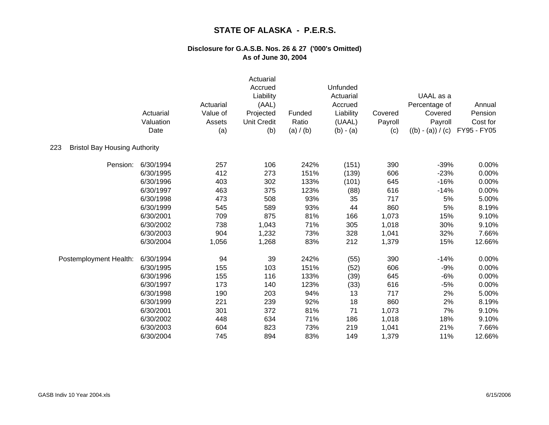|                                             | Actuarial<br>Valuation<br>Date | Actuarial<br>Value of<br>Assets<br>(a) | Actuarial<br>Accrued<br>Liability<br>(AAL)<br>Projected<br><b>Unit Credit</b><br>(b) | Funded<br>Ratio<br>(a) / (b) | Unfunded<br>Actuarial<br>Accrued<br>Liability<br>(UAAL)<br>$(b) - (a)$ | Covered<br>Payroll<br>(c) | UAAL as a<br>Percentage of<br>Covered<br>Payroll<br>$((b) - (a)) / (c)$ | Annual<br>Pension<br>Cost for<br>FY95 - FY05 |
|---------------------------------------------|--------------------------------|----------------------------------------|--------------------------------------------------------------------------------------|------------------------------|------------------------------------------------------------------------|---------------------------|-------------------------------------------------------------------------|----------------------------------------------|
| <b>Bristol Bay Housing Authority</b><br>223 |                                |                                        |                                                                                      |                              |                                                                        |                           |                                                                         |                                              |
| Pension:                                    | 6/30/1994                      | 257                                    | 106                                                                                  | 242%                         | (151)                                                                  | 390                       | $-39%$                                                                  | 0.00%                                        |
|                                             | 6/30/1995                      | 412                                    | 273                                                                                  | 151%                         | (139)                                                                  | 606                       | $-23%$                                                                  | 0.00%                                        |
|                                             | 6/30/1996                      | 403                                    | 302                                                                                  | 133%                         | (101)                                                                  | 645                       | $-16%$                                                                  | 0.00%                                        |
|                                             | 6/30/1997                      | 463                                    | 375                                                                                  | 123%                         | (88)                                                                   | 616                       | $-14%$                                                                  | 0.00%                                        |
|                                             | 6/30/1998                      | 473                                    | 508                                                                                  | 93%                          | 35                                                                     | 717                       | 5%                                                                      | 5.00%                                        |
|                                             | 6/30/1999                      | 545                                    | 589                                                                                  | 93%                          | 44                                                                     | 860                       | 5%                                                                      | 8.19%                                        |
|                                             | 6/30/2001                      | 709                                    | 875                                                                                  | 81%                          | 166                                                                    | 1,073                     | 15%                                                                     | 9.10%                                        |
|                                             | 6/30/2002                      | 738                                    | 1,043                                                                                | 71%                          | 305                                                                    | 1,018                     | 30%                                                                     | 9.10%                                        |
|                                             | 6/30/2003                      | 904                                    | 1,232                                                                                | 73%                          | 328                                                                    | 1,041                     | 32%                                                                     | 7.66%                                        |
|                                             | 6/30/2004                      | 1,056                                  | 1,268                                                                                | 83%                          | 212                                                                    | 1,379                     | 15%                                                                     | 12.66%                                       |
| Postemployment Health:                      | 6/30/1994                      | 94                                     | 39                                                                                   | 242%                         | (55)                                                                   | 390                       | $-14%$                                                                  | 0.00%                                        |
|                                             | 6/30/1995                      | 155                                    | 103                                                                                  | 151%                         | (52)                                                                   | 606                       | $-9%$                                                                   | 0.00%                                        |
|                                             | 6/30/1996                      | 155                                    | 116                                                                                  | 133%                         | (39)                                                                   | 645                       | $-6%$                                                                   | 0.00%                                        |
|                                             | 6/30/1997                      | 173                                    | 140                                                                                  | 123%                         | (33)                                                                   | 616                       | $-5%$                                                                   | 0.00%                                        |
|                                             | 6/30/1998                      | 190                                    | 203                                                                                  | 94%                          | 13                                                                     | 717                       | 2%                                                                      | 5.00%                                        |
|                                             | 6/30/1999                      | 221                                    | 239                                                                                  | 92%                          | 18                                                                     | 860                       | 2%                                                                      | 8.19%                                        |
|                                             | 6/30/2001                      | 301                                    | 372                                                                                  | 81%                          | 71                                                                     | 1,073                     | 7%                                                                      | 9.10%                                        |
|                                             | 6/30/2002                      | 448                                    | 634                                                                                  | 71%                          | 186                                                                    | 1,018                     | 18%                                                                     | 9.10%                                        |
|                                             | 6/30/2003                      | 604                                    | 823                                                                                  | 73%                          | 219                                                                    | 1,041                     | 21%                                                                     | 7.66%                                        |
|                                             | 6/30/2004                      | 745                                    | 894                                                                                  | 83%                          | 149                                                                    | 1,379                     | 11%                                                                     | 12.66%                                       |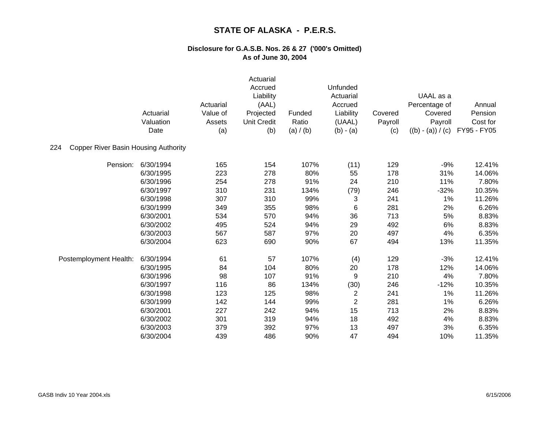|                                                    | Actuarial<br>Valuation<br>Date | Actuarial<br>Value of<br>Assets<br>(a) | Actuarial<br>Accrued<br>Liability<br>(AAL)<br>Projected<br><b>Unit Credit</b><br>(b) | Funded<br>Ratio<br>(a) $/$ (b) | Unfunded<br>Actuarial<br>Accrued<br>Liability<br>(UAAL)<br>$(b) - (a)$ | Covered<br>Payroll<br>(c) | UAAL as a<br>Percentage of<br>Covered<br>Payroll<br>$((b) - (a)) / (c)$ | Annual<br>Pension<br>Cost for<br>FY95 - FY05 |
|----------------------------------------------------|--------------------------------|----------------------------------------|--------------------------------------------------------------------------------------|--------------------------------|------------------------------------------------------------------------|---------------------------|-------------------------------------------------------------------------|----------------------------------------------|
| <b>Copper River Basin Housing Authority</b><br>224 |                                |                                        |                                                                                      |                                |                                                                        |                           |                                                                         |                                              |
| Pension:                                           | 6/30/1994                      | 165                                    | 154                                                                                  | 107%                           | (11)                                                                   | 129                       | $-9%$                                                                   | 12.41%                                       |
|                                                    | 6/30/1995                      | 223                                    | 278                                                                                  | 80%                            | 55                                                                     | 178                       | 31%                                                                     | 14.06%                                       |
|                                                    | 6/30/1996                      | 254                                    | 278                                                                                  | 91%                            | 24                                                                     | 210                       | 11%                                                                     | 7.80%                                        |
|                                                    | 6/30/1997                      | 310                                    | 231                                                                                  | 134%                           | (79)                                                                   | 246                       | $-32%$                                                                  | 10.35%                                       |
|                                                    | 6/30/1998                      | 307                                    | 310                                                                                  | 99%                            | 3                                                                      | 241                       | 1%                                                                      | 11.26%                                       |
|                                                    | 6/30/1999                      | 349                                    | 355                                                                                  | 98%                            | 6                                                                      | 281                       | 2%                                                                      | 6.26%                                        |
|                                                    | 6/30/2001                      | 534                                    | 570                                                                                  | 94%                            | 36                                                                     | 713                       | 5%                                                                      | 8.83%                                        |
|                                                    | 6/30/2002                      | 495                                    | 524                                                                                  | 94%                            | 29                                                                     | 492                       | 6%                                                                      | 8.83%                                        |
|                                                    | 6/30/2003                      | 567                                    | 587                                                                                  | 97%                            | 20                                                                     | 497                       | 4%                                                                      | 6.35%                                        |
|                                                    | 6/30/2004                      | 623                                    | 690                                                                                  | 90%                            | 67                                                                     | 494                       | 13%                                                                     | 11.35%                                       |
| Postemployment Health:                             | 6/30/1994                      | 61                                     | 57                                                                                   | 107%                           | (4)                                                                    | 129                       | $-3%$                                                                   | 12.41%                                       |
|                                                    | 6/30/1995                      | 84                                     | 104                                                                                  | 80%                            | 20                                                                     | 178                       | 12%                                                                     | 14.06%                                       |
|                                                    | 6/30/1996                      | 98                                     | 107                                                                                  | 91%                            | 9                                                                      | 210                       | 4%                                                                      | 7.80%                                        |
|                                                    | 6/30/1997                      | 116                                    | 86                                                                                   | 134%                           | (30)                                                                   | 246                       | $-12%$                                                                  | 10.35%                                       |
|                                                    | 6/30/1998                      | 123                                    | 125                                                                                  | 98%                            | $\overline{c}$                                                         | 241                       | 1%                                                                      | 11.26%                                       |
|                                                    | 6/30/1999                      | 142                                    | 144                                                                                  | 99%                            | $\overline{2}$                                                         | 281                       | 1%                                                                      | 6.26%                                        |
|                                                    | 6/30/2001                      | 227                                    | 242                                                                                  | 94%                            | 15                                                                     | 713                       | 2%                                                                      | 8.83%                                        |
|                                                    | 6/30/2002                      | 301                                    | 319                                                                                  | 94%                            | 18                                                                     | 492                       | 4%                                                                      | 8.83%                                        |
|                                                    | 6/30/2003                      | 379                                    | 392                                                                                  | 97%                            | 13                                                                     | 497                       | 3%                                                                      | 6.35%                                        |
|                                                    | 6/30/2004                      | 439                                    | 486                                                                                  | 90%                            | 47                                                                     | 494                       | 10%                                                                     | 11.35%                                       |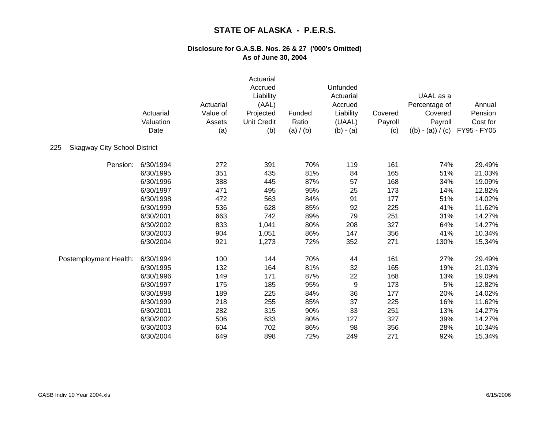|                                            | Actuarial<br>Valuation<br>Date | Actuarial<br>Value of<br>Assets<br>(a) | Actuarial<br>Accrued<br>Liability<br>(AAL)<br>Projected<br><b>Unit Credit</b><br>(b) | Funded<br>Ratio<br>(a) $/(b)$ | <b>Unfunded</b><br>Actuarial<br>Accrued<br>Liability<br>(UAAL)<br>$(b) - (a)$ | Covered<br>Payroll<br>(c) | UAAL as a<br>Percentage of<br>Covered<br>Payroll<br>$((b) - (a)) / (c)$ | Annual<br>Pension<br>Cost for<br>FY95 - FY05 |
|--------------------------------------------|--------------------------------|----------------------------------------|--------------------------------------------------------------------------------------|-------------------------------|-------------------------------------------------------------------------------|---------------------------|-------------------------------------------------------------------------|----------------------------------------------|
| 225<br><b>Skagway City School District</b> |                                |                                        |                                                                                      |                               |                                                                               |                           |                                                                         |                                              |
| Pension:                                   | 6/30/1994                      | 272                                    | 391                                                                                  | 70%                           | 119                                                                           | 161                       | 74%                                                                     | 29.49%                                       |
|                                            | 6/30/1995                      | 351                                    | 435                                                                                  | 81%                           | 84                                                                            | 165                       | 51%                                                                     | 21.03%                                       |
|                                            | 6/30/1996                      | 388                                    | 445                                                                                  | 87%                           | 57                                                                            | 168                       | 34%                                                                     | 19.09%                                       |
|                                            | 6/30/1997                      | 471                                    | 495                                                                                  | 95%                           | 25                                                                            | 173                       | 14%                                                                     | 12.82%                                       |
|                                            | 6/30/1998                      | 472                                    | 563                                                                                  | 84%                           | 91                                                                            | 177                       | 51%                                                                     | 14.02%                                       |
|                                            | 6/30/1999                      | 536                                    | 628                                                                                  | 85%                           | 92                                                                            | 225                       | 41%                                                                     | 11.62%                                       |
|                                            | 6/30/2001                      | 663                                    | 742                                                                                  | 89%                           | 79                                                                            | 251                       | 31%                                                                     | 14.27%                                       |
|                                            | 6/30/2002                      | 833                                    | 1,041                                                                                | 80%                           | 208                                                                           | 327                       | 64%                                                                     | 14.27%                                       |
|                                            | 6/30/2003                      | 904                                    | 1,051                                                                                | 86%                           | 147                                                                           | 356                       | 41%                                                                     | 10.34%                                       |
|                                            | 6/30/2004                      | 921                                    | 1,273                                                                                | 72%                           | 352                                                                           | 271                       | 130%                                                                    | 15.34%                                       |
| Postemployment Health:                     | 6/30/1994                      | 100                                    | 144                                                                                  | 70%                           | 44                                                                            | 161                       | 27%                                                                     | 29.49%                                       |
|                                            | 6/30/1995                      | 132                                    | 164                                                                                  | 81%                           | 32                                                                            | 165                       | 19%                                                                     | 21.03%                                       |
|                                            | 6/30/1996                      | 149                                    | 171                                                                                  | 87%                           | 22                                                                            | 168                       | 13%                                                                     | 19.09%                                       |
|                                            | 6/30/1997                      | 175                                    | 185                                                                                  | 95%                           | 9                                                                             | 173                       | 5%                                                                      | 12.82%                                       |
|                                            | 6/30/1998                      | 189                                    | 225                                                                                  | 84%                           | 36                                                                            | 177                       | 20%                                                                     | 14.02%                                       |
|                                            | 6/30/1999                      | 218                                    | 255                                                                                  | 85%                           | 37                                                                            | 225                       | 16%                                                                     | 11.62%                                       |
|                                            | 6/30/2001                      | 282                                    | 315                                                                                  | 90%                           | 33                                                                            | 251                       | 13%                                                                     | 14.27%                                       |
|                                            | 6/30/2002                      | 506                                    | 633                                                                                  | 80%                           | 127                                                                           | 327                       | 39%                                                                     | 14.27%                                       |
|                                            | 6/30/2003                      | 604                                    | 702                                                                                  | 86%                           | 98                                                                            | 356                       | 28%                                                                     | 10.34%                                       |
|                                            | 6/30/2004                      | 649                                    | 898                                                                                  | 72%                           | 249                                                                           | 271                       | 92%                                                                     | 15.34%                                       |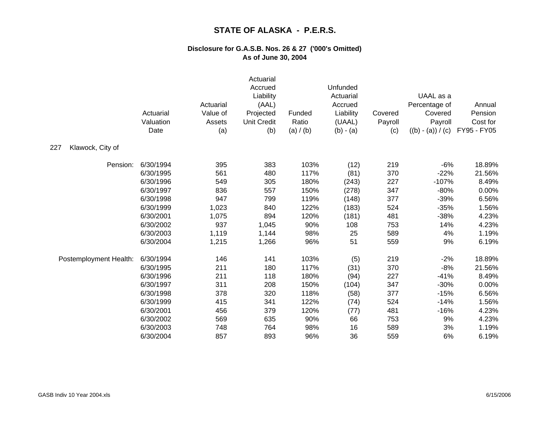|                         | Actuarial<br>Valuation<br>Date | Actuarial<br>Value of<br>Assets<br>(a) | Actuarial<br>Accrued<br>Liability<br>(AAL)<br>Projected<br><b>Unit Credit</b><br>(b) | Funded<br>Ratio<br>(a) / (b) | Unfunded<br>Actuarial<br>Accrued<br>Liability<br>(UAAL)<br>$(b) - (a)$ | Covered<br>Payroll<br>(c) | UAAL as a<br>Percentage of<br>Covered<br>Payroll<br>$((b) - (a)) / (c)$ | Annual<br>Pension<br>Cost for<br>FY95 - FY05 |
|-------------------------|--------------------------------|----------------------------------------|--------------------------------------------------------------------------------------|------------------------------|------------------------------------------------------------------------|---------------------------|-------------------------------------------------------------------------|----------------------------------------------|
| 227<br>Klawock, City of |                                |                                        |                                                                                      |                              |                                                                        |                           |                                                                         |                                              |
| Pension:                | 6/30/1994                      | 395                                    | 383                                                                                  | 103%                         | (12)                                                                   | 219                       | $-6%$                                                                   | 18.89%                                       |
|                         | 6/30/1995                      | 561                                    | 480                                                                                  | 117%                         | (81)                                                                   | 370                       | $-22%$                                                                  | 21.56%                                       |
|                         | 6/30/1996                      | 549                                    | 305                                                                                  | 180%                         | (243)                                                                  | 227                       | $-107%$                                                                 | 8.49%                                        |
|                         | 6/30/1997                      | 836                                    | 557                                                                                  | 150%                         | (278)                                                                  | 347                       | $-80%$                                                                  | 0.00%                                        |
|                         | 6/30/1998                      | 947                                    | 799                                                                                  | 119%                         | (148)                                                                  | 377                       | $-39%$                                                                  | 6.56%                                        |
|                         | 6/30/1999                      | 1,023                                  | 840                                                                                  | 122%                         | (183)                                                                  | 524                       | $-35%$                                                                  | 1.56%                                        |
|                         | 6/30/2001                      | 1,075                                  | 894                                                                                  | 120%                         | (181)                                                                  | 481                       | $-38%$                                                                  | 4.23%                                        |
|                         | 6/30/2002                      | 937                                    | 1,045                                                                                | 90%                          | 108                                                                    | 753                       | 14%                                                                     | 4.23%                                        |
|                         | 6/30/2003                      | 1,119                                  | 1,144                                                                                | 98%                          | 25                                                                     | 589                       | 4%                                                                      | 1.19%                                        |
|                         | 6/30/2004                      | 1,215                                  | 1,266                                                                                | 96%                          | 51                                                                     | 559                       | 9%                                                                      | 6.19%                                        |
| Postemployment Health:  | 6/30/1994                      | 146                                    | 141                                                                                  | 103%                         | (5)                                                                    | 219                       | $-2%$                                                                   | 18.89%                                       |
|                         | 6/30/1995                      | 211                                    | 180                                                                                  | 117%                         | (31)                                                                   | 370                       | $-8%$                                                                   | 21.56%                                       |
|                         | 6/30/1996                      | 211                                    | 118                                                                                  | 180%                         | (94)                                                                   | 227                       | $-41%$                                                                  | 8.49%                                        |
|                         | 6/30/1997                      | 311                                    | 208                                                                                  | 150%                         | (104)                                                                  | 347                       | $-30%$                                                                  | 0.00%                                        |
|                         | 6/30/1998                      | 378                                    | 320                                                                                  | 118%                         | (58)                                                                   | 377                       | $-15%$                                                                  | 6.56%                                        |
|                         | 6/30/1999                      | 415                                    | 341                                                                                  | 122%                         | (74)                                                                   | 524                       | $-14%$                                                                  | 1.56%                                        |
|                         | 6/30/2001                      | 456                                    | 379                                                                                  | 120%                         | (77)                                                                   | 481                       | $-16%$                                                                  | 4.23%                                        |
|                         | 6/30/2002                      | 569                                    | 635                                                                                  | 90%                          | 66                                                                     | 753                       | 9%                                                                      | 4.23%                                        |
|                         | 6/30/2003                      | 748                                    | 764                                                                                  | 98%                          | 16                                                                     | 589                       | 3%                                                                      | 1.19%                                        |
|                         | 6/30/2004                      | 857                                    | 893                                                                                  | 96%                          | 36                                                                     | 559                       | 6%                                                                      | 6.19%                                        |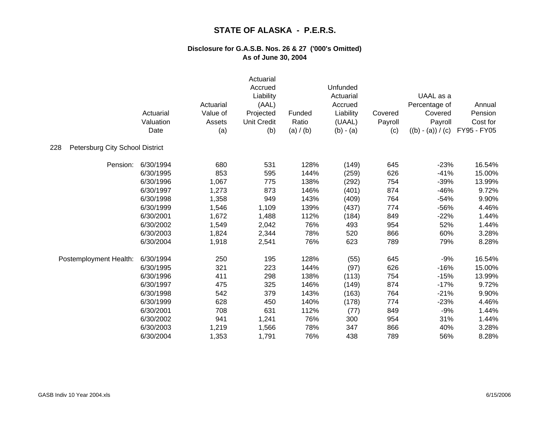|                                        | Actuarial<br>Valuation<br>Date | Actuarial<br>Value of<br>Assets<br>(a) | Actuarial<br>Accrued<br>Liability<br>(AAL)<br>Projected<br><b>Unit Credit</b><br>(b) | Funded<br>Ratio<br>(a) / (b) | Unfunded<br>Actuarial<br>Accrued<br>Liability<br>(UAAL)<br>$(b) - (a)$ | Covered<br>Payroll<br>(c) | UAAL as a<br>Percentage of<br>Covered<br>Payroll<br>$((b) - (a)) / (c)$ | Annual<br>Pension<br>Cost for<br>FY95 - FY05 |
|----------------------------------------|--------------------------------|----------------------------------------|--------------------------------------------------------------------------------------|------------------------------|------------------------------------------------------------------------|---------------------------|-------------------------------------------------------------------------|----------------------------------------------|
| 228<br>Petersburg City School District |                                |                                        |                                                                                      |                              |                                                                        |                           |                                                                         |                                              |
| Pension:                               | 6/30/1994                      | 680                                    | 531                                                                                  | 128%                         | (149)                                                                  | 645                       | $-23%$                                                                  | 16.54%                                       |
|                                        | 6/30/1995                      | 853                                    | 595                                                                                  | 144%                         | (259)                                                                  | 626                       | $-41%$                                                                  | 15.00%                                       |
|                                        | 6/30/1996                      | 1,067                                  | 775                                                                                  | 138%                         | (292)                                                                  | 754                       | $-39%$                                                                  | 13.99%                                       |
|                                        | 6/30/1997                      | 1,273                                  | 873                                                                                  | 146%                         | (401)                                                                  | 874                       | $-46%$                                                                  | 9.72%                                        |
|                                        | 6/30/1998                      | 1,358                                  | 949                                                                                  | 143%                         | (409)                                                                  | 764                       | $-54%$                                                                  | 9.90%                                        |
|                                        | 6/30/1999                      | 1,546                                  | 1,109                                                                                | 139%                         | (437)                                                                  | 774                       | $-56%$                                                                  | 4.46%                                        |
|                                        | 6/30/2001                      | 1,672                                  | 1,488                                                                                | 112%                         | (184)                                                                  | 849                       | $-22%$                                                                  | 1.44%                                        |
|                                        | 6/30/2002                      | 1,549                                  | 2,042                                                                                | 76%                          | 493                                                                    | 954                       | 52%                                                                     | 1.44%                                        |
|                                        | 6/30/2003                      | 1,824                                  | 2,344                                                                                | 78%                          | 520                                                                    | 866                       | 60%                                                                     | 3.28%                                        |
|                                        | 6/30/2004                      | 1,918                                  | 2,541                                                                                | 76%                          | 623                                                                    | 789                       | 79%                                                                     | 8.28%                                        |
| Postemployment Health:                 | 6/30/1994                      | 250                                    | 195                                                                                  | 128%                         | (55)                                                                   | 645                       | $-9%$                                                                   | 16.54%                                       |
|                                        | 6/30/1995                      | 321                                    | 223                                                                                  | 144%                         | (97)                                                                   | 626                       | $-16%$                                                                  | 15.00%                                       |
|                                        | 6/30/1996                      | 411                                    | 298                                                                                  | 138%                         | (113)                                                                  | 754                       | $-15%$                                                                  | 13.99%                                       |
|                                        | 6/30/1997                      | 475                                    | 325                                                                                  | 146%                         | (149)                                                                  | 874                       | $-17%$                                                                  | 9.72%                                        |
|                                        | 6/30/1998                      | 542                                    | 379                                                                                  | 143%                         | (163)                                                                  | 764                       | $-21%$                                                                  | 9.90%                                        |
|                                        | 6/30/1999                      | 628                                    | 450                                                                                  | 140%                         | (178)                                                                  | 774                       | $-23%$                                                                  | 4.46%                                        |
|                                        | 6/30/2001                      | 708                                    | 631                                                                                  | 112%                         | (77)                                                                   | 849                       | $-9%$                                                                   | 1.44%                                        |
|                                        | 6/30/2002                      | 941                                    | 1,241                                                                                | 76%                          | 300                                                                    | 954                       | 31%                                                                     | 1.44%                                        |
|                                        | 6/30/2003                      | 1,219                                  | 1,566                                                                                | 78%                          | 347                                                                    | 866                       | 40%                                                                     | 3.28%                                        |
|                                        | 6/30/2004                      | 1,353                                  | 1,791                                                                                | 76%                          | 438                                                                    | 789                       | 56%                                                                     | 8.28%                                        |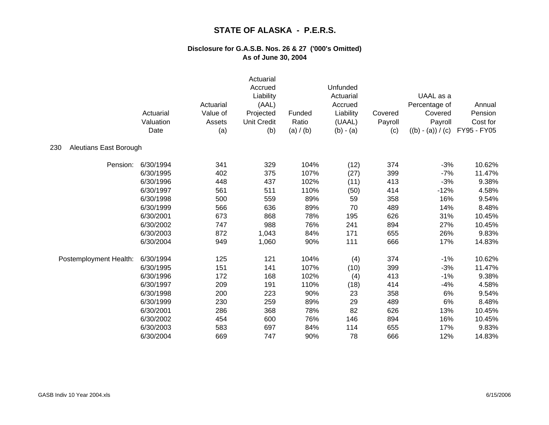|                               | Actuarial<br>Valuation<br>Date | Actuarial<br>Value of<br>Assets<br>(a) | Actuarial<br>Accrued<br>Liability<br>(AAL)<br>Projected<br><b>Unit Credit</b><br>(b) | Funded<br>Ratio<br>(a) / (b) | Unfunded<br>Actuarial<br>Accrued<br>Liability<br>(UAAL)<br>$(b) - (a)$ | Covered<br>Payroll<br>(c) | UAAL as a<br>Percentage of<br>Covered<br>Payroll<br>$((b) - (a)) / (c)$ | Annual<br>Pension<br>Cost for<br>FY95 - FY05 |
|-------------------------------|--------------------------------|----------------------------------------|--------------------------------------------------------------------------------------|------------------------------|------------------------------------------------------------------------|---------------------------|-------------------------------------------------------------------------|----------------------------------------------|
| Aleutians East Borough<br>230 |                                |                                        |                                                                                      |                              |                                                                        |                           |                                                                         |                                              |
| Pension:                      | 6/30/1994                      | 341                                    | 329                                                                                  | 104%                         | (12)                                                                   | 374                       | $-3%$                                                                   | 10.62%                                       |
|                               | 6/30/1995                      | 402                                    | 375                                                                                  | 107%                         | (27)                                                                   | 399                       | $-7%$                                                                   | 11.47%                                       |
|                               | 6/30/1996                      | 448                                    | 437                                                                                  | 102%                         | (11)                                                                   | 413                       | $-3%$                                                                   | 9.38%                                        |
|                               | 6/30/1997                      | 561                                    | 511                                                                                  | 110%                         | (50)                                                                   | 414                       | $-12%$                                                                  | 4.58%                                        |
|                               | 6/30/1998                      | 500                                    | 559                                                                                  | 89%                          | 59                                                                     | 358                       | 16%                                                                     | 9.54%                                        |
|                               | 6/30/1999                      | 566                                    | 636                                                                                  | 89%                          | 70                                                                     | 489                       | 14%                                                                     | 8.48%                                        |
|                               | 6/30/2001                      | 673                                    | 868                                                                                  | 78%                          | 195                                                                    | 626                       | 31%                                                                     | 10.45%                                       |
|                               | 6/30/2002                      | 747                                    | 988                                                                                  | 76%                          | 241                                                                    | 894                       | 27%                                                                     | 10.45%                                       |
|                               | 6/30/2003                      | 872                                    | 1,043                                                                                | 84%                          | 171                                                                    | 655                       | 26%                                                                     | 9.83%                                        |
|                               | 6/30/2004                      | 949                                    | 1,060                                                                                | 90%                          | 111                                                                    | 666                       | 17%                                                                     | 14.83%                                       |
| Postemployment Health:        | 6/30/1994                      | 125                                    | 121                                                                                  | 104%                         | (4)                                                                    | 374                       | $-1%$                                                                   | 10.62%                                       |
|                               | 6/30/1995                      | 151                                    | 141                                                                                  | 107%                         | (10)                                                                   | 399                       | $-3%$                                                                   | 11.47%                                       |
|                               | 6/30/1996                      | 172                                    | 168                                                                                  | 102%                         | (4)                                                                    | 413                       | $-1%$                                                                   | 9.38%                                        |
|                               | 6/30/1997                      | 209                                    | 191                                                                                  | 110%                         | (18)                                                                   | 414                       | $-4%$                                                                   | 4.58%                                        |
|                               | 6/30/1998                      | 200                                    | 223                                                                                  | 90%                          | 23                                                                     | 358                       | 6%                                                                      | 9.54%                                        |
|                               | 6/30/1999                      | 230                                    | 259                                                                                  | 89%                          | 29                                                                     | 489                       | 6%                                                                      | 8.48%                                        |
|                               | 6/30/2001                      | 286                                    | 368                                                                                  | 78%                          | 82                                                                     | 626                       | 13%                                                                     | 10.45%                                       |
|                               | 6/30/2002                      | 454                                    | 600                                                                                  | 76%                          | 146                                                                    | 894                       | 16%                                                                     | 10.45%                                       |
|                               | 6/30/2003                      | 583                                    | 697                                                                                  | 84%                          | 114                                                                    | 655                       | 17%                                                                     | 9.83%                                        |
|                               | 6/30/2004                      | 669                                    | 747                                                                                  | 90%                          | 78                                                                     | 666                       | 12%                                                                     | 14.83%                                       |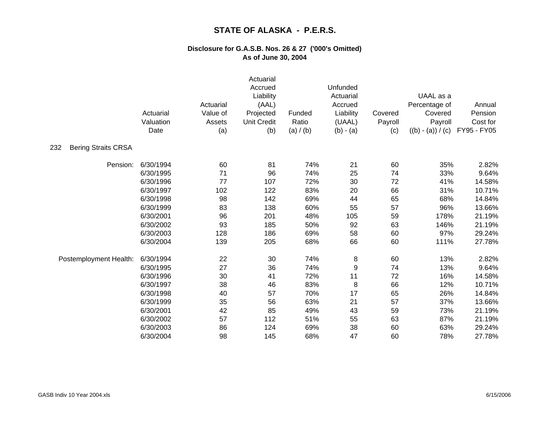|                                   | Actuarial<br>Valuation<br>Date | Actuarial<br>Value of<br>Assets<br>(a) | Actuarial<br>Accrued<br>Liability<br>(AAL)<br>Projected<br><b>Unit Credit</b><br>(b) | Funded<br>Ratio<br>(a) / (b) | Unfunded<br>Actuarial<br>Accrued<br>Liability<br>(UAAL)<br>$(b) - (a)$ | Covered<br>Payroll<br>(c) | UAAL as a<br>Percentage of<br>Covered<br>Payroll<br>$((b) - (a)) / (c)$ | Annual<br>Pension<br>Cost for<br>FY95 - FY05 |
|-----------------------------------|--------------------------------|----------------------------------------|--------------------------------------------------------------------------------------|------------------------------|------------------------------------------------------------------------|---------------------------|-------------------------------------------------------------------------|----------------------------------------------|
| <b>Bering Straits CRSA</b><br>232 |                                |                                        |                                                                                      |                              |                                                                        |                           |                                                                         |                                              |
| Pension:                          | 6/30/1994                      | 60                                     | 81                                                                                   | 74%                          | 21                                                                     | 60                        | 35%                                                                     | 2.82%                                        |
|                                   | 6/30/1995                      | 71                                     | 96                                                                                   | 74%                          | 25                                                                     | 74                        | 33%                                                                     | 9.64%                                        |
|                                   | 6/30/1996                      | 77                                     | 107                                                                                  | 72%                          | 30                                                                     | 72                        | 41%                                                                     | 14.58%                                       |
|                                   | 6/30/1997                      | 102                                    | 122                                                                                  | 83%                          | 20                                                                     | 66                        | 31%                                                                     | 10.71%                                       |
|                                   | 6/30/1998                      | 98                                     | 142                                                                                  | 69%                          | 44                                                                     | 65                        | 68%                                                                     | 14.84%                                       |
|                                   | 6/30/1999                      | 83                                     | 138                                                                                  | 60%                          | 55                                                                     | 57                        | 96%                                                                     | 13.66%                                       |
|                                   | 6/30/2001                      | 96                                     | 201                                                                                  | 48%                          | 105                                                                    | 59                        | 178%                                                                    | 21.19%                                       |
|                                   | 6/30/2002                      | 93                                     | 185                                                                                  | 50%                          | 92                                                                     | 63                        | 146%                                                                    | 21.19%                                       |
|                                   | 6/30/2003                      | 128                                    | 186                                                                                  | 69%                          | 58                                                                     | 60                        | 97%                                                                     | 29.24%                                       |
|                                   | 6/30/2004                      | 139                                    | 205                                                                                  | 68%                          | 66                                                                     | 60                        | 111%                                                                    | 27.78%                                       |
| Postemployment Health:            | 6/30/1994                      | 22                                     | 30                                                                                   | 74%                          | 8                                                                      | 60                        | 13%                                                                     | 2.82%                                        |
|                                   | 6/30/1995                      | 27                                     | 36                                                                                   | 74%                          | 9                                                                      | 74                        | 13%                                                                     | 9.64%                                        |
|                                   | 6/30/1996                      | 30                                     | 41                                                                                   | 72%                          | 11                                                                     | 72                        | 16%                                                                     | 14.58%                                       |
|                                   | 6/30/1997                      | 38                                     | 46                                                                                   | 83%                          | 8                                                                      | 66                        | 12%                                                                     | 10.71%                                       |
|                                   | 6/30/1998                      | 40                                     | 57                                                                                   | 70%                          | 17                                                                     | 65                        | 26%                                                                     | 14.84%                                       |
|                                   | 6/30/1999                      | 35                                     | 56                                                                                   | 63%                          | 21                                                                     | 57                        | 37%                                                                     | 13.66%                                       |
|                                   | 6/30/2001                      | 42                                     | 85                                                                                   | 49%                          | 43                                                                     | 59                        | 73%                                                                     | 21.19%                                       |
|                                   | 6/30/2002                      | 57                                     | 112                                                                                  | 51%                          | 55                                                                     | 63                        | 87%                                                                     | 21.19%                                       |
|                                   | 6/30/2003                      | 86                                     | 124                                                                                  | 69%                          | 38                                                                     | 60                        | 63%                                                                     | 29.24%                                       |
|                                   | 6/30/2004                      | 98                                     | 145                                                                                  | 68%                          | 47                                                                     | 60                        | 78%                                                                     | 27.78%                                       |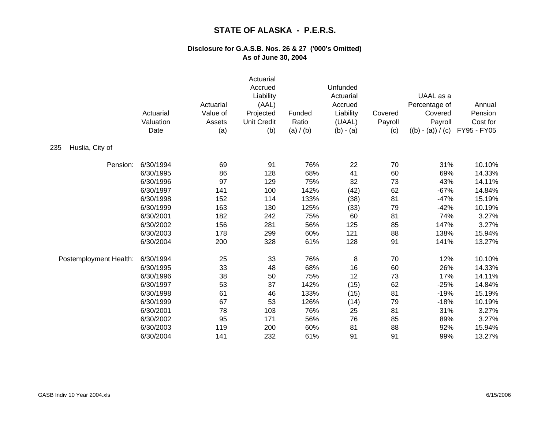|                        | Actuarial<br>Valuation<br>Date | Actuarial<br>Value of<br>Assets<br>(a) | Actuarial<br>Accrued<br>Liability<br>(AAL)<br>Projected<br><b>Unit Credit</b><br>(b) | Funded<br>Ratio<br>(a) / (b) | Unfunded<br>Actuarial<br>Accrued<br>Liability<br>(UAAL)<br>$(b) - (a)$ | Covered<br>Payroll<br>(c) | UAAL as a<br>Percentage of<br>Covered<br>Payroll<br>$((b) - (a)) / (c)$ | Annual<br>Pension<br>Cost for<br>FY95 - FY05 |
|------------------------|--------------------------------|----------------------------------------|--------------------------------------------------------------------------------------|------------------------------|------------------------------------------------------------------------|---------------------------|-------------------------------------------------------------------------|----------------------------------------------|
| 235<br>Huslia, City of |                                |                                        |                                                                                      |                              |                                                                        |                           |                                                                         |                                              |
| Pension:               | 6/30/1994                      | 69                                     | 91                                                                                   | 76%                          | 22                                                                     | 70                        | 31%                                                                     | 10.10%                                       |
|                        | 6/30/1995                      | 86                                     | 128                                                                                  | 68%                          | 41                                                                     | 60                        | 69%                                                                     | 14.33%                                       |
|                        | 6/30/1996                      | 97                                     | 129                                                                                  | 75%                          | 32                                                                     | 73                        | 43%                                                                     | 14.11%                                       |
|                        | 6/30/1997                      | 141                                    | 100                                                                                  | 142%                         | (42)                                                                   | 62                        | $-67%$                                                                  | 14.84%                                       |
|                        | 6/30/1998                      | 152                                    | 114                                                                                  | 133%                         | (38)                                                                   | 81                        | $-47%$                                                                  | 15.19%                                       |
|                        | 6/30/1999                      | 163                                    | 130                                                                                  | 125%                         | (33)                                                                   | 79                        | $-42%$                                                                  | 10.19%                                       |
|                        | 6/30/2001                      | 182                                    | 242                                                                                  | 75%                          | 60                                                                     | 81                        | 74%                                                                     | 3.27%                                        |
|                        | 6/30/2002                      | 156                                    | 281                                                                                  | 56%                          | 125                                                                    | 85                        | 147%                                                                    | 3.27%                                        |
|                        | 6/30/2003                      | 178                                    | 299                                                                                  | 60%                          | 121                                                                    | 88                        | 138%                                                                    | 15.94%                                       |
|                        | 6/30/2004                      | 200                                    | 328                                                                                  | 61%                          | 128                                                                    | 91                        | 141%                                                                    | 13.27%                                       |
| Postemployment Health: | 6/30/1994                      | 25                                     | 33                                                                                   | 76%                          | 8                                                                      | 70                        | 12%                                                                     | 10.10%                                       |
|                        | 6/30/1995                      | 33                                     | 48                                                                                   | 68%                          | 16                                                                     | 60                        | 26%                                                                     | 14.33%                                       |
|                        | 6/30/1996                      | 38                                     | 50                                                                                   | 75%                          | 12                                                                     | 73                        | 17%                                                                     | 14.11%                                       |
|                        | 6/30/1997                      | 53                                     | 37                                                                                   | 142%                         | (15)                                                                   | 62                        | $-25%$                                                                  | 14.84%                                       |
|                        | 6/30/1998                      | 61                                     | 46                                                                                   | 133%                         | (15)                                                                   | 81                        | $-19%$                                                                  | 15.19%                                       |
|                        | 6/30/1999                      | 67                                     | 53                                                                                   | 126%                         | (14)                                                                   | 79                        | $-18%$                                                                  | 10.19%                                       |
|                        | 6/30/2001                      | 78                                     | 103                                                                                  | 76%                          | 25                                                                     | 81                        | 31%                                                                     | 3.27%                                        |
|                        | 6/30/2002                      | 95                                     | 171                                                                                  | 56%                          | 76                                                                     | 85                        | 89%                                                                     | 3.27%                                        |
|                        | 6/30/2003                      | 119                                    | 200                                                                                  | 60%                          | 81                                                                     | 88                        | 92%                                                                     | 15.94%                                       |
|                        | 6/30/2004                      | 141                                    | 232                                                                                  | 61%                          | 91                                                                     | 91                        | 99%                                                                     | 13.27%                                       |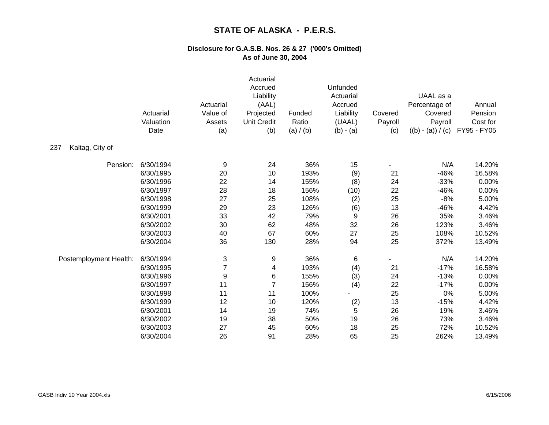|                        | Actuarial<br>Valuation<br>Date | Actuarial<br>Value of<br>Assets<br>(a) | Actuarial<br>Accrued<br>Liability<br>(AAL)<br>Projected<br><b>Unit Credit</b><br>(b) | Funded<br>Ratio<br>(a) / (b) | Unfunded<br>Actuarial<br>Accrued<br>Liability<br>(UAAL)<br>$(b) - (a)$ | Covered<br>Payroll<br>(c) | UAAL as a<br>Percentage of<br>Covered<br>Payroll<br>$((b) - (a)) / (c)$ | Annual<br>Pension<br>Cost for<br>FY95 - FY05 |
|------------------------|--------------------------------|----------------------------------------|--------------------------------------------------------------------------------------|------------------------------|------------------------------------------------------------------------|---------------------------|-------------------------------------------------------------------------|----------------------------------------------|
| Kaltag, City of<br>237 |                                |                                        |                                                                                      |                              |                                                                        |                           |                                                                         |                                              |
| Pension:               | 6/30/1994                      | 9                                      | 24                                                                                   | 36%                          | 15                                                                     |                           | N/A                                                                     | 14.20%                                       |
|                        | 6/30/1995                      | 20                                     | 10                                                                                   | 193%                         | (9)                                                                    | 21                        | $-46%$                                                                  | 16.58%                                       |
|                        | 6/30/1996                      | 22                                     | 14                                                                                   | 155%                         | (8)                                                                    | 24                        | $-33%$                                                                  | 0.00%                                        |
|                        | 6/30/1997                      | 28                                     | 18                                                                                   | 156%                         | (10)                                                                   | 22                        | $-46%$                                                                  | 0.00%                                        |
|                        | 6/30/1998                      | 27                                     | 25                                                                                   | 108%                         | (2)                                                                    | 25                        | $-8%$                                                                   | 5.00%                                        |
|                        | 6/30/1999                      | 29                                     | 23                                                                                   | 126%                         | (6)                                                                    | 13                        | $-46%$                                                                  | 4.42%                                        |
|                        | 6/30/2001                      | 33                                     | 42                                                                                   | 79%                          | 9                                                                      | 26                        | 35%                                                                     | 3.46%                                        |
|                        | 6/30/2002                      | 30                                     | 62                                                                                   | 48%                          | 32                                                                     | 26                        | 123%                                                                    | 3.46%                                        |
|                        | 6/30/2003                      | 40                                     | 67                                                                                   | 60%                          | 27                                                                     | 25                        | 108%                                                                    | 10.52%                                       |
|                        | 6/30/2004                      | 36                                     | 130                                                                                  | 28%                          | 94                                                                     | 25                        | 372%                                                                    | 13.49%                                       |
| Postemployment Health: | 6/30/1994                      | 3                                      | 9                                                                                    | 36%                          | 6                                                                      |                           | N/A                                                                     | 14.20%                                       |
|                        | 6/30/1995                      | 7                                      | 4                                                                                    | 193%                         | (4)                                                                    | 21                        | $-17%$                                                                  | 16.58%                                       |
|                        | 6/30/1996                      | 9                                      | 6                                                                                    | 155%                         | (3)                                                                    | 24                        | $-13%$                                                                  | 0.00%                                        |
|                        | 6/30/1997                      | 11                                     | $\overline{7}$                                                                       | 156%                         | (4)                                                                    | 22                        | $-17%$                                                                  | 0.00%                                        |
|                        | 6/30/1998                      | 11                                     | 11                                                                                   | 100%                         |                                                                        | 25                        | $0\%$                                                                   | 5.00%                                        |
|                        | 6/30/1999                      | 12                                     | 10                                                                                   | 120%                         | (2)                                                                    | 13                        | $-15%$                                                                  | 4.42%                                        |
|                        | 6/30/2001                      | 14                                     | 19                                                                                   | 74%                          | 5                                                                      | 26                        | 19%                                                                     | 3.46%                                        |
|                        | 6/30/2002                      | 19                                     | 38                                                                                   | 50%                          | 19                                                                     | 26                        | 73%                                                                     | 3.46%                                        |
|                        | 6/30/2003                      | 27                                     | 45                                                                                   | 60%                          | 18                                                                     | 25                        | 72%                                                                     | 10.52%                                       |
|                        | 6/30/2004                      | 26                                     | 91                                                                                   | 28%                          | 65                                                                     | 25                        | 262%                                                                    | 13.49%                                       |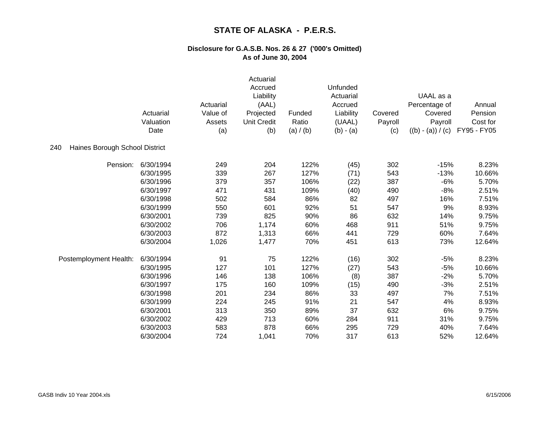|                                       | Actuarial<br>Valuation<br>Date | Actuarial<br>Value of<br>Assets<br>(a) | Actuarial<br>Accrued<br>Liability<br>(AAL)<br>Projected<br><b>Unit Credit</b><br>(b) | Funded<br>Ratio<br>(a) / (b) | Unfunded<br>Actuarial<br>Accrued<br>Liability<br>(UAAL)<br>$(b) - (a)$ | Covered<br>Payroll<br>(c) | UAAL as a<br>Percentage of<br>Covered<br>Payroll<br>$((b) - (a)) / (c)$ | Annual<br>Pension<br>Cost for<br>FY95 - FY05 |
|---------------------------------------|--------------------------------|----------------------------------------|--------------------------------------------------------------------------------------|------------------------------|------------------------------------------------------------------------|---------------------------|-------------------------------------------------------------------------|----------------------------------------------|
| Haines Borough School District<br>240 |                                |                                        |                                                                                      |                              |                                                                        |                           |                                                                         |                                              |
| Pension:                              | 6/30/1994                      | 249                                    | 204                                                                                  | 122%                         | (45)                                                                   | 302                       | $-15%$                                                                  | 8.23%                                        |
|                                       | 6/30/1995                      | 339                                    | 267                                                                                  | 127%                         | (71)                                                                   | 543                       | $-13%$                                                                  | 10.66%                                       |
|                                       | 6/30/1996                      | 379                                    | 357                                                                                  | 106%                         | (22)                                                                   | 387                       | $-6%$                                                                   | 5.70%                                        |
|                                       | 6/30/1997                      | 471                                    | 431                                                                                  | 109%                         | (40)                                                                   | 490                       | $-8%$                                                                   | 2.51%                                        |
|                                       | 6/30/1998                      | 502                                    | 584                                                                                  | 86%                          | 82                                                                     | 497                       | 16%                                                                     | 7.51%                                        |
|                                       | 6/30/1999                      | 550                                    | 601                                                                                  | 92%                          | 51                                                                     | 547                       | 9%                                                                      | 8.93%                                        |
|                                       | 6/30/2001                      | 739                                    | 825                                                                                  | 90%                          | 86                                                                     | 632                       | 14%                                                                     | 9.75%                                        |
|                                       | 6/30/2002                      | 706                                    | 1,174                                                                                | 60%                          | 468                                                                    | 911                       | 51%                                                                     | 9.75%                                        |
|                                       | 6/30/2003                      | 872                                    | 1,313                                                                                | 66%                          | 441                                                                    | 729                       | 60%                                                                     | 7.64%                                        |
|                                       | 6/30/2004                      | 1,026                                  | 1,477                                                                                | 70%                          | 451                                                                    | 613                       | 73%                                                                     | 12.64%                                       |
| Postemployment Health:                | 6/30/1994                      | 91                                     | 75                                                                                   | 122%                         | (16)                                                                   | 302                       | $-5%$                                                                   | 8.23%                                        |
|                                       | 6/30/1995                      | 127                                    | 101                                                                                  | 127%                         | (27)                                                                   | 543                       | $-5%$                                                                   | 10.66%                                       |
|                                       | 6/30/1996                      | 146                                    | 138                                                                                  | 106%                         | (8)                                                                    | 387                       | $-2%$                                                                   | 5.70%                                        |
|                                       | 6/30/1997                      | 175                                    | 160                                                                                  | 109%                         | (15)                                                                   | 490                       | $-3%$                                                                   | 2.51%                                        |
|                                       | 6/30/1998                      | 201                                    | 234                                                                                  | 86%                          | 33                                                                     | 497                       | 7%                                                                      | 7.51%                                        |
|                                       | 6/30/1999                      | 224                                    | 245                                                                                  | 91%                          | 21                                                                     | 547                       | 4%                                                                      | 8.93%                                        |
|                                       | 6/30/2001                      | 313                                    | 350                                                                                  | 89%                          | 37                                                                     | 632                       | 6%                                                                      | 9.75%                                        |
|                                       | 6/30/2002                      | 429                                    | 713                                                                                  | 60%                          | 284                                                                    | 911                       | 31%                                                                     | 9.75%                                        |
|                                       | 6/30/2003                      | 583                                    | 878                                                                                  | 66%                          | 295                                                                    | 729                       | 40%                                                                     | 7.64%                                        |
|                                       | 6/30/2004                      | 724                                    | 1,041                                                                                | 70%                          | 317                                                                    | 613                       | 52%                                                                     | 12.64%                                       |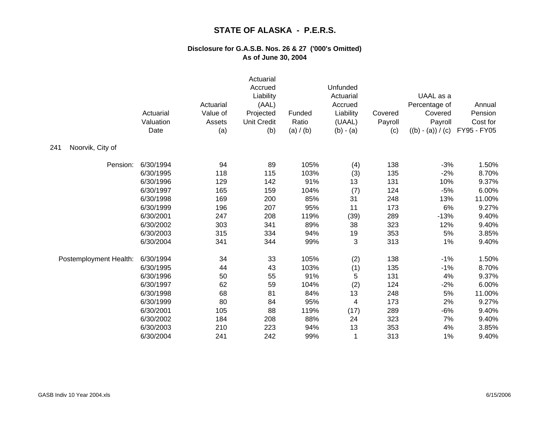|                         | Actuarial<br>Valuation<br>Date | Actuarial<br>Value of<br>Assets<br>(a) | Actuarial<br>Accrued<br>Liability<br>(AAL)<br>Projected<br><b>Unit Credit</b><br>(b) | Funded<br>Ratio<br>(a) / (b) | Unfunded<br>Actuarial<br>Accrued<br>Liability<br>(UAAL)<br>$(b) - (a)$ | Covered<br>Payroll<br>(c) | UAAL as a<br>Percentage of<br>Covered<br>Payroll<br>$((b) - (a)) / (c)$ | Annual<br>Pension<br>Cost for<br>FY95 - FY05 |
|-------------------------|--------------------------------|----------------------------------------|--------------------------------------------------------------------------------------|------------------------------|------------------------------------------------------------------------|---------------------------|-------------------------------------------------------------------------|----------------------------------------------|
| Noorvik, City of<br>241 |                                |                                        |                                                                                      |                              |                                                                        |                           |                                                                         |                                              |
| Pension:                | 6/30/1994                      | 94                                     | 89                                                                                   | 105%                         | (4)                                                                    | 138                       | $-3%$                                                                   | 1.50%                                        |
|                         | 6/30/1995                      | 118                                    | 115                                                                                  | 103%                         | (3)                                                                    | 135                       | $-2%$                                                                   | 8.70%                                        |
|                         | 6/30/1996                      | 129                                    | 142                                                                                  | 91%                          | 13                                                                     | 131                       | 10%                                                                     | 9.37%                                        |
|                         | 6/30/1997                      | 165                                    | 159                                                                                  | 104%                         | (7)                                                                    | 124                       | $-5%$                                                                   | 6.00%                                        |
|                         | 6/30/1998                      | 169                                    | 200                                                                                  | 85%                          | 31                                                                     | 248                       | 13%                                                                     | 11.00%                                       |
|                         | 6/30/1999                      | 196                                    | 207                                                                                  | 95%                          | 11                                                                     | 173                       | 6%                                                                      | 9.27%                                        |
|                         | 6/30/2001                      | 247                                    | 208                                                                                  | 119%                         | (39)                                                                   | 289                       | $-13%$                                                                  | 9.40%                                        |
|                         | 6/30/2002                      | 303                                    | 341                                                                                  | 89%                          | 38                                                                     | 323                       | 12%                                                                     | 9.40%                                        |
|                         | 6/30/2003                      | 315                                    | 334                                                                                  | 94%                          | 19                                                                     | 353                       | 5%                                                                      | 3.85%                                        |
|                         | 6/30/2004                      | 341                                    | 344                                                                                  | 99%                          | 3                                                                      | 313                       | 1%                                                                      | 9.40%                                        |
| Postemployment Health:  | 6/30/1994                      | 34                                     | 33                                                                                   | 105%                         | (2)                                                                    | 138                       | $-1%$                                                                   | 1.50%                                        |
|                         | 6/30/1995                      | 44                                     | 43                                                                                   | 103%                         | (1)                                                                    | 135                       | $-1%$                                                                   | 8.70%                                        |
|                         | 6/30/1996                      | 50                                     | 55                                                                                   | 91%                          | 5                                                                      | 131                       | 4%                                                                      | 9.37%                                        |
|                         | 6/30/1997                      | 62                                     | 59                                                                                   | 104%                         | (2)                                                                    | 124                       | $-2%$                                                                   | 6.00%                                        |
|                         | 6/30/1998                      | 68                                     | 81                                                                                   | 84%                          | 13                                                                     | 248                       | 5%                                                                      | 11.00%                                       |
|                         | 6/30/1999                      | 80                                     | 84                                                                                   | 95%                          | 4                                                                      | 173                       | 2%                                                                      | 9.27%                                        |
|                         | 6/30/2001                      | 105                                    | 88                                                                                   | 119%                         | (17)                                                                   | 289                       | $-6%$                                                                   | 9.40%                                        |
|                         | 6/30/2002                      | 184                                    | 208                                                                                  | 88%                          | 24                                                                     | 323                       | 7%                                                                      | 9.40%                                        |
|                         | 6/30/2003                      | 210                                    | 223                                                                                  | 94%                          | 13                                                                     | 353                       | 4%                                                                      | 3.85%                                        |
|                         | 6/30/2004                      | 241                                    | 242                                                                                  | 99%                          |                                                                        | 313                       | 1%                                                                      | 9.40%                                        |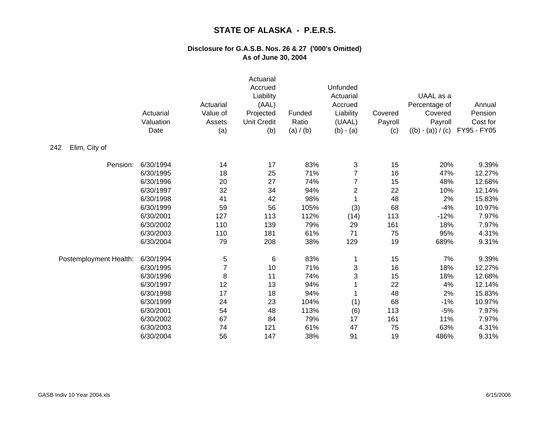|                        | Actuarial<br>Valuation<br>Date | Actuarial<br>Value of<br>Assets<br>(a) | Actuarial<br>Accrued<br>Liability<br>(AAL)<br>Projected<br><b>Unit Credit</b><br>(b) | Funded<br>Ratio<br>(a) / (b) | Unfunded<br>Actuarial<br>Accrued<br>Liability<br>(UAAL)<br>$(b) - (a)$ | Covered<br>Payroll<br>(c) | UAAL as a<br>Percentage of<br>Covered<br>Payroll<br>$((b) - (a)) / (c)$ | Annual<br>Pension<br>Cost for<br>FY95 - FY05 |
|------------------------|--------------------------------|----------------------------------------|--------------------------------------------------------------------------------------|------------------------------|------------------------------------------------------------------------|---------------------------|-------------------------------------------------------------------------|----------------------------------------------|
| Elim, City of<br>242   |                                |                                        |                                                                                      |                              |                                                                        |                           |                                                                         |                                              |
| Pension:               | 6/30/1994                      | 14                                     | 17                                                                                   | 83%                          | 3                                                                      | 15                        | 20%                                                                     | 9.39%                                        |
|                        | 6/30/1995                      | 18                                     | 25                                                                                   | 71%                          | $\overline{7}$                                                         | 16                        | 47%                                                                     | 12.27%                                       |
|                        | 6/30/1996                      | 20                                     | 27                                                                                   | 74%                          | $\overline{7}$                                                         | 15                        | 48%                                                                     | 12.68%                                       |
|                        | 6/30/1997                      | 32                                     | 34                                                                                   | 94%                          | $\overline{\mathbf{c}}$                                                | 22                        | 10%                                                                     | 12.14%                                       |
|                        | 6/30/1998                      | 41                                     | 42                                                                                   | 98%                          |                                                                        | 48                        | 2%                                                                      | 15.83%                                       |
|                        | 6/30/1999                      | 59                                     | 56                                                                                   | 105%                         | (3)                                                                    | 68                        | $-4%$                                                                   | 10.97%                                       |
|                        | 6/30/2001                      | 127                                    | 113                                                                                  | 112%                         | (14)                                                                   | 113                       | $-12%$                                                                  | 7.97%                                        |
|                        | 6/30/2002                      | 110                                    | 139                                                                                  | 79%                          | 29                                                                     | 161                       | 18%                                                                     | 7.97%                                        |
|                        | 6/30/2003                      | 110                                    | 181                                                                                  | 61%                          | 71                                                                     | 75                        | 95%                                                                     | 4.31%                                        |
|                        | 6/30/2004                      | 79                                     | 208                                                                                  | 38%                          | 129                                                                    | 19                        | 689%                                                                    | 9.31%                                        |
| Postemployment Health: | 6/30/1994                      | 5                                      | 6                                                                                    | 83%                          |                                                                        | 15                        | 7%                                                                      | 9.39%                                        |
|                        | 6/30/1995                      | $\overline{7}$                         | 10                                                                                   | 71%                          | 3                                                                      | 16                        | 18%                                                                     | 12.27%                                       |
|                        | 6/30/1996                      | 8                                      | 11                                                                                   | 74%                          | 3                                                                      | 15                        | 18%                                                                     | 12.68%                                       |
|                        | 6/30/1997                      | 12                                     | 13                                                                                   | 94%                          |                                                                        | 22                        | 4%                                                                      | 12.14%                                       |
|                        | 6/30/1998                      | 17                                     | 18                                                                                   | 94%                          |                                                                        | 48                        | 2%                                                                      | 15.83%                                       |
|                        | 6/30/1999                      | 24                                     | 23                                                                                   | 104%                         | (1)                                                                    | 68                        | $-1%$                                                                   | 10.97%                                       |
|                        | 6/30/2001                      | 54                                     | 48                                                                                   | 113%                         | (6)                                                                    | 113                       | $-5%$                                                                   | 7.97%                                        |
|                        | 6/30/2002                      | 67                                     | 84                                                                                   | 79%                          | 17                                                                     | 161                       | 11%                                                                     | 7.97%                                        |
|                        | 6/30/2003                      | 74                                     | 121                                                                                  | 61%                          | 47                                                                     | 75                        | 63%                                                                     | 4.31%                                        |
|                        | 6/30/2004                      | 56                                     | 147                                                                                  | 38%                          | 91                                                                     | 19                        | 486%                                                                    | 9.31%                                        |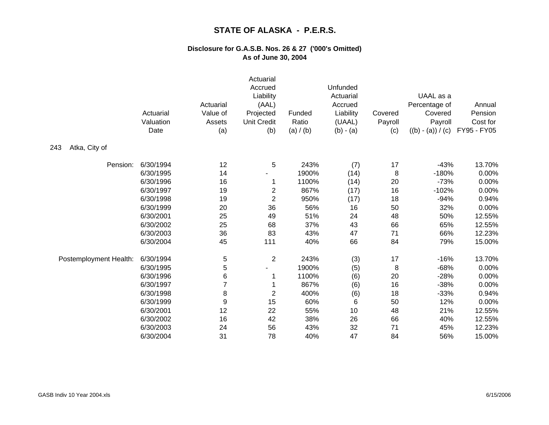|                        | Actuarial<br>Valuation<br>Date | Actuarial<br>Value of<br>Assets<br>(a) | Actuarial<br>Accrued<br>Liability<br>(AAL)<br>Projected<br><b>Unit Credit</b><br>(b) | Funded<br>Ratio<br>(a) / (b) | Unfunded<br>Actuarial<br>Accrued<br>Liability<br>(UAAL)<br>$(b) - (a)$ | Covered<br>Payroll<br>(c) | UAAL as a<br>Percentage of<br>Covered<br>Payroll<br>$((b) - (a)) / (c)$ | Annual<br>Pension<br>Cost for<br>FY95 - FY05 |
|------------------------|--------------------------------|----------------------------------------|--------------------------------------------------------------------------------------|------------------------------|------------------------------------------------------------------------|---------------------------|-------------------------------------------------------------------------|----------------------------------------------|
| Atka, City of<br>243   |                                |                                        |                                                                                      |                              |                                                                        |                           |                                                                         |                                              |
| Pension:               | 6/30/1994                      | 12                                     | 5                                                                                    | 243%                         | (7)                                                                    | 17                        | $-43%$                                                                  | 13.70%                                       |
|                        | 6/30/1995                      | 14                                     |                                                                                      | 1900%                        | (14)                                                                   | 8                         | $-180%$                                                                 | 0.00%                                        |
|                        | 6/30/1996                      | 16                                     |                                                                                      | 1100%                        | (14)                                                                   | 20                        | $-73%$                                                                  | 0.00%                                        |
|                        | 6/30/1997                      | 19                                     | $\overline{c}$                                                                       | 867%                         | (17)                                                                   | 16                        | $-102%$                                                                 | 0.00%                                        |
|                        | 6/30/1998                      | 19                                     | $\mathbf{2}$                                                                         | 950%                         | (17)                                                                   | 18                        | $-94%$                                                                  | 0.94%                                        |
|                        | 6/30/1999                      | 20                                     | 36                                                                                   | 56%                          | 16                                                                     | 50                        | 32%                                                                     | 0.00%                                        |
|                        | 6/30/2001                      | 25                                     | 49                                                                                   | 51%                          | 24                                                                     | 48                        | 50%                                                                     | 12.55%                                       |
|                        | 6/30/2002                      | 25                                     | 68                                                                                   | 37%                          | 43                                                                     | 66                        | 65%                                                                     | 12.55%                                       |
|                        | 6/30/2003                      | 36                                     | 83                                                                                   | 43%                          | 47                                                                     | 71                        | 66%                                                                     | 12.23%                                       |
|                        | 6/30/2004                      | 45                                     | 111                                                                                  | 40%                          | 66                                                                     | 84                        | 79%                                                                     | 15.00%                                       |
| Postemployment Health: | 6/30/1994                      | 5                                      | $\overline{2}$                                                                       | 243%                         | (3)                                                                    | 17                        | $-16%$                                                                  | 13.70%                                       |
|                        | 6/30/1995                      | 5                                      | $\blacksquare$                                                                       | 1900%                        | (5)                                                                    | 8                         | $-68%$                                                                  | 0.00%                                        |
|                        | 6/30/1996                      | 6                                      | 1                                                                                    | 1100%                        | (6)                                                                    | 20                        | $-28%$                                                                  | 0.00%                                        |
|                        | 6/30/1997                      | $\overline{7}$                         |                                                                                      | 867%                         | (6)                                                                    | 16                        | $-38%$                                                                  | 0.00%                                        |
|                        | 6/30/1998                      | 8                                      | $\overline{c}$                                                                       | 400%                         | (6)                                                                    | 18                        | $-33%$                                                                  | 0.94%                                        |
|                        | 6/30/1999                      | 9                                      | 15                                                                                   | 60%                          | 6                                                                      | 50                        | 12%                                                                     | 0.00%                                        |
|                        | 6/30/2001                      | 12                                     | 22                                                                                   | 55%                          | 10                                                                     | 48                        | 21%                                                                     | 12.55%                                       |
|                        | 6/30/2002                      | 16                                     | 42                                                                                   | 38%                          | 26                                                                     | 66                        | 40%                                                                     | 12.55%                                       |
|                        | 6/30/2003                      | 24                                     | 56                                                                                   | 43%                          | 32                                                                     | 71                        | 45%                                                                     | 12.23%                                       |
|                        | 6/30/2004                      | 31                                     | 78                                                                                   | 40%                          | 47                                                                     | 84                        | 56%                                                                     | 15.00%                                       |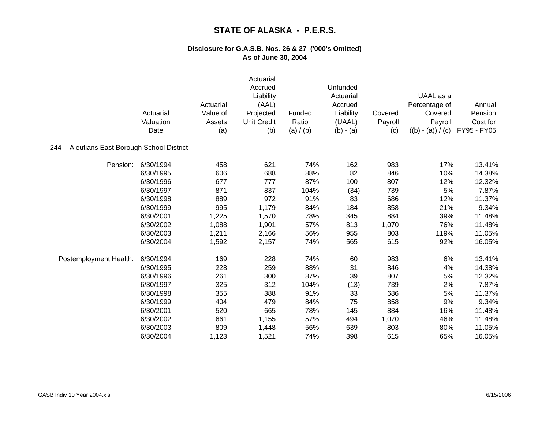|                                               | Actuarial<br>Valuation<br>Date | Actuarial<br>Value of<br>Assets<br>(a) | Actuarial<br>Accrued<br>Liability<br>(AAL)<br>Projected<br><b>Unit Credit</b><br>(b) | Funded<br>Ratio<br>(a) / (b) | Unfunded<br>Actuarial<br>Accrued<br>Liability<br>(UAAL)<br>$(b) - (a)$ | Covered<br>Payroll<br>(c) | UAAL as a<br>Percentage of<br>Covered<br>Payroll<br>$((b) - (a)) / (c)$ | Annual<br>Pension<br>Cost for<br>FY95 - FY05 |
|-----------------------------------------------|--------------------------------|----------------------------------------|--------------------------------------------------------------------------------------|------------------------------|------------------------------------------------------------------------|---------------------------|-------------------------------------------------------------------------|----------------------------------------------|
| Aleutians East Borough School District<br>244 |                                |                                        |                                                                                      |                              |                                                                        |                           |                                                                         |                                              |
| Pension:                                      | 6/30/1994                      | 458                                    | 621                                                                                  | 74%                          | 162                                                                    | 983                       | 17%                                                                     | 13.41%                                       |
|                                               | 6/30/1995                      | 606                                    | 688                                                                                  | 88%                          | 82                                                                     | 846                       | 10%                                                                     | 14.38%                                       |
|                                               | 6/30/1996                      | 677                                    | 777                                                                                  | 87%                          | 100                                                                    | 807                       | 12%                                                                     | 12.32%                                       |
|                                               | 6/30/1997                      | 871                                    | 837                                                                                  | 104%                         | (34)                                                                   | 739                       | $-5%$                                                                   | 7.87%                                        |
|                                               | 6/30/1998                      | 889                                    | 972                                                                                  | 91%                          | 83                                                                     | 686                       | 12%                                                                     | 11.37%                                       |
|                                               | 6/30/1999                      | 995                                    | 1,179                                                                                | 84%                          | 184                                                                    | 858                       | 21%                                                                     | 9.34%                                        |
|                                               | 6/30/2001                      | 1,225                                  | 1,570                                                                                | 78%                          | 345                                                                    | 884                       | 39%                                                                     | 11.48%                                       |
|                                               | 6/30/2002                      | 1,088                                  | 1,901                                                                                | 57%                          | 813                                                                    | 1,070                     | 76%                                                                     | 11.48%                                       |
|                                               | 6/30/2003                      | 1,211                                  | 2,166                                                                                | 56%                          | 955                                                                    | 803                       | 119%                                                                    | 11.05%                                       |
|                                               | 6/30/2004                      | 1,592                                  | 2,157                                                                                | 74%                          | 565                                                                    | 615                       | 92%                                                                     | 16.05%                                       |
| Postemployment Health:                        | 6/30/1994                      | 169                                    | 228                                                                                  | 74%                          | 60                                                                     | 983                       | 6%                                                                      | 13.41%                                       |
|                                               | 6/30/1995                      | 228                                    | 259                                                                                  | 88%                          | 31                                                                     | 846                       | 4%                                                                      | 14.38%                                       |
|                                               | 6/30/1996                      | 261                                    | 300                                                                                  | 87%                          | 39                                                                     | 807                       | 5%                                                                      | 12.32%                                       |
|                                               | 6/30/1997                      | 325                                    | 312                                                                                  | 104%                         | (13)                                                                   | 739                       | $-2%$                                                                   | 7.87%                                        |
|                                               | 6/30/1998                      | 355                                    | 388                                                                                  | 91%                          | 33                                                                     | 686                       | 5%                                                                      | 11.37%                                       |
|                                               | 6/30/1999                      | 404                                    | 479                                                                                  | 84%                          | 75                                                                     | 858                       | 9%                                                                      | 9.34%                                        |
|                                               | 6/30/2001                      | 520                                    | 665                                                                                  | 78%                          | 145                                                                    | 884                       | 16%                                                                     | 11.48%                                       |
|                                               | 6/30/2002                      | 661                                    | 1,155                                                                                | 57%                          | 494                                                                    | 1,070                     | 46%                                                                     | 11.48%                                       |
|                                               | 6/30/2003                      | 809                                    | 1,448                                                                                | 56%                          | 639                                                                    | 803                       | 80%                                                                     | 11.05%                                       |
|                                               | 6/30/2004                      | 1,123                                  | 1,521                                                                                | 74%                          | 398                                                                    | 615                       | 65%                                                                     | 16.05%                                       |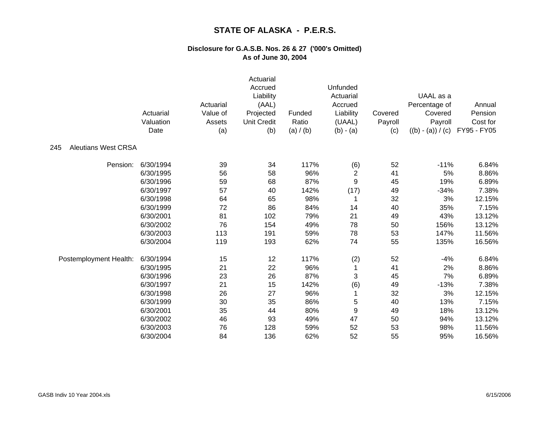|                                   | Actuarial<br>Valuation<br>Date | Actuarial<br>Value of<br>Assets<br>(a) | Actuarial<br>Accrued<br>Liability<br>(AAL)<br>Projected<br><b>Unit Credit</b><br>(b) | Funded<br>Ratio<br>(a) / (b) | Unfunded<br>Actuarial<br>Accrued<br>Liability<br>(UAAL)<br>$(b) - (a)$ | Covered<br>Payroll<br>(c) | UAAL as a<br>Percentage of<br>Covered<br>Payroll<br>$((b) - (a)) / (c)$ | Annual<br>Pension<br>Cost for<br>FY95 - FY05 |
|-----------------------------------|--------------------------------|----------------------------------------|--------------------------------------------------------------------------------------|------------------------------|------------------------------------------------------------------------|---------------------------|-------------------------------------------------------------------------|----------------------------------------------|
| 245<br><b>Aleutians West CRSA</b> |                                |                                        |                                                                                      |                              |                                                                        |                           |                                                                         |                                              |
| Pension:                          | 6/30/1994                      | 39                                     | 34                                                                                   | 117%                         | (6)                                                                    | 52                        | $-11%$                                                                  | 6.84%                                        |
|                                   | 6/30/1995                      | 56                                     | 58                                                                                   | 96%                          | $\overline{c}$                                                         | 41                        | 5%                                                                      | 8.86%                                        |
|                                   | 6/30/1996                      | 59                                     | 68                                                                                   | 87%                          | 9                                                                      | 45                        | 19%                                                                     | 6.89%                                        |
|                                   | 6/30/1997                      | 57                                     | 40                                                                                   | 142%                         | (17)                                                                   | 49                        | $-34%$                                                                  | 7.38%                                        |
|                                   | 6/30/1998                      | 64                                     | 65                                                                                   | 98%                          |                                                                        | 32                        | 3%                                                                      | 12.15%                                       |
|                                   | 6/30/1999                      | 72                                     | 86                                                                                   | 84%                          | 14                                                                     | 40                        | 35%                                                                     | 7.15%                                        |
|                                   | 6/30/2001                      | 81                                     | 102                                                                                  | 79%                          | 21                                                                     | 49                        | 43%                                                                     | 13.12%                                       |
|                                   | 6/30/2002                      | 76                                     | 154                                                                                  | 49%                          | 78                                                                     | 50                        | 156%                                                                    | 13.12%                                       |
|                                   | 6/30/2003                      | 113                                    | 191                                                                                  | 59%                          | 78                                                                     | 53                        | 147%                                                                    | 11.56%                                       |
|                                   | 6/30/2004                      | 119                                    | 193                                                                                  | 62%                          | 74                                                                     | 55                        | 135%                                                                    | 16.56%                                       |
| Postemployment Health:            | 6/30/1994                      | 15                                     | 12                                                                                   | 117%                         | (2)                                                                    | 52                        | $-4%$                                                                   | 6.84%                                        |
|                                   | 6/30/1995                      | 21                                     | 22                                                                                   | 96%                          |                                                                        | 41                        | 2%                                                                      | 8.86%                                        |
|                                   | 6/30/1996                      | 23                                     | 26                                                                                   | 87%                          | 3                                                                      | 45                        | 7%                                                                      | 6.89%                                        |
|                                   | 6/30/1997                      | 21                                     | 15                                                                                   | 142%                         | (6)                                                                    | 49                        | $-13%$                                                                  | 7.38%                                        |
|                                   | 6/30/1998                      | 26                                     | 27                                                                                   | 96%                          | 1                                                                      | 32                        | 3%                                                                      | 12.15%                                       |
|                                   | 6/30/1999                      | 30                                     | 35                                                                                   | 86%                          | 5                                                                      | 40                        | 13%                                                                     | 7.15%                                        |
|                                   | 6/30/2001                      | 35                                     | 44                                                                                   | 80%                          | 9                                                                      | 49                        | 18%                                                                     | 13.12%                                       |
|                                   | 6/30/2002                      | 46                                     | 93                                                                                   | 49%                          | 47                                                                     | 50                        | 94%                                                                     | 13.12%                                       |
|                                   | 6/30/2003                      | 76                                     | 128                                                                                  | 59%                          | 52                                                                     | 53                        | 98%                                                                     | 11.56%                                       |
|                                   | 6/30/2004                      | 84                                     | 136                                                                                  | 62%                          | 52                                                                     | 55                        | 95%                                                                     | 16.56%                                       |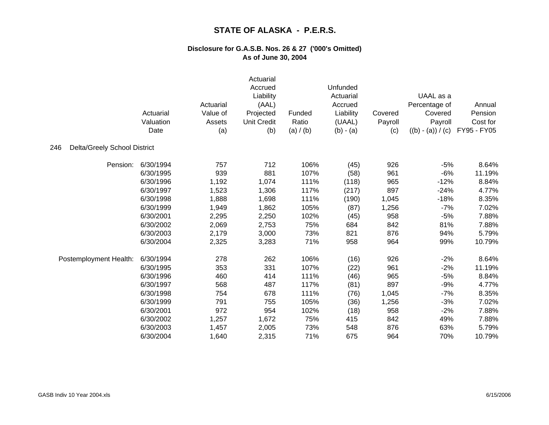|                                     | Actuarial<br>Valuation<br>Date | Actuarial<br>Value of<br>Assets<br>(a) | Actuarial<br>Accrued<br>Liability<br>(AAL)<br>Projected<br><b>Unit Credit</b><br>(b) | Funded<br>Ratio<br>(a) / (b) | Unfunded<br>Actuarial<br>Accrued<br>Liability<br>(UAAL)<br>$(b) - (a)$ | Covered<br>Payroll<br>(c) | UAAL as a<br>Percentage of<br>Covered<br>Payroll<br>$((b) - (a)) / (c)$ | Annual<br>Pension<br>Cost for<br>FY95 - FY05 |
|-------------------------------------|--------------------------------|----------------------------------------|--------------------------------------------------------------------------------------|------------------------------|------------------------------------------------------------------------|---------------------------|-------------------------------------------------------------------------|----------------------------------------------|
| Delta/Greely School District<br>246 |                                |                                        |                                                                                      |                              |                                                                        |                           |                                                                         |                                              |
| Pension:                            | 6/30/1994                      | 757                                    | 712                                                                                  | 106%                         | (45)                                                                   | 926                       | $-5%$                                                                   | 8.64%                                        |
|                                     | 6/30/1995                      | 939                                    | 881                                                                                  | 107%                         | (58)                                                                   | 961                       | $-6%$                                                                   | 11.19%                                       |
|                                     | 6/30/1996                      | 1,192                                  | 1,074                                                                                | 111%                         | (118)                                                                  | 965                       | $-12%$                                                                  | 8.84%                                        |
|                                     | 6/30/1997                      | 1,523                                  | 1,306                                                                                | 117%                         | (217)                                                                  | 897                       | $-24%$                                                                  | 4.77%                                        |
|                                     | 6/30/1998                      | 1,888                                  | 1,698                                                                                | 111%                         | (190)                                                                  | 1,045                     | $-18%$                                                                  | 8.35%                                        |
|                                     | 6/30/1999                      | 1,949                                  | 1,862                                                                                | 105%                         | (87)                                                                   | 1,256                     | $-7%$                                                                   | 7.02%                                        |
|                                     | 6/30/2001                      | 2,295                                  | 2,250                                                                                | 102%                         | (45)                                                                   | 958                       | $-5%$                                                                   | 7.88%                                        |
|                                     | 6/30/2002                      | 2,069                                  | 2,753                                                                                | 75%                          | 684                                                                    | 842                       | 81%                                                                     | 7.88%                                        |
|                                     | 6/30/2003                      | 2,179                                  | 3,000                                                                                | 73%                          | 821                                                                    | 876                       | 94%                                                                     | 5.79%                                        |
|                                     | 6/30/2004                      | 2,325                                  | 3,283                                                                                | 71%                          | 958                                                                    | 964                       | 99%                                                                     | 10.79%                                       |
| Postemployment Health:              | 6/30/1994                      | 278                                    | 262                                                                                  | 106%                         | (16)                                                                   | 926                       | $-2%$                                                                   | 8.64%                                        |
|                                     | 6/30/1995                      | 353                                    | 331                                                                                  | 107%                         | (22)                                                                   | 961                       | $-2%$                                                                   | 11.19%                                       |
|                                     | 6/30/1996                      | 460                                    | 414                                                                                  | 111%                         | (46)                                                                   | 965                       | $-5%$                                                                   | 8.84%                                        |
|                                     | 6/30/1997                      | 568                                    | 487                                                                                  | 117%                         | (81)                                                                   | 897                       | $-9%$                                                                   | 4.77%                                        |
|                                     | 6/30/1998                      | 754                                    | 678                                                                                  | 111%                         | (76)                                                                   | 1,045                     | $-7%$                                                                   | 8.35%                                        |
|                                     | 6/30/1999                      | 791                                    | 755                                                                                  | 105%                         | (36)                                                                   | 1,256                     | $-3%$                                                                   | 7.02%                                        |
|                                     | 6/30/2001                      | 972                                    | 954                                                                                  | 102%                         | (18)                                                                   | 958                       | $-2%$                                                                   | 7.88%                                        |
|                                     | 6/30/2002                      | 1,257                                  | 1,672                                                                                | 75%                          | 415                                                                    | 842                       | 49%                                                                     | 7.88%                                        |
|                                     | 6/30/2003                      | 1,457                                  | 2,005                                                                                | 73%                          | 548                                                                    | 876                       | 63%                                                                     | 5.79%                                        |
|                                     | 6/30/2004                      | 1,640                                  | 2,315                                                                                | 71%                          | 675                                                                    | 964                       | 70%                                                                     | 10.79%                                       |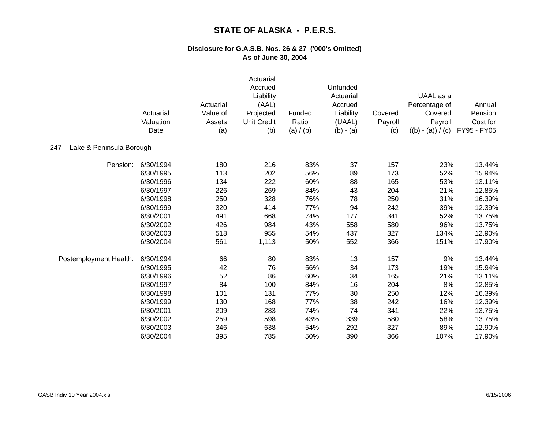|                                 | Actuarial<br>Valuation<br>Date | Actuarial<br>Value of<br>Assets<br>(a) | Actuarial<br>Accrued<br>Liability<br>(AAL)<br>Projected<br><b>Unit Credit</b><br>(b) | Funded<br>Ratio<br>(a) / (b) | Unfunded<br>Actuarial<br>Accrued<br>Liability<br>(UAAL)<br>$(b) - (a)$ | Covered<br>Payroll<br>(c) | UAAL as a<br>Percentage of<br>Covered<br>Payroll<br>$((b) - (a)) / (c)$ | Annual<br>Pension<br>Cost for<br>FY95 - FY05 |
|---------------------------------|--------------------------------|----------------------------------------|--------------------------------------------------------------------------------------|------------------------------|------------------------------------------------------------------------|---------------------------|-------------------------------------------------------------------------|----------------------------------------------|
| 247<br>Lake & Peninsula Borough |                                |                                        |                                                                                      |                              |                                                                        |                           |                                                                         |                                              |
| Pension:                        | 6/30/1994                      | 180                                    | 216                                                                                  | 83%                          | 37                                                                     | 157                       | 23%                                                                     | 13.44%                                       |
|                                 | 6/30/1995                      | 113                                    | 202                                                                                  | 56%                          | 89                                                                     | 173                       | 52%                                                                     | 15.94%                                       |
|                                 | 6/30/1996                      | 134                                    | 222                                                                                  | 60%                          | 88                                                                     | 165                       | 53%                                                                     | 13.11%                                       |
|                                 | 6/30/1997                      | 226                                    | 269                                                                                  | 84%                          | 43                                                                     | 204                       | 21%                                                                     | 12.85%                                       |
|                                 | 6/30/1998                      | 250                                    | 328                                                                                  | 76%                          | 78                                                                     | 250                       | 31%                                                                     | 16.39%                                       |
|                                 | 6/30/1999                      | 320                                    | 414                                                                                  | 77%                          | 94                                                                     | 242                       | 39%                                                                     | 12.39%                                       |
|                                 | 6/30/2001                      | 491                                    | 668                                                                                  | 74%                          | 177                                                                    | 341                       | 52%                                                                     | 13.75%                                       |
|                                 | 6/30/2002                      | 426                                    | 984                                                                                  | 43%                          | 558                                                                    | 580                       | 96%                                                                     | 13.75%                                       |
|                                 | 6/30/2003                      | 518                                    | 955                                                                                  | 54%                          | 437                                                                    | 327                       | 134%                                                                    | 12.90%                                       |
|                                 | 6/30/2004                      | 561                                    | 1,113                                                                                | 50%                          | 552                                                                    | 366                       | 151%                                                                    | 17.90%                                       |
| Postemployment Health:          | 6/30/1994                      | 66                                     | 80                                                                                   | 83%                          | 13                                                                     | 157                       | 9%                                                                      | 13.44%                                       |
|                                 | 6/30/1995                      | 42                                     | 76                                                                                   | 56%                          | 34                                                                     | 173                       | 19%                                                                     | 15.94%                                       |
|                                 | 6/30/1996                      | 52                                     | 86                                                                                   | 60%                          | 34                                                                     | 165                       | 21%                                                                     | 13.11%                                       |
|                                 | 6/30/1997                      | 84                                     | 100                                                                                  | 84%                          | 16                                                                     | 204                       | 8%                                                                      | 12.85%                                       |
|                                 | 6/30/1998                      | 101                                    | 131                                                                                  | 77%                          | 30                                                                     | 250                       | 12%                                                                     | 16.39%                                       |
|                                 | 6/30/1999                      | 130                                    | 168                                                                                  | 77%                          | 38                                                                     | 242                       | 16%                                                                     | 12.39%                                       |
|                                 | 6/30/2001                      | 209                                    | 283                                                                                  | 74%                          | 74                                                                     | 341                       | 22%                                                                     | 13.75%                                       |
|                                 | 6/30/2002                      | 259                                    | 598                                                                                  | 43%                          | 339                                                                    | 580                       | 58%                                                                     | 13.75%                                       |
|                                 | 6/30/2003                      | 346                                    | 638                                                                                  | 54%                          | 292                                                                    | 327                       | 89%                                                                     | 12.90%                                       |
|                                 | 6/30/2004                      | 395                                    | 785                                                                                  | 50%                          | 390                                                                    | 366                       | 107%                                                                    | 17.90%                                       |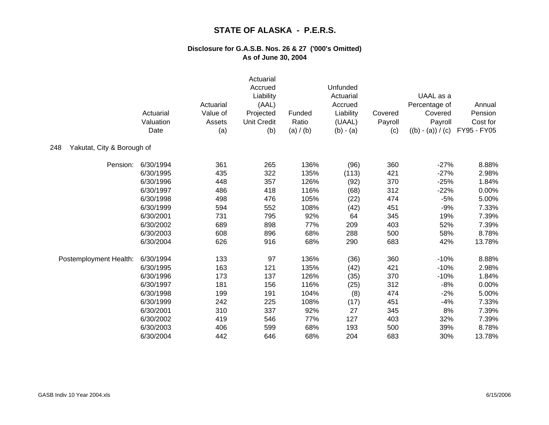|                                   | Actuarial<br>Valuation<br>Date | Actuarial<br>Value of<br>Assets<br>(a) | Actuarial<br>Accrued<br>Liability<br>(AAL)<br>Projected<br><b>Unit Credit</b><br>(b) | Funded<br>Ratio<br>(a) / (b) | Unfunded<br>Actuarial<br>Accrued<br>Liability<br>(UAAL)<br>$(b) - (a)$ | Covered<br>Payroll<br>(c) | UAAL as a<br>Percentage of<br>Covered<br>Payroll<br>$((b) - (a)) / (c)$ | Annual<br>Pension<br>Cost for<br>FY95 - FY05 |
|-----------------------------------|--------------------------------|----------------------------------------|--------------------------------------------------------------------------------------|------------------------------|------------------------------------------------------------------------|---------------------------|-------------------------------------------------------------------------|----------------------------------------------|
| 248<br>Yakutat, City & Borough of |                                |                                        |                                                                                      |                              |                                                                        |                           |                                                                         |                                              |
| Pension:                          | 6/30/1994                      | 361                                    | 265                                                                                  | 136%                         | (96)                                                                   | 360                       | $-27%$                                                                  | 8.88%                                        |
|                                   | 6/30/1995                      | 435                                    | 322                                                                                  | 135%                         | (113)                                                                  | 421                       | $-27%$                                                                  | 2.98%                                        |
|                                   | 6/30/1996                      | 448                                    | 357                                                                                  | 126%                         | (92)                                                                   | 370                       | $-25%$                                                                  | 1.84%                                        |
|                                   | 6/30/1997                      | 486                                    | 418                                                                                  | 116%                         | (68)                                                                   | 312                       | $-22%$                                                                  | 0.00%                                        |
|                                   | 6/30/1998                      | 498                                    | 476                                                                                  | 105%                         | (22)                                                                   | 474                       | $-5%$                                                                   | 5.00%                                        |
|                                   | 6/30/1999                      | 594                                    | 552                                                                                  | 108%                         | (42)                                                                   | 451                       | $-9%$                                                                   | 7.33%                                        |
|                                   | 6/30/2001                      | 731                                    | 795                                                                                  | 92%                          | 64                                                                     | 345                       | 19%                                                                     | 7.39%                                        |
|                                   | 6/30/2002                      | 689                                    | 898                                                                                  | 77%                          | 209                                                                    | 403                       | 52%                                                                     | 7.39%                                        |
|                                   | 6/30/2003                      | 608                                    | 896                                                                                  | 68%                          | 288                                                                    | 500                       | 58%                                                                     | 8.78%                                        |
|                                   | 6/30/2004                      | 626                                    | 916                                                                                  | 68%                          | 290                                                                    | 683                       | 42%                                                                     | 13.78%                                       |
| Postemployment Health:            | 6/30/1994                      | 133                                    | 97                                                                                   | 136%                         | (36)                                                                   | 360                       | $-10%$                                                                  | 8.88%                                        |
|                                   | 6/30/1995                      | 163                                    | 121                                                                                  | 135%                         | (42)                                                                   | 421                       | $-10%$                                                                  | 2.98%                                        |
|                                   | 6/30/1996                      | 173                                    | 137                                                                                  | 126%                         | (35)                                                                   | 370                       | $-10%$                                                                  | 1.84%                                        |
|                                   | 6/30/1997                      | 181                                    | 156                                                                                  | 116%                         | (25)                                                                   | 312                       | $-8%$                                                                   | 0.00%                                        |
|                                   | 6/30/1998                      | 199                                    | 191                                                                                  | 104%                         | (8)                                                                    | 474                       | $-2%$                                                                   | 5.00%                                        |
|                                   | 6/30/1999                      | 242                                    | 225                                                                                  | 108%                         | (17)                                                                   | 451                       | $-4%$                                                                   | 7.33%                                        |
|                                   | 6/30/2001                      | 310                                    | 337                                                                                  | 92%                          | 27                                                                     | 345                       | 8%                                                                      | 7.39%                                        |
|                                   | 6/30/2002                      | 419                                    | 546                                                                                  | 77%                          | 127                                                                    | 403                       | 32%                                                                     | 7.39%                                        |
|                                   | 6/30/2003                      | 406                                    | 599                                                                                  | 68%                          | 193                                                                    | 500                       | 39%                                                                     | 8.78%                                        |
|                                   | 6/30/2004                      | 442                                    | 646                                                                                  | 68%                          | 204                                                                    | 683                       | 30%                                                                     | 13.78%                                       |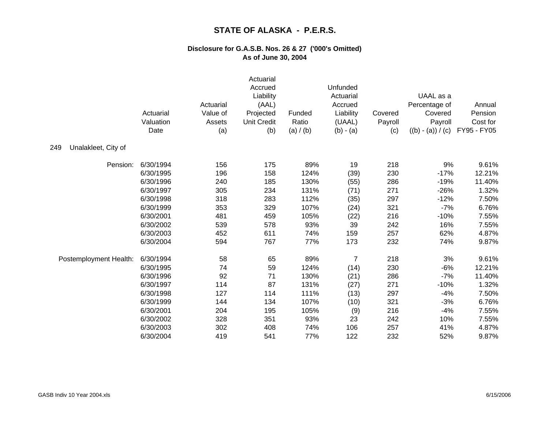|                            | Actuarial<br>Valuation<br>Date | Actuarial<br>Value of<br>Assets<br>(a) | Actuarial<br>Accrued<br>Liability<br>(AAL)<br>Projected<br><b>Unit Credit</b><br>(b) | Funded<br>Ratio<br>(a) / (b) | Unfunded<br>Actuarial<br>Accrued<br>Liability<br>(UAAL)<br>$(b) - (a)$ | Covered<br>Payroll<br>(c) | UAAL as a<br>Percentage of<br>Covered<br>Payroll<br>$((b) - (a)) / (c)$ | Annual<br>Pension<br>Cost for<br>FY95 - FY05 |
|----------------------------|--------------------------------|----------------------------------------|--------------------------------------------------------------------------------------|------------------------------|------------------------------------------------------------------------|---------------------------|-------------------------------------------------------------------------|----------------------------------------------|
| 249<br>Unalakleet, City of |                                |                                        |                                                                                      |                              |                                                                        |                           |                                                                         |                                              |
| Pension:                   | 6/30/1994                      | 156                                    | 175                                                                                  | 89%                          | 19                                                                     | 218                       | 9%                                                                      | 9.61%                                        |
|                            | 6/30/1995                      | 196                                    | 158                                                                                  | 124%                         | (39)                                                                   | 230                       | $-17%$                                                                  | 12.21%                                       |
|                            | 6/30/1996                      | 240                                    | 185                                                                                  | 130%                         | (55)                                                                   | 286                       | $-19%$                                                                  | 11.40%                                       |
|                            | 6/30/1997                      | 305                                    | 234                                                                                  | 131%                         | (71)                                                                   | 271                       | $-26%$                                                                  | 1.32%                                        |
|                            | 6/30/1998                      | 318                                    | 283                                                                                  | 112%                         | (35)                                                                   | 297                       | $-12%$                                                                  | 7.50%                                        |
|                            | 6/30/1999                      | 353                                    | 329                                                                                  | 107%                         | (24)                                                                   | 321                       | $-7%$                                                                   | 6.76%                                        |
|                            | 6/30/2001                      | 481                                    | 459                                                                                  | 105%                         | (22)                                                                   | 216                       | $-10%$                                                                  | 7.55%                                        |
|                            | 6/30/2002                      | 539                                    | 578                                                                                  | 93%                          | 39                                                                     | 242                       | 16%                                                                     | 7.55%                                        |
|                            | 6/30/2003                      | 452                                    | 611                                                                                  | 74%                          | 159                                                                    | 257                       | 62%                                                                     | 4.87%                                        |
|                            | 6/30/2004                      | 594                                    | 767                                                                                  | 77%                          | 173                                                                    | 232                       | 74%                                                                     | 9.87%                                        |
| Postemployment Health:     | 6/30/1994                      | 58                                     | 65                                                                                   | 89%                          | 7                                                                      | 218                       | 3%                                                                      | 9.61%                                        |
|                            | 6/30/1995                      | 74                                     | 59                                                                                   | 124%                         | (14)                                                                   | 230                       | $-6%$                                                                   | 12.21%                                       |
|                            | 6/30/1996                      | 92                                     | 71                                                                                   | 130%                         | (21)                                                                   | 286                       | $-7%$                                                                   | 11.40%                                       |
|                            | 6/30/1997                      | 114                                    | 87                                                                                   | 131%                         | (27)                                                                   | 271                       | $-10%$                                                                  | 1.32%                                        |
|                            | 6/30/1998                      | 127                                    | 114                                                                                  | 111%                         | (13)                                                                   | 297                       | $-4%$                                                                   | 7.50%                                        |
|                            | 6/30/1999                      | 144                                    | 134                                                                                  | 107%                         | (10)                                                                   | 321                       | $-3%$                                                                   | 6.76%                                        |
|                            | 6/30/2001                      | 204                                    | 195                                                                                  | 105%                         | (9)                                                                    | 216                       | $-4%$                                                                   | 7.55%                                        |
|                            | 6/30/2002                      | 328                                    | 351                                                                                  | 93%                          | 23                                                                     | 242                       | 10%                                                                     | 7.55%                                        |
|                            | 6/30/2003                      | 302                                    | 408                                                                                  | 74%                          | 106                                                                    | 257                       | 41%                                                                     | 4.87%                                        |
|                            | 6/30/2004                      | 419                                    | 541                                                                                  | 77%                          | 122                                                                    | 232                       | 52%                                                                     | 9.87%                                        |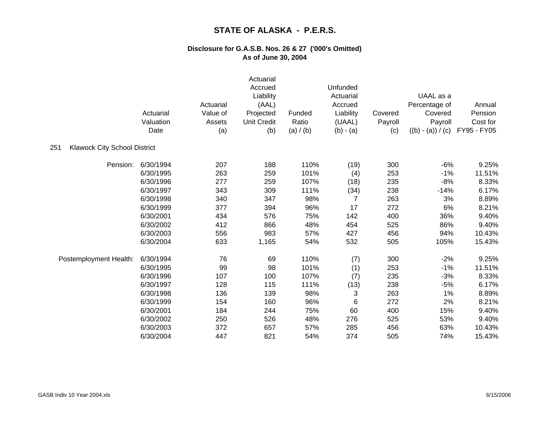|                                            | Actuarial<br>Valuation<br>Date | Actuarial<br>Value of<br>Assets<br>(a) | Actuarial<br>Accrued<br>Liability<br>(AAL)<br>Projected<br><b>Unit Credit</b><br>(b) | Funded<br>Ratio<br>(a) / (b) | Unfunded<br>Actuarial<br>Accrued<br>Liability<br>(UAAL)<br>$(b) - (a)$ | Covered<br>Payroll<br>(c) | UAAL as a<br>Percentage of<br>Covered<br>Payroll<br>$((b) - (a)) / (c)$ | Annual<br>Pension<br>Cost for<br>FY95 - FY05 |
|--------------------------------------------|--------------------------------|----------------------------------------|--------------------------------------------------------------------------------------|------------------------------|------------------------------------------------------------------------|---------------------------|-------------------------------------------------------------------------|----------------------------------------------|
| <b>Klawock City School District</b><br>251 |                                |                                        |                                                                                      |                              |                                                                        |                           |                                                                         |                                              |
| Pension:                                   | 6/30/1994                      | 207                                    | 188                                                                                  | 110%                         | (19)                                                                   | 300                       | $-6%$                                                                   | 9.25%                                        |
|                                            | 6/30/1995                      | 263                                    | 259                                                                                  | 101%                         | (4)                                                                    | 253                       | $-1%$                                                                   | 11.51%                                       |
|                                            | 6/30/1996                      | 277                                    | 259                                                                                  | 107%                         | (18)                                                                   | 235                       | $-8%$                                                                   | 8.33%                                        |
|                                            | 6/30/1997                      | 343                                    | 309                                                                                  | 111%                         | (34)                                                                   | 238                       | $-14%$                                                                  | 6.17%                                        |
|                                            | 6/30/1998                      | 340                                    | 347                                                                                  | 98%                          | 7                                                                      | 263                       | 3%                                                                      | 8.89%                                        |
|                                            | 6/30/1999                      | 377                                    | 394                                                                                  | 96%                          | 17                                                                     | 272                       | 6%                                                                      | 8.21%                                        |
|                                            | 6/30/2001                      | 434                                    | 576                                                                                  | 75%                          | 142                                                                    | 400                       | 36%                                                                     | 9.40%                                        |
|                                            | 6/30/2002                      | 412                                    | 866                                                                                  | 48%                          | 454                                                                    | 525                       | 86%                                                                     | 9.40%                                        |
|                                            | 6/30/2003                      | 556                                    | 983                                                                                  | 57%                          | 427                                                                    | 456                       | 94%                                                                     | 10.43%                                       |
|                                            | 6/30/2004                      | 633                                    | 1,165                                                                                | 54%                          | 532                                                                    | 505                       | 105%                                                                    | 15.43%                                       |
| Postemployment Health:                     | 6/30/1994                      | 76                                     | 69                                                                                   | 110%                         | (7)                                                                    | 300                       | $-2%$                                                                   | 9.25%                                        |
|                                            | 6/30/1995                      | 99                                     | 98                                                                                   | 101%                         | (1)                                                                    | 253                       | $-1%$                                                                   | 11.51%                                       |
|                                            | 6/30/1996                      | 107                                    | 100                                                                                  | 107%                         | (7)                                                                    | 235                       | $-3%$                                                                   | 8.33%                                        |
|                                            | 6/30/1997                      | 128                                    | 115                                                                                  | 111%                         | (13)                                                                   | 238                       | $-5%$                                                                   | 6.17%                                        |
|                                            | 6/30/1998                      | 136                                    | 139                                                                                  | 98%                          | 3                                                                      | 263                       | 1%                                                                      | 8.89%                                        |
|                                            | 6/30/1999                      | 154                                    | 160                                                                                  | 96%                          | 6                                                                      | 272                       | 2%                                                                      | 8.21%                                        |
|                                            | 6/30/2001                      | 184                                    | 244                                                                                  | 75%                          | 60                                                                     | 400                       | 15%                                                                     | 9.40%                                        |
|                                            | 6/30/2002                      | 250                                    | 526                                                                                  | 48%                          | 276                                                                    | 525                       | 53%                                                                     | 9.40%                                        |
|                                            | 6/30/2003                      | 372                                    | 657                                                                                  | 57%                          | 285                                                                    | 456                       | 63%                                                                     | 10.43%                                       |
|                                            | 6/30/2004                      | 447                                    | 821                                                                                  | 54%                          | 374                                                                    | 505                       | 74%                                                                     | 15.43%                                       |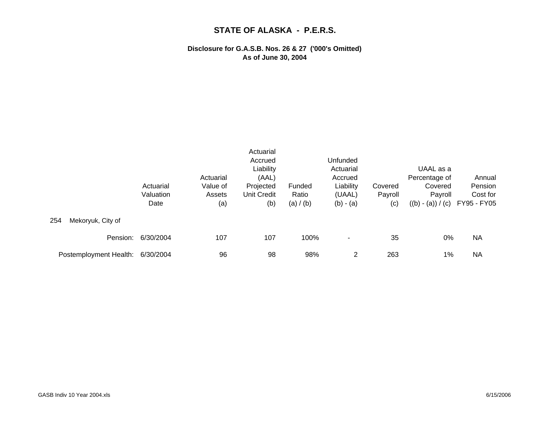|                          | Actuarial<br>Valuation<br>Date | Actuarial<br>Value of<br>Assets<br>(a) | Actuarial<br>Accrued<br>Liability<br>(AAL)<br>Projected<br>Unit Credit<br>(b) | Funded<br>Ratio<br>(a) / (b) | Unfunded<br>Actuarial<br>Accrued<br>Liability<br>(UAAL)<br>$(b) - (a)$ | Covered<br>Payroll<br>(c) | UAAL as a<br>Percentage of<br>Covered<br>Payroll<br>$((b) - (a)) / (c)$ | Annual<br>Pension<br>Cost for<br>FY95 - FY05 |
|--------------------------|--------------------------------|----------------------------------------|-------------------------------------------------------------------------------|------------------------------|------------------------------------------------------------------------|---------------------------|-------------------------------------------------------------------------|----------------------------------------------|
| Mekoryuk, City of<br>254 |                                |                                        |                                                                               |                              |                                                                        |                           |                                                                         |                                              |
| Pension:                 | 6/30/2004                      | 107                                    | 107                                                                           | 100%                         |                                                                        | 35                        | 0%                                                                      | <b>NA</b>                                    |
| Postemployment Health:   | 6/30/2004                      | 96                                     | 98                                                                            | 98%                          | 2                                                                      | 263                       | 1%                                                                      | NA                                           |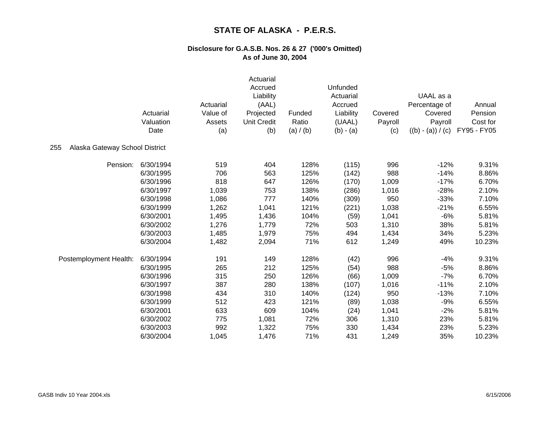|                                       | Actuarial<br>Valuation<br>Date | Actuarial<br>Value of<br>Assets<br>(a) | Actuarial<br>Accrued<br>Liability<br>(AAL)<br>Projected<br><b>Unit Credit</b><br>(b) | Funded<br>Ratio<br>(a) / (b) | Unfunded<br>Actuarial<br>Accrued<br>Liability<br>(UAAL)<br>$(b) - (a)$ | Covered<br>Payroll<br>(c) | UAAL as a<br>Percentage of<br>Covered<br>Payroll<br>$((b) - (a)) / (c)$ | Annual<br>Pension<br>Cost for<br>FY95 - FY05 |
|---------------------------------------|--------------------------------|----------------------------------------|--------------------------------------------------------------------------------------|------------------------------|------------------------------------------------------------------------|---------------------------|-------------------------------------------------------------------------|----------------------------------------------|
| 255<br>Alaska Gateway School District |                                |                                        |                                                                                      |                              |                                                                        |                           |                                                                         |                                              |
| Pension:                              | 6/30/1994                      | 519                                    | 404                                                                                  | 128%                         | (115)                                                                  | 996                       | $-12%$                                                                  | 9.31%                                        |
|                                       | 6/30/1995                      | 706                                    | 563                                                                                  | 125%                         | (142)                                                                  | 988                       | $-14%$                                                                  | 8.86%                                        |
|                                       | 6/30/1996                      | 818                                    | 647                                                                                  | 126%                         | (170)                                                                  | 1,009                     | $-17%$                                                                  | 6.70%                                        |
|                                       | 6/30/1997                      | 1,039                                  | 753                                                                                  | 138%                         | (286)                                                                  | 1,016                     | $-28%$                                                                  | 2.10%                                        |
|                                       | 6/30/1998                      | 1,086                                  | 777                                                                                  | 140%                         | (309)                                                                  | 950                       | $-33%$                                                                  | 7.10%                                        |
|                                       | 6/30/1999                      | 1,262                                  | 1,041                                                                                | 121%                         | (221)                                                                  | 1,038                     | $-21%$                                                                  | 6.55%                                        |
|                                       | 6/30/2001                      | 1,495                                  | 1,436                                                                                | 104%                         | (59)                                                                   | 1,041                     | $-6%$                                                                   | 5.81%                                        |
|                                       | 6/30/2002                      | 1,276                                  | 1,779                                                                                | 72%                          | 503                                                                    | 1,310                     | 38%                                                                     | 5.81%                                        |
|                                       | 6/30/2003                      | 1,485                                  | 1,979                                                                                | 75%                          | 494                                                                    | 1,434                     | 34%                                                                     | 5.23%                                        |
|                                       | 6/30/2004                      | 1,482                                  | 2,094                                                                                | 71%                          | 612                                                                    | 1,249                     | 49%                                                                     | 10.23%                                       |
| Postemployment Health:                | 6/30/1994                      | 191                                    | 149                                                                                  | 128%                         | (42)                                                                   | 996                       | $-4%$                                                                   | 9.31%                                        |
|                                       | 6/30/1995                      | 265                                    | 212                                                                                  | 125%                         | (54)                                                                   | 988                       | $-5%$                                                                   | 8.86%                                        |
|                                       | 6/30/1996                      | 315                                    | 250                                                                                  | 126%                         | (66)                                                                   | 1,009                     | $-7%$                                                                   | 6.70%                                        |
|                                       | 6/30/1997                      | 387                                    | 280                                                                                  | 138%                         | (107)                                                                  | 1,016                     | $-11%$                                                                  | 2.10%                                        |
|                                       | 6/30/1998                      | 434                                    | 310                                                                                  | 140%                         | (124)                                                                  | 950                       | $-13%$                                                                  | 7.10%                                        |
|                                       | 6/30/1999                      | 512                                    | 423                                                                                  | 121%                         | (89)                                                                   | 1,038                     | $-9%$                                                                   | 6.55%                                        |
|                                       | 6/30/2001                      | 633                                    | 609                                                                                  | 104%                         | (24)                                                                   | 1,041                     | $-2%$                                                                   | 5.81%                                        |
|                                       | 6/30/2002                      | 775                                    | 1,081                                                                                | 72%                          | 306                                                                    | 1,310                     | 23%                                                                     | 5.81%                                        |
|                                       | 6/30/2003                      | 992                                    | 1,322                                                                                | 75%                          | 330                                                                    | 1,434                     | 23%                                                                     | 5.23%                                        |
|                                       | 6/30/2004                      | 1,045                                  | 1,476                                                                                | 71%                          | 431                                                                    | 1,249                     | 35%                                                                     | 10.23%                                       |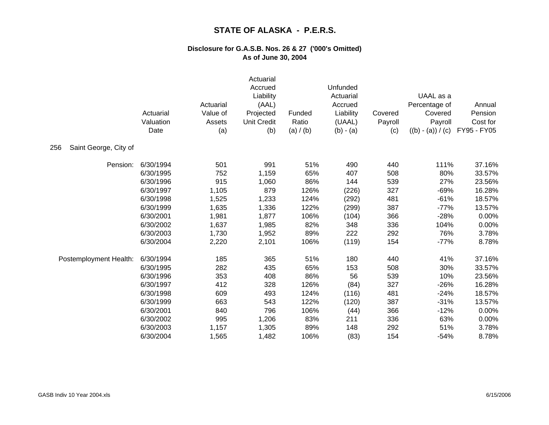|                              | Actuarial<br>Valuation<br>Date | Actuarial<br>Value of<br>Assets<br>(a) | Actuarial<br>Accrued<br>Liability<br>(AAL)<br>Projected<br><b>Unit Credit</b><br>(b) | Funded<br>Ratio<br>(a) / (b) | Unfunded<br>Actuarial<br>Accrued<br>Liability<br>(UAAL)<br>$(b) - (a)$ | Covered<br>Payroll<br>(c) | UAAL as a<br>Percentage of<br>Covered<br>Payroll<br>$((b) - (a)) / (c)$ | Annual<br>Pension<br>Cost for<br>FY95 - FY05 |
|------------------------------|--------------------------------|----------------------------------------|--------------------------------------------------------------------------------------|------------------------------|------------------------------------------------------------------------|---------------------------|-------------------------------------------------------------------------|----------------------------------------------|
| Saint George, City of<br>256 |                                |                                        |                                                                                      |                              |                                                                        |                           |                                                                         |                                              |
| Pension:                     | 6/30/1994                      | 501                                    | 991                                                                                  | 51%                          | 490                                                                    | 440                       | 111%                                                                    | 37.16%                                       |
|                              | 6/30/1995                      | 752                                    | 1,159                                                                                | 65%                          | 407                                                                    | 508                       | 80%                                                                     | 33.57%                                       |
|                              | 6/30/1996                      | 915                                    | 1,060                                                                                | 86%                          | 144                                                                    | 539                       | 27%                                                                     | 23.56%                                       |
|                              | 6/30/1997                      | 1,105                                  | 879                                                                                  | 126%                         | (226)                                                                  | 327                       | $-69%$                                                                  | 16.28%                                       |
|                              | 6/30/1998                      | 1,525                                  | 1,233                                                                                | 124%                         | (292)                                                                  | 481                       | $-61%$                                                                  | 18.57%                                       |
|                              | 6/30/1999                      | 1,635                                  | 1,336                                                                                | 122%                         | (299)                                                                  | 387                       | $-77%$                                                                  | 13.57%                                       |
|                              | 6/30/2001                      | 1,981                                  | 1,877                                                                                | 106%                         | (104)                                                                  | 366                       | $-28%$                                                                  | 0.00%                                        |
|                              | 6/30/2002                      | 1,637                                  | 1,985                                                                                | 82%                          | 348                                                                    | 336                       | 104%                                                                    | 0.00%                                        |
|                              | 6/30/2003                      | 1,730                                  | 1,952                                                                                | 89%                          | 222                                                                    | 292                       | 76%                                                                     | 3.78%                                        |
|                              | 6/30/2004                      | 2,220                                  | 2,101                                                                                | 106%                         | (119)                                                                  | 154                       | $-77%$                                                                  | 8.78%                                        |
| Postemployment Health:       | 6/30/1994                      | 185                                    | 365                                                                                  | 51%                          | 180                                                                    | 440                       | 41%                                                                     | 37.16%                                       |
|                              | 6/30/1995                      | 282                                    | 435                                                                                  | 65%                          | 153                                                                    | 508                       | 30%                                                                     | 33.57%                                       |
|                              | 6/30/1996                      | 353                                    | 408                                                                                  | 86%                          | 56                                                                     | 539                       | 10%                                                                     | 23.56%                                       |
|                              | 6/30/1997                      | 412                                    | 328                                                                                  | 126%                         | (84)                                                                   | 327                       | $-26%$                                                                  | 16.28%                                       |
|                              | 6/30/1998                      | 609                                    | 493                                                                                  | 124%                         | (116)                                                                  | 481                       | $-24%$                                                                  | 18.57%                                       |
|                              | 6/30/1999                      | 663                                    | 543                                                                                  | 122%                         | (120)                                                                  | 387                       | $-31%$                                                                  | 13.57%                                       |
|                              | 6/30/2001                      | 840                                    | 796                                                                                  | 106%                         | (44)                                                                   | 366                       | $-12%$                                                                  | 0.00%                                        |
|                              | 6/30/2002                      | 995                                    | 1,206                                                                                | 83%                          | 211                                                                    | 336                       | 63%                                                                     | 0.00%                                        |
|                              | 6/30/2003                      | 1,157                                  | 1,305                                                                                | 89%                          | 148                                                                    | 292                       | 51%                                                                     | 3.78%                                        |
|                              | 6/30/2004                      | 1,565                                  | 1,482                                                                                | 106%                         | (83)                                                                   | 154                       | $-54%$                                                                  | 8.78%                                        |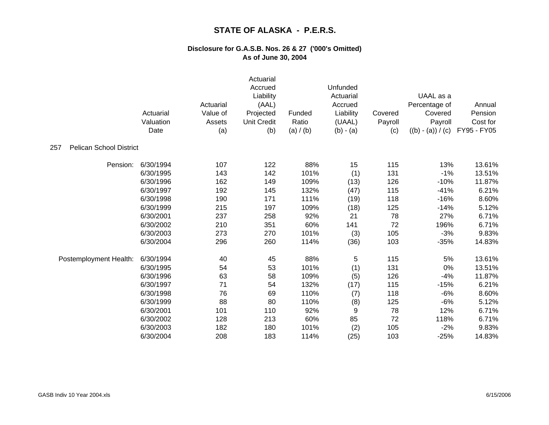|                                       | Actuarial<br>Valuation<br>Date | Actuarial<br>Value of<br>Assets<br>(a) | Actuarial<br>Accrued<br>Liability<br>(AAL)<br>Projected<br><b>Unit Credit</b><br>(b) | Funded<br>Ratio<br>(a) / (b) | Unfunded<br>Actuarial<br>Accrued<br>Liability<br>(UAAL)<br>$(b) - (a)$ | Covered<br>Payroll<br>(c) | UAAL as a<br>Percentage of<br>Covered<br>Payroll<br>$((b) - (a)) / (c)$ | Annual<br>Pension<br>Cost for<br>FY95 - FY05 |
|---------------------------------------|--------------------------------|----------------------------------------|--------------------------------------------------------------------------------------|------------------------------|------------------------------------------------------------------------|---------------------------|-------------------------------------------------------------------------|----------------------------------------------|
| <b>Pelican School District</b><br>257 |                                |                                        |                                                                                      |                              |                                                                        |                           |                                                                         |                                              |
| Pension:                              | 6/30/1994                      | 107                                    | 122                                                                                  | 88%                          | 15                                                                     | 115                       | 13%                                                                     | 13.61%                                       |
|                                       | 6/30/1995                      | 143                                    | 142                                                                                  | 101%                         | (1)                                                                    | 131                       | $-1%$                                                                   | 13.51%                                       |
|                                       | 6/30/1996                      | 162                                    | 149                                                                                  | 109%                         | (13)                                                                   | 126                       | $-10%$                                                                  | 11.87%                                       |
|                                       | 6/30/1997                      | 192                                    | 145                                                                                  | 132%                         | (47)                                                                   | 115                       | $-41%$                                                                  | 6.21%                                        |
|                                       | 6/30/1998                      | 190                                    | 171                                                                                  | 111%                         | (19)                                                                   | 118                       | $-16%$                                                                  | 8.60%                                        |
|                                       | 6/30/1999                      | 215                                    | 197                                                                                  | 109%                         | (18)                                                                   | 125                       | $-14%$                                                                  | 5.12%                                        |
|                                       | 6/30/2001                      | 237                                    | 258                                                                                  | 92%                          | 21                                                                     | 78                        | 27%                                                                     | 6.71%                                        |
|                                       | 6/30/2002                      | 210                                    | 351                                                                                  | 60%                          | 141                                                                    | 72                        | 196%                                                                    | 6.71%                                        |
|                                       | 6/30/2003                      | 273                                    | 270                                                                                  | 101%                         | (3)                                                                    | 105                       | $-3%$                                                                   | 9.83%                                        |
|                                       | 6/30/2004                      | 296                                    | 260                                                                                  | 114%                         | (36)                                                                   | 103                       | $-35%$                                                                  | 14.83%                                       |
| Postemployment Health:                | 6/30/1994                      | 40                                     | 45                                                                                   | 88%                          | 5                                                                      | 115                       | 5%                                                                      | 13.61%                                       |
|                                       | 6/30/1995                      | 54                                     | 53                                                                                   | 101%                         | (1)                                                                    | 131                       | 0%                                                                      | 13.51%                                       |
|                                       | 6/30/1996                      | 63                                     | 58                                                                                   | 109%                         | (5)                                                                    | 126                       | $-4%$                                                                   | 11.87%                                       |
|                                       | 6/30/1997                      | 71                                     | 54                                                                                   | 132%                         | (17)                                                                   | 115                       | $-15%$                                                                  | 6.21%                                        |
|                                       | 6/30/1998                      | 76                                     | 69                                                                                   | 110%                         | (7)                                                                    | 118                       | $-6%$                                                                   | 8.60%                                        |
|                                       | 6/30/1999                      | 88                                     | 80                                                                                   | 110%                         | (8)                                                                    | 125                       | $-6%$                                                                   | 5.12%                                        |
|                                       | 6/30/2001                      | 101                                    | 110                                                                                  | 92%                          | 9                                                                      | 78                        | 12%                                                                     | 6.71%                                        |
|                                       | 6/30/2002                      | 128                                    | 213                                                                                  | 60%                          | 85                                                                     | 72                        | 118%                                                                    | 6.71%                                        |
|                                       | 6/30/2003                      | 182                                    | 180                                                                                  | 101%                         | (2)                                                                    | 105                       | $-2%$                                                                   | 9.83%                                        |
|                                       | 6/30/2004                      | 208                                    | 183                                                                                  | 114%                         | (25)                                                                   | 103                       | $-25%$                                                                  | 14.83%                                       |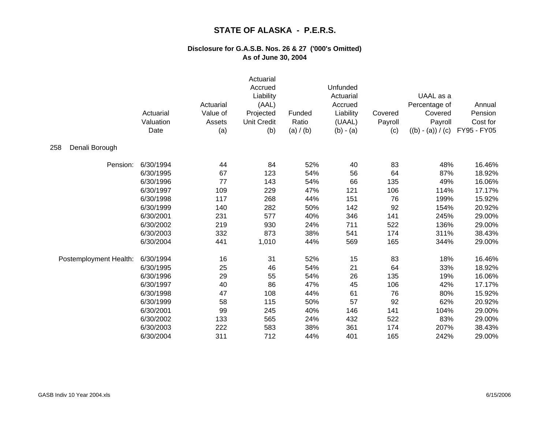|                        | Actuarial<br>Valuation<br>Date | Actuarial<br>Value of<br>Assets<br>(a) | Actuarial<br>Accrued<br>Liability<br>(AAL)<br>Projected<br><b>Unit Credit</b><br>(b) | Funded<br>Ratio<br>(a) / (b) | Unfunded<br>Actuarial<br>Accrued<br>Liability<br>(UAAL)<br>$(b) - (a)$ | Covered<br>Payroll<br>(c) | UAAL as a<br>Percentage of<br>Covered<br>Payroll<br>$((b) - (a)) / (c)$ | Annual<br>Pension<br>Cost for<br>FY95 - FY05 |
|------------------------|--------------------------------|----------------------------------------|--------------------------------------------------------------------------------------|------------------------------|------------------------------------------------------------------------|---------------------------|-------------------------------------------------------------------------|----------------------------------------------|
| 258<br>Denali Borough  |                                |                                        |                                                                                      |                              |                                                                        |                           |                                                                         |                                              |
| Pension:               | 6/30/1994                      | 44                                     | 84                                                                                   | 52%                          | 40                                                                     | 83                        | 48%                                                                     | 16.46%                                       |
|                        | 6/30/1995                      | 67                                     | 123                                                                                  | 54%                          | 56                                                                     | 64                        | 87%                                                                     | 18.92%                                       |
|                        | 6/30/1996                      | 77                                     | 143                                                                                  | 54%                          | 66                                                                     | 135                       | 49%                                                                     | 16.06%                                       |
|                        | 6/30/1997                      | 109                                    | 229                                                                                  | 47%                          | 121                                                                    | 106                       | 114%                                                                    | 17.17%                                       |
|                        | 6/30/1998                      | 117                                    | 268                                                                                  | 44%                          | 151                                                                    | 76                        | 199%                                                                    | 15.92%                                       |
|                        | 6/30/1999                      | 140                                    | 282                                                                                  | 50%                          | 142                                                                    | 92                        | 154%                                                                    | 20.92%                                       |
|                        | 6/30/2001                      | 231                                    | 577                                                                                  | 40%                          | 346                                                                    | 141                       | 245%                                                                    | 29.00%                                       |
|                        | 6/30/2002                      | 219                                    | 930                                                                                  | 24%                          | 711                                                                    | 522                       | 136%                                                                    | 29.00%                                       |
|                        | 6/30/2003                      | 332                                    | 873                                                                                  | 38%                          | 541                                                                    | 174                       | 311%                                                                    | 38.43%                                       |
|                        | 6/30/2004                      | 441                                    | 1,010                                                                                | 44%                          | 569                                                                    | 165                       | 344%                                                                    | 29.00%                                       |
| Postemployment Health: | 6/30/1994                      | 16                                     | 31                                                                                   | 52%                          | 15                                                                     | 83                        | 18%                                                                     | 16.46%                                       |
|                        | 6/30/1995                      | 25                                     | 46                                                                                   | 54%                          | 21                                                                     | 64                        | 33%                                                                     | 18.92%                                       |
|                        | 6/30/1996                      | 29                                     | 55                                                                                   | 54%                          | 26                                                                     | 135                       | 19%                                                                     | 16.06%                                       |
|                        | 6/30/1997                      | 40                                     | 86                                                                                   | 47%                          | 45                                                                     | 106                       | 42%                                                                     | 17.17%                                       |
|                        | 6/30/1998                      | 47                                     | 108                                                                                  | 44%                          | 61                                                                     | 76                        | 80%                                                                     | 15.92%                                       |
|                        | 6/30/1999                      | 58                                     | 115                                                                                  | 50%                          | 57                                                                     | 92                        | 62%                                                                     | 20.92%                                       |
|                        | 6/30/2001                      | 99                                     | 245                                                                                  | 40%                          | 146                                                                    | 141                       | 104%                                                                    | 29.00%                                       |
|                        | 6/30/2002                      | 133                                    | 565                                                                                  | 24%                          | 432                                                                    | 522                       | 83%                                                                     | 29.00%                                       |
|                        | 6/30/2003                      | 222                                    | 583                                                                                  | 38%                          | 361                                                                    | 174                       | 207%                                                                    | 38.43%                                       |
|                        | 6/30/2004                      | 311                                    | 712                                                                                  | 44%                          | 401                                                                    | 165                       | 242%                                                                    | 29.00%                                       |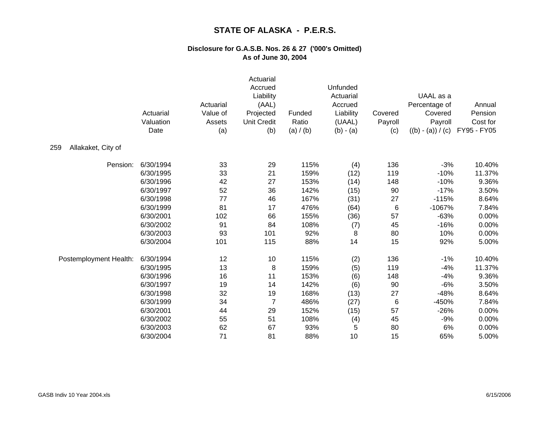|                           | Actuarial<br>Valuation<br>Date | Actuarial<br>Value of<br>Assets<br>(a) | Actuarial<br>Accrued<br>Liability<br>(AAL)<br>Projected<br><b>Unit Credit</b><br>(b) | Funded<br>Ratio<br>(a) / (b) | Unfunded<br>Actuarial<br>Accrued<br>Liability<br>(UAAL)<br>$(b) - (a)$ | Covered<br>Payroll<br>(c) | UAAL as a<br>Percentage of<br>Covered<br>Payroll<br>$((b) - (a)) / (c)$ | Annual<br>Pension<br>Cost for<br>FY95 - FY05 |
|---------------------------|--------------------------------|----------------------------------------|--------------------------------------------------------------------------------------|------------------------------|------------------------------------------------------------------------|---------------------------|-------------------------------------------------------------------------|----------------------------------------------|
| 259<br>Allakaket, City of |                                |                                        |                                                                                      |                              |                                                                        |                           |                                                                         |                                              |
| Pension:                  | 6/30/1994                      | 33                                     | 29                                                                                   | 115%                         | (4)                                                                    | 136                       | $-3%$                                                                   | 10.40%                                       |
|                           | 6/30/1995                      | 33                                     | 21                                                                                   | 159%                         | (12)                                                                   | 119                       | $-10%$                                                                  | 11.37%                                       |
|                           | 6/30/1996                      | 42                                     | 27                                                                                   | 153%                         | (14)                                                                   | 148                       | $-10%$                                                                  | 9.36%                                        |
|                           | 6/30/1997                      | 52                                     | 36                                                                                   | 142%                         | (15)                                                                   | 90                        | $-17%$                                                                  | 3.50%                                        |
|                           | 6/30/1998                      | 77                                     | 46                                                                                   | 167%                         | (31)                                                                   | 27                        | $-115%$                                                                 | 8.64%                                        |
|                           | 6/30/1999                      | 81                                     | 17                                                                                   | 476%                         | (64)                                                                   | 6                         | $-1067%$                                                                | 7.84%                                        |
|                           | 6/30/2001                      | 102                                    | 66                                                                                   | 155%                         | (36)                                                                   | 57                        | $-63%$                                                                  | 0.00%                                        |
|                           | 6/30/2002                      | 91                                     | 84                                                                                   | 108%                         | (7)                                                                    | 45                        | $-16%$                                                                  | 0.00%                                        |
|                           | 6/30/2003                      | 93                                     | 101                                                                                  | 92%                          | 8                                                                      | 80                        | 10%                                                                     | 0.00%                                        |
|                           | 6/30/2004                      | 101                                    | 115                                                                                  | 88%                          | 14                                                                     | 15                        | 92%                                                                     | 5.00%                                        |
| Postemployment Health:    | 6/30/1994                      | 12                                     | 10                                                                                   | 115%                         | (2)                                                                    | 136                       | $-1%$                                                                   | 10.40%                                       |
|                           | 6/30/1995                      | 13                                     | 8                                                                                    | 159%                         | (5)                                                                    | 119                       | $-4%$                                                                   | 11.37%                                       |
|                           | 6/30/1996                      | 16                                     | 11                                                                                   | 153%                         | (6)                                                                    | 148                       | $-4%$                                                                   | 9.36%                                        |
|                           | 6/30/1997                      | 19                                     | 14                                                                                   | 142%                         | (6)                                                                    | 90                        | $-6%$                                                                   | 3.50%                                        |
|                           | 6/30/1998                      | 32                                     | 19                                                                                   | 168%                         | (13)                                                                   | 27                        | $-48%$                                                                  | 8.64%                                        |
|                           | 6/30/1999                      | 34                                     | $\overline{7}$                                                                       | 486%                         | (27)                                                                   | 6                         | -450%                                                                   | 7.84%                                        |
|                           | 6/30/2001                      | 44                                     | 29                                                                                   | 152%                         | (15)                                                                   | 57                        | $-26%$                                                                  | 0.00%                                        |
|                           | 6/30/2002                      | 55                                     | 51                                                                                   | 108%                         | (4)                                                                    | 45                        | $-9%$                                                                   | 0.00%                                        |
|                           | 6/30/2003                      | 62                                     | 67                                                                                   | 93%                          | 5                                                                      | 80                        | 6%                                                                      | 0.00%                                        |
|                           | 6/30/2004                      | 71                                     | 81                                                                                   | 88%                          | 10                                                                     | 15                        | 65%                                                                     | 5.00%                                        |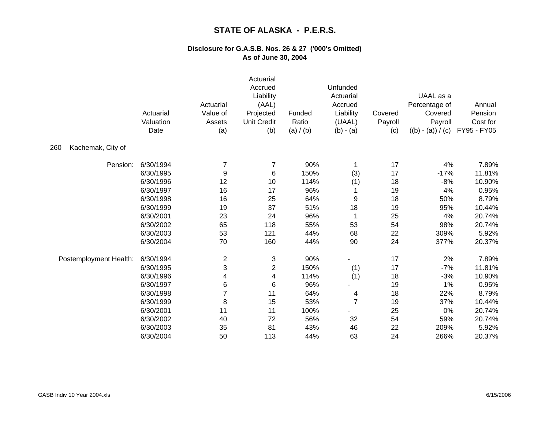|                          | Actuarial<br>Valuation<br>Date | Actuarial<br>Value of<br>Assets<br>(a) | Actuarial<br>Accrued<br>Liability<br>(AAL)<br>Projected<br><b>Unit Credit</b><br>(b) | Funded<br>Ratio<br>(a) / (b) | Unfunded<br>Actuarial<br>Accrued<br>Liability<br>(UAAL)<br>$(b) - (a)$ | Covered<br>Payroll<br>(c) | UAAL as a<br>Percentage of<br>Covered<br>Payroll<br>$((b) - (a)) / (c)$ | Annual<br>Pension<br>Cost for<br>FY95 - FY05 |
|--------------------------|--------------------------------|----------------------------------------|--------------------------------------------------------------------------------------|------------------------------|------------------------------------------------------------------------|---------------------------|-------------------------------------------------------------------------|----------------------------------------------|
| Kachemak, City of<br>260 |                                |                                        |                                                                                      |                              |                                                                        |                           |                                                                         |                                              |
| Pension:                 | 6/30/1994                      | 7                                      | 7                                                                                    | 90%                          | 1                                                                      | 17                        | 4%                                                                      | 7.89%                                        |
|                          | 6/30/1995                      | 9                                      | 6                                                                                    | 150%                         | (3)                                                                    | 17                        | $-17%$                                                                  | 11.81%                                       |
|                          | 6/30/1996                      | 12                                     | 10                                                                                   | 114%                         | (1)                                                                    | 18                        | $-8%$                                                                   | 10.90%                                       |
|                          | 6/30/1997                      | 16                                     | 17                                                                                   | 96%                          |                                                                        | 19                        | 4%                                                                      | 0.95%                                        |
|                          | 6/30/1998                      | 16                                     | 25                                                                                   | 64%                          | 9                                                                      | 18                        | 50%                                                                     | 8.79%                                        |
|                          | 6/30/1999                      | 19                                     | 37                                                                                   | 51%                          | 18                                                                     | 19                        | 95%                                                                     | 10.44%                                       |
|                          | 6/30/2001                      | 23                                     | 24                                                                                   | 96%                          | 1                                                                      | 25                        | 4%                                                                      | 20.74%                                       |
|                          | 6/30/2002                      | 65                                     | 118                                                                                  | 55%                          | 53                                                                     | 54                        | 98%                                                                     | 20.74%                                       |
|                          | 6/30/2003                      | 53                                     | 121                                                                                  | 44%                          | 68                                                                     | 22                        | 309%                                                                    | 5.92%                                        |
|                          | 6/30/2004                      | 70                                     | 160                                                                                  | 44%                          | 90                                                                     | 24                        | 377%                                                                    | 20.37%                                       |
| Postemployment Health:   | 6/30/1994                      | $\overline{\mathbf{c}}$                | 3                                                                                    | 90%                          |                                                                        | 17                        | 2%                                                                      | 7.89%                                        |
|                          | 6/30/1995                      | 3                                      | $\overline{2}$                                                                       | 150%                         | (1)                                                                    | 17                        | $-7%$                                                                   | 11.81%                                       |
|                          | 6/30/1996                      | 4                                      | 4                                                                                    | 114%                         | (1)                                                                    | 18                        | $-3%$                                                                   | 10.90%                                       |
|                          | 6/30/1997                      | 6                                      | $\,6$                                                                                | 96%                          |                                                                        | 19                        | 1%                                                                      | 0.95%                                        |
|                          | 6/30/1998                      | $\overline{7}$                         | 11                                                                                   | 64%                          | 4                                                                      | 18                        | 22%                                                                     | 8.79%                                        |
|                          | 6/30/1999                      | 8                                      | 15                                                                                   | 53%                          | $\overline{7}$                                                         | 19                        | 37%                                                                     | 10.44%                                       |
|                          | 6/30/2001                      | 11                                     | 11                                                                                   | 100%                         |                                                                        | 25                        | 0%                                                                      | 20.74%                                       |
|                          | 6/30/2002                      | 40                                     | 72                                                                                   | 56%                          | 32                                                                     | 54                        | 59%                                                                     | 20.74%                                       |
|                          | 6/30/2003                      | 35                                     | 81                                                                                   | 43%                          | 46                                                                     | 22                        | 209%                                                                    | 5.92%                                        |
|                          | 6/30/2004                      | 50                                     | 113                                                                                  | 44%                          | 63                                                                     | 24                        | 266%                                                                    | 20.37%                                       |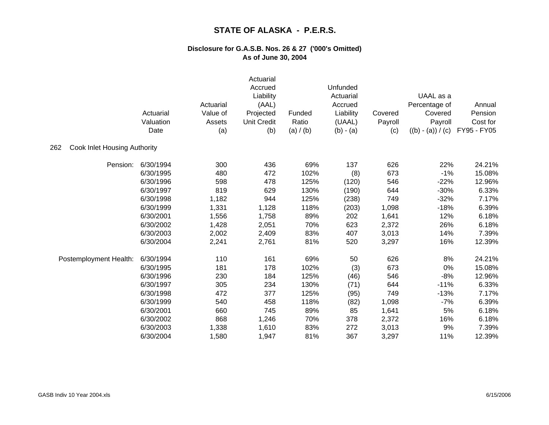|                                            | Actuarial<br>Valuation<br>Date | Actuarial<br>Value of<br>Assets<br>(a) | Actuarial<br>Accrued<br>Liability<br>(AAL)<br>Projected<br><b>Unit Credit</b><br>(b) | Funded<br>Ratio<br>(a) / (b) | Unfunded<br>Actuarial<br>Accrued<br>Liability<br>(UAAL)<br>$(b) - (a)$ | Covered<br>Payroll<br>(c) | UAAL as a<br>Percentage of<br>Covered<br>Payroll<br>$((b) - (a)) / (c)$ | Annual<br>Pension<br>Cost for<br>FY95 - FY05 |
|--------------------------------------------|--------------------------------|----------------------------------------|--------------------------------------------------------------------------------------|------------------------------|------------------------------------------------------------------------|---------------------------|-------------------------------------------------------------------------|----------------------------------------------|
| <b>Cook Inlet Housing Authority</b><br>262 |                                |                                        |                                                                                      |                              |                                                                        |                           |                                                                         |                                              |
| Pension:                                   | 6/30/1994                      | 300                                    | 436                                                                                  | 69%                          | 137                                                                    | 626                       | 22%                                                                     | 24.21%                                       |
|                                            | 6/30/1995                      | 480                                    | 472                                                                                  | 102%                         | (8)                                                                    | 673                       | $-1%$                                                                   | 15.08%                                       |
|                                            | 6/30/1996                      | 598                                    | 478                                                                                  | 125%                         | (120)                                                                  | 546                       | $-22%$                                                                  | 12.96%                                       |
|                                            | 6/30/1997                      | 819                                    | 629                                                                                  | 130%                         | (190)                                                                  | 644                       | $-30%$                                                                  | 6.33%                                        |
|                                            | 6/30/1998                      | 1,182                                  | 944                                                                                  | 125%                         | (238)                                                                  | 749                       | $-32%$                                                                  | 7.17%                                        |
|                                            | 6/30/1999                      | 1,331                                  | 1,128                                                                                | 118%                         | (203)                                                                  | 1,098                     | $-18%$                                                                  | 6.39%                                        |
|                                            | 6/30/2001                      | 1,556                                  | 1,758                                                                                | 89%                          | 202                                                                    | 1,641                     | 12%                                                                     | 6.18%                                        |
|                                            | 6/30/2002                      | 1,428                                  | 2,051                                                                                | 70%                          | 623                                                                    | 2,372                     | 26%                                                                     | 6.18%                                        |
|                                            | 6/30/2003                      | 2,002                                  | 2,409                                                                                | 83%                          | 407                                                                    | 3,013                     | 14%                                                                     | 7.39%                                        |
|                                            | 6/30/2004                      | 2,241                                  | 2,761                                                                                | 81%                          | 520                                                                    | 3,297                     | 16%                                                                     | 12.39%                                       |
| Postemployment Health:                     | 6/30/1994                      | 110                                    | 161                                                                                  | 69%                          | 50                                                                     | 626                       | 8%                                                                      | 24.21%                                       |
|                                            | 6/30/1995                      | 181                                    | 178                                                                                  | 102%                         | (3)                                                                    | 673                       | 0%                                                                      | 15.08%                                       |
|                                            | 6/30/1996                      | 230                                    | 184                                                                                  | 125%                         | (46)                                                                   | 546                       | $-8%$                                                                   | 12.96%                                       |
|                                            | 6/30/1997                      | 305                                    | 234                                                                                  | 130%                         | (71)                                                                   | 644                       | $-11%$                                                                  | 6.33%                                        |
|                                            | 6/30/1998                      | 472                                    | 377                                                                                  | 125%                         | (95)                                                                   | 749                       | $-13%$                                                                  | 7.17%                                        |
|                                            | 6/30/1999                      | 540                                    | 458                                                                                  | 118%                         | (82)                                                                   | 1,098                     | $-7%$                                                                   | 6.39%                                        |
|                                            | 6/30/2001                      | 660                                    | 745                                                                                  | 89%                          | 85                                                                     | 1,641                     | 5%                                                                      | 6.18%                                        |
|                                            | 6/30/2002                      | 868                                    | 1,246                                                                                | 70%                          | 378                                                                    | 2,372                     | 16%                                                                     | 6.18%                                        |
|                                            | 6/30/2003                      | 1,338                                  | 1,610                                                                                | 83%                          | 272                                                                    | 3,013                     | 9%                                                                      | 7.39%                                        |
|                                            | 6/30/2004                      | 1,580                                  | 1,947                                                                                | 81%                          | 367                                                                    | 3,297                     | 11%                                                                     | 12.39%                                       |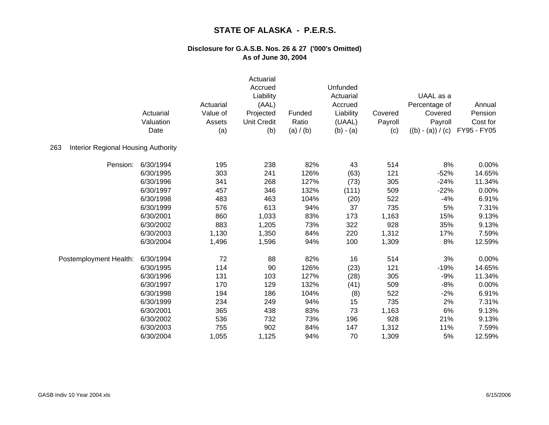|                                                   | Actuarial<br>Valuation<br>Date | Actuarial<br>Value of<br>Assets<br>(a) | Actuarial<br>Accrued<br>Liability<br>(AAL)<br>Projected<br><b>Unit Credit</b><br>(b) | Funded<br>Ratio<br>(a) / (b) | Unfunded<br>Actuarial<br>Accrued<br>Liability<br>(UAAL)<br>$(b) - (a)$ | Covered<br>Payroll<br>(c) | UAAL as a<br>Percentage of<br>Covered<br>Payroll<br>$((b) - (a)) / (c)$ | Annual<br>Pension<br>Cost for<br>FY95 - FY05 |
|---------------------------------------------------|--------------------------------|----------------------------------------|--------------------------------------------------------------------------------------|------------------------------|------------------------------------------------------------------------|---------------------------|-------------------------------------------------------------------------|----------------------------------------------|
| <b>Interior Regional Housing Authority</b><br>263 |                                |                                        |                                                                                      |                              |                                                                        |                           |                                                                         |                                              |
| Pension:                                          | 6/30/1994                      | 195                                    | 238                                                                                  | 82%                          | 43                                                                     | 514                       | 8%                                                                      | 0.00%                                        |
|                                                   | 6/30/1995                      | 303                                    | 241                                                                                  | 126%                         | (63)                                                                   | 121                       | $-52%$                                                                  | 14.65%                                       |
|                                                   | 6/30/1996                      | 341                                    | 268                                                                                  | 127%                         | (73)                                                                   | 305                       | $-24%$                                                                  | 11.34%                                       |
|                                                   | 6/30/1997                      | 457                                    | 346                                                                                  | 132%                         | (111)                                                                  | 509                       | $-22%$                                                                  | 0.00%                                        |
|                                                   | 6/30/1998                      | 483                                    | 463                                                                                  | 104%                         | (20)                                                                   | 522                       | $-4%$                                                                   | 6.91%                                        |
|                                                   | 6/30/1999                      | 576                                    | 613                                                                                  | 94%                          | 37                                                                     | 735                       | 5%                                                                      | 7.31%                                        |
|                                                   | 6/30/2001                      | 860                                    | 1,033                                                                                | 83%                          | 173                                                                    | 1,163                     | 15%                                                                     | 9.13%                                        |
|                                                   | 6/30/2002                      | 883                                    | 1,205                                                                                | 73%                          | 322                                                                    | 928                       | 35%                                                                     | 9.13%                                        |
|                                                   | 6/30/2003                      | 1,130                                  | 1,350                                                                                | 84%                          | 220                                                                    | 1,312                     | 17%                                                                     | 7.59%                                        |
|                                                   | 6/30/2004                      | 1,496                                  | 1,596                                                                                | 94%                          | 100                                                                    | 1,309                     | 8%                                                                      | 12.59%                                       |
| Postemployment Health:                            | 6/30/1994                      | 72                                     | 88                                                                                   | 82%                          | 16                                                                     | 514                       | 3%                                                                      | 0.00%                                        |
|                                                   | 6/30/1995                      | 114                                    | 90                                                                                   | 126%                         | (23)                                                                   | 121                       | $-19%$                                                                  | 14.65%                                       |
|                                                   | 6/30/1996                      | 131                                    | 103                                                                                  | 127%                         | (28)                                                                   | 305                       | $-9%$                                                                   | 11.34%                                       |
|                                                   | 6/30/1997                      | 170                                    | 129                                                                                  | 132%                         | (41)                                                                   | 509                       | $-8%$                                                                   | 0.00%                                        |
|                                                   | 6/30/1998                      | 194                                    | 186                                                                                  | 104%                         | (8)                                                                    | 522                       | $-2%$                                                                   | 6.91%                                        |
|                                                   | 6/30/1999                      | 234                                    | 249                                                                                  | 94%                          | 15                                                                     | 735                       | 2%                                                                      | 7.31%                                        |
|                                                   | 6/30/2001                      | 365                                    | 438                                                                                  | 83%                          | 73                                                                     | 1,163                     | 6%                                                                      | 9.13%                                        |
|                                                   | 6/30/2002                      | 536                                    | 732                                                                                  | 73%                          | 196                                                                    | 928                       | 21%                                                                     | 9.13%                                        |
|                                                   | 6/30/2003                      | 755                                    | 902                                                                                  | 84%                          | 147                                                                    | 1,312                     | 11%                                                                     | 7.59%                                        |
|                                                   | 6/30/2004                      | 1,055                                  | 1,125                                                                                | 94%                          | 70                                                                     | 1,309                     | 5%                                                                      | 12.59%                                       |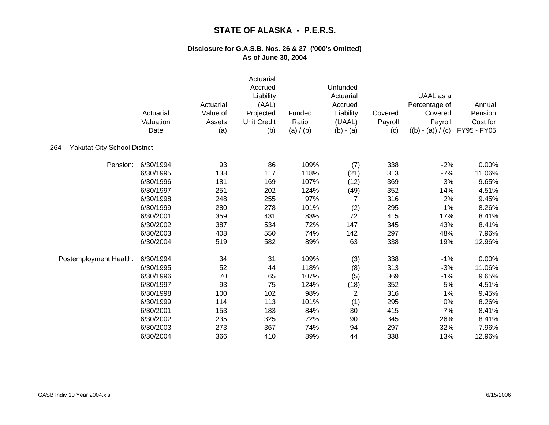|                                            | Actuarial<br>Valuation<br>Date | Actuarial<br>Value of<br>Assets<br>(a) | Actuarial<br>Accrued<br>Liability<br>(AAL)<br>Projected<br><b>Unit Credit</b><br>(b) | Funded<br>Ratio<br>(a) / (b) | Unfunded<br>Actuarial<br>Accrued<br>Liability<br>(UAAL)<br>$(b) - (a)$ | Covered<br>Payroll<br>(c) | UAAL as a<br>Percentage of<br>Covered<br>Payroll<br>$((b) - (a)) / (c)$ | Annual<br>Pension<br>Cost for<br>FY95 - FY05 |
|--------------------------------------------|--------------------------------|----------------------------------------|--------------------------------------------------------------------------------------|------------------------------|------------------------------------------------------------------------|---------------------------|-------------------------------------------------------------------------|----------------------------------------------|
| <b>Yakutat City School District</b><br>264 |                                |                                        |                                                                                      |                              |                                                                        |                           |                                                                         |                                              |
| Pension:                                   | 6/30/1994                      | 93                                     | 86                                                                                   | 109%                         | (7)                                                                    | 338                       | $-2%$                                                                   | 0.00%                                        |
|                                            | 6/30/1995                      | 138                                    | 117                                                                                  | 118%                         | (21)                                                                   | 313                       | $-7%$                                                                   | 11.06%                                       |
|                                            | 6/30/1996                      | 181                                    | 169                                                                                  | 107%                         | (12)                                                                   | 369                       | $-3%$                                                                   | 9.65%                                        |
|                                            | 6/30/1997                      | 251                                    | 202                                                                                  | 124%                         | (49)                                                                   | 352                       | $-14%$                                                                  | 4.51%                                        |
|                                            | 6/30/1998                      | 248                                    | 255                                                                                  | 97%                          | 7                                                                      | 316                       | 2%                                                                      | 9.45%                                        |
|                                            | 6/30/1999                      | 280                                    | 278                                                                                  | 101%                         | (2)                                                                    | 295                       | $-1%$                                                                   | 8.26%                                        |
|                                            | 6/30/2001                      | 359                                    | 431                                                                                  | 83%                          | 72                                                                     | 415                       | 17%                                                                     | 8.41%                                        |
|                                            | 6/30/2002                      | 387                                    | 534                                                                                  | 72%                          | 147                                                                    | 345                       | 43%                                                                     | 8.41%                                        |
|                                            | 6/30/2003                      | 408                                    | 550                                                                                  | 74%                          | 142                                                                    | 297                       | 48%                                                                     | 7.96%                                        |
|                                            | 6/30/2004                      | 519                                    | 582                                                                                  | 89%                          | 63                                                                     | 338                       | 19%                                                                     | 12.96%                                       |
| Postemployment Health:                     | 6/30/1994                      | 34                                     | 31                                                                                   | 109%                         | (3)                                                                    | 338                       | $-1%$                                                                   | 0.00%                                        |
|                                            | 6/30/1995                      | 52                                     | 44                                                                                   | 118%                         | (8)                                                                    | 313                       | $-3%$                                                                   | 11.06%                                       |
|                                            | 6/30/1996                      | 70                                     | 65                                                                                   | 107%                         | (5)                                                                    | 369                       | $-1%$                                                                   | 9.65%                                        |
|                                            | 6/30/1997                      | 93                                     | 75                                                                                   | 124%                         | (18)                                                                   | 352                       | $-5%$                                                                   | 4.51%                                        |
|                                            | 6/30/1998                      | 100                                    | 102                                                                                  | 98%                          | $\overline{2}$                                                         | 316                       | 1%                                                                      | 9.45%                                        |
|                                            | 6/30/1999                      | 114                                    | 113                                                                                  | 101%                         | (1)                                                                    | 295                       | 0%                                                                      | 8.26%                                        |
|                                            | 6/30/2001                      | 153                                    | 183                                                                                  | 84%                          | 30                                                                     | 415                       | 7%                                                                      | 8.41%                                        |
|                                            | 6/30/2002                      | 235                                    | 325                                                                                  | 72%                          | 90                                                                     | 345                       | 26%                                                                     | 8.41%                                        |
|                                            | 6/30/2003                      | 273                                    | 367                                                                                  | 74%                          | 94                                                                     | 297                       | 32%                                                                     | 7.96%                                        |
|                                            | 6/30/2004                      | 366                                    | 410                                                                                  | 89%                          | 44                                                                     | 338                       | 13%                                                                     | 12.96%                                       |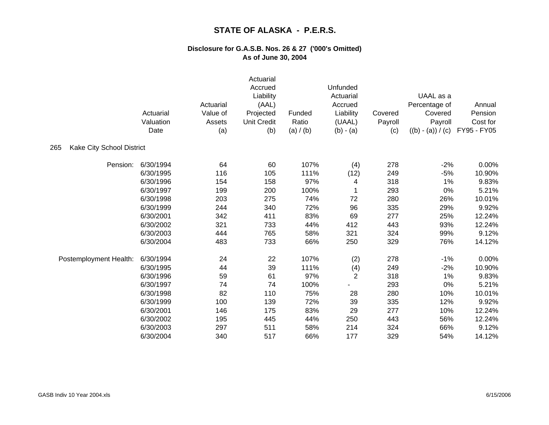|                                  | Actuarial<br>Valuation<br>Date | Actuarial<br>Value of<br>Assets<br>(a) | Actuarial<br>Accrued<br>Liability<br>(AAL)<br>Projected<br><b>Unit Credit</b><br>(b) | Funded<br>Ratio<br>(a) / (b) | Unfunded<br>Actuarial<br>Accrued<br>Liability<br>(UAAL)<br>$(b) - (a)$ | Covered<br>Payroll<br>(c) | UAAL as a<br>Percentage of<br>Covered<br>Payroll<br>$((b) - (a)) / (c)$ | Annual<br>Pension<br>Cost for<br>FY95 - FY05 |
|----------------------------------|--------------------------------|----------------------------------------|--------------------------------------------------------------------------------------|------------------------------|------------------------------------------------------------------------|---------------------------|-------------------------------------------------------------------------|----------------------------------------------|
| Kake City School District<br>265 |                                |                                        |                                                                                      |                              |                                                                        |                           |                                                                         |                                              |
| Pension:                         | 6/30/1994                      | 64                                     | 60                                                                                   | 107%                         | (4)                                                                    | 278                       | $-2%$                                                                   | 0.00%                                        |
|                                  | 6/30/1995                      | 116                                    | 105                                                                                  | 111%                         | (12)                                                                   | 249                       | $-5%$                                                                   | 10.90%                                       |
|                                  | 6/30/1996                      | 154                                    | 158                                                                                  | 97%                          | 4                                                                      | 318                       | 1%                                                                      | 9.83%                                        |
|                                  | 6/30/1997                      | 199                                    | 200                                                                                  | 100%                         |                                                                        | 293                       | 0%                                                                      | 5.21%                                        |
|                                  | 6/30/1998                      | 203                                    | 275                                                                                  | 74%                          | 72                                                                     | 280                       | 26%                                                                     | 10.01%                                       |
|                                  | 6/30/1999                      | 244                                    | 340                                                                                  | 72%                          | 96                                                                     | 335                       | 29%                                                                     | 9.92%                                        |
|                                  | 6/30/2001                      | 342                                    | 411                                                                                  | 83%                          | 69                                                                     | 277                       | 25%                                                                     | 12.24%                                       |
|                                  | 6/30/2002                      | 321                                    | 733                                                                                  | 44%                          | 412                                                                    | 443                       | 93%                                                                     | 12.24%                                       |
|                                  | 6/30/2003                      | 444                                    | 765                                                                                  | 58%                          | 321                                                                    | 324                       | 99%                                                                     | 9.12%                                        |
|                                  | 6/30/2004                      | 483                                    | 733                                                                                  | 66%                          | 250                                                                    | 329                       | 76%                                                                     | 14.12%                                       |
| Postemployment Health:           | 6/30/1994                      | 24                                     | 22                                                                                   | 107%                         | (2)                                                                    | 278                       | $-1%$                                                                   | 0.00%                                        |
|                                  | 6/30/1995                      | 44                                     | 39                                                                                   | 111%                         | (4)                                                                    | 249                       | $-2%$                                                                   | 10.90%                                       |
|                                  | 6/30/1996                      | 59                                     | 61                                                                                   | 97%                          | $\overline{2}$                                                         | 318                       | 1%                                                                      | 9.83%                                        |
|                                  | 6/30/1997                      | 74                                     | 74                                                                                   | 100%                         |                                                                        | 293                       | 0%                                                                      | 5.21%                                        |
|                                  | 6/30/1998                      | 82                                     | 110                                                                                  | 75%                          | 28                                                                     | 280                       | 10%                                                                     | 10.01%                                       |
|                                  | 6/30/1999                      | 100                                    | 139                                                                                  | 72%                          | 39                                                                     | 335                       | 12%                                                                     | 9.92%                                        |
|                                  | 6/30/2001                      | 146                                    | 175                                                                                  | 83%                          | 29                                                                     | 277                       | 10%                                                                     | 12.24%                                       |
|                                  | 6/30/2002                      | 195                                    | 445                                                                                  | 44%                          | 250                                                                    | 443                       | 56%                                                                     | 12.24%                                       |
|                                  | 6/30/2003                      | 297                                    | 511                                                                                  | 58%                          | 214                                                                    | 324                       | 66%                                                                     | 9.12%                                        |
|                                  | 6/30/2004                      | 340                                    | 517                                                                                  | 66%                          | 177                                                                    | 329                       | 54%                                                                     | 14.12%                                       |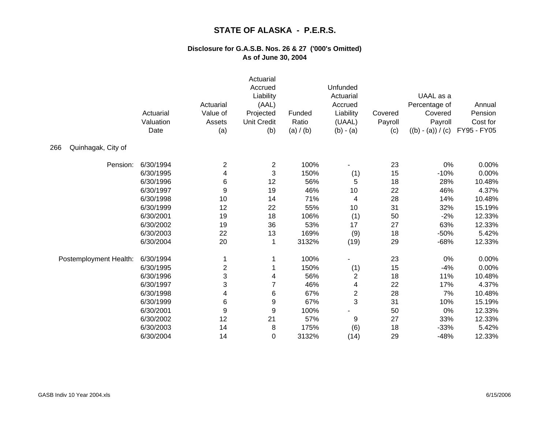|                           | Actuarial<br>Valuation<br>Date | Actuarial<br>Value of<br>Assets<br>(a) | Actuarial<br>Accrued<br>Liability<br>(AAL)<br>Projected<br><b>Unit Credit</b><br>(b) | Funded<br>Ratio<br>(a) / (b) | Unfunded<br>Actuarial<br>Accrued<br>Liability<br>(UAAL)<br>$(b) - (a)$ | Covered<br>Payroll<br>(c) | UAAL as a<br>Percentage of<br>Covered<br>Payroll<br>$((b) - (a)) / (c)$ | Annual<br>Pension<br>Cost for<br>FY95 - FY05 |
|---------------------------|--------------------------------|----------------------------------------|--------------------------------------------------------------------------------------|------------------------------|------------------------------------------------------------------------|---------------------------|-------------------------------------------------------------------------|----------------------------------------------|
| 266<br>Quinhagak, City of |                                |                                        |                                                                                      |                              |                                                                        |                           |                                                                         |                                              |
| Pension:                  | 6/30/1994                      | 2                                      | $\overline{c}$                                                                       | 100%                         |                                                                        | 23                        | 0%                                                                      | 0.00%                                        |
|                           | 6/30/1995                      | 4                                      | 3                                                                                    | 150%                         | (1)                                                                    | 15                        | $-10%$                                                                  | 0.00%                                        |
|                           | 6/30/1996                      | 6                                      | 12                                                                                   | 56%                          | 5                                                                      | 18                        | 28%                                                                     | 10.48%                                       |
|                           | 6/30/1997                      | 9                                      | 19                                                                                   | 46%                          | 10                                                                     | 22                        | 46%                                                                     | 4.37%                                        |
|                           | 6/30/1998                      | 10                                     | 14                                                                                   | 71%                          | 4                                                                      | 28                        | 14%                                                                     | 10.48%                                       |
|                           | 6/30/1999                      | 12                                     | 22                                                                                   | 55%                          | 10                                                                     | 31                        | 32%                                                                     | 15.19%                                       |
|                           | 6/30/2001                      | 19                                     | 18                                                                                   | 106%                         | (1)                                                                    | 50                        | $-2%$                                                                   | 12.33%                                       |
|                           | 6/30/2002                      | 19                                     | 36                                                                                   | 53%                          | 17                                                                     | 27                        | 63%                                                                     | 12.33%                                       |
|                           | 6/30/2003                      | 22                                     | 13                                                                                   | 169%                         | (9)                                                                    | 18                        | $-50%$                                                                  | 5.42%                                        |
|                           | 6/30/2004                      | 20                                     | 1                                                                                    | 3132%                        | (19)                                                                   | 29                        | $-68%$                                                                  | 12.33%                                       |
| Postemployment Health:    | 6/30/1994                      | 1                                      |                                                                                      | 100%                         |                                                                        | 23                        | 0%                                                                      | 0.00%                                        |
|                           | 6/30/1995                      | $\overline{\mathbf{c}}$                |                                                                                      | 150%                         | (1)                                                                    | 15                        | $-4%$                                                                   | 0.00%                                        |
|                           | 6/30/1996                      | 3                                      | 4                                                                                    | 56%                          | $\overline{2}$                                                         | 18                        | 11%                                                                     | 10.48%                                       |
|                           | 6/30/1997                      | 3                                      | 7                                                                                    | 46%                          | 4                                                                      | 22                        | 17%                                                                     | 4.37%                                        |
|                           | 6/30/1998                      | 4                                      | 6                                                                                    | 67%                          | $\overline{c}$                                                         | 28                        | 7%                                                                      | 10.48%                                       |
|                           | 6/30/1999                      | 6                                      | 9                                                                                    | 67%                          | 3                                                                      | 31                        | 10%                                                                     | 15.19%                                       |
|                           | 6/30/2001                      | 9                                      | 9                                                                                    | 100%                         |                                                                        | 50                        | 0%                                                                      | 12.33%                                       |
|                           | 6/30/2002                      | 12                                     | 21                                                                                   | 57%                          | 9                                                                      | 27                        | 33%                                                                     | 12.33%                                       |
|                           | 6/30/2003                      | 14                                     | 8                                                                                    | 175%                         | (6)                                                                    | 18                        | $-33%$                                                                  | 5.42%                                        |
|                           | 6/30/2004                      | 14                                     | 0                                                                                    | 3132%                        | (14)                                                                   | 29                        | $-48%$                                                                  | 12.33%                                       |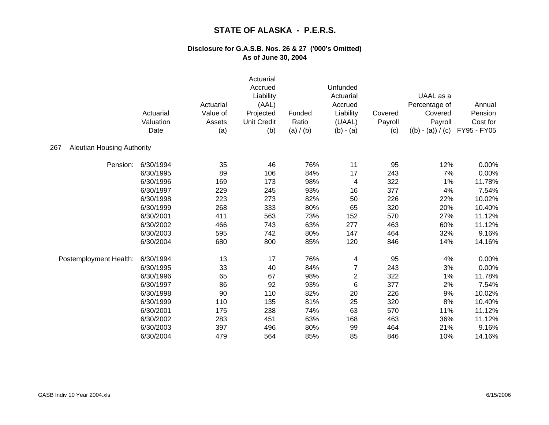|                                          | Actuarial<br>Valuation<br>Date | Actuarial<br>Value of<br>Assets<br>(a) | Actuarial<br>Accrued<br>Liability<br>(AAL)<br>Projected<br><b>Unit Credit</b><br>(b) | Funded<br>Ratio<br>(a) / (b) | Unfunded<br>Actuarial<br>Accrued<br>Liability<br>(UAAL)<br>$(b) - (a)$ | Covered<br>Payroll<br>(c) | UAAL as a<br>Percentage of<br>Covered<br>Payroll<br>$((b) - (a)) / (c)$ | Annual<br>Pension<br>Cost for<br>FY95 - FY05 |
|------------------------------------------|--------------------------------|----------------------------------------|--------------------------------------------------------------------------------------|------------------------------|------------------------------------------------------------------------|---------------------------|-------------------------------------------------------------------------|----------------------------------------------|
| <b>Aleutian Housing Authority</b><br>267 |                                |                                        |                                                                                      |                              |                                                                        |                           |                                                                         |                                              |
| Pension:                                 | 6/30/1994                      | 35                                     | 46                                                                                   | 76%                          | 11                                                                     | 95                        | 12%                                                                     | 0.00%                                        |
|                                          | 6/30/1995                      | 89                                     | 106                                                                                  | 84%                          | 17                                                                     | 243                       | 7%                                                                      | 0.00%                                        |
|                                          | 6/30/1996                      | 169                                    | 173                                                                                  | 98%                          | 4                                                                      | 322                       | 1%                                                                      | 11.78%                                       |
|                                          | 6/30/1997                      | 229                                    | 245                                                                                  | 93%                          | 16                                                                     | 377                       | 4%                                                                      | 7.54%                                        |
|                                          | 6/30/1998                      | 223                                    | 273                                                                                  | 82%                          | 50                                                                     | 226                       | 22%                                                                     | 10.02%                                       |
|                                          | 6/30/1999                      | 268                                    | 333                                                                                  | 80%                          | 65                                                                     | 320                       | 20%                                                                     | 10.40%                                       |
|                                          | 6/30/2001                      | 411                                    | 563                                                                                  | 73%                          | 152                                                                    | 570                       | 27%                                                                     | 11.12%                                       |
|                                          | 6/30/2002                      | 466                                    | 743                                                                                  | 63%                          | 277                                                                    | 463                       | 60%                                                                     | 11.12%                                       |
|                                          | 6/30/2003                      | 595                                    | 742                                                                                  | 80%                          | 147                                                                    | 464                       | 32%                                                                     | 9.16%                                        |
|                                          | 6/30/2004                      | 680                                    | 800                                                                                  | 85%                          | 120                                                                    | 846                       | 14%                                                                     | 14.16%                                       |
| Postemployment Health:                   | 6/30/1994                      | 13                                     | 17                                                                                   | 76%                          | 4                                                                      | 95                        | 4%                                                                      | 0.00%                                        |
|                                          | 6/30/1995                      | 33                                     | 40                                                                                   | 84%                          | 7                                                                      | 243                       | 3%                                                                      | 0.00%                                        |
|                                          | 6/30/1996                      | 65                                     | 67                                                                                   | 98%                          | $\overline{c}$                                                         | 322                       | 1%                                                                      | 11.78%                                       |
|                                          | 6/30/1997                      | 86                                     | 92                                                                                   | 93%                          | 6                                                                      | 377                       | 2%                                                                      | 7.54%                                        |
|                                          | 6/30/1998                      | 90                                     | 110                                                                                  | 82%                          | 20                                                                     | 226                       | 9%                                                                      | 10.02%                                       |
|                                          | 6/30/1999                      | 110                                    | 135                                                                                  | 81%                          | 25                                                                     | 320                       | 8%                                                                      | 10.40%                                       |
|                                          | 6/30/2001                      | 175                                    | 238                                                                                  | 74%                          | 63                                                                     | 570                       | 11%                                                                     | 11.12%                                       |
|                                          | 6/30/2002                      | 283                                    | 451                                                                                  | 63%                          | 168                                                                    | 463                       | 36%                                                                     | 11.12%                                       |
|                                          | 6/30/2003                      | 397                                    | 496                                                                                  | 80%                          | 99                                                                     | 464                       | 21%                                                                     | 9.16%                                        |
|                                          | 6/30/2004                      | 479                                    | 564                                                                                  | 85%                          | 85                                                                     | 846                       | 10%                                                                     | 14.16%                                       |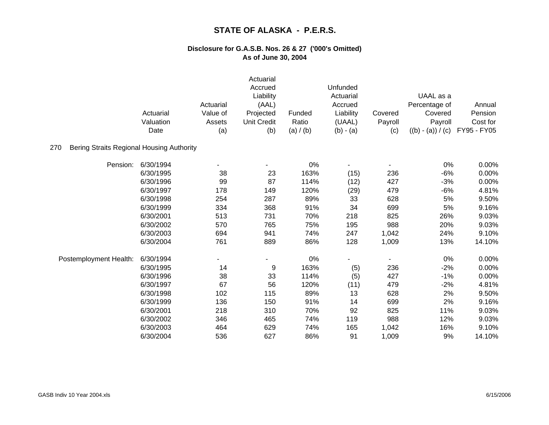|                                                  | Actuarial<br>Valuation<br>Date | Actuarial<br>Value of<br>Assets<br>(a) | Actuarial<br>Accrued<br>Liability<br>(AAL)<br>Projected<br><b>Unit Credit</b><br>(b) | Funded<br>Ratio<br>(a) / (b) | Unfunded<br>Actuarial<br>Accrued<br>Liability<br>(UAAL)<br>$(b) - (a)$ | Covered<br>Payroll<br>(c) | UAAL as a<br>Percentage of<br>Covered<br>Payroll<br>$((b) - (a)) / (c)$ | Annual<br>Pension<br>Cost for<br>FY95 - FY05 |
|--------------------------------------------------|--------------------------------|----------------------------------------|--------------------------------------------------------------------------------------|------------------------------|------------------------------------------------------------------------|---------------------------|-------------------------------------------------------------------------|----------------------------------------------|
| Bering Straits Regional Housing Authority<br>270 |                                |                                        |                                                                                      |                              |                                                                        |                           |                                                                         |                                              |
| Pension:                                         | 6/30/1994                      |                                        |                                                                                      | 0%                           |                                                                        |                           | 0%                                                                      | 0.00%                                        |
|                                                  | 6/30/1995                      | 38                                     | 23                                                                                   | 163%                         | (15)                                                                   | 236                       | $-6%$                                                                   | 0.00%                                        |
|                                                  | 6/30/1996                      | 99                                     | 87                                                                                   | 114%                         | (12)                                                                   | 427                       | $-3%$                                                                   | 0.00%                                        |
|                                                  | 6/30/1997                      | 178                                    | 149                                                                                  | 120%                         | (29)                                                                   | 479                       | $-6%$                                                                   | 4.81%                                        |
|                                                  | 6/30/1998                      | 254                                    | 287                                                                                  | 89%                          | 33                                                                     | 628                       | 5%                                                                      | 9.50%                                        |
|                                                  | 6/30/1999                      | 334                                    | 368                                                                                  | 91%                          | 34                                                                     | 699                       | 5%                                                                      | 9.16%                                        |
|                                                  | 6/30/2001                      | 513                                    | 731                                                                                  | 70%                          | 218                                                                    | 825                       | 26%                                                                     | 9.03%                                        |
|                                                  | 6/30/2002                      | 570                                    | 765                                                                                  | 75%                          | 195                                                                    | 988                       | 20%                                                                     | 9.03%                                        |
|                                                  | 6/30/2003                      | 694                                    | 941                                                                                  | 74%                          | 247                                                                    | 1,042                     | 24%                                                                     | 9.10%                                        |
|                                                  | 6/30/2004                      | 761                                    | 889                                                                                  | 86%                          | 128                                                                    | 1,009                     | 13%                                                                     | 14.10%                                       |
| Postemployment Health:                           | 6/30/1994                      |                                        |                                                                                      | 0%                           |                                                                        |                           | 0%                                                                      | 0.00%                                        |
|                                                  | 6/30/1995                      | 14                                     | 9                                                                                    | 163%                         | (5)                                                                    | 236                       | $-2%$                                                                   | 0.00%                                        |
|                                                  | 6/30/1996                      | 38                                     | 33                                                                                   | 114%                         | (5)                                                                    | 427                       | $-1%$                                                                   | 0.00%                                        |
|                                                  | 6/30/1997                      | 67                                     | 56                                                                                   | 120%                         | (11)                                                                   | 479                       | $-2%$                                                                   | 4.81%                                        |
|                                                  | 6/30/1998                      | 102                                    | 115                                                                                  | 89%                          | 13                                                                     | 628                       | 2%                                                                      | 9.50%                                        |
|                                                  | 6/30/1999                      | 136                                    | 150                                                                                  | 91%                          | 14                                                                     | 699                       | 2%                                                                      | 9.16%                                        |
|                                                  | 6/30/2001                      | 218                                    | 310                                                                                  | 70%                          | 92                                                                     | 825                       | 11%                                                                     | 9.03%                                        |
|                                                  | 6/30/2002                      | 346                                    | 465                                                                                  | 74%                          | 119                                                                    | 988                       | 12%                                                                     | 9.03%                                        |
|                                                  | 6/30/2003                      | 464                                    | 629                                                                                  | 74%                          | 165                                                                    | 1,042                     | 16%                                                                     | 9.10%                                        |
|                                                  | 6/30/2004                      | 536                                    | 627                                                                                  | 86%                          | 91                                                                     | 1,009                     | 9%                                                                      | 14.10%                                       |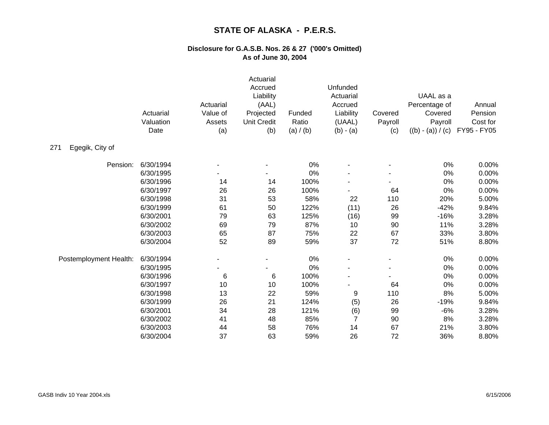|                        | Actuarial<br>Valuation<br>Date | Actuarial<br>Value of<br>Assets<br>(a) | Actuarial<br>Accrued<br>Liability<br>(AAL)<br>Projected<br><b>Unit Credit</b><br>(b) | Funded<br>Ratio<br>(a) / (b) | Unfunded<br>Actuarial<br>Accrued<br>Liability<br>(UAAL)<br>$(b) - (a)$ | Covered<br>Payroll<br>(c) | UAAL as a<br>Percentage of<br>Covered<br>Payroll<br>$((b) - (a)) / (c)$ | Annual<br>Pension<br>Cost for<br>FY95 - FY05 |
|------------------------|--------------------------------|----------------------------------------|--------------------------------------------------------------------------------------|------------------------------|------------------------------------------------------------------------|---------------------------|-------------------------------------------------------------------------|----------------------------------------------|
| Egegik, City of<br>271 |                                |                                        |                                                                                      |                              |                                                                        |                           |                                                                         |                                              |
| Pension:               | 6/30/1994                      |                                        |                                                                                      | 0%                           |                                                                        |                           | 0%                                                                      | 0.00%                                        |
|                        | 6/30/1995                      |                                        |                                                                                      | 0%                           |                                                                        |                           | 0%                                                                      | 0.00%                                        |
|                        | 6/30/1996                      | 14                                     | 14                                                                                   | 100%                         |                                                                        |                           | 0%                                                                      | 0.00%                                        |
|                        | 6/30/1997                      | 26                                     | 26                                                                                   | 100%                         |                                                                        | 64                        | 0%                                                                      | 0.00%                                        |
|                        | 6/30/1998                      | 31                                     | 53                                                                                   | 58%                          | 22                                                                     | 110                       | 20%                                                                     | 5.00%                                        |
|                        | 6/30/1999                      | 61                                     | 50                                                                                   | 122%                         | (11)                                                                   | 26                        | $-42%$                                                                  | 9.84%                                        |
|                        | 6/30/2001                      | 79                                     | 63                                                                                   | 125%                         | (16)                                                                   | 99                        | $-16%$                                                                  | 3.28%                                        |
|                        | 6/30/2002                      | 69                                     | 79                                                                                   | 87%                          | 10                                                                     | 90                        | 11%                                                                     | 3.28%                                        |
|                        | 6/30/2003                      | 65                                     | 87                                                                                   | 75%                          | 22                                                                     | 67                        | 33%                                                                     | 3.80%                                        |
|                        | 6/30/2004                      | 52                                     | 89                                                                                   | 59%                          | 37                                                                     | 72                        | 51%                                                                     | 8.80%                                        |
| Postemployment Health: | 6/30/1994                      |                                        |                                                                                      | 0%                           |                                                                        |                           | 0%                                                                      | 0.00%                                        |
|                        | 6/30/1995                      |                                        |                                                                                      | 0%                           |                                                                        |                           | 0%                                                                      | 0.00%                                        |
|                        | 6/30/1996                      | 6                                      | 6                                                                                    | 100%                         |                                                                        |                           | 0%                                                                      | 0.00%                                        |
|                        | 6/30/1997                      | 10                                     | 10                                                                                   | 100%                         |                                                                        | 64                        | 0%                                                                      | 0.00%                                        |
|                        | 6/30/1998                      | 13                                     | 22                                                                                   | 59%                          | 9                                                                      | 110                       | 8%                                                                      | 5.00%                                        |
|                        | 6/30/1999                      | 26                                     | 21                                                                                   | 124%                         | (5)                                                                    | 26                        | $-19%$                                                                  | 9.84%                                        |
|                        | 6/30/2001                      | 34                                     | 28                                                                                   | 121%                         | (6)                                                                    | 99                        | $-6%$                                                                   | 3.28%                                        |
|                        | 6/30/2002                      | 41                                     | 48                                                                                   | 85%                          | $\overline{7}$                                                         | 90                        | 8%                                                                      | 3.28%                                        |
|                        | 6/30/2003                      | 44                                     | 58                                                                                   | 76%                          | 14                                                                     | 67                        | 21%                                                                     | 3.80%                                        |
|                        | 6/30/2004                      | 37                                     | 63                                                                                   | 59%                          | 26                                                                     | 72                        | 36%                                                                     | 8.80%                                        |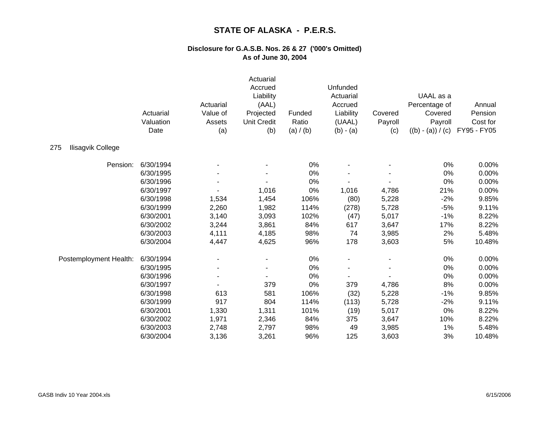|                          | Actuarial<br>Valuation<br>Date | Actuarial<br>Value of<br>Assets<br>(a) | Actuarial<br>Accrued<br>Liability<br>(AAL)<br>Projected<br><b>Unit Credit</b><br>(b) | Funded<br>Ratio<br>(a) / (b) | Unfunded<br>Actuarial<br>Accrued<br>Liability<br>(UAAL)<br>$(b) - (a)$ | Covered<br>Payroll<br>(c) | UAAL as a<br>Percentage of<br>Covered<br>Payroll<br>$((b) - (a)) / (c)$ | Annual<br>Pension<br>Cost for<br>FY95 - FY05 |
|--------------------------|--------------------------------|----------------------------------------|--------------------------------------------------------------------------------------|------------------------------|------------------------------------------------------------------------|---------------------------|-------------------------------------------------------------------------|----------------------------------------------|
| 275<br>Ilisagvik College |                                |                                        |                                                                                      |                              |                                                                        |                           |                                                                         |                                              |
| Pension:                 | 6/30/1994                      |                                        |                                                                                      | 0%                           |                                                                        |                           | 0%                                                                      | 0.00%                                        |
|                          | 6/30/1995                      |                                        |                                                                                      | 0%                           |                                                                        |                           | 0%                                                                      | 0.00%                                        |
|                          | 6/30/1996                      |                                        |                                                                                      | 0%                           |                                                                        |                           | 0%                                                                      | 0.00%                                        |
|                          | 6/30/1997                      |                                        | 1,016                                                                                | 0%                           | 1,016                                                                  | 4,786                     | 21%                                                                     | 0.00%                                        |
|                          | 6/30/1998                      | 1,534                                  | 1,454                                                                                | 106%                         | (80)                                                                   | 5,228                     | $-2%$                                                                   | 9.85%                                        |
|                          | 6/30/1999                      | 2,260                                  | 1,982                                                                                | 114%                         | (278)                                                                  | 5,728                     | $-5%$                                                                   | 9.11%                                        |
|                          | 6/30/2001                      | 3,140                                  | 3,093                                                                                | 102%                         | (47)                                                                   | 5,017                     | $-1%$                                                                   | 8.22%                                        |
|                          | 6/30/2002                      | 3,244                                  | 3,861                                                                                | 84%                          | 617                                                                    | 3,647                     | 17%                                                                     | 8.22%                                        |
|                          | 6/30/2003                      | 4,111                                  | 4,185                                                                                | 98%                          | 74                                                                     | 3,985                     | 2%                                                                      | 5.48%                                        |
|                          | 6/30/2004                      | 4,447                                  | 4,625                                                                                | 96%                          | 178                                                                    | 3,603                     | 5%                                                                      | 10.48%                                       |
| Postemployment Health:   | 6/30/1994                      |                                        |                                                                                      | $0\%$                        |                                                                        |                           | 0%                                                                      | 0.00%                                        |
|                          | 6/30/1995                      |                                        |                                                                                      | 0%                           |                                                                        |                           | 0%                                                                      | 0.00%                                        |
|                          | 6/30/1996                      |                                        |                                                                                      | 0%                           |                                                                        |                           | 0%                                                                      | 0.00%                                        |
|                          | 6/30/1997                      |                                        | 379                                                                                  | 0%                           | 379                                                                    | 4,786                     | 8%                                                                      | 0.00%                                        |
|                          | 6/30/1998                      | 613                                    | 581                                                                                  | 106%                         | (32)                                                                   | 5,228                     | $-1%$                                                                   | 9.85%                                        |
|                          | 6/30/1999                      | 917                                    | 804                                                                                  | 114%                         | (113)                                                                  | 5,728                     | $-2%$                                                                   | 9.11%                                        |
|                          | 6/30/2001                      | 1,330                                  | 1,311                                                                                | 101%                         | (19)                                                                   | 5,017                     | 0%                                                                      | 8.22%                                        |
|                          | 6/30/2002                      | 1,971                                  | 2,346                                                                                | 84%                          | 375                                                                    | 3,647                     | 10%                                                                     | 8.22%                                        |
|                          | 6/30/2003                      | 2,748                                  | 2,797                                                                                | 98%                          | 49                                                                     | 3,985                     | 1%                                                                      | 5.48%                                        |
|                          | 6/30/2004                      | 3,136                                  | 3,261                                                                                | 96%                          | 125                                                                    | 3,603                     | 3%                                                                      | 10.48%                                       |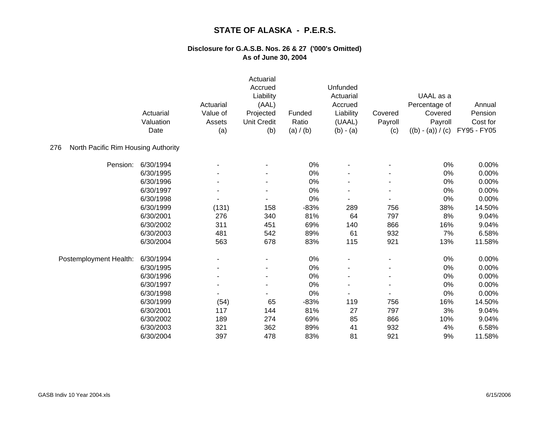|                                            | Actuarial<br>Valuation<br>Date | Actuarial<br>Value of<br>Assets<br>(a) | Actuarial<br>Accrued<br>Liability<br>(AAL)<br>Projected<br><b>Unit Credit</b><br>(b) | Funded<br>Ratio<br>(a) / (b) | Unfunded<br>Actuarial<br>Accrued<br>Liability<br>(UAAL)<br>$(b) - (a)$ | Covered<br>Payroll<br>(c) | UAAL as a<br>Percentage of<br>Covered<br>Payroll<br>$((b) - (a)) / (c)$ | Annual<br>Pension<br>Cost for<br>FY95 - FY05 |
|--------------------------------------------|--------------------------------|----------------------------------------|--------------------------------------------------------------------------------------|------------------------------|------------------------------------------------------------------------|---------------------------|-------------------------------------------------------------------------|----------------------------------------------|
| North Pacific Rim Housing Authority<br>276 |                                |                                        |                                                                                      |                              |                                                                        |                           |                                                                         |                                              |
| Pension:                                   | 6/30/1994                      |                                        |                                                                                      | 0%                           |                                                                        |                           | 0%                                                                      | 0.00%                                        |
|                                            | 6/30/1995                      |                                        |                                                                                      | 0%                           |                                                                        |                           | 0%                                                                      | 0.00%                                        |
|                                            | 6/30/1996                      |                                        |                                                                                      | 0%                           |                                                                        |                           | 0%                                                                      | 0.00%                                        |
|                                            | 6/30/1997                      |                                        |                                                                                      | 0%                           |                                                                        |                           | 0%                                                                      | 0.00%                                        |
|                                            | 6/30/1998                      |                                        |                                                                                      | 0%                           |                                                                        |                           | 0%                                                                      | 0.00%                                        |
|                                            | 6/30/1999                      | (131)                                  | 158                                                                                  | $-83%$                       | 289                                                                    | 756                       | 38%                                                                     | 14.50%                                       |
|                                            | 6/30/2001                      | 276                                    | 340                                                                                  | 81%                          | 64                                                                     | 797                       | 8%                                                                      | 9.04%                                        |
|                                            | 6/30/2002                      | 311                                    | 451                                                                                  | 69%                          | 140                                                                    | 866                       | 16%                                                                     | 9.04%                                        |
|                                            | 6/30/2003                      | 481                                    | 542                                                                                  | 89%                          | 61                                                                     | 932                       | 7%                                                                      | 6.58%                                        |
|                                            | 6/30/2004                      | 563                                    | 678                                                                                  | 83%                          | 115                                                                    | 921                       | 13%                                                                     | 11.58%                                       |
| Postemployment Health:                     | 6/30/1994                      |                                        |                                                                                      | 0%                           |                                                                        |                           | 0%                                                                      | 0.00%                                        |
|                                            | 6/30/1995                      |                                        |                                                                                      | 0%                           |                                                                        |                           | 0%                                                                      | 0.00%                                        |
|                                            | 6/30/1996                      |                                        |                                                                                      | 0%                           |                                                                        |                           | 0%                                                                      | 0.00%                                        |
|                                            | 6/30/1997                      |                                        |                                                                                      | 0%                           |                                                                        |                           | 0%                                                                      | 0.00%                                        |
|                                            | 6/30/1998                      |                                        |                                                                                      | 0%                           |                                                                        |                           | 0%                                                                      | 0.00%                                        |
|                                            | 6/30/1999                      | (54)                                   | 65                                                                                   | $-83%$                       | 119                                                                    | 756                       | 16%                                                                     | 14.50%                                       |
|                                            | 6/30/2001                      | 117                                    | 144                                                                                  | 81%                          | 27                                                                     | 797                       | $3%$                                                                    | 9.04%                                        |
|                                            | 6/30/2002                      | 189                                    | 274                                                                                  | 69%                          | 85                                                                     | 866                       | 10%                                                                     | 9.04%                                        |
|                                            | 6/30/2003                      | 321                                    | 362                                                                                  | 89%                          | 41                                                                     | 932                       | 4%                                                                      | 6.58%                                        |
|                                            | 6/30/2004                      | 397                                    | 478                                                                                  | 83%                          | 81                                                                     | 921                       | 9%                                                                      | 11.58%                                       |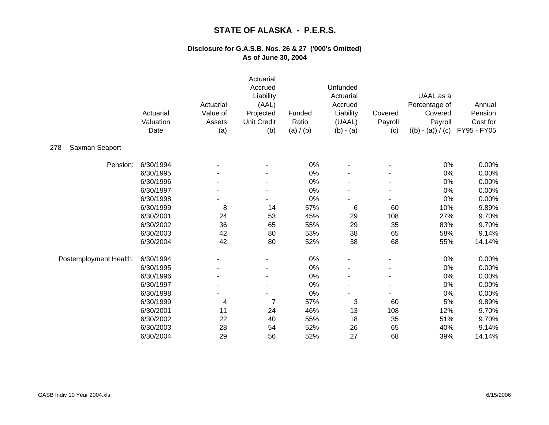|                        | Actuarial<br>Valuation<br>Date | Actuarial<br>Value of<br>Assets<br>(a) | Actuarial<br>Accrued<br>Liability<br>(AAL)<br>Projected<br><b>Unit Credit</b><br>(b) | Funded<br>Ratio<br>(a) / (b) | Unfunded<br>Actuarial<br>Accrued<br>Liability<br>(UAAL)<br>$(b) - (a)$ | Covered<br>Payroll<br>(c) | UAAL as a<br>Percentage of<br>Covered<br>Payroll<br>$((b) - (a)) / (c)$ | Annual<br>Pension<br>Cost for<br>FY95 - FY05 |
|------------------------|--------------------------------|----------------------------------------|--------------------------------------------------------------------------------------|------------------------------|------------------------------------------------------------------------|---------------------------|-------------------------------------------------------------------------|----------------------------------------------|
| Saxman Seaport<br>278  |                                |                                        |                                                                                      |                              |                                                                        |                           |                                                                         |                                              |
| Pension:               | 6/30/1994                      |                                        |                                                                                      | 0%                           |                                                                        |                           | 0%                                                                      | 0.00%                                        |
|                        | 6/30/1995                      |                                        |                                                                                      | 0%                           |                                                                        |                           | 0%                                                                      | 0.00%                                        |
|                        | 6/30/1996                      |                                        |                                                                                      | 0%                           |                                                                        |                           | 0%                                                                      | 0.00%                                        |
|                        | 6/30/1997                      |                                        |                                                                                      | 0%                           |                                                                        |                           | 0%                                                                      | 0.00%                                        |
|                        | 6/30/1998                      |                                        |                                                                                      | 0%                           |                                                                        |                           | 0%                                                                      | 0.00%                                        |
|                        | 6/30/1999                      | 8                                      | 14                                                                                   | 57%                          | 6                                                                      | 60                        | 10%                                                                     | 9.89%                                        |
|                        | 6/30/2001                      | 24                                     | 53                                                                                   | 45%                          | 29                                                                     | 108                       | 27%                                                                     | 9.70%                                        |
|                        | 6/30/2002                      | 36                                     | 65                                                                                   | 55%                          | 29                                                                     | 35                        | 83%                                                                     | 9.70%                                        |
|                        | 6/30/2003                      | 42                                     | 80                                                                                   | 53%                          | 38                                                                     | 65                        | 58%                                                                     | 9.14%                                        |
|                        | 6/30/2004                      | 42                                     | 80                                                                                   | 52%                          | 38                                                                     | 68                        | 55%                                                                     | 14.14%                                       |
| Postemployment Health: | 6/30/1994                      |                                        |                                                                                      | 0%                           |                                                                        |                           | 0%                                                                      | 0.00%                                        |
|                        | 6/30/1995                      |                                        |                                                                                      | 0%                           |                                                                        |                           | 0%                                                                      | 0.00%                                        |
|                        | 6/30/1996                      |                                        |                                                                                      | 0%                           |                                                                        |                           | 0%                                                                      | 0.00%                                        |
|                        | 6/30/1997                      |                                        |                                                                                      | 0%                           |                                                                        |                           | 0%                                                                      | 0.00%                                        |
|                        | 6/30/1998                      |                                        |                                                                                      | 0%                           |                                                                        |                           | 0%                                                                      | 0.00%                                        |
|                        | 6/30/1999                      | 4                                      | 7                                                                                    | 57%                          | 3                                                                      | 60                        | 5%                                                                      | 9.89%                                        |
|                        | 6/30/2001                      | 11                                     | 24                                                                                   | 46%                          | 13                                                                     | 108                       | 12%                                                                     | 9.70%                                        |
|                        | 6/30/2002                      | 22                                     | 40                                                                                   | 55%                          | 18                                                                     | 35                        | 51%                                                                     | 9.70%                                        |
|                        | 6/30/2003                      | 28                                     | 54                                                                                   | 52%                          | 26                                                                     | 65                        | 40%                                                                     | 9.14%                                        |
|                        | 6/30/2004                      | 29                                     | 56                                                                                   | 52%                          | 27                                                                     | 68                        | 39%                                                                     | 14.14%                                       |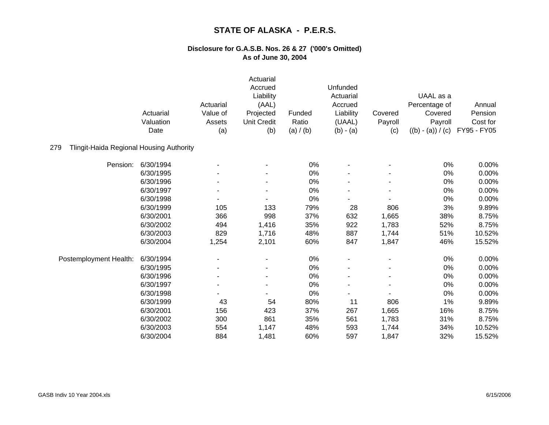|                                                 | Actuarial<br>Valuation<br>Date | Actuarial<br>Value of<br>Assets<br>(a) | Actuarial<br>Accrued<br>Liability<br>(AAL)<br>Projected<br><b>Unit Credit</b><br>(b) | Funded<br>Ratio<br>(a) / (b) | Unfunded<br>Actuarial<br>Accrued<br>Liability<br>(UAAL)<br>$(b) - (a)$ | Covered<br>Payroll<br>(c) | UAAL as a<br>Percentage of<br>Covered<br>Payroll<br>$((b) - (a)) / (c)$ | Annual<br>Pension<br>Cost for<br>FY95 - FY05 |
|-------------------------------------------------|--------------------------------|----------------------------------------|--------------------------------------------------------------------------------------|------------------------------|------------------------------------------------------------------------|---------------------------|-------------------------------------------------------------------------|----------------------------------------------|
| Tlingit-Haida Regional Housing Authority<br>279 |                                |                                        |                                                                                      |                              |                                                                        |                           |                                                                         |                                              |
| Pension:                                        | 6/30/1994                      |                                        |                                                                                      | 0%                           |                                                                        |                           | 0%                                                                      | 0.00%                                        |
|                                                 | 6/30/1995                      |                                        |                                                                                      | 0%                           |                                                                        |                           | 0%                                                                      | 0.00%                                        |
|                                                 | 6/30/1996                      |                                        |                                                                                      | 0%                           |                                                                        |                           | 0%                                                                      | 0.00%                                        |
|                                                 | 6/30/1997                      |                                        |                                                                                      | 0%                           |                                                                        |                           | 0%                                                                      | 0.00%                                        |
|                                                 | 6/30/1998                      |                                        |                                                                                      | 0%                           |                                                                        |                           | 0%                                                                      | 0.00%                                        |
|                                                 | 6/30/1999                      | 105                                    | 133                                                                                  | 79%                          | 28                                                                     | 806                       | 3%                                                                      | 9.89%                                        |
|                                                 | 6/30/2001                      | 366                                    | 998                                                                                  | 37%                          | 632                                                                    | 1,665                     | 38%                                                                     | 8.75%                                        |
|                                                 | 6/30/2002                      | 494                                    | 1,416                                                                                | 35%                          | 922                                                                    | 1,783                     | 52%                                                                     | 8.75%                                        |
|                                                 | 6/30/2003                      | 829                                    | 1,716                                                                                | 48%                          | 887                                                                    | 1,744                     | 51%                                                                     | 10.52%                                       |
|                                                 | 6/30/2004                      | 1,254                                  | 2,101                                                                                | 60%                          | 847                                                                    | 1,847                     | 46%                                                                     | 15.52%                                       |
| Postemployment Health:                          | 6/30/1994                      |                                        |                                                                                      | 0%                           |                                                                        |                           | 0%                                                                      | 0.00%                                        |
|                                                 | 6/30/1995                      |                                        |                                                                                      | 0%                           |                                                                        |                           | 0%                                                                      | 0.00%                                        |
|                                                 | 6/30/1996                      |                                        |                                                                                      | 0%                           |                                                                        |                           | 0%                                                                      | 0.00%                                        |
|                                                 | 6/30/1997                      |                                        |                                                                                      | 0%                           |                                                                        |                           | 0%                                                                      | 0.00%                                        |
|                                                 | 6/30/1998                      |                                        |                                                                                      | 0%                           |                                                                        |                           | 0%                                                                      | 0.00%                                        |
|                                                 | 6/30/1999                      | 43                                     | 54                                                                                   | 80%                          | 11                                                                     | 806                       | 1%                                                                      | 9.89%                                        |
|                                                 | 6/30/2001                      | 156                                    | 423                                                                                  | 37%                          | 267                                                                    | 1,665                     | 16%                                                                     | 8.75%                                        |
|                                                 | 6/30/2002                      | 300                                    | 861                                                                                  | 35%                          | 561                                                                    | 1,783                     | 31%                                                                     | 8.75%                                        |
|                                                 | 6/30/2003                      | 554                                    | 1,147                                                                                | 48%                          | 593                                                                    | 1,744                     | 34%                                                                     | 10.52%                                       |
|                                                 | 6/30/2004                      | 884                                    | 1,481                                                                                | 60%                          | 597                                                                    | 1,847                     | 32%                                                                     | 15.52%                                       |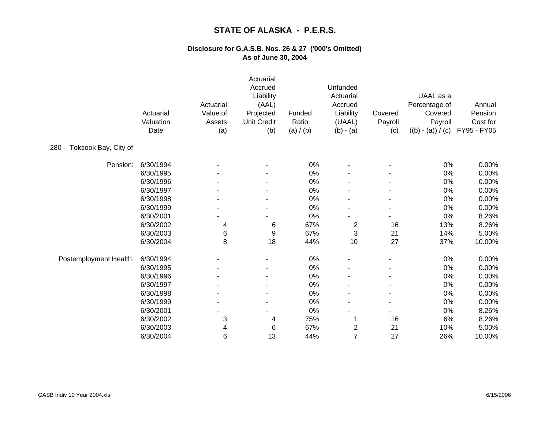|                             | Actuarial<br>Valuation<br>Date | Actuarial<br>Value of<br>Assets<br>(a) | Actuarial<br>Accrued<br>Liability<br>(AAL)<br>Projected<br><b>Unit Credit</b><br>(b) | Funded<br>Ratio<br>(a) / (b) | Unfunded<br>Actuarial<br>Accrued<br>Liability<br>(UAAL)<br>$(b) - (a)$ | Covered<br>Payroll<br>(c) | UAAL as a<br>Percentage of<br>Covered<br>Payroll<br>$((b) - (a)) / (c)$ | Annual<br>Pension<br>Cost for<br>FY95 - FY05 |
|-----------------------------|--------------------------------|----------------------------------------|--------------------------------------------------------------------------------------|------------------------------|------------------------------------------------------------------------|---------------------------|-------------------------------------------------------------------------|----------------------------------------------|
| Toksook Bay, City of<br>280 |                                |                                        |                                                                                      |                              |                                                                        |                           |                                                                         |                                              |
| Pension:                    | 6/30/1994                      |                                        |                                                                                      | 0%                           |                                                                        |                           | 0%                                                                      | 0.00%                                        |
|                             | 6/30/1995                      |                                        |                                                                                      | 0%                           |                                                                        |                           | 0%                                                                      | 0.00%                                        |
|                             | 6/30/1996                      |                                        |                                                                                      | 0%                           |                                                                        |                           | 0%                                                                      | 0.00%                                        |
|                             | 6/30/1997                      |                                        |                                                                                      | $0\%$                        |                                                                        |                           | 0%                                                                      | 0.00%                                        |
|                             | 6/30/1998                      |                                        |                                                                                      | 0%                           |                                                                        |                           | 0%                                                                      | 0.00%                                        |
|                             | 6/30/1999                      |                                        |                                                                                      | 0%                           |                                                                        |                           | 0%                                                                      | 0.00%                                        |
|                             | 6/30/2001                      |                                        |                                                                                      | 0%                           |                                                                        |                           | 0%                                                                      | 8.26%                                        |
|                             | 6/30/2002                      | 4                                      | 6                                                                                    | 67%                          | $\overline{\mathbf{c}}$                                                | 16                        | 13%                                                                     | 8.26%                                        |
|                             | 6/30/2003                      | 6                                      | 9                                                                                    | 67%                          | 3                                                                      | 21                        | 14%                                                                     | 5.00%                                        |
|                             | 6/30/2004                      | 8                                      | 18                                                                                   | 44%                          | 10                                                                     | 27                        | 37%                                                                     | 10.00%                                       |
| Postemployment Health:      | 6/30/1994                      |                                        |                                                                                      | 0%                           |                                                                        |                           | 0%                                                                      | 0.00%                                        |
|                             | 6/30/1995                      |                                        |                                                                                      | 0%                           |                                                                        |                           | $0\%$                                                                   | 0.00%                                        |
|                             | 6/30/1996                      |                                        |                                                                                      | 0%                           |                                                                        |                           | 0%                                                                      | 0.00%                                        |
|                             | 6/30/1997                      |                                        |                                                                                      | 0%                           |                                                                        |                           | 0%                                                                      | 0.00%                                        |
|                             | 6/30/1998                      |                                        |                                                                                      | 0%                           |                                                                        |                           | 0%                                                                      | 0.00%                                        |
|                             | 6/30/1999                      |                                        |                                                                                      | 0%                           |                                                                        |                           | 0%                                                                      | 0.00%                                        |
|                             | 6/30/2001                      |                                        |                                                                                      | 0%                           |                                                                        |                           | 0%                                                                      | 8.26%                                        |
|                             | 6/30/2002                      | 3                                      | 4                                                                                    | 75%                          |                                                                        | 16                        | 6%                                                                      | 8.26%                                        |
|                             | 6/30/2003                      | 4                                      | 6                                                                                    | 67%                          | $\overline{\mathbf{c}}$                                                | 21                        | 10%                                                                     | 5.00%                                        |
|                             | 6/30/2004                      | 6                                      | 13                                                                                   | 44%                          | $\overline{7}$                                                         | 27                        | 26%                                                                     | 10.00%                                       |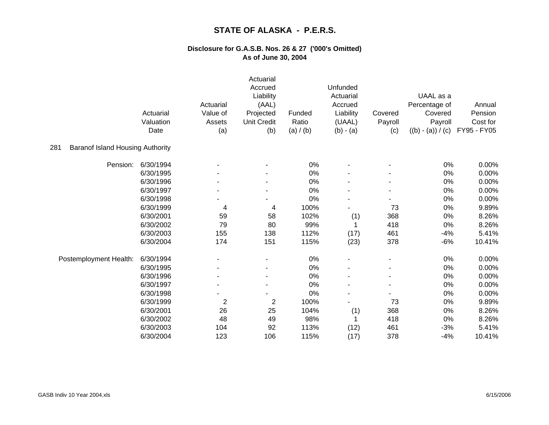|                                                | Actuarial<br>Valuation<br>Date | Actuarial<br>Value of<br>Assets<br>(a) | Actuarial<br>Accrued<br>Liability<br>(AAL)<br>Projected<br><b>Unit Credit</b><br>(b) | Funded<br>Ratio<br>(a) / (b) | Unfunded<br>Actuarial<br>Accrued<br>Liability<br>(UAAL)<br>$(b) - (a)$ | Covered<br>Payroll<br>(c) | UAAL as a<br>Percentage of<br>Covered<br>Payroll<br>$((b) - (a)) / (c)$ | Annual<br>Pension<br>Cost for<br>FY95 - FY05 |
|------------------------------------------------|--------------------------------|----------------------------------------|--------------------------------------------------------------------------------------|------------------------------|------------------------------------------------------------------------|---------------------------|-------------------------------------------------------------------------|----------------------------------------------|
| 281<br><b>Baranof Island Housing Authority</b> |                                |                                        |                                                                                      |                              |                                                                        |                           |                                                                         |                                              |
| Pension:                                       | 6/30/1994                      |                                        |                                                                                      | 0%                           |                                                                        |                           | 0%                                                                      | 0.00%                                        |
|                                                | 6/30/1995                      |                                        |                                                                                      | $0\%$                        |                                                                        |                           | 0%                                                                      | 0.00%                                        |
|                                                | 6/30/1996                      |                                        |                                                                                      | 0%                           |                                                                        |                           | 0%                                                                      | 0.00%                                        |
|                                                | 6/30/1997                      |                                        |                                                                                      | 0%                           |                                                                        |                           | 0%                                                                      | 0.00%                                        |
|                                                | 6/30/1998                      |                                        |                                                                                      | 0%                           |                                                                        |                           | 0%                                                                      | 0.00%                                        |
|                                                | 6/30/1999                      | 4                                      | 4                                                                                    | 100%                         |                                                                        | 73                        | 0%                                                                      | 9.89%                                        |
|                                                | 6/30/2001                      | 59                                     | 58                                                                                   | 102%                         | (1)                                                                    | 368                       | 0%                                                                      | 8.26%                                        |
|                                                | 6/30/2002                      | 79                                     | 80                                                                                   | 99%                          |                                                                        | 418                       | 0%                                                                      | 8.26%                                        |
|                                                | 6/30/2003                      | 155                                    | 138                                                                                  | 112%                         | (17)                                                                   | 461                       | $-4%$                                                                   | 5.41%                                        |
|                                                | 6/30/2004                      | 174                                    | 151                                                                                  | 115%                         | (23)                                                                   | 378                       | $-6%$                                                                   | 10.41%                                       |
| Postemployment Health:                         | 6/30/1994                      |                                        |                                                                                      | 0%                           |                                                                        |                           | 0%                                                                      | 0.00%                                        |
|                                                | 6/30/1995                      |                                        |                                                                                      | 0%                           |                                                                        |                           | 0%                                                                      | 0.00%                                        |
|                                                | 6/30/1996                      |                                        | ٠                                                                                    | 0%                           |                                                                        |                           | 0%                                                                      | 0.00%                                        |
|                                                | 6/30/1997                      |                                        |                                                                                      | 0%                           |                                                                        |                           | 0%                                                                      | 0.00%                                        |
|                                                | 6/30/1998                      |                                        |                                                                                      | 0%                           |                                                                        |                           | 0%                                                                      | 0.00%                                        |
|                                                | 6/30/1999                      | $\overline{2}$                         | $\overline{2}$                                                                       | 100%                         |                                                                        | 73                        | 0%                                                                      | 9.89%                                        |
|                                                | 6/30/2001                      | 26                                     | 25                                                                                   | 104%                         | (1)                                                                    | 368                       | 0%                                                                      | 8.26%                                        |
|                                                | 6/30/2002                      | 48                                     | 49                                                                                   | 98%                          |                                                                        | 418                       | 0%                                                                      | 8.26%                                        |
|                                                | 6/30/2003                      | 104                                    | 92                                                                                   | 113%                         | (12)                                                                   | 461                       | $-3%$                                                                   | 5.41%                                        |
|                                                | 6/30/2004                      | 123                                    | 106                                                                                  | 115%                         | (17)                                                                   | 378                       | $-4%$                                                                   | 10.41%                                       |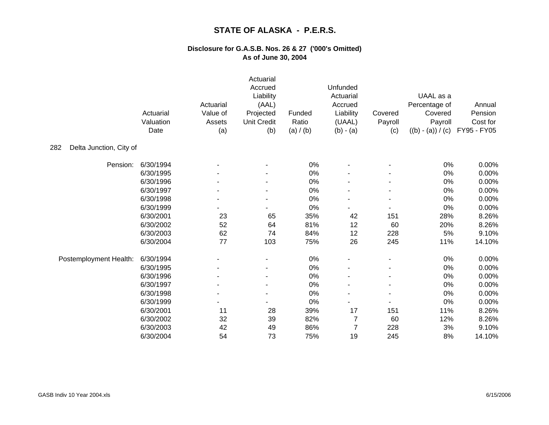|                                | Actuarial<br>Valuation<br>Date | Actuarial<br>Value of<br>Assets<br>(a) | Actuarial<br>Accrued<br>Liability<br>(AAL)<br>Projected<br><b>Unit Credit</b><br>(b) | Funded<br>Ratio<br>(a) / (b) | Unfunded<br>Actuarial<br>Accrued<br>Liability<br>(UAAL)<br>$(b) - (a)$ | Covered<br>Payroll<br>(c) | UAAL as a<br>Percentage of<br>Covered<br>Payroll<br>$((b) - (a)) / (c)$ | Annual<br>Pension<br>Cost for<br>FY95 - FY05 |
|--------------------------------|--------------------------------|----------------------------------------|--------------------------------------------------------------------------------------|------------------------------|------------------------------------------------------------------------|---------------------------|-------------------------------------------------------------------------|----------------------------------------------|
| Delta Junction, City of<br>282 |                                |                                        |                                                                                      |                              |                                                                        |                           |                                                                         |                                              |
| Pension:                       | 6/30/1994                      |                                        |                                                                                      | 0%                           |                                                                        |                           | 0%                                                                      | 0.00%                                        |
|                                | 6/30/1995                      |                                        |                                                                                      | 0%                           |                                                                        |                           | 0%                                                                      | 0.00%                                        |
|                                | 6/30/1996                      |                                        |                                                                                      | 0%                           |                                                                        |                           | 0%                                                                      | 0.00%                                        |
|                                | 6/30/1997                      |                                        |                                                                                      | 0%                           |                                                                        |                           | 0%                                                                      | 0.00%                                        |
|                                | 6/30/1998                      |                                        |                                                                                      | 0%                           |                                                                        |                           | 0%                                                                      | 0.00%                                        |
|                                | 6/30/1999                      |                                        |                                                                                      | 0%                           |                                                                        |                           | 0%                                                                      | 0.00%                                        |
|                                | 6/30/2001                      | 23                                     | 65                                                                                   | 35%                          | 42                                                                     | 151                       | 28%                                                                     | 8.26%                                        |
|                                | 6/30/2002                      | 52                                     | 64                                                                                   | 81%                          | 12                                                                     | 60                        | 20%                                                                     | 8.26%                                        |
|                                | 6/30/2003                      | 62                                     | 74                                                                                   | 84%                          | 12                                                                     | 228                       | 5%                                                                      | 9.10%                                        |
|                                | 6/30/2004                      | 77                                     | 103                                                                                  | 75%                          | 26                                                                     | 245                       | 11%                                                                     | 14.10%                                       |
| Postemployment Health:         | 6/30/1994                      |                                        |                                                                                      | 0%                           |                                                                        |                           | 0%                                                                      | 0.00%                                        |
|                                | 6/30/1995                      |                                        |                                                                                      | 0%                           |                                                                        |                           | 0%                                                                      | 0.00%                                        |
|                                | 6/30/1996                      |                                        |                                                                                      | 0%                           |                                                                        |                           | 0%                                                                      | 0.00%                                        |
|                                | 6/30/1997                      |                                        |                                                                                      | 0%                           |                                                                        |                           | 0%                                                                      | 0.00%                                        |
|                                | 6/30/1998                      |                                        | ٠                                                                                    | 0%                           |                                                                        |                           | 0%                                                                      | 0.00%                                        |
|                                | 6/30/1999                      |                                        |                                                                                      | 0%                           |                                                                        | $\blacksquare$            | 0%                                                                      | 0.00%                                        |
|                                | 6/30/2001                      | 11                                     | 28                                                                                   | 39%                          | 17                                                                     | 151                       | 11%                                                                     | 8.26%                                        |
|                                | 6/30/2002                      | 32                                     | 39                                                                                   | 82%                          | 7                                                                      | 60                        | 12%                                                                     | 8.26%                                        |
|                                | 6/30/2003                      | 42                                     | 49                                                                                   | 86%                          | $\overline{7}$                                                         | 228                       | 3%                                                                      | 9.10%                                        |
|                                | 6/30/2004                      | 54                                     | 73                                                                                   | 75%                          | 19                                                                     | 245                       | 8%                                                                      | 14.10%                                       |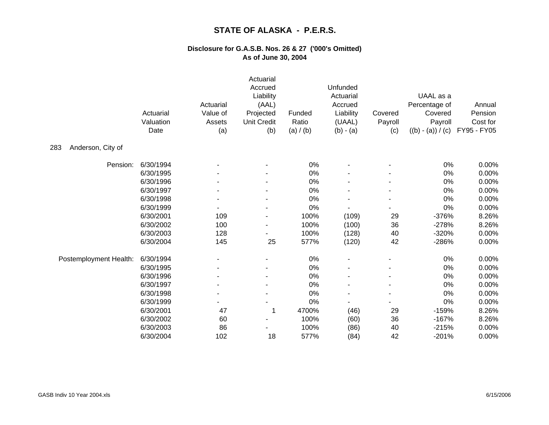|                          | Actuarial<br>Valuation<br>Date | Actuarial<br>Value of<br>Assets<br>(a) | Actuarial<br>Accrued<br>Liability<br>(AAL)<br>Projected<br><b>Unit Credit</b><br>(b) | Funded<br>Ratio<br>(a) / (b) | Unfunded<br>Actuarial<br>Accrued<br>Liability<br>(UAAL)<br>$(b) - (a)$ | Covered<br>Payroll<br>(c) | UAAL as a<br>Percentage of<br>Covered<br>Payroll<br>$((b) - (a)) / (c)$ | Annual<br>Pension<br>Cost for<br>FY95 - FY05 |
|--------------------------|--------------------------------|----------------------------------------|--------------------------------------------------------------------------------------|------------------------------|------------------------------------------------------------------------|---------------------------|-------------------------------------------------------------------------|----------------------------------------------|
| Anderson, City of<br>283 |                                |                                        |                                                                                      |                              |                                                                        |                           |                                                                         |                                              |
| Pension:                 | 6/30/1994                      |                                        |                                                                                      | 0%                           |                                                                        |                           | 0%                                                                      | 0.00%                                        |
|                          | 6/30/1995                      |                                        |                                                                                      | 0%                           |                                                                        |                           | $0\%$                                                                   | 0.00%                                        |
|                          | 6/30/1996                      |                                        |                                                                                      | 0%                           |                                                                        |                           | 0%                                                                      | 0.00%                                        |
|                          | 6/30/1997                      |                                        |                                                                                      | 0%                           |                                                                        |                           | 0%                                                                      | 0.00%                                        |
|                          | 6/30/1998                      |                                        |                                                                                      | 0%                           |                                                                        |                           | 0%                                                                      | 0.00%                                        |
|                          | 6/30/1999                      |                                        |                                                                                      | 0%                           |                                                                        |                           | 0%                                                                      | 0.00%                                        |
|                          | 6/30/2001                      | 109                                    | $\blacksquare$                                                                       | 100%                         | (109)                                                                  | 29                        | $-376%$                                                                 | 8.26%                                        |
|                          | 6/30/2002                      | 100                                    | $\blacksquare$                                                                       | 100%                         | (100)                                                                  | 36                        | $-278%$                                                                 | 8.26%                                        |
|                          | 6/30/2003                      | 128                                    |                                                                                      | 100%                         | (128)                                                                  | 40                        | $-320%$                                                                 | 0.00%                                        |
|                          | 6/30/2004                      | 145                                    | 25                                                                                   | 577%                         | (120)                                                                  | 42                        | $-286%$                                                                 | 0.00%                                        |
| Postemployment Health:   | 6/30/1994                      |                                        |                                                                                      | 0%                           |                                                                        |                           | 0%                                                                      | 0.00%                                        |
|                          | 6/30/1995                      |                                        |                                                                                      | 0%                           |                                                                        |                           | 0%                                                                      | 0.00%                                        |
|                          | 6/30/1996                      |                                        |                                                                                      | $0\%$                        |                                                                        |                           | 0%                                                                      | 0.00%                                        |
|                          | 6/30/1997                      |                                        |                                                                                      | 0%                           |                                                                        |                           | 0%                                                                      | 0.00%                                        |
|                          | 6/30/1998                      |                                        |                                                                                      | 0%                           |                                                                        |                           | 0%                                                                      | 0.00%                                        |
|                          | 6/30/1999                      |                                        |                                                                                      | 0%                           |                                                                        |                           | 0%                                                                      | 0.00%                                        |
|                          | 6/30/2001                      | 47                                     | 1                                                                                    | 4700%                        | (46)                                                                   | 29                        | $-159%$                                                                 | 8.26%                                        |
|                          | 6/30/2002                      | 60                                     |                                                                                      | 100%                         | (60)                                                                   | 36                        | $-167%$                                                                 | 8.26%                                        |
|                          | 6/30/2003                      | 86                                     |                                                                                      | 100%                         | (86)                                                                   | 40                        | $-215%$                                                                 | 0.00%                                        |
|                          | 6/30/2004                      | 102                                    | 18                                                                                   | 577%                         | (84)                                                                   | 42                        | $-201%$                                                                 | 0.00%                                        |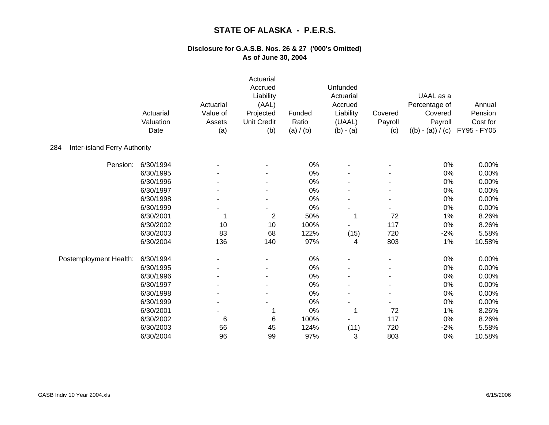|                                     | Actuarial<br>Valuation<br>Date | Actuarial<br>Value of<br>Assets<br>(a) | Actuarial<br>Accrued<br>Liability<br>(AAL)<br>Projected<br><b>Unit Credit</b><br>(b) | Funded<br>Ratio<br>(a) / (b) | Unfunded<br>Actuarial<br>Accrued<br>Liability<br>(UAAL)<br>$(b) - (a)$ | Covered<br>Payroll<br>(c) | UAAL as a<br>Percentage of<br>Covered<br>Payroll<br>$((b) - (a)) / (c)$ | Annual<br>Pension<br>Cost for<br>FY95 - FY05 |
|-------------------------------------|--------------------------------|----------------------------------------|--------------------------------------------------------------------------------------|------------------------------|------------------------------------------------------------------------|---------------------------|-------------------------------------------------------------------------|----------------------------------------------|
| Inter-island Ferry Authority<br>284 |                                |                                        |                                                                                      |                              |                                                                        |                           |                                                                         |                                              |
| Pension:                            | 6/30/1994                      |                                        |                                                                                      | 0%                           |                                                                        |                           | 0%                                                                      | 0.00%                                        |
|                                     | 6/30/1995                      |                                        |                                                                                      | 0%                           |                                                                        |                           | 0%                                                                      | 0.00%                                        |
|                                     | 6/30/1996                      |                                        |                                                                                      | 0%                           |                                                                        |                           | 0%                                                                      | 0.00%                                        |
|                                     | 6/30/1997                      |                                        |                                                                                      | 0%                           |                                                                        |                           | 0%                                                                      | 0.00%                                        |
|                                     | 6/30/1998                      |                                        |                                                                                      | 0%                           |                                                                        |                           | 0%                                                                      | 0.00%                                        |
|                                     | 6/30/1999                      |                                        |                                                                                      | 0%                           |                                                                        |                           | 0%                                                                      | 0.00%                                        |
|                                     | 6/30/2001                      | 1                                      | $\overline{2}$                                                                       | 50%                          |                                                                        | 72                        | 1%                                                                      | 8.26%                                        |
|                                     | 6/30/2002                      | 10                                     | 10                                                                                   | 100%                         |                                                                        | 117                       | 0%                                                                      | 8.26%                                        |
|                                     | 6/30/2003                      | 83                                     | 68                                                                                   | 122%                         | (15)                                                                   | 720                       | $-2%$                                                                   | 5.58%                                        |
|                                     | 6/30/2004                      | 136                                    | 140                                                                                  | 97%                          | 4                                                                      | 803                       | 1%                                                                      | 10.58%                                       |
| Postemployment Health:              | 6/30/1994                      |                                        |                                                                                      | 0%                           |                                                                        |                           | 0%                                                                      | 0.00%                                        |
|                                     | 6/30/1995                      |                                        |                                                                                      | 0%                           |                                                                        |                           | 0%                                                                      | 0.00%                                        |
|                                     | 6/30/1996                      |                                        |                                                                                      | 0%                           |                                                                        |                           | 0%                                                                      | 0.00%                                        |
|                                     | 6/30/1997                      |                                        |                                                                                      | 0%                           |                                                                        |                           | 0%                                                                      | 0.00%                                        |
|                                     | 6/30/1998                      |                                        |                                                                                      | 0%                           |                                                                        |                           | 0%                                                                      | 0.00%                                        |
|                                     | 6/30/1999                      |                                        |                                                                                      | 0%                           |                                                                        |                           | 0%                                                                      | 0.00%                                        |
|                                     | 6/30/2001                      |                                        |                                                                                      | 0%                           |                                                                        | 72                        | 1%                                                                      | 8.26%                                        |
|                                     | 6/30/2002                      | 6                                      | 6                                                                                    | 100%                         |                                                                        | 117                       | 0%                                                                      | 8.26%                                        |
|                                     | 6/30/2003                      | 56                                     | 45                                                                                   | 124%                         | (11)                                                                   | 720                       | $-2%$                                                                   | 5.58%                                        |
|                                     | 6/30/2004                      | 96                                     | 99                                                                                   | 97%                          | 3                                                                      | 803                       | 0%                                                                      | 10.58%                                       |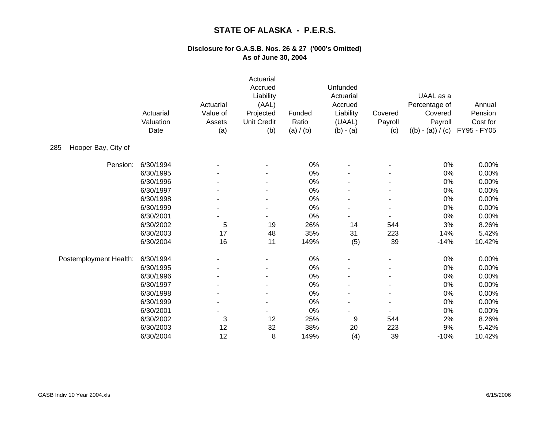|                            | Actuarial<br>Valuation<br>Date | Actuarial<br>Value of<br>Assets<br>(a) | Actuarial<br>Accrued<br>Liability<br>(AAL)<br>Projected<br><b>Unit Credit</b><br>(b) | Funded<br>Ratio<br>(a) / (b) | Unfunded<br>Actuarial<br>Accrued<br>Liability<br>(UAAL)<br>$(b) - (a)$ | Covered<br>Payroll<br>(c) | UAAL as a<br>Percentage of<br>Covered<br>Payroll<br>$((b) - (a)) / (c)$ | Annual<br>Pension<br>Cost for<br>FY95 - FY05 |
|----------------------------|--------------------------------|----------------------------------------|--------------------------------------------------------------------------------------|------------------------------|------------------------------------------------------------------------|---------------------------|-------------------------------------------------------------------------|----------------------------------------------|
| Hooper Bay, City of<br>285 |                                |                                        |                                                                                      |                              |                                                                        |                           |                                                                         |                                              |
| Pension:                   | 6/30/1994                      |                                        |                                                                                      | 0%                           |                                                                        |                           | 0%                                                                      | 0.00%                                        |
|                            | 6/30/1995                      |                                        |                                                                                      | 0%                           |                                                                        |                           | 0%                                                                      | 0.00%                                        |
|                            | 6/30/1996                      |                                        |                                                                                      | 0%                           |                                                                        |                           | 0%                                                                      | 0.00%                                        |
|                            | 6/30/1997                      |                                        |                                                                                      | 0%                           |                                                                        |                           | 0%                                                                      | 0.00%                                        |
|                            | 6/30/1998                      |                                        |                                                                                      | 0%                           |                                                                        |                           | 0%                                                                      | 0.00%                                        |
|                            | 6/30/1999                      |                                        |                                                                                      | 0%                           |                                                                        |                           | 0%                                                                      | 0.00%                                        |
|                            | 6/30/2001                      |                                        |                                                                                      | 0%                           |                                                                        |                           | 0%                                                                      | 0.00%                                        |
|                            | 6/30/2002                      | 5                                      | 19                                                                                   | 26%                          | 14                                                                     | 544                       | 3%                                                                      | 8.26%                                        |
|                            | 6/30/2003                      | 17                                     | 48                                                                                   | 35%                          | 31                                                                     | 223                       | 14%                                                                     | 5.42%                                        |
|                            | 6/30/2004                      | 16                                     | 11                                                                                   | 149%                         | (5)                                                                    | 39                        | $-14%$                                                                  | 10.42%                                       |
| Postemployment Health:     | 6/30/1994                      |                                        |                                                                                      | 0%                           |                                                                        |                           | 0%                                                                      | 0.00%                                        |
|                            | 6/30/1995                      |                                        |                                                                                      | 0%                           |                                                                        |                           | 0%                                                                      | 0.00%                                        |
|                            | 6/30/1996                      |                                        | ٠                                                                                    | 0%                           |                                                                        |                           | 0%                                                                      | 0.00%                                        |
|                            | 6/30/1997                      |                                        |                                                                                      | $0\%$                        |                                                                        |                           | 0%                                                                      | 0.00%                                        |
|                            | 6/30/1998                      |                                        |                                                                                      | 0%                           |                                                                        |                           | 0%                                                                      | 0.00%                                        |
|                            | 6/30/1999                      |                                        |                                                                                      | 0%                           |                                                                        |                           | 0%                                                                      | 0.00%                                        |
|                            | 6/30/2001                      |                                        |                                                                                      | 0%                           |                                                                        |                           | 0%                                                                      | 0.00%                                        |
|                            | 6/30/2002                      | 3                                      | 12                                                                                   | 25%                          | 9                                                                      | 544                       | 2%                                                                      | 8.26%                                        |
|                            | 6/30/2003                      | 12                                     | 32                                                                                   | 38%                          | 20                                                                     | 223                       | 9%                                                                      | 5.42%                                        |
|                            | 6/30/2004                      | 12                                     | 8                                                                                    | 149%                         | (4)                                                                    | 39                        | $-10%$                                                                  | 10.42%                                       |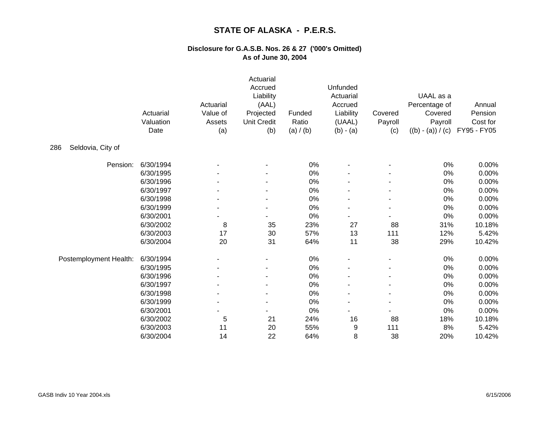|                          | Actuarial<br>Valuation<br>Date | Actuarial<br>Value of<br>Assets<br>(a) | Actuarial<br>Accrued<br>Liability<br>(AAL)<br>Projected<br><b>Unit Credit</b><br>(b) | Funded<br>Ratio<br>(a) / (b) | Unfunded<br>Actuarial<br>Accrued<br>Liability<br>(UAAL)<br>$(b) - (a)$ | Covered<br>Payroll<br>(c) | UAAL as a<br>Percentage of<br>Covered<br>Payroll<br>$((b) - (a)) / (c)$ | Annual<br>Pension<br>Cost for<br>FY95 - FY05 |
|--------------------------|--------------------------------|----------------------------------------|--------------------------------------------------------------------------------------|------------------------------|------------------------------------------------------------------------|---------------------------|-------------------------------------------------------------------------|----------------------------------------------|
| Seldovia, City of<br>286 |                                |                                        |                                                                                      |                              |                                                                        |                           |                                                                         |                                              |
| Pension:                 | 6/30/1994                      |                                        |                                                                                      | 0%                           |                                                                        |                           | 0%                                                                      | 0.00%                                        |
|                          | 6/30/1995                      |                                        |                                                                                      | 0%                           |                                                                        |                           | 0%                                                                      | 0.00%                                        |
|                          | 6/30/1996                      |                                        |                                                                                      | 0%                           |                                                                        |                           | 0%                                                                      | 0.00%                                        |
|                          | 6/30/1997                      |                                        |                                                                                      | $0\%$                        |                                                                        |                           | 0%                                                                      | 0.00%                                        |
|                          | 6/30/1998                      |                                        |                                                                                      | 0%                           |                                                                        |                           | 0%                                                                      | 0.00%                                        |
|                          | 6/30/1999                      |                                        |                                                                                      | 0%                           |                                                                        |                           | 0%                                                                      | 0.00%                                        |
|                          | 6/30/2001                      |                                        |                                                                                      | 0%                           |                                                                        |                           | 0%                                                                      | 0.00%                                        |
|                          | 6/30/2002                      | 8                                      | 35                                                                                   | 23%                          | 27                                                                     | 88                        | 31%                                                                     | 10.18%                                       |
|                          | 6/30/2003                      | 17                                     | 30                                                                                   | 57%                          | 13                                                                     | 111                       | 12%                                                                     | 5.42%                                        |
|                          | 6/30/2004                      | 20                                     | 31                                                                                   | 64%                          | 11                                                                     | 38                        | 29%                                                                     | 10.42%                                       |
| Postemployment Health:   | 6/30/1994                      |                                        |                                                                                      | 0%                           |                                                                        |                           | 0%                                                                      | 0.00%                                        |
|                          | 6/30/1995                      |                                        |                                                                                      | 0%                           |                                                                        |                           | 0%                                                                      | 0.00%                                        |
|                          | 6/30/1996                      |                                        |                                                                                      | 0%                           |                                                                        |                           | 0%                                                                      | 0.00%                                        |
|                          | 6/30/1997                      |                                        |                                                                                      | 0%                           |                                                                        |                           | 0%                                                                      | 0.00%                                        |
|                          | 6/30/1998                      |                                        |                                                                                      | 0%                           |                                                                        |                           | 0%                                                                      | 0.00%                                        |
|                          | 6/30/1999                      |                                        |                                                                                      | 0%                           |                                                                        | $\blacksquare$            | 0%                                                                      | 0.00%                                        |
|                          | 6/30/2001                      |                                        |                                                                                      | 0%                           |                                                                        |                           | 0%                                                                      | 0.00%                                        |
|                          | 6/30/2002                      | 5                                      | 21                                                                                   | 24%                          | 16                                                                     | 88                        | 18%                                                                     | 10.18%                                       |
|                          | 6/30/2003                      | 11                                     | 20                                                                                   | 55%                          | 9                                                                      | 111                       | 8%                                                                      | 5.42%                                        |
|                          | 6/30/2004                      | 14                                     | 22                                                                                   | 64%                          | 8                                                                      | 38                        | 20%                                                                     | 10.42%                                       |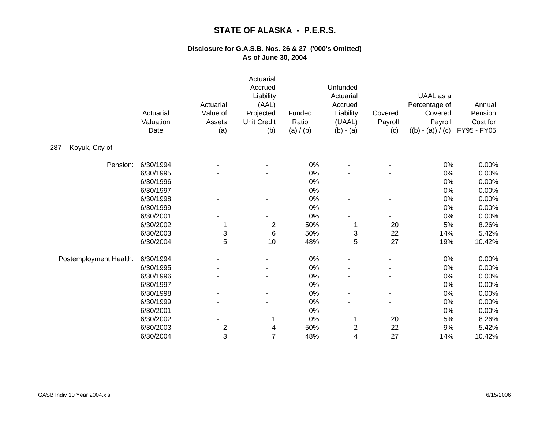|                        | Actuarial<br>Valuation<br>Date | Actuarial<br>Value of<br>Assets<br>(a) | Actuarial<br>Accrued<br>Liability<br>(AAL)<br>Projected<br><b>Unit Credit</b><br>(b) | Funded<br>Ratio<br>(a) / (b) | Unfunded<br>Actuarial<br>Accrued<br>Liability<br>(UAAL)<br>$(b) - (a)$ | Covered<br>Payroll<br>(c) | UAAL as a<br>Percentage of<br>Covered<br>Payroll<br>$((b) - (a)) / (c)$ | Annual<br>Pension<br>Cost for<br>FY95 - FY05 |
|------------------------|--------------------------------|----------------------------------------|--------------------------------------------------------------------------------------|------------------------------|------------------------------------------------------------------------|---------------------------|-------------------------------------------------------------------------|----------------------------------------------|
| Koyuk, City of<br>287  |                                |                                        |                                                                                      |                              |                                                                        |                           |                                                                         |                                              |
| Pension:               | 6/30/1994                      |                                        |                                                                                      | 0%                           |                                                                        |                           | 0%                                                                      | 0.00%                                        |
|                        | 6/30/1995                      |                                        |                                                                                      | 0%                           |                                                                        |                           | 0%                                                                      | 0.00%                                        |
|                        | 6/30/1996                      |                                        |                                                                                      | 0%                           |                                                                        |                           | 0%                                                                      | 0.00%                                        |
|                        | 6/30/1997                      |                                        |                                                                                      | $0\%$                        |                                                                        |                           | 0%                                                                      | 0.00%                                        |
|                        | 6/30/1998                      |                                        |                                                                                      | 0%                           |                                                                        |                           | 0%                                                                      | 0.00%                                        |
|                        | 6/30/1999                      |                                        |                                                                                      | 0%                           |                                                                        |                           | 0%                                                                      | 0.00%                                        |
|                        | 6/30/2001                      |                                        |                                                                                      | 0%                           |                                                                        |                           | 0%                                                                      | 0.00%                                        |
|                        | 6/30/2002                      | 1                                      | $\overline{c}$                                                                       | 50%                          |                                                                        | 20                        | 5%                                                                      | 8.26%                                        |
|                        | 6/30/2003                      | 3                                      | $\,6$                                                                                | 50%                          | 3                                                                      | 22                        | 14%                                                                     | 5.42%                                        |
|                        | 6/30/2004                      | 5                                      | 10                                                                                   | 48%                          | 5                                                                      | 27                        | 19%                                                                     | 10.42%                                       |
| Postemployment Health: | 6/30/1994                      |                                        |                                                                                      | 0%                           |                                                                        |                           | 0%                                                                      | 0.00%                                        |
|                        | 6/30/1995                      |                                        |                                                                                      | 0%                           |                                                                        |                           | 0%                                                                      | 0.00%                                        |
|                        | 6/30/1996                      |                                        |                                                                                      | 0%                           |                                                                        |                           | 0%                                                                      | 0.00%                                        |
|                        | 6/30/1997                      |                                        |                                                                                      | 0%                           |                                                                        |                           | 0%                                                                      | 0.00%                                        |
|                        | 6/30/1998                      |                                        |                                                                                      | 0%                           |                                                                        |                           | 0%                                                                      | 0.00%                                        |
|                        | 6/30/1999                      |                                        |                                                                                      | 0%                           |                                                                        |                           | 0%                                                                      | 0.00%                                        |
|                        | 6/30/2001                      |                                        |                                                                                      | 0%                           |                                                                        |                           | 0%                                                                      | 0.00%                                        |
|                        | 6/30/2002                      |                                        |                                                                                      | 0%                           |                                                                        | 20                        | 5%                                                                      | 8.26%                                        |
|                        | 6/30/2003                      | $\overline{\mathbf{c}}$                | 4                                                                                    | 50%                          | $\overline{c}$                                                         | 22                        | $9%$                                                                    | 5.42%                                        |
|                        | 6/30/2004                      | 3                                      | $\overline{7}$                                                                       | 48%                          | 4                                                                      | 27                        | 14%                                                                     | 10.42%                                       |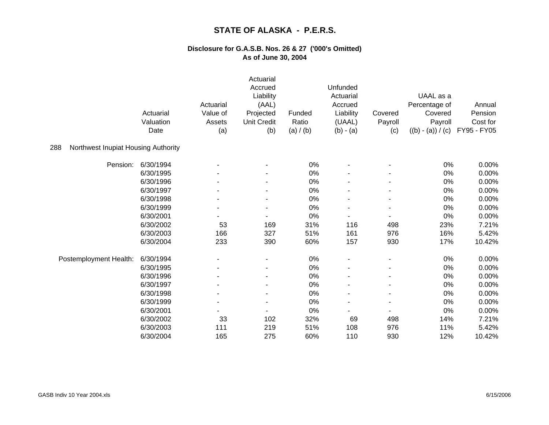|                                            | Actuarial<br>Valuation<br>Date | Actuarial<br>Value of<br>Assets<br>(a) | Actuarial<br>Accrued<br>Liability<br>(AAL)<br>Projected<br><b>Unit Credit</b><br>(b) | Funded<br>Ratio<br>(a) / (b) | Unfunded<br>Actuarial<br>Accrued<br>Liability<br>(UAAL)<br>$(b) - (a)$ | Covered<br>Payroll<br>(c) | UAAL as a<br>Percentage of<br>Covered<br>Payroll<br>$((b) - (a)) / (c)$ | Annual<br>Pension<br>Cost for<br>FY95 - FY05 |
|--------------------------------------------|--------------------------------|----------------------------------------|--------------------------------------------------------------------------------------|------------------------------|------------------------------------------------------------------------|---------------------------|-------------------------------------------------------------------------|----------------------------------------------|
| Northwest Inupiat Housing Authority<br>288 |                                |                                        |                                                                                      |                              |                                                                        |                           |                                                                         |                                              |
| Pension:                                   | 6/30/1994                      |                                        |                                                                                      | 0%                           |                                                                        |                           | 0%                                                                      | 0.00%                                        |
|                                            | 6/30/1995                      |                                        |                                                                                      | 0%                           |                                                                        |                           | $0\%$                                                                   | 0.00%                                        |
|                                            | 6/30/1996                      |                                        |                                                                                      | 0%                           |                                                                        |                           | 0%                                                                      | 0.00%                                        |
|                                            | 6/30/1997                      |                                        |                                                                                      | 0%                           |                                                                        |                           | 0%                                                                      | 0.00%                                        |
|                                            | 6/30/1998                      |                                        |                                                                                      | 0%                           |                                                                        |                           | 0%                                                                      | 0.00%                                        |
|                                            | 6/30/1999                      |                                        |                                                                                      | 0%                           |                                                                        |                           | 0%                                                                      | 0.00%                                        |
|                                            | 6/30/2001                      |                                        |                                                                                      | 0%                           |                                                                        |                           | 0%                                                                      | 0.00%                                        |
|                                            | 6/30/2002                      | 53                                     | 169                                                                                  | 31%                          | 116                                                                    | 498                       | 23%                                                                     | 7.21%                                        |
|                                            | 6/30/2003                      | 166                                    | 327                                                                                  | 51%                          | 161                                                                    | 976                       | 16%                                                                     | 5.42%                                        |
|                                            | 6/30/2004                      | 233                                    | 390                                                                                  | 60%                          | 157                                                                    | 930                       | 17%                                                                     | 10.42%                                       |
| Postemployment Health:                     | 6/30/1994                      |                                        |                                                                                      | 0%                           |                                                                        |                           | 0%                                                                      | 0.00%                                        |
|                                            | 6/30/1995                      |                                        |                                                                                      | 0%                           |                                                                        |                           | 0%                                                                      | 0.00%                                        |
|                                            | 6/30/1996                      |                                        |                                                                                      | 0%                           |                                                                        |                           | 0%                                                                      | 0.00%                                        |
|                                            | 6/30/1997                      |                                        |                                                                                      | 0%                           |                                                                        |                           | 0%                                                                      | 0.00%                                        |
|                                            | 6/30/1998                      |                                        | ٠                                                                                    | 0%                           |                                                                        |                           | 0%                                                                      | 0.00%                                        |
|                                            | 6/30/1999                      | $\overline{\phantom{a}}$               | ٠                                                                                    | 0%                           |                                                                        | $\blacksquare$            | 0%                                                                      | 0.00%                                        |
|                                            | 6/30/2001                      |                                        |                                                                                      | 0%                           |                                                                        |                           | 0%                                                                      | 0.00%                                        |
|                                            | 6/30/2002                      | 33                                     | 102                                                                                  | 32%                          | 69                                                                     | 498                       | 14%                                                                     | 7.21%                                        |
|                                            | 6/30/2003                      | 111                                    | 219                                                                                  | 51%                          | 108                                                                    | 976                       | 11%                                                                     | 5.42%                                        |
|                                            | 6/30/2004                      | 165                                    | 275                                                                                  | 60%                          | 110                                                                    | 930                       | 12%                                                                     | 10.42%                                       |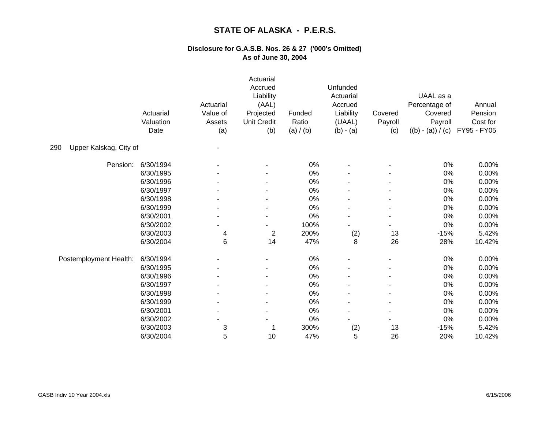|                               | Actuarial<br>Valuation<br>Date | Actuarial<br>Value of<br>Assets<br>(a) | Actuarial<br>Accrued<br>Liability<br>(AAL)<br>Projected<br>Unit Credit<br>(b) | Funded<br>Ratio<br>(a) / (b) | Unfunded<br>Actuarial<br>Accrued<br>Liability<br>(UAAL)<br>$(b) - (a)$ | Covered<br>Payroll<br>(c) | UAAL as a<br>Percentage of<br>Covered<br>Payroll<br>$((b) - (a)) / (c)$ | Annual<br>Pension<br>Cost for<br>FY95 - FY05 |
|-------------------------------|--------------------------------|----------------------------------------|-------------------------------------------------------------------------------|------------------------------|------------------------------------------------------------------------|---------------------------|-------------------------------------------------------------------------|----------------------------------------------|
| Upper Kalskag, City of<br>290 |                                |                                        |                                                                               |                              |                                                                        |                           |                                                                         |                                              |
| Pension:                      | 6/30/1994                      |                                        |                                                                               | 0%                           |                                                                        |                           | 0%                                                                      | 0.00%                                        |
|                               | 6/30/1995                      |                                        |                                                                               | 0%                           |                                                                        |                           | 0%                                                                      | 0.00%                                        |
|                               | 6/30/1996                      |                                        |                                                                               | 0%                           |                                                                        |                           | 0%                                                                      | 0.00%                                        |
|                               | 6/30/1997                      |                                        |                                                                               | $0\%$                        |                                                                        |                           | 0%                                                                      | 0.00%                                        |
|                               | 6/30/1998                      |                                        |                                                                               | 0%                           |                                                                        |                           | 0%                                                                      | 0.00%                                        |
|                               | 6/30/1999                      |                                        |                                                                               | 0%                           |                                                                        |                           | 0%                                                                      | 0.00%                                        |
|                               | 6/30/2001                      |                                        |                                                                               | 0%                           |                                                                        |                           | 0%                                                                      | 0.00%                                        |
|                               | 6/30/2002                      |                                        |                                                                               | 100%                         |                                                                        |                           | 0%                                                                      | 0.00%                                        |
|                               | 6/30/2003                      | 4                                      | $\overline{2}$                                                                | 200%                         | (2)                                                                    | 13                        | $-15%$                                                                  | 5.42%                                        |
|                               | 6/30/2004                      | 6                                      | 14                                                                            | 47%                          | 8                                                                      | 26                        | 28%                                                                     | 10.42%                                       |
| Postemployment Health:        | 6/30/1994                      |                                        |                                                                               | 0%                           |                                                                        |                           | 0%                                                                      | 0.00%                                        |
|                               | 6/30/1995                      |                                        |                                                                               | 0%                           |                                                                        |                           | 0%                                                                      | 0.00%                                        |
|                               | 6/30/1996                      |                                        |                                                                               | 0%                           |                                                                        |                           | 0%                                                                      | 0.00%                                        |
|                               | 6/30/1997                      |                                        |                                                                               | 0%                           |                                                                        |                           | 0%                                                                      | 0.00%                                        |
|                               | 6/30/1998                      |                                        |                                                                               | 0%                           |                                                                        |                           | 0%                                                                      | 0.00%                                        |
|                               | 6/30/1999                      |                                        |                                                                               | 0%                           |                                                                        |                           | 0%                                                                      | 0.00%                                        |
|                               | 6/30/2001                      |                                        |                                                                               | 0%                           |                                                                        |                           | $0\%$                                                                   | 0.00%                                        |
|                               | 6/30/2002                      |                                        |                                                                               | 0%                           |                                                                        |                           | $0\%$                                                                   | 0.00%                                        |
|                               | 6/30/2003                      | 3                                      |                                                                               | 300%                         | (2)                                                                    | 13                        | $-15%$                                                                  | 5.42%                                        |
|                               | 6/30/2004                      | 5                                      | 10                                                                            | 47%                          | 5                                                                      | 26                        | 20%                                                                     | 10.42%                                       |